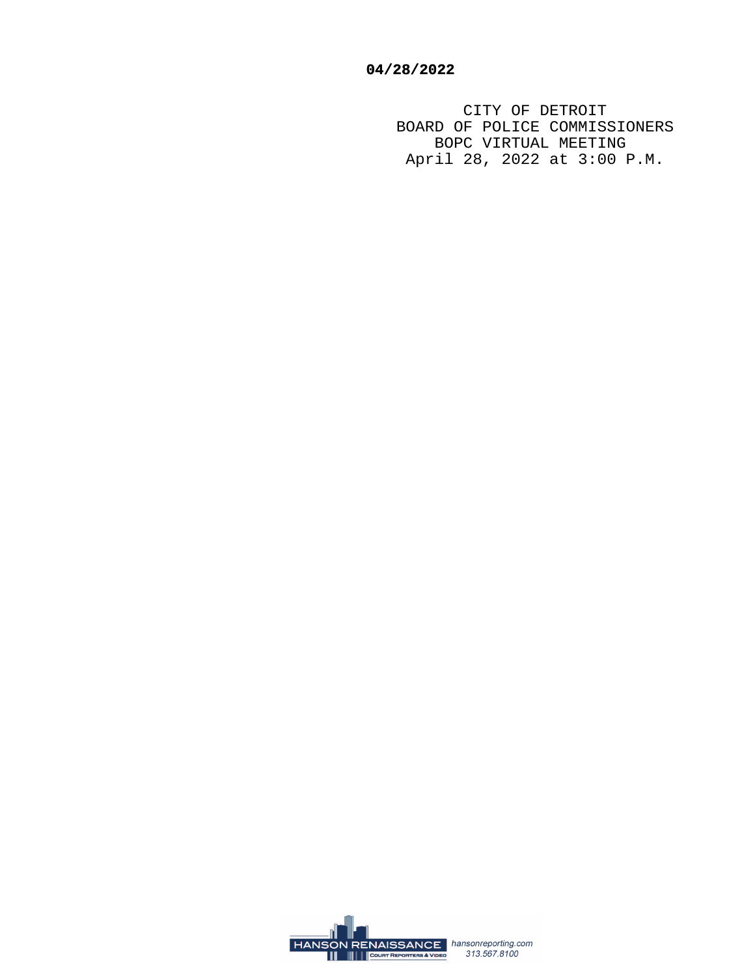CITY OF DETROIT BOARD OF POLICE COMMISSIONERS BOPC VIRTUAL MEETING April 28, 2022 at 3:00 P.M.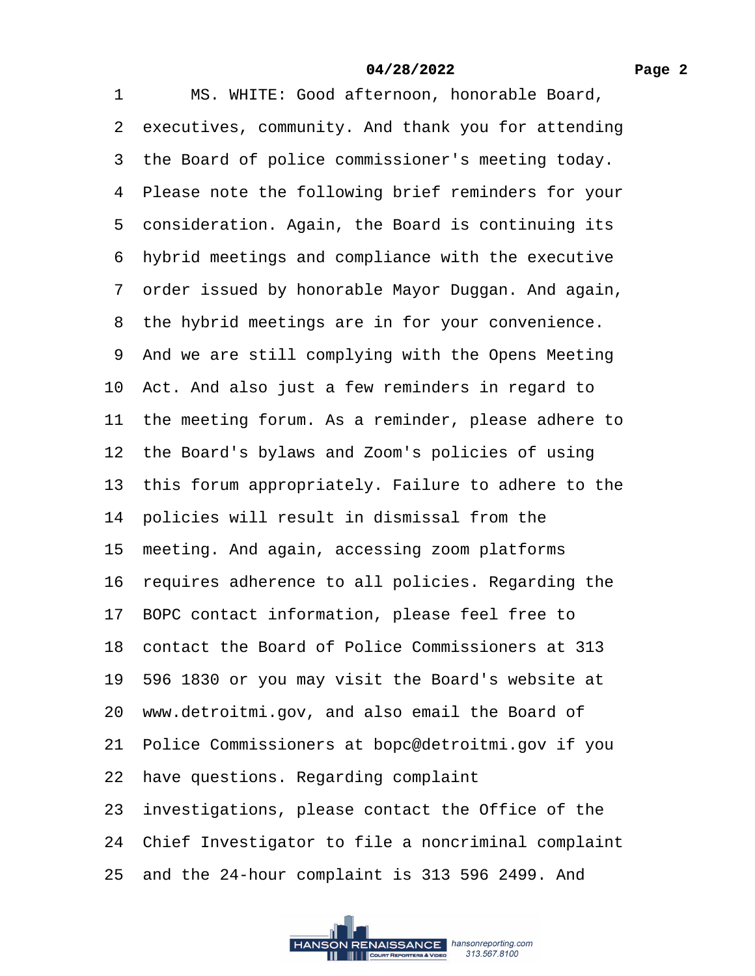1 MS. WHITE: Good afternoon, honorable Board, 2 executives, community. And thank you for attending 3 the Board of police commissioner's meeting today. 4 Please note the following brief reminders for your 5 consideration. Again, the Board is continuing its ·6· hybrid meetings and compliance with the executive 7 order issued by honorable Mayor Duggan. And again, 8 the hybrid meetings are in for your convenience. 9 And we are still complying with the Opens Meeting 10· Act. And also just a few reminders in regard to 11 the meeting forum. As a reminder, please adhere to 12 the Board's bylaws and Zoom's policies of using 13 this forum appropriately. Failure to adhere to the 14 policies will result in dismissal from the 15 meeting. And again, accessing zoom platforms 16 requires adherence to all policies. Regarding the 17· BOPC contact information, please feel free to 18 contact the Board of Police Commissioners at 313 19· 596 1830 or you may visit the Board's website at 20· www.detroitmi.gov, and also email the Board of 21· Police Commissioners at bopc@detroitmi.gov if you 22 have questions. Regarding complaint 23· investigations, please contact the Office of the 24· Chief Investigator to file a noncriminal complaint 25· and the 24-hour complaint is 313 596 2499. And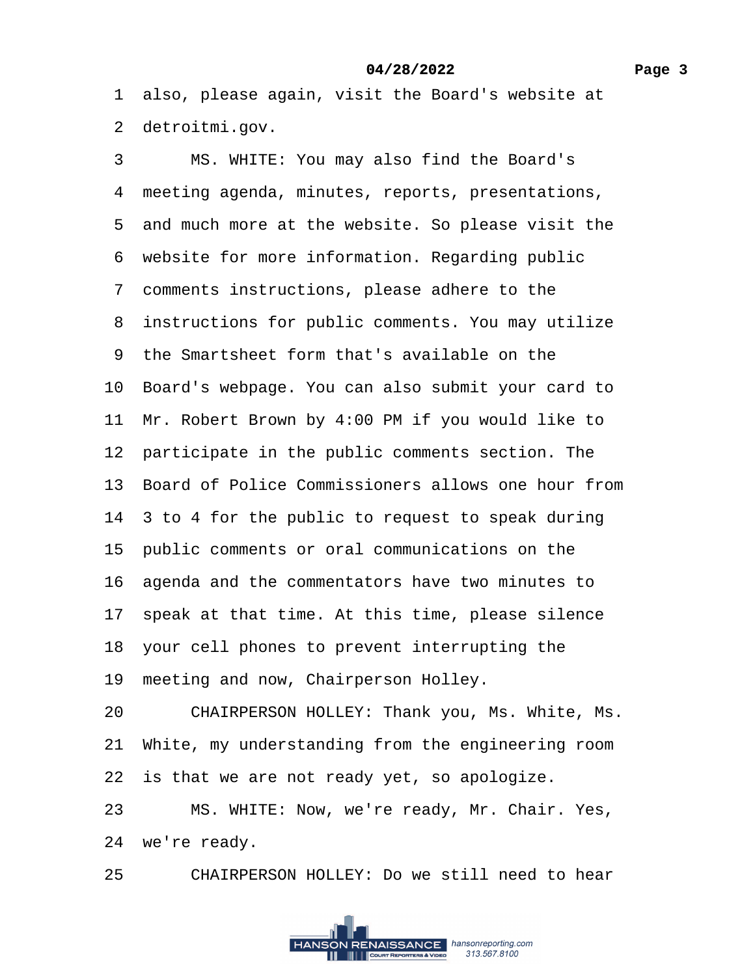1 also, please again, visit the Board's website at 2 detroitmi.gov.

3 MS. WHITE: You may also find the Board's 4 meeting agenda, minutes, reports, presentations, 5 and much more at the website. So please visit the 6 website for more information. Regarding public ·7· comments instructions, please adhere to the 8 instructions for public comments. You may utilize ·9· the Smartsheet form that's available on the 10· Board's webpage. You can also submit your card to 11 Mr. Robert Brown by 4:00 PM if you would like to 12 participate in the public comments section. The 13· Board of Police Commissioners allows one hour from 14 3 to 4 for the public to request to speak during 15 public comments or oral communications on the 16 agenda and the commentators have two minutes to 17 speak at that time. At this time, please silence 18· your cell phones to prevent interrupting the 19 meeting and now, Chairperson Holley. 20 CHAIRPERSON HOLLEY: Thank you, Ms. White, Ms. 21· White, my understanding from the engineering room 22 is that we are not ready yet, so apologize. 23 MS. WHITE: Now, we're ready, Mr. Chair. Yes, 24 we're ready.

25 CHAIRPERSON HOLLEY: Do we still need to hear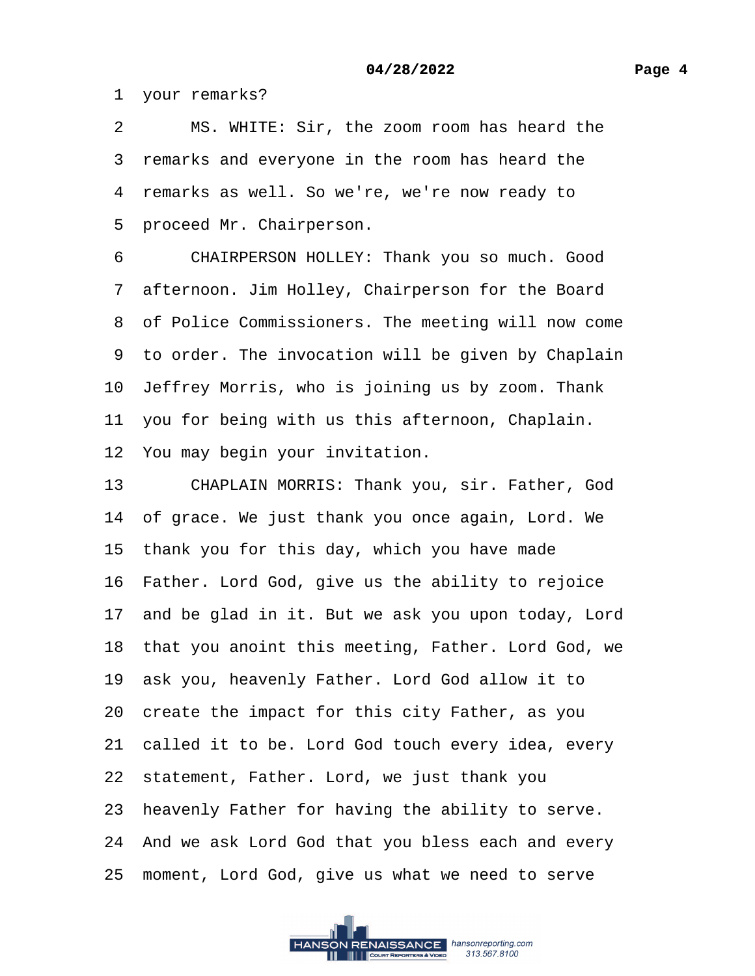1 your remarks?

2 MS. WHITE: Sir, the zoom room has heard the 3 remarks and everyone in the room has heard the 4 remarks as well. So we're, we're now ready to 5 proceed Mr. Chairperson.

6 CHAIRPERSON HOLLEY: Thank you so much. Good 7 afternoon. Jim Holley, Chairperson for the Board 8 of Police Commissioners. The meeting will now come 9 to order. The invocation will be given by Chaplain 10 Jeffrey Morris, who is joining us by zoom. Thank 11 you for being with us this afternoon, Chaplain. 12 You may begin your invitation. 13 CHAPLAIN MORRIS: Thank you, sir. Father, God 14 of grace. We just thank you once again, Lord. We

15 thank you for this day, which you have made

16 Father. Lord God, give us the ability to rejoice

17 and be glad in it. But we ask you upon today, Lord

18 that you anoint this meeting, Father. Lord God, we

19 ask you, heavenly Father. Lord God allow it to

20· create the impact for this city Father, as you

21 called it to be. Lord God touch every idea, every

22· statement, Father. Lord, we just thank you

23 heavenly Father for having the ability to serve.

24· And we ask Lord God that you bless each and every

25 moment, Lord God, give us what we need to serve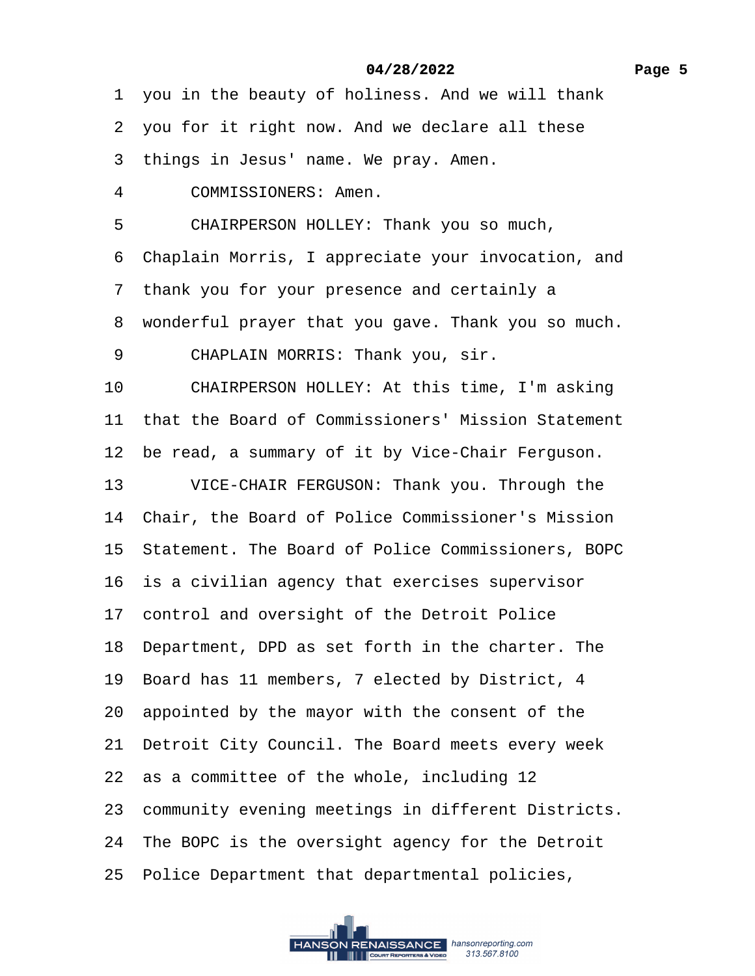1 you in the beauty of holiness. And we will thank

- 2 you for it right now. And we declare all these
- 3 things in Jesus' name. We pray. Amen.
- 4 COMMISSIONERS: Amen.
- 5 CHAIRPERSON HOLLEY: Thank you so much,
- ·6· Chaplain Morris, I appreciate your invocation, and
- ·7· thank you for your presence and certainly a
- 8 wonderful prayer that you gave. Thank you so much.
- 9 CHAPLAIN MORRIS: Thank you, sir.
- 10 CHAIRPERSON HOLLEY: At this time, I'm asking
- 11 that the Board of Commissioners' Mission Statement
- 12 be read, a summary of it by Vice-Chair Ferguson.
- 13 VICE-CHAIR FERGUSON: Thank you. Through the
- 14 Chair, the Board of Police Commissioner's Mission
- 15 Statement. The Board of Police Commissioners, BOPC
- 16 is a civilian agency that exercises supervisor
- 17 control and oversight of the Detroit Police
- 18· Department, DPD as set forth in the charter. The
- 19 Board has 11 members, 7 elected by District, 4
- 20· appointed by the mayor with the consent of the
- 21 Detroit City Council. The Board meets every week
- 22 as a committee of the whole, including 12
- 23 community evening meetings in different Districts.
- 24 The BOPC is the oversight agency for the Detroit
- 25 Police Department that departmental policies,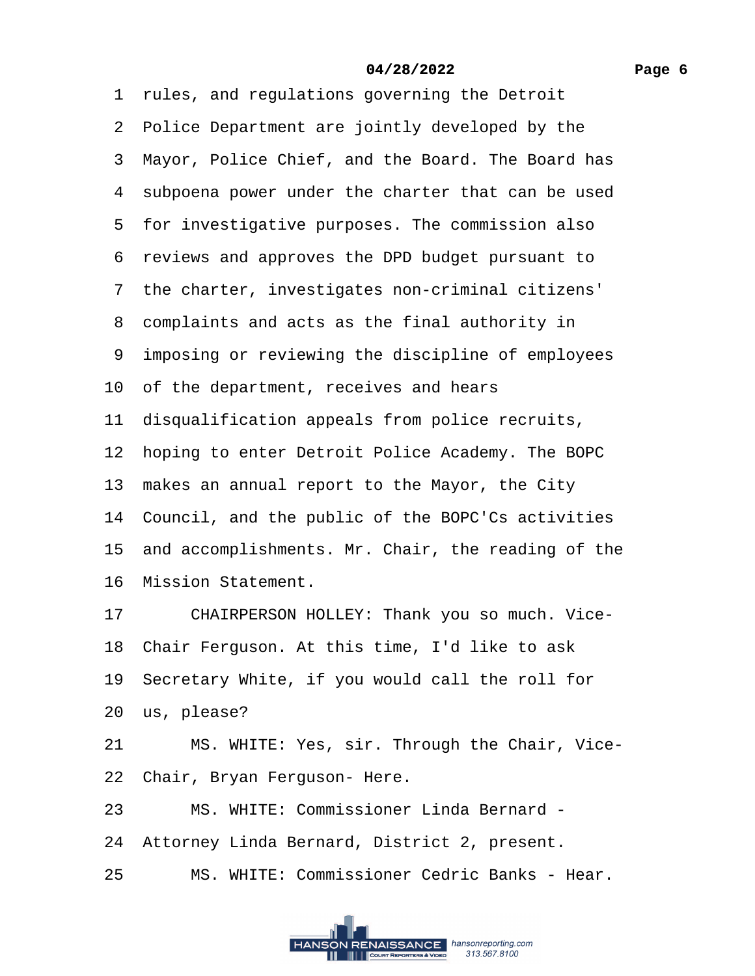|    | 1 rules, and regulations governing the Detroit        |
|----|-------------------------------------------------------|
|    | 2 Police Department are jointly developed by the      |
|    | 3 Mayor, Police Chief, and the Board. The Board has   |
|    | 4 subpoena power under the charter that can be used   |
|    | 5 for investigative purposes. The commission also     |
|    | 6 reviews and approves the DPD budget pursuant to     |
|    | 7 the charter, investigates non-criminal citizens'    |
|    | 8 complaints and acts as the final authority in       |
|    | 9 imposing or reviewing the discipline of employees   |
|    | 10 of the department, receives and hears              |
|    | 11 disqualification appeals from police recruits,     |
|    | 12 hoping to enter Detroit Police Academy. The BOPC   |
|    | 13 makes an annual report to the Mayor, the City      |
|    | 14 Council, and the public of the BOPC'Cs activities  |
|    | 15 and accomplishments. Mr. Chair, the reading of the |
|    | 16 Mission Statement.                                 |
|    | CHAIRPERSON HOLLEY: Thank you so much. Vice-<br>17    |
|    | 18 Chair Ferguson. At this time, I'd like to ask      |
|    | 19 Secretary White, if you would call the roll for    |
|    | 20 us, please?                                        |
| 21 | MS. WHITE: Yes, sir. Through the Chair, Vice-         |
|    | 22 Chair, Bryan Ferguson- Here.                       |
| 23 | MS. WHITE: Commissioner Linda Bernard -               |
|    |                                                       |

- 24 Attorney Linda Bernard, District 2, present.
- 25 MS. WHITE: Commissioner Cedric Banks Hear.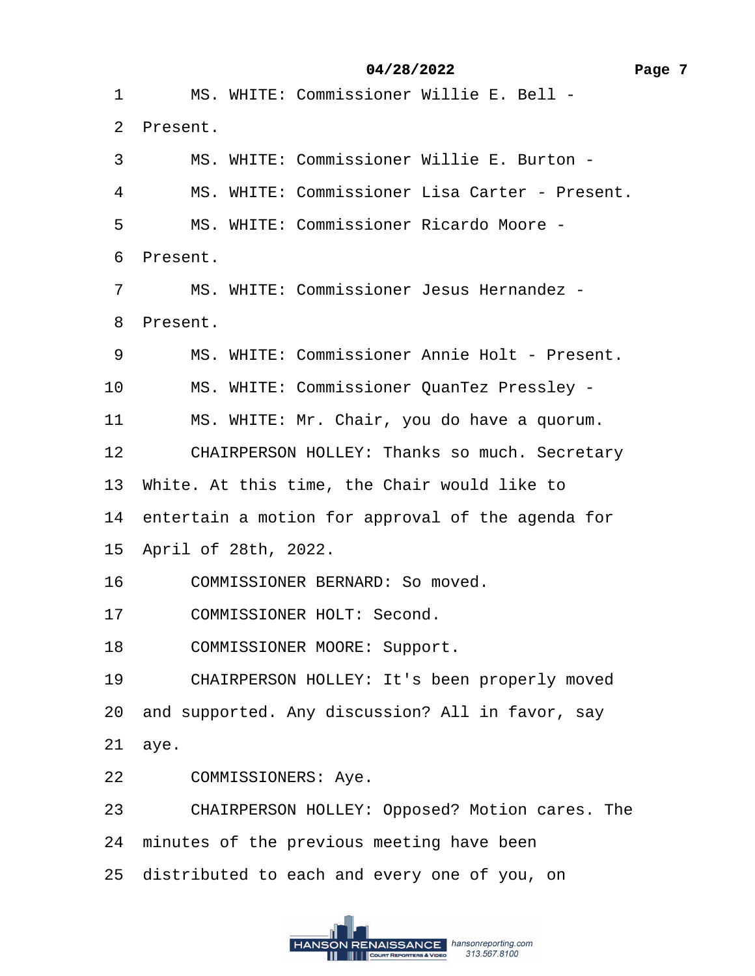·1· · · ·MS. WHITE: Commissioner Willie E. Bell -

·2· Present.

- ·3· · · ·MS. WHITE: Commissioner Willie E. Burton -
- 4 MS. WHITE: Commissioner Lisa Carter Present.
- ·5· · · ·MS. WHITE: Commissioner Ricardo Moore -

6 Present.

·7· · · ·MS. WHITE: Commissioner Jesus Hernandez -

8 Present.

- 9 MS. WHITE: Commissioner Annie Holt Present.
- 10 MS. WHITE: Commissioner QuanTez Pressley -
- 11 MS. WHITE: Mr. Chair, you do have a quorum.
- 12 CHAIRPERSON HOLLEY: Thanks so much. Secretary
- 13 White. At this time, the Chair would like to
- 14 entertain a motion for approval of the agenda for
- 15· April of 28th, 2022.
- 16 COMMISSIONER BERNARD: So moved.
- 17 COMMISSIONER HOLT: Second.
- 18 COMMISSIONER MOORE: Support.
- 19 CHAIRPERSON HOLLEY: It's been properly moved
- 20 and supported. Any discussion? All in favor, say

21· aye.

- 22 COMMISSIONERS: Aye.
- 23 CHAIRPERSON HOLLEY: Opposed? Motion cares. The
- 24 minutes of the previous meeting have been
- 25 distributed to each and every one of you, on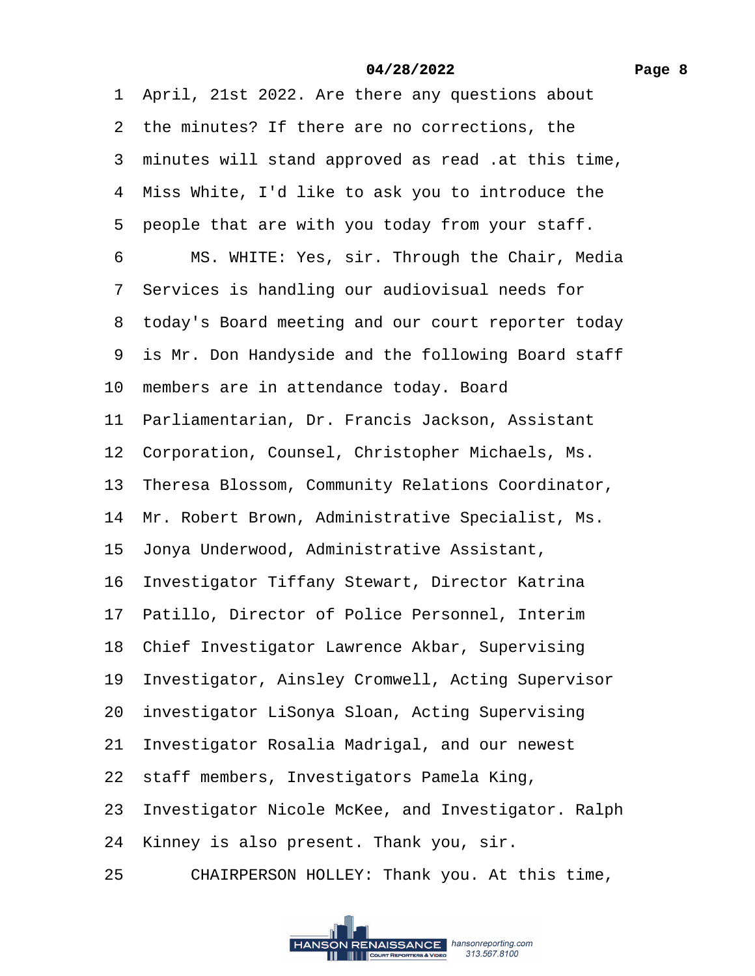·1· April, 21st 2022. Are there any questions about 2 the minutes? If there are no corrections, the ·3· minutes will stand approved as read .at this time, 4 Miss White, I'd like to ask you to introduce the 5 people that are with you today from your staff. 6 MS. WHITE: Yes, sir. Through the Chair, Media 7 Services is handling our audiovisual needs for 8 today's Board meeting and our court reporter today 9 is Mr. Don Handyside and the following Board staff 10 members are in attendance today. Board 11 Parliamentarian, Dr. Francis Jackson, Assistant 12 Corporation, Counsel, Christopher Michaels, Ms. 13 Theresa Blossom, Community Relations Coordinator, 14 Mr. Robert Brown, Administrative Specialist, Ms. 15· Jonya Underwood, Administrative Assistant, 16 Investigator Tiffany Stewart, Director Katrina 17 Patillo, Director of Police Personnel, Interim 18 Chief Investigator Lawrence Akbar, Supervising 19 Investigator, Ainsley Cromwell, Acting Supervisor 20 investigator LiSonya Sloan, Acting Supervising 21 Investigator Rosalia Madrigal, and our newest 22 staff members, Investigators Pamela King, 23· Investigator Nicole McKee, and Investigator. Ralph 24 Kinney is also present. Thank you, sir. 25 CHAIRPERSON HOLLEY: Thank you. At this time,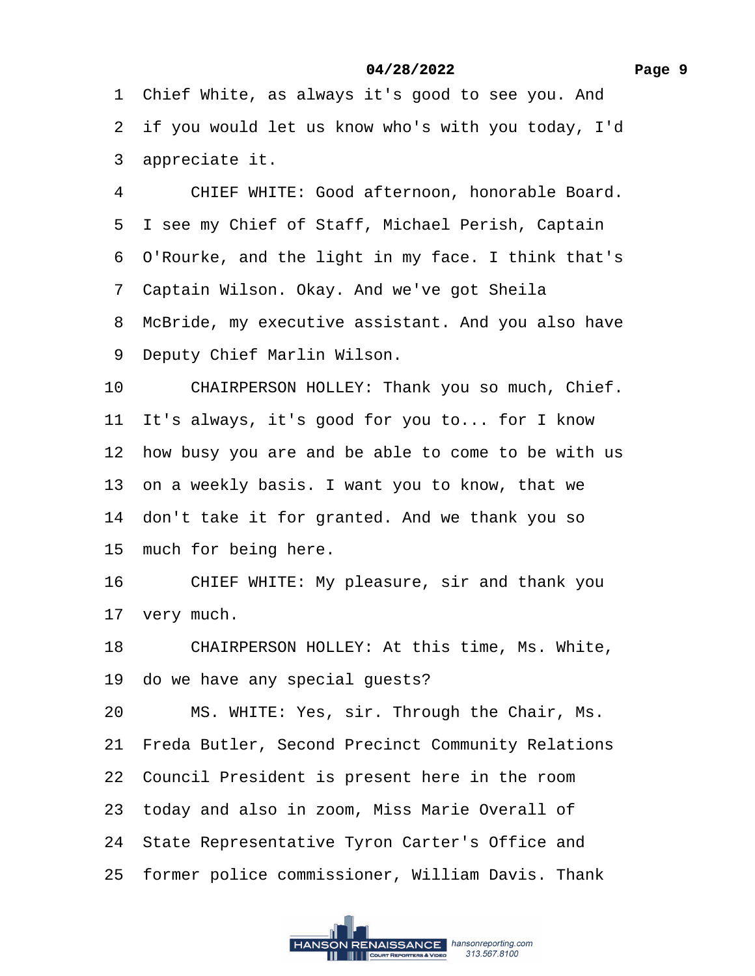- 2 if you would let us know who's with you today, I'd
- 3 appreciate it.
- 4 CHIEF WHITE: Good afternoon, honorable Board.
- 5 I see my Chief of Staff, Michael Perish, Captain
- ·6· O'Rourke, and the light in my face. I think that's
- ·7· Captain Wilson. Okay. And we've got Sheila
- 8 McBride, my executive assistant. And you also have
- 9 Deputy Chief Marlin Wilson.
- 10 CHAIRPERSON HOLLEY: Thank you so much, Chief.
- 11 It's always, it's good for you to... for I know
- 12 how busy you are and be able to come to be with us
- 13 on a weekly basis. I want you to know, that we
- 14 don't take it for granted. And we thank you so
- 15 much for being here.
- 16 CHIEF WHITE: My pleasure, sir and thank you
- 17 very much.
- 18 CHAIRPERSON HOLLEY: At this time, Ms. White,
- 19 do we have any special guests?
- 20 MS. WHITE: Yes, sir. Through the Chair, Ms.
- 21 Freda Butler, Second Precinct Community Relations
- 22 Council President is present here in the room
- 23 today and also in zoom, Miss Marie Overall of
- 24 State Representative Tyron Carter's Office and
- 25 former police commissioner, William Davis. Thank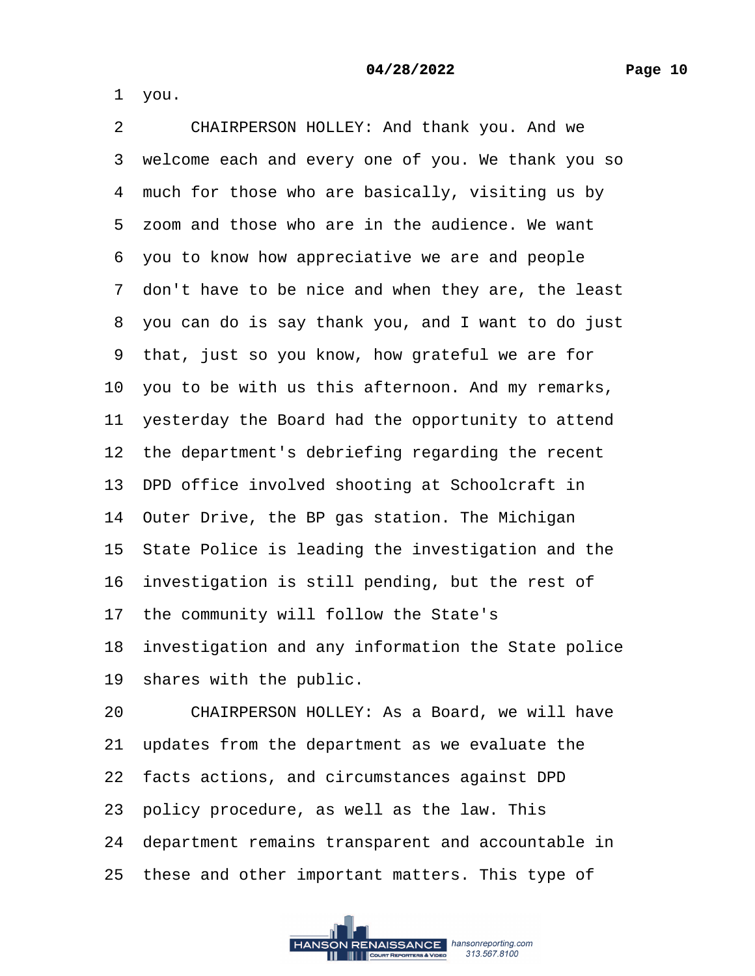·1· you.

2 CHAIRPERSON HOLLEY: And thank you. And we 3 welcome each and every one of you. We thank you so 4 much for those who are basically, visiting us by 5 zoom and those who are in the audience. We want ·6· you to know how appreciative we are and people 7 don't have to be nice and when they are, the least ·8· you can do is say thank you, and I want to do just ·9· that, just so you know, how grateful we are for 10 you to be with us this afternoon. And my remarks, 11 yesterday the Board had the opportunity to attend 12 the department's debriefing regarding the recent 13 DPD office involved shooting at Schoolcraft in 14 Outer Drive, the BP gas station. The Michigan 15 State Police is leading the investigation and the 16 investigation is still pending, but the rest of 17 the community will follow the State's 18 investigation and any information the State police 19 shares with the public. 20 CHAIRPERSON HOLLEY: As a Board, we will have 21 updates from the department as we evaluate the 22· facts actions, and circumstances against DPD 23· policy procedure, as well as the law. This 24· department remains transparent and accountable in 25 these and other important matters. This type of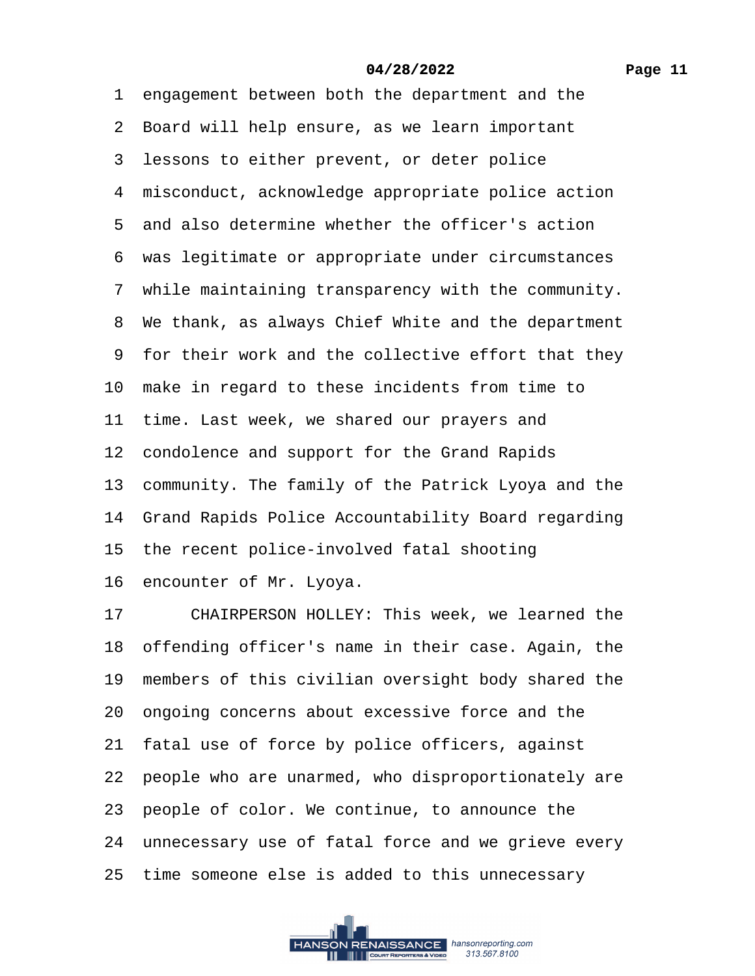1 engagement between both the department and the 2 Board will help ensure, as we learn important 3 lessons to either prevent, or deter police 4 misconduct, acknowledge appropriate police action 5 and also determine whether the officer's action ·6· was legitimate or appropriate under circumstances 7 while maintaining transparency with the community. 8 We thank, as always Chief White and the department ·9· for their work and the collective effort that they 10 make in regard to these incidents from time to 11 time. Last week, we shared our prayers and 12 condolence and support for the Grand Rapids 13 community. The family of the Patrick Lyoya and the 14 Grand Rapids Police Accountability Board regarding 15 the recent police-involved fatal shooting 16 encounter of Mr. Lyoya. 17 CHAIRPERSON HOLLEY: This week, we learned the 18 offending officer's name in their case. Again, the 19 members of this civilian oversight body shared the 20· ongoing concerns about excessive force and the 21 fatal use of force by police officers, against 22· people who are unarmed, who disproportionately are 23 people of color. We continue, to announce the 24 unnecessary use of fatal force and we grieve every

25 time someone else is added to this unnecessary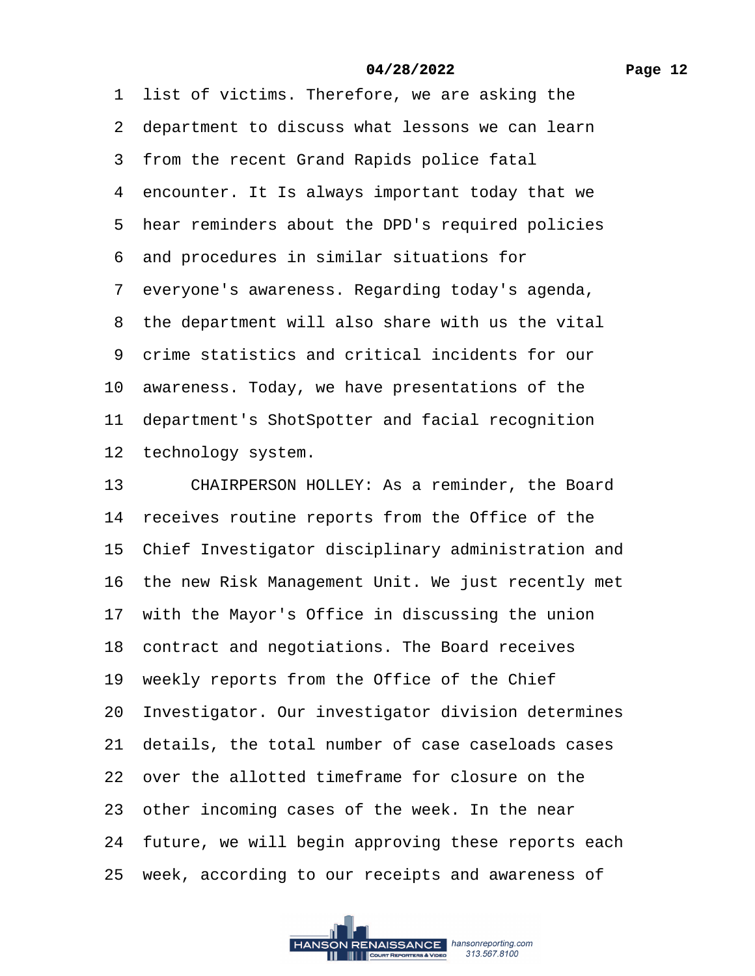1 list of victims. Therefore, we are asking the

- 2 department to discuss what lessons we can learn
- 3 from the recent Grand Rapids police fatal
- 4 encounter. It Is always important today that we
- 5 hear reminders about the DPD's required policies
- ·6· and procedures in similar situations for
- ·7· everyone's awareness. Regarding today's agenda,
- 8 the department will also share with us the vital
- ·9· crime statistics and critical incidents for our
- 10 awareness. Today, we have presentations of the
- 11 department's ShotSpotter and facial recognition
- 12 technology system.
- 13 CHAIRPERSON HOLLEY: As a reminder, the Board
- 14 receives routine reports from the Office of the
- 15 Chief Investigator disciplinary administration and
- 16 the new Risk Management Unit. We just recently met
- 17 with the Mayor's Office in discussing the union
- 18 contract and negotiations. The Board receives
- 19 weekly reports from the Office of the Chief
- 20 Investigator. Our investigator division determines
- 21· details, the total number of case caseloads cases
- 22· over the allotted timeframe for closure on the
- 23 other incoming cases of the week. In the near
- 24 future, we will begin approving these reports each
- 25 week, according to our receipts and awareness of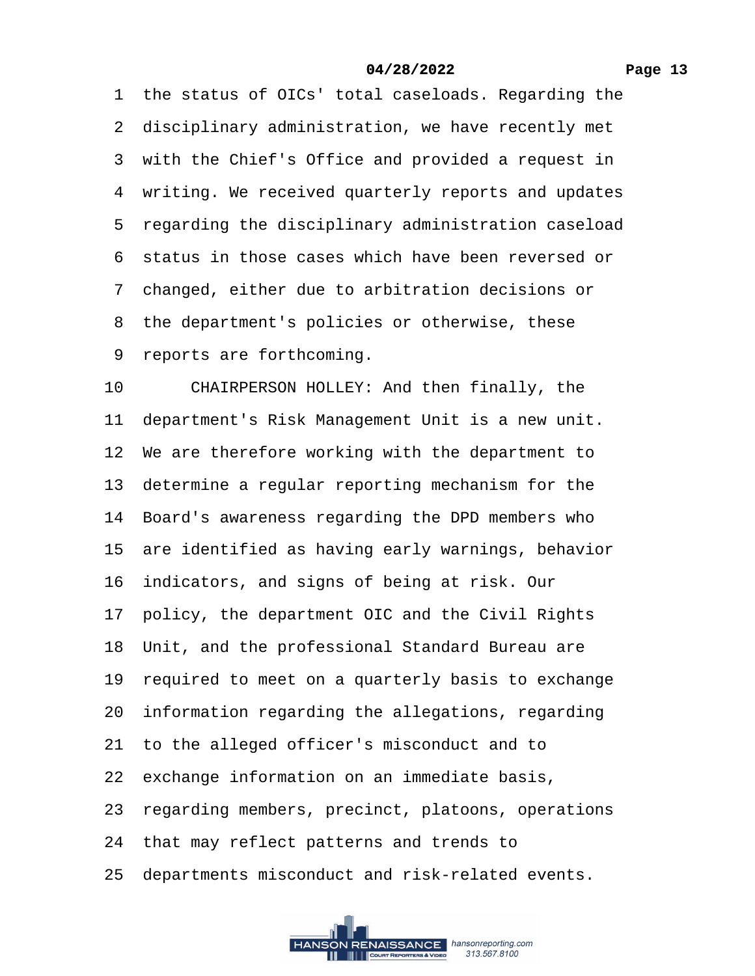1 the status of OICs' total caseloads. Regarding the 2 disciplinary administration, we have recently met 3 with the Chief's Office and provided a request in 4 writing. We received quarterly reports and updates 5 regarding the disciplinary administration caseload ·6· status in those cases which have been reversed or ·7· changed, either due to arbitration decisions or 8 the department's policies or otherwise, these 9 reports are forthcoming. 10 CHAIRPERSON HOLLEY: And then finally, the 11 department's Risk Management Unit is a new unit. 12 We are therefore working with the department to 13 determine a regular reporting mechanism for the 14 Board's awareness regarding the DPD members who 15 are identified as having early warnings, behavior 16 indicators, and signs of being at risk. Our 17 policy, the department OIC and the Civil Rights 18 Unit, and the professional Standard Bureau are 19 required to meet on a quarterly basis to exchange 20· information regarding the allegations, regarding 21· to the alleged officer's misconduct and to 22 exchange information on an immediate basis, 23· regarding members, precinct, platoons, operations 24 that may reflect patterns and trends to 25 departments misconduct and risk-related events.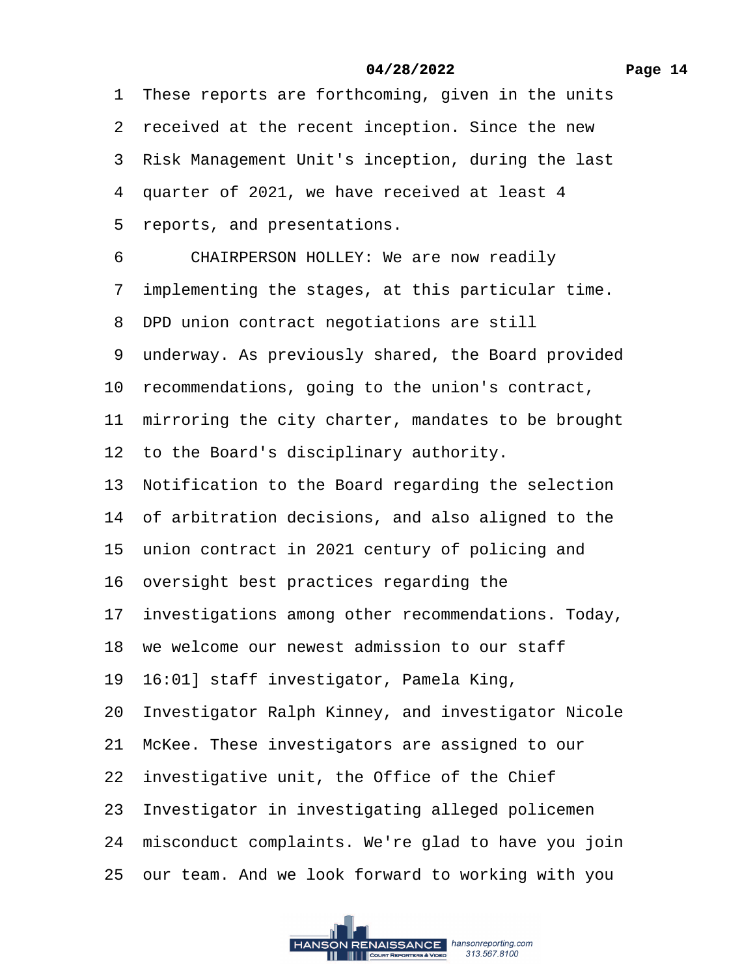1 These reports are forthcoming, given in the units 2 received at the recent inception. Since the new 3 Risk Management Unit's inception, during the last 4 quarter of 2021, we have received at least 4 5 reports, and presentations. 6 CHAIRPERSON HOLLEY: We are now readily ·7· implementing the stages, at this particular time. 8 DPD union contract negotiations are still 9 underway. As previously shared, the Board provided 10 recommendations, going to the union's contract, 11 mirroring the city charter, mandates to be brought 12 to the Board's disciplinary authority. 13 Notification to the Board regarding the selection 14 of arbitration decisions, and also aligned to the 15 union contract in 2021 century of policing and 16· oversight best practices regarding the 17 investigations among other recommendations. Today, 18· we welcome our newest admission to our staff 19· 16:01] staff investigator, Pamela King, 20 Investigator Ralph Kinney, and investigator Nicole 21 McKee. These investigators are assigned to our 22 investigative unit, the Office of the Chief 23 Investigator in investigating alleged policemen 24 misconduct complaints. We're glad to have you join 25· our team. And we look forward to working with you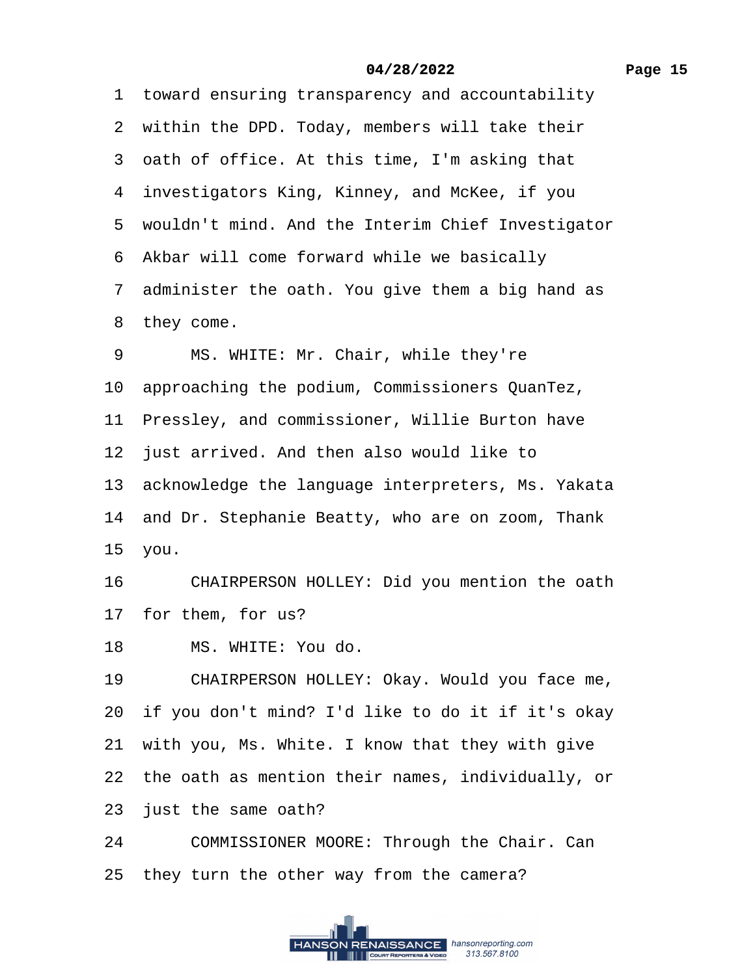1 toward ensuring transparency and accountability

2 within the DPD. Today, members will take their

3 oath of office. At this time, I'm asking that

4 investigators King, Kinney, and McKee, if you

5 wouldn't mind. And the Interim Chief Investigator

6 Akbar will come forward while we basically

7 administer the oath. You give them a big hand as

8 they come.

9 MS. WHITE: Mr. Chair, while they're

10· approaching the podium, Commissioners QuanTez,

11 Pressley, and commissioner, Willie Burton have

12 just arrived. And then also would like to

13 acknowledge the language interpreters, Ms. Yakata

14 and Dr. Stephanie Beatty, who are on zoom, Thank

15· you.

16 CHAIRPERSON HOLLEY: Did you mention the oath

17 for them, for us?

18 MS. WHITE: You do.

19 CHAIRPERSON HOLLEY: Okay. Would you face me,

20· if you don't mind? I'd like to do it if it's okay

21 with you, Ms. White. I know that they with give

22 the oath as mention their names, individually, or

23 just the same oath?

24 COMMISSIONER MOORE: Through the Chair. Can

25 they turn the other way from the camera?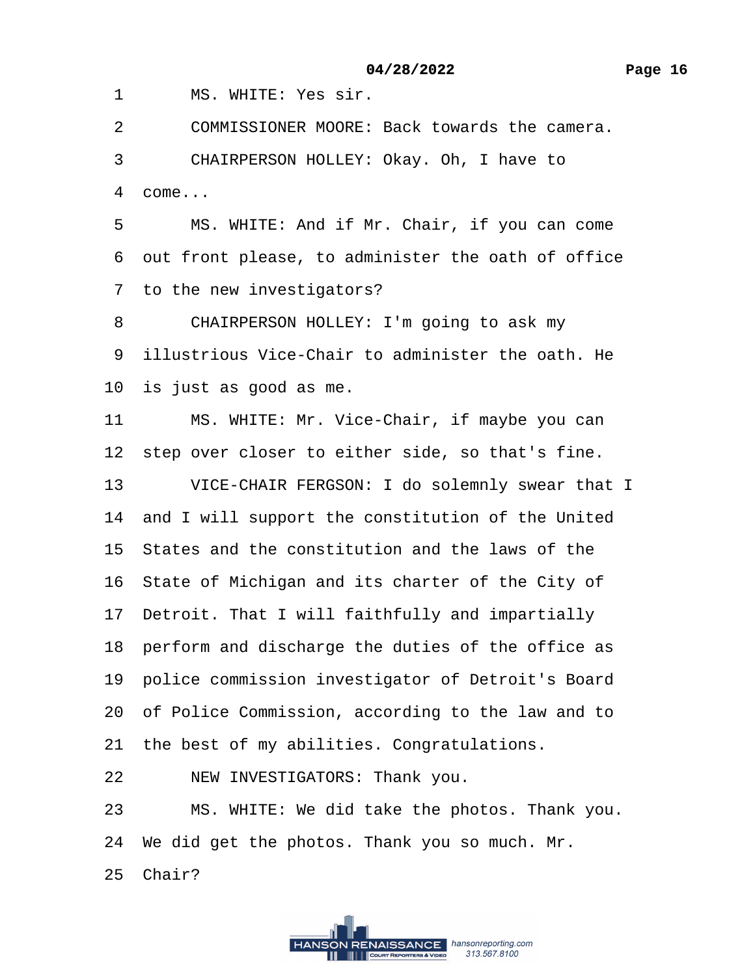1 MS. WHITE: Yes sir.

2 COMMISSIONER MOORE: Back towards the camera.

3 CHAIRPERSON HOLLEY: Okay. Oh, I have to 4 come...

5 MS. WHITE: And if Mr. Chair, if you can come ·6· out front please, to administer the oath of office 7 to the new investigators?

8 CHAIRPERSON HOLLEY: I'm going to ask my

·9· illustrious Vice-Chair to administer the oath. He

10 is just as good as me.

11 MS. WHITE: Mr. Vice-Chair, if maybe you can

12 step over closer to either side, so that's fine.

13 VICE-CHAIR FERGSON: I do solemnly swear that I

14 and I will support the constitution of the United

15· States and the constitution and the laws of the

16 State of Michigan and its charter of the City of

17 Detroit. That I will faithfully and impartially

18 perform and discharge the duties of the office as

19 police commission investigator of Detroit's Board

20· of Police Commission, according to the law and to

21 the best of my abilities. Congratulations.

22 NEW INVESTIGATORS: Thank you.

23 MS. WHITE: We did take the photos. Thank you.

24· We did get the photos. Thank you so much. Mr.

25 Chair?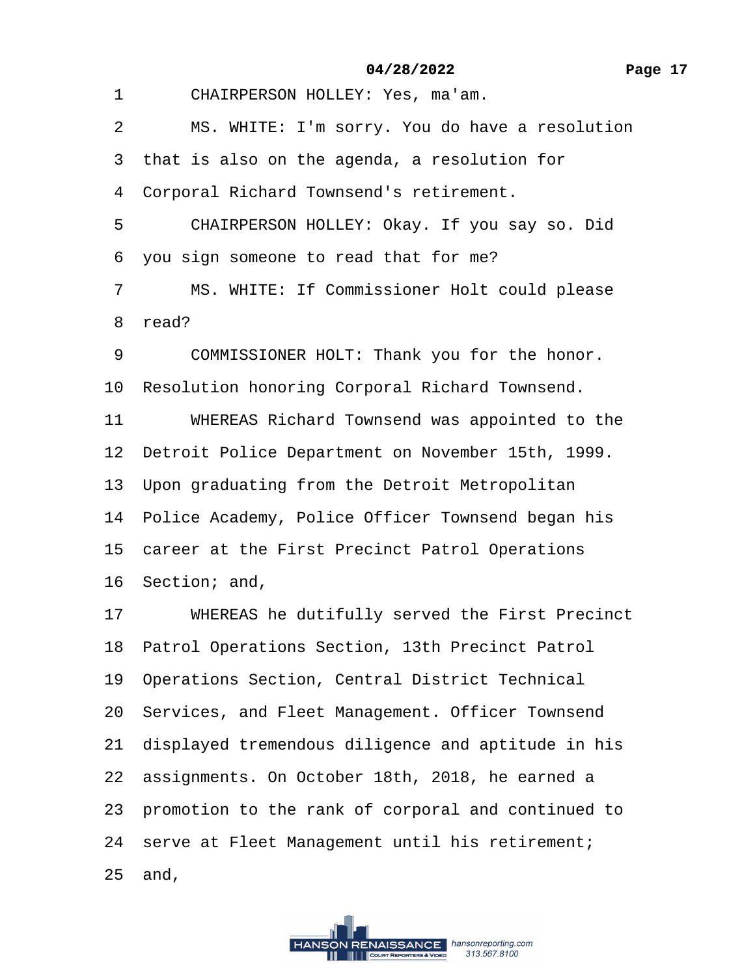1 CHAIRPERSON HOLLEY: Yes, ma'am.

2 MS. WHITE: I'm sorry. You do have a resolution

3 that is also on the agenda, a resolution for

4 Corporal Richard Townsend's retirement.

5 CHAIRPERSON HOLLEY: Okay. If you say so. Did

·6· you sign someone to read that for me?

7 MS. WHITE: If Commissioner Holt could please

8 read?

9 COMMISSIONER HOLT: Thank you for the honor.

10 Resolution honoring Corporal Richard Townsend.

11 WHEREAS Richard Townsend was appointed to the

12 Detroit Police Department on November 15th, 1999.

13 Upon graduating from the Detroit Metropolitan

14 Police Academy, Police Officer Townsend began his

15 career at the First Precinct Patrol Operations

16 Section; and,

17 WHEREAS he dutifully served the First Precinct

18· Patrol Operations Section, 13th Precinct Patrol

19 Operations Section, Central District Technical

20 Services, and Fleet Management. Officer Townsend

21 displayed tremendous diligence and aptitude in his

22 assignments. On October 18th, 2018, he earned a

23 promotion to the rank of corporal and continued to

24 serve at Fleet Management until his retirement;

25 and,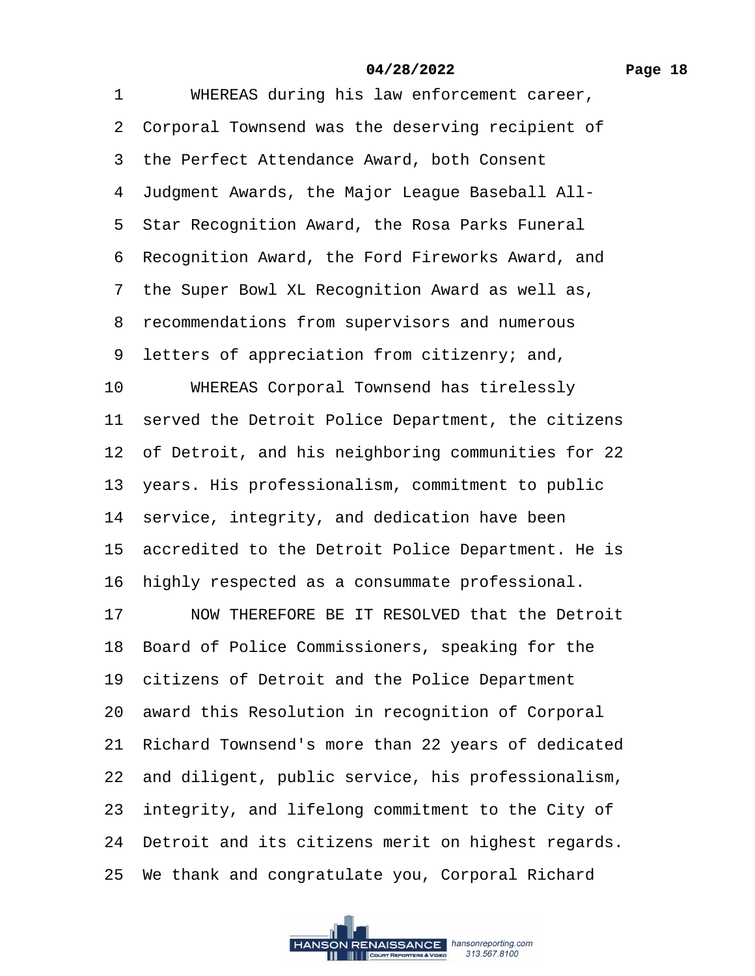1 WHEREAS during his law enforcement career, 2 Corporal Townsend was the deserving recipient of 3 the Perfect Attendance Award, both Consent ·4· Judgment Awards, the Major League Baseball All- 5 Star Recognition Award, the Rosa Parks Funeral 6 Recognition Award, the Ford Fireworks Award, and 7 the Super Bowl XL Recognition Award as well as, 8 recommendations from supervisors and numerous ·9· letters of appreciation from citizenry; and, 10 WHEREAS Corporal Townsend has tirelessly 11 served the Detroit Police Department, the citizens 12 of Detroit, and his neighboring communities for 22 13 years. His professionalism, commitment to public 14 service, integrity, and dedication have been 15 accredited to the Detroit Police Department. He is 16 highly respected as a consummate professional. 17 NOW THEREFORE BE IT RESOLVED that the Detroit 18 Board of Police Commissioners, speaking for the 19 citizens of Detroit and the Police Department 20 award this Resolution in recognition of Corporal 21· Richard Townsend's more than 22 years of dedicated 22 and diligent, public service, his professionalism, 23 integrity, and lifelong commitment to the City of 24 Detroit and its citizens merit on highest regards. 25· We thank and congratulate you, Corporal Richard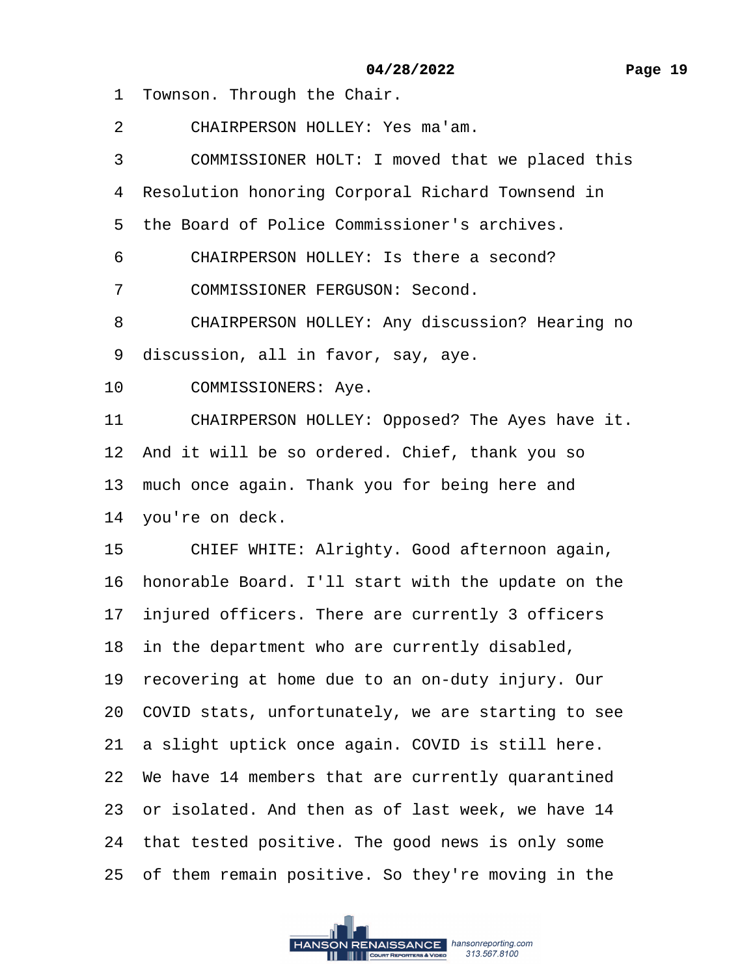- 1 Townson. Through the Chair.
- 2 CHAIRPERSON HOLLEY: Yes ma'am.
- 3 COMMISSIONER HOLT: I moved that we placed this
- 4 Resolution honoring Corporal Richard Townsend in
- 5 the Board of Police Commissioner's archives.
- 6 CHAIRPERSON HOLLEY: Is there a second?
- 7 COMMISSIONER FERGUSON: Second.
- 8 CHAIRPERSON HOLLEY: Any discussion? Hearing no
- 9 discussion, all in favor, say, aye.
- 10 COMMISSIONERS: Aye.
- 11 CHAIRPERSON HOLLEY: Opposed? The Ayes have it.
- 12 And it will be so ordered. Chief, thank you so
- 13 much once again. Thank you for being here and
- 14 you're on deck.
- 15 CHIEF WHITE: Alrighty. Good afternoon again,
- 16· honorable Board. I'll start with the update on the
- 17 injured officers. There are currently 3 officers
- 18 in the department who are currently disabled,
- 19 recovering at home due to an on-duty injury. Our
- 20· COVID stats, unfortunately, we are starting to see
- 21 a slight uptick once again. COVID is still here.
- 22 We have 14 members that are currently quarantined
- 23 or isolated. And then as of last week, we have 14
- 24 that tested positive. The good news is only some
- 25 of them remain positive. So they're moving in the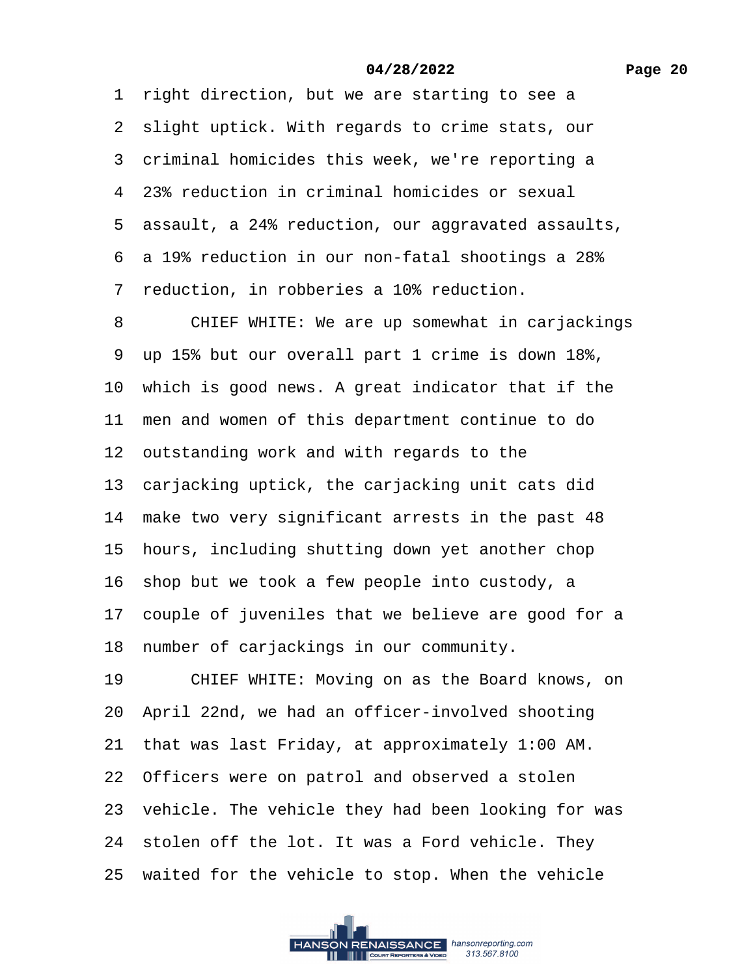1 right direction, but we are starting to see a 2 slight uptick. With regards to crime stats, our 3 criminal homicides this week, we're reporting a 4–23% reduction in criminal homicides or sexual ·5· assault, a 24% reduction, our aggravated assaults, ·6· a 19% reduction in our non-fatal shootings a 28% 7 reduction, in robberies a 10% reduction. 8 CHIEF WHITE: We are up somewhat in carjackings ·9· up 15% but our overall part 1 crime is down 18%, 10 which is good news. A great indicator that if the 11 men and women of this department continue to do 12 outstanding work and with regards to the 13 carjacking uptick, the carjacking unit cats did 14 make two very significant arrests in the past 48 15 hours, including shutting down yet another chop 16 shop but we took a few people into custody, a 17 couple of juveniles that we believe are good for a 18 number of carjackings in our community. 19 CHIEF WHITE: Moving on as the Board knows, on 20· April 22nd, we had an officer-involved shooting 21· that was last Friday, at approximately 1:00 AM. 22 Officers were on patrol and observed a stolen 23 vehicle. The vehicle they had been looking for was 24 stolen off the lot. It was a Ford vehicle. They 25 waited for the vehicle to stop. When the vehicle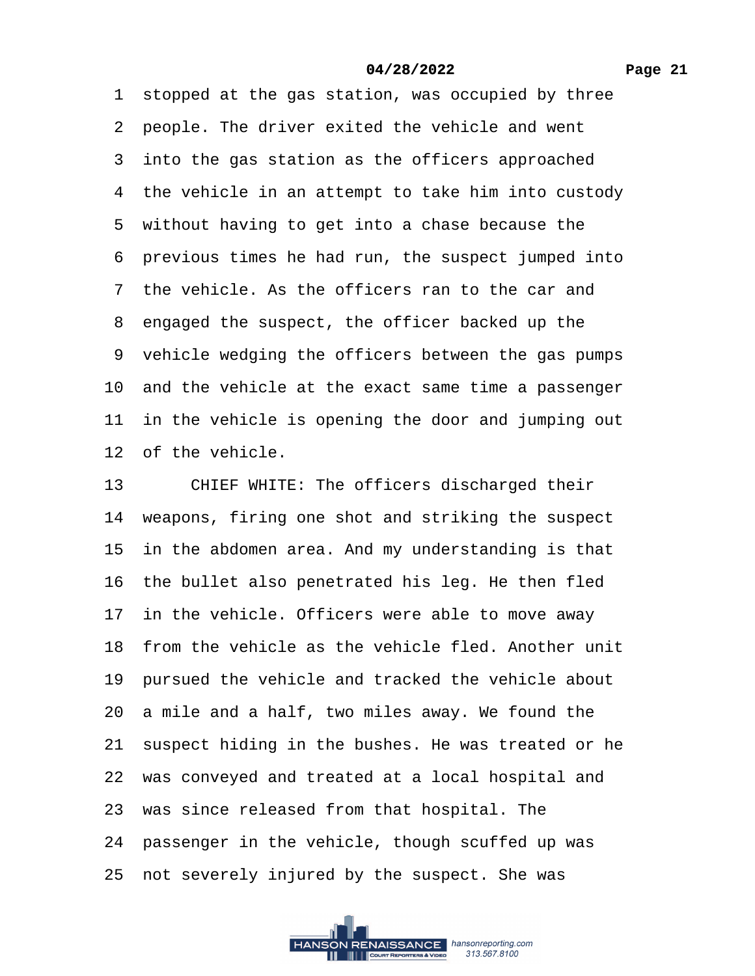1 stopped at the gas station, was occupied by three 2 people. The driver exited the vehicle and went 3 into the gas station as the officers approached 4 the vehicle in an attempt to take him into custody 5 without having to get into a chase because the ·6· previous times he had run, the suspect jumped into 7 the vehicle. As the officers ran to the car and 8 engaged the suspect, the officer backed up the 9 vehicle wedging the officers between the gas pumps 10 and the vehicle at the exact same time a passenger 11 in the vehicle is opening the door and jumping out 12 of the vehicle.

13 CHIEF WHITE: The officers discharged their 14 weapons, firing one shot and striking the suspect 15 in the abdomen area. And my understanding is that 16 the bullet also penetrated his leg. He then fled 17 in the vehicle. Officers were able to move away 18 from the vehicle as the vehicle fled. Another unit 19 pursued the vehicle and tracked the vehicle about 20 a mile and a half, two miles away. We found the 21 suspect hiding in the bushes. He was treated or he 22 was conveyed and treated at a local hospital and 23· was since released from that hospital. The 24 passenger in the vehicle, though scuffed up was 25 not severely injured by the suspect. She was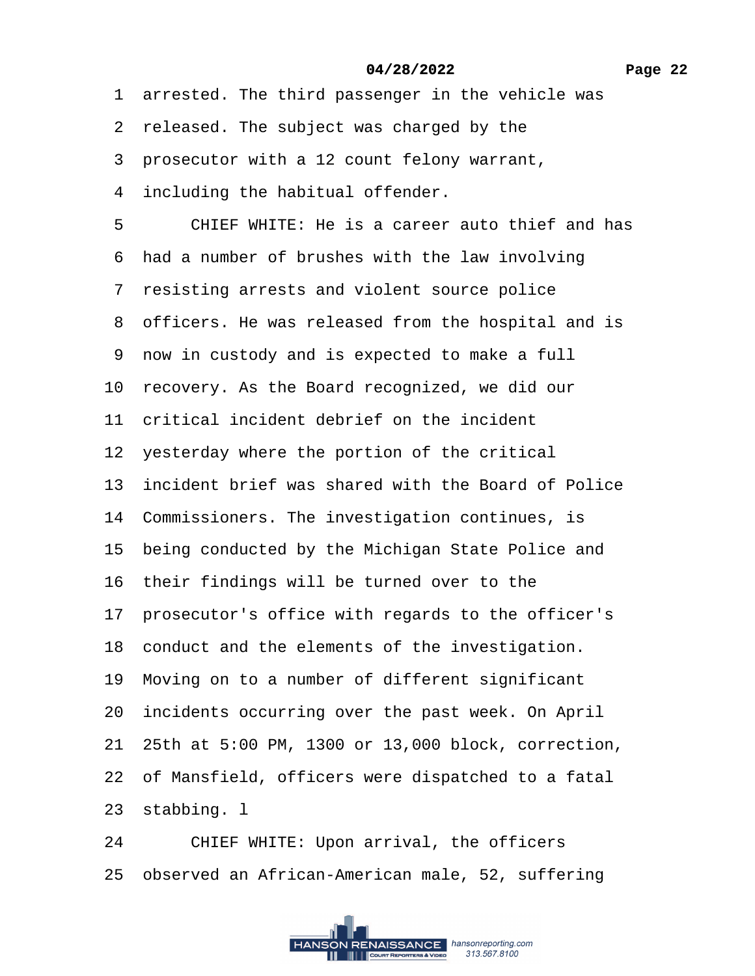1 arrested. The third passenger in the vehicle was

- 2 released. The subject was charged by the
- ·3· prosecutor with a 12 count felony warrant,
- 4 including the habitual offender.

5 CHIEF WHITE: He is a career auto thief and has

6 had a number of brushes with the law involving

·7· resisting arrests and violent source police

8 officers. He was released from the hospital and is

·9· now in custody and is expected to make a full

10 recovery. As the Board recognized, we did our

11 critical incident debrief on the incident

12 yesterday where the portion of the critical

13 incident brief was shared with the Board of Police

14 Commissioners. The investigation continues, is

15 being conducted by the Michigan State Police and

16 their findings will be turned over to the

17 prosecutor's office with regards to the officer's

18 conduct and the elements of the investigation.

19 Moving on to a number of different significant

20 incidents occurring over the past week. On April

21· 25th at 5:00 PM, 1300 or 13,000 block, correction,

22 of Mansfield, officers were dispatched to a fatal

23 stabbing. I

24 CHIEF WHITE: Upon arrival, the officers

25 observed an African-American male, 52, suffering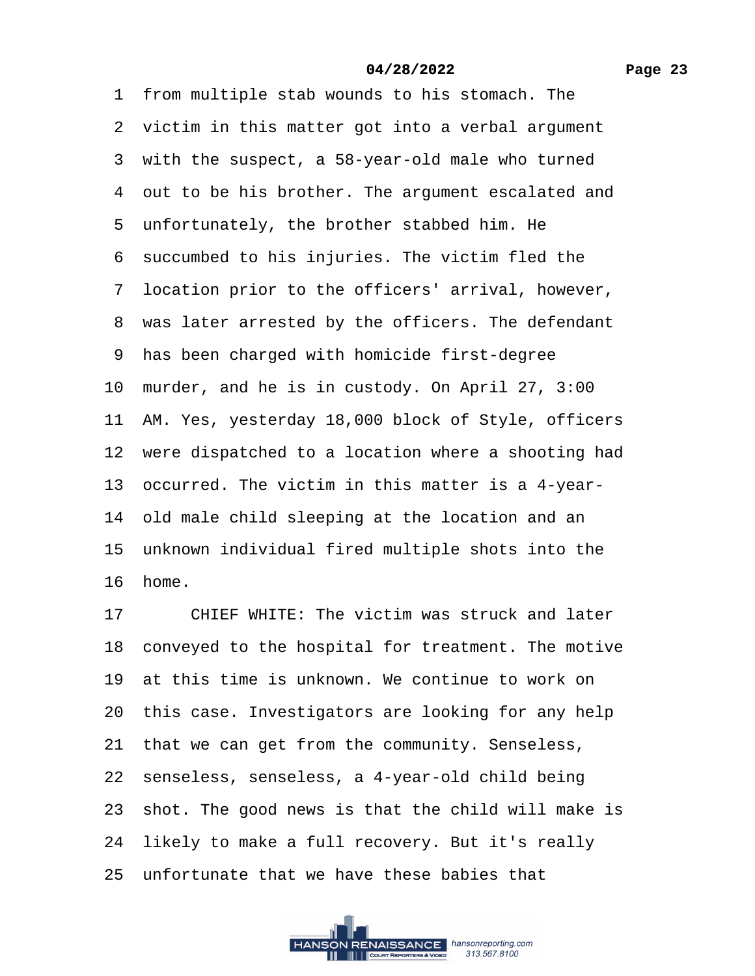1 from multiple stab wounds to his stomach. The 2 victim in this matter got into a verbal argument 3 with the suspect, a 58-year-old male who turned 4 out to be his brother. The argument escalated and ·5· unfortunately, the brother stabbed him. He 6 succumbed to his injuries. The victim fled the ·7· location prior to the officers' arrival, however, 8 was later arrested by the officers. The defendant ·9· has been charged with homicide first-degree 10 murder, and he is in custody. On April 27, 3:00 11 AM. Yes, yesterday 18,000 block of Style, officers 12 were dispatched to a location where a shooting had 13· occurred. The victim in this matter is a 4-year-14 old male child sleeping at the location and an 15 unknown individual fired multiple shots into the 16· home.

17 CHIEF WHITE: The victim was struck and later 18 conveyed to the hospital for treatment. The motive 19 at this time is unknown. We continue to work on 20 this case. Investigators are looking for any help 21 that we can get from the community. Senseless, 22 senseless, senseless, a 4-year-old child being 23 shot. The good news is that the child will make is 24 likely to make a full recovery. But it's really 25· unfortunate that we have these babies that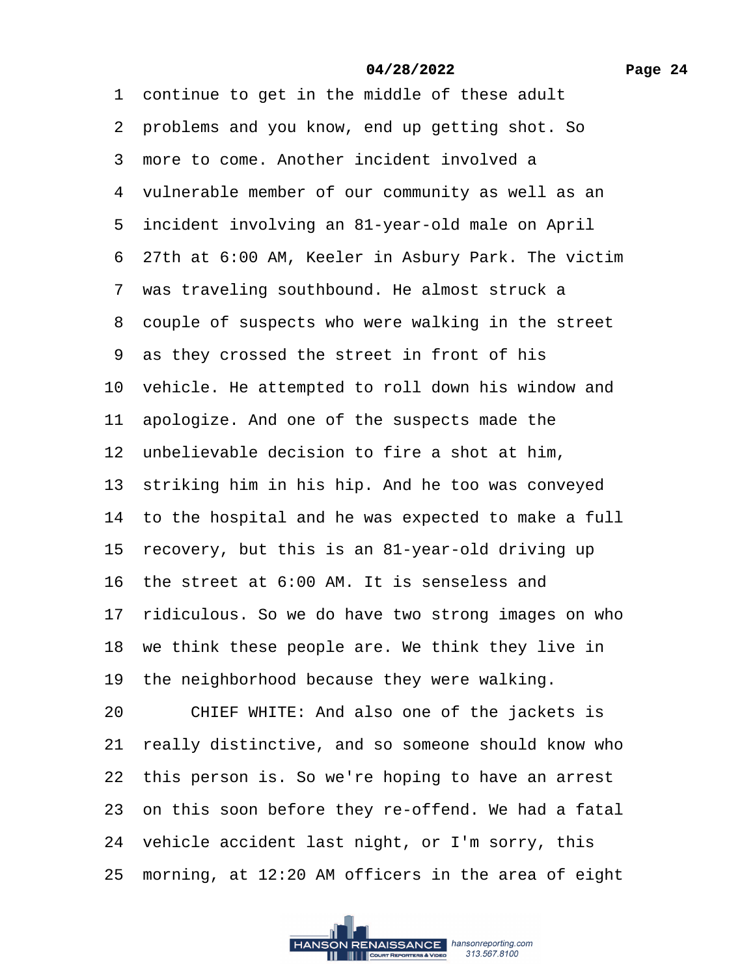1 continue to get in the middle of these adult 2 problems and you know, end up getting shot. So ·3· more to come. Another incident involved a 4 vulnerable member of our community as well as an 5 incident involving an 81-year-old male on April ·6· 27th at 6:00 AM, Keeler in Asbury Park. The victim 7 was traveling southbound. He almost struck a 8 couple of suspects who were walking in the street ·9· as they crossed the street in front of his 10 vehicle. He attempted to roll down his window and 11 apologize. And one of the suspects made the 12 unbelievable decision to fire a shot at him, 13 striking him in his hip. And he too was conveyed 14 to the hospital and he was expected to make a full 15 recovery, but this is an 81-year-old driving up 16· the street at 6:00 AM. It is senseless and 17 ridiculous. So we do have two strong images on who 18 we think these people are. We think they live in 19 the neighborhood because they were walking. 20 CHIEF WHITE: And also one of the jackets is 21 really distinctive, and so someone should know who 22 this person is. So we're hoping to have an arrest 23 on this soon before they re-offend. We had a fatal 24 vehicle accident last night, or I'm sorry, this 25 morning, at 12:20 AM officers in the area of eight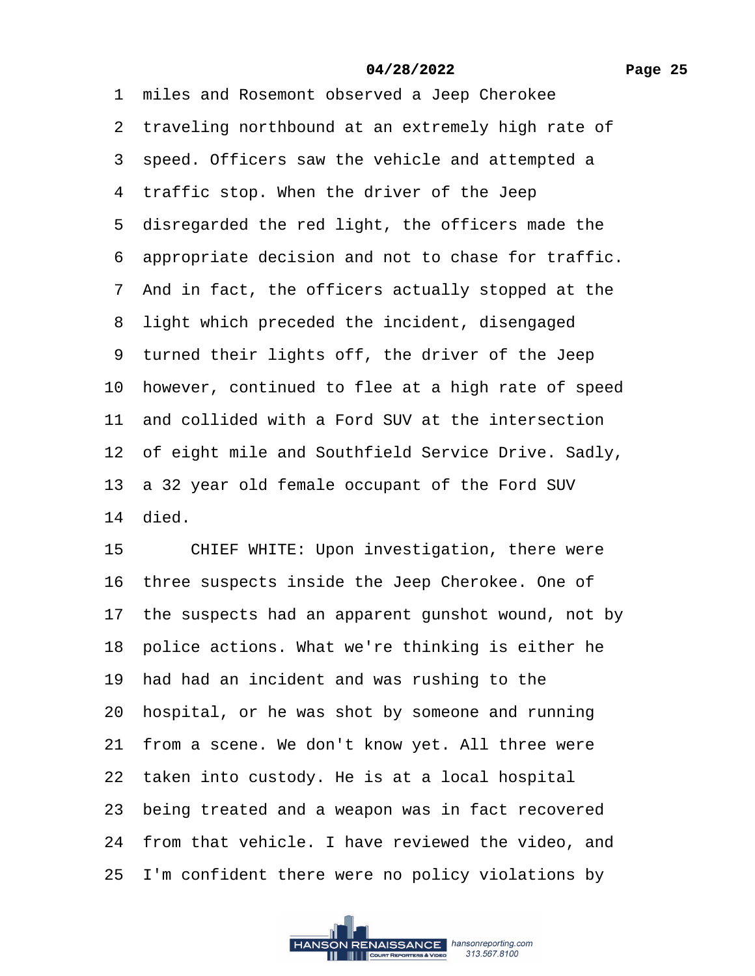1 miles and Rosemont observed a Jeep Cherokee 2 traveling northbound at an extremely high rate of 3 speed. Officers saw the vehicle and attempted a 4 traffic stop. When the driver of the Jeep 5 disregarded the red light, the officers made the ·6· appropriate decision and not to chase for traffic. ·7· And in fact, the officers actually stopped at the 8 light which preceded the incident, disengaged 9 turned their lights off, the driver of the Jeep 10 however, continued to flee at a high rate of speed 11 and collided with a Ford SUV at the intersection 12 of eight mile and Southfield Service Drive. Sadly, 13 a 32 year old female occupant of the Ford SUV 14· died. 15 CHIEF WHITE: Upon investigation, there were 16 three suspects inside the Jeep Cherokee. One of 17 the suspects had an apparent gunshot wound, not by

18 police actions. What we're thinking is either he

19 had had an incident and was rushing to the

20· hospital, or he was shot by someone and running

21 from a scene. We don't know yet. All three were

22 taken into custody. He is at a local hospital

23 being treated and a weapon was in fact recovered

24 from that vehicle. I have reviewed the video, and

25 I'm confident there were no policy violations by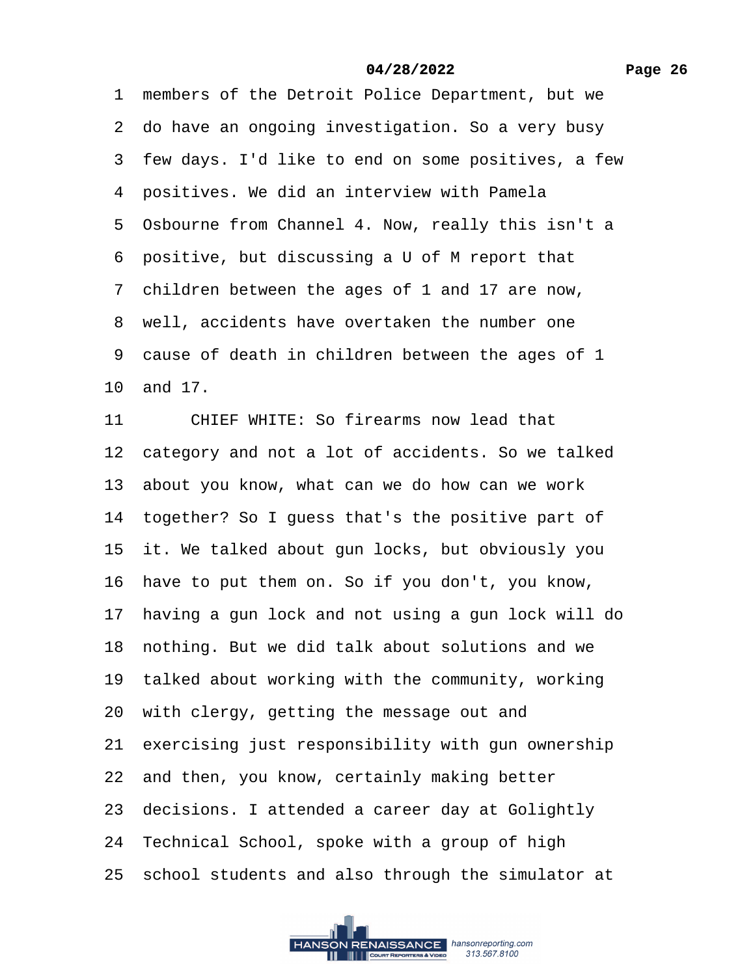1 members of the Detroit Police Department, but we ·2· do have an ongoing investigation. So a very busy 3 few days. I'd like to end on some positives, a few 4 positives. We did an interview with Pamela 5 Osbourne from Channel 4. Now, really this isn't a ·6· positive, but discussing a U of M report that ·7· children between the ages of 1 and 17 are now, 8 well, accidents have overtaken the number one ·9· cause of death in children between the ages of 1 10· and 17. 11 CHIEF WHITE: So firearms now lead that 12 category and not a lot of accidents. So we talked 13 about you know, what can we do how can we work 14 together? So I guess that's the positive part of 15 it. We talked about gun locks, but obviously you 16 have to put them on. So if you don't, you know, 17 having a gun lock and not using a gun lock will do 18 nothing. But we did talk about solutions and we 19 talked about working with the community, working 20· with clergy, getting the message out and 21 exercising just responsibility with gun ownership 22 and then, you know, certainly making better 23 decisions. I attended a career day at Golightly 24 Technical School, spoke with a group of high 25· school students and also through the simulator at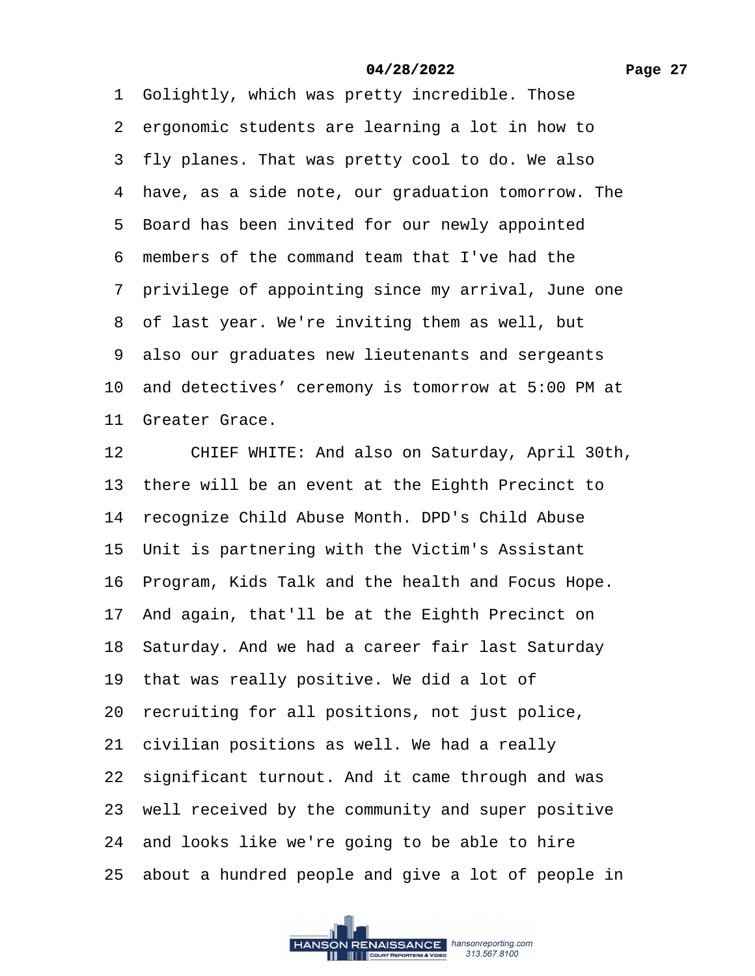1 Golightly, which was pretty incredible. Those 2 ergonomic students are learning a lot in how to 3 fly planes. That was pretty cool to do. We also 4 have, as a side note, our graduation tomorrow. The 5 Board has been invited for our newly appointed ·6· members of the command team that I've had the 7 privilege of appointing since my arrival, June one 8 of last year. We're inviting them as well, but 9 also our graduates new lieutenants and sergeants 10· and detectives' ceremony is tomorrow at 5:00 PM at 11 Greater Grace. 12 CHIEF WHITE: And also on Saturday, April 30th, 13 there will be an event at the Eighth Precinct to 14 recognize Child Abuse Month. DPD's Child Abuse 15 Unit is partnering with the Victim's Assistant 16 Program, Kids Talk and the health and Focus Hope. 17· And again, that'll be at the Eighth Precinct on 18· Saturday. And we had a career fair last Saturday 19 that was really positive. We did a lot of 20 recruiting for all positions, not just police, 21 civilian positions as well. We had a really 22 significant turnout. And it came through and was 23 well received by the community and super positive 24 and looks like we're going to be able to hire 25 about a hundred people and give a lot of people in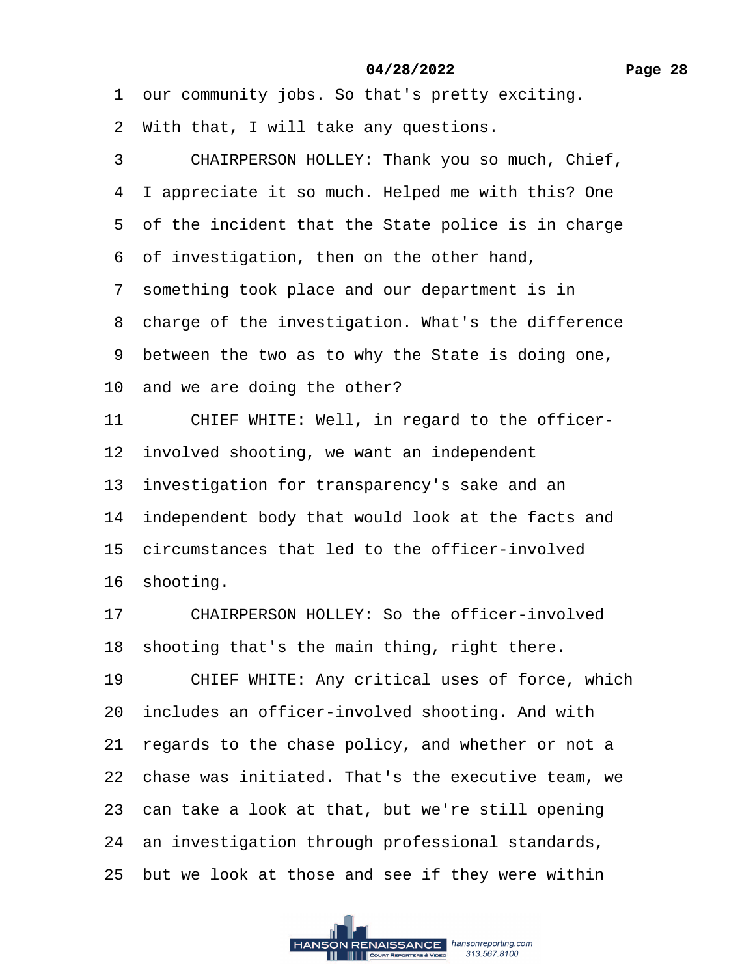1 our community jobs. So that's pretty exciting.

- 2 With that, I will take any questions.
- 3 CHAIRPERSON HOLLEY: Thank you so much, Chief,
- 4 I appreciate it so much. Helped me with this? One
- 5 of the incident that the State police is in charge
- ·6· of investigation, then on the other hand,
- 7 something took place and our department is in
- 8 charge of the investigation. What's the difference
- 9 between the two as to why the State is doing one,
- 10 and we are doing the other?
- 11 CHIEF WHITE: Well, in regard to the officer-
- 12 involved shooting, we want an independent
- 13 investigation for transparency's sake and an
- 14 independent body that would look at the facts and
- 15 circumstances that led to the officer-involved
- 16 shooting.
- 17 CHAIRPERSON HOLLEY: So the officer-involved 18 shooting that's the main thing, right there.
- 19 CHIEF WHITE: Any critical uses of force, which 20 includes an officer-involved shooting. And with
- 21 regards to the chase policy, and whether or not a
- 22· chase was initiated. That's the executive team, we
- 23 can take a look at that, but we're still opening
- 24 an investigation through professional standards,
- 25 but we look at those and see if they were within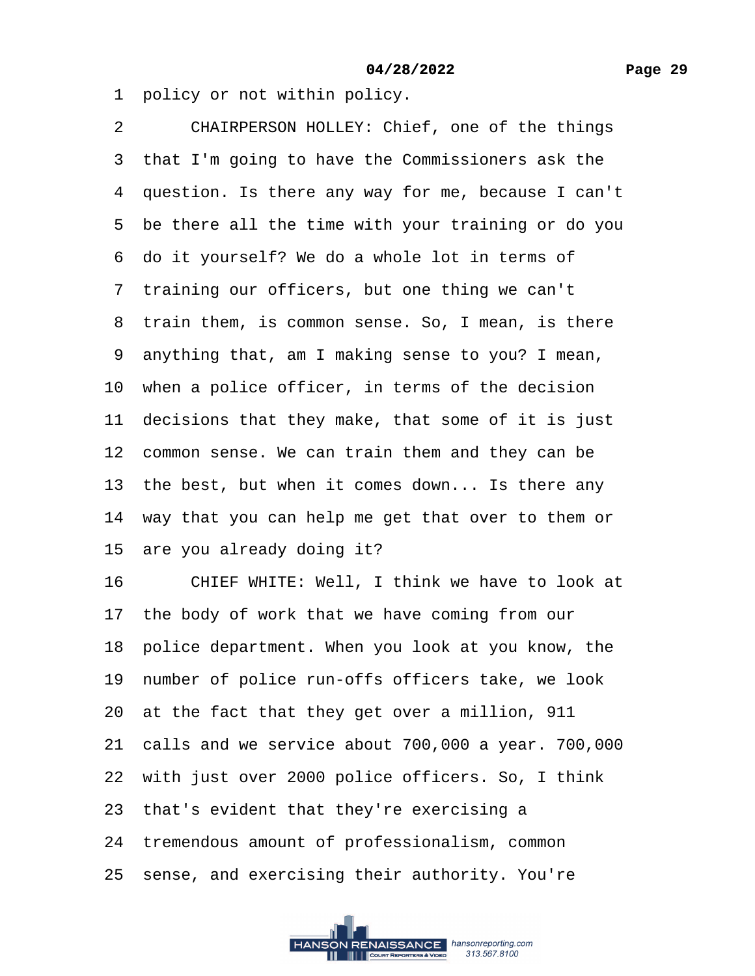1 policy or not within policy.

2 CHAIRPERSON HOLLEY: Chief, one of the things 3 that I'm going to have the Commissioners ask the 4 question. Is there any way for me, because I can't 5 be there all the time with your training or do you 6 do it yourself? We do a whole lot in terms of 7 training our officers, but one thing we can't 8 train them, is common sense. So, I mean, is there ·9· anything that, am I making sense to you? I mean, 10 when a police officer, in terms of the decision 11 decisions that they make, that some of it is just 12 common sense. We can train them and they can be 13 the best, but when it comes down... Is there any 14 way that you can help me get that over to them or 15 are you already doing it? 16 CHIEF WHITE: Well, I think we have to look at 17 the body of work that we have coming from our 18· police department. When you look at you know, the 19 number of police run-offs officers take, we look 20 at the fact that they get over a million, 911 21· calls and we service about 700,000 a year. 700,000 22 with just over 2000 police officers. So, I think 23 that's evident that they're exercising a 24 tremendous amount of professionalism, common 25 sense, and exercising their authority. You're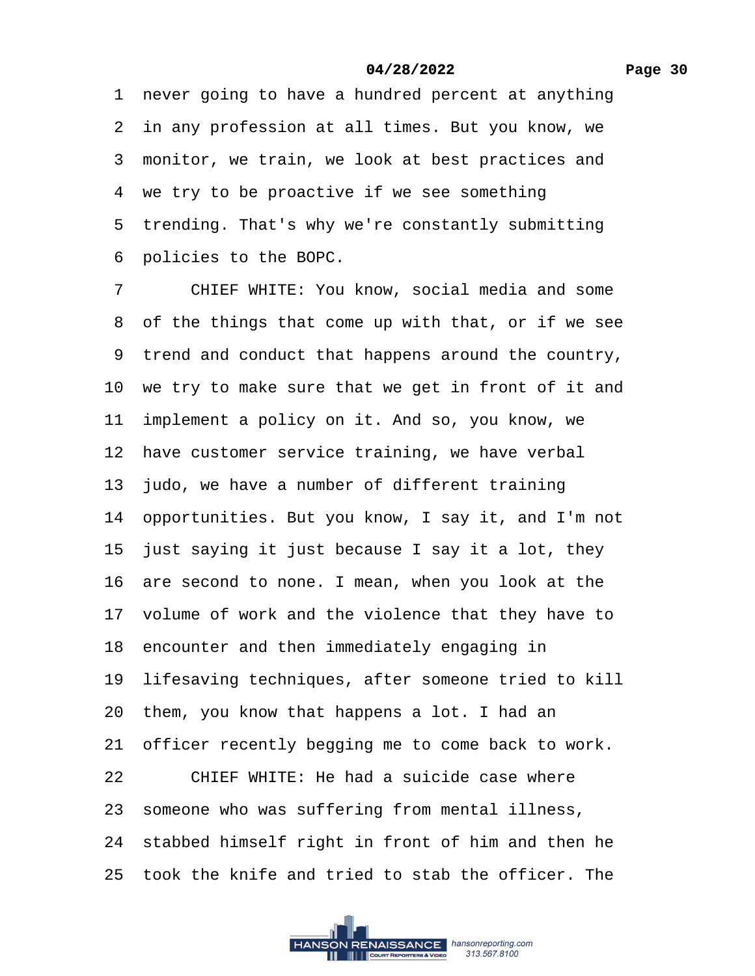1 never going to have a hundred percent at anything 2 in any profession at all times. But you know, we 3 monitor, we train, we look at best practices and 4 we try to be proactive if we see something 5 trending. That's why we're constantly submitting ·6· policies to the BOPC.

7 CHIEF WHITE: You know, social media and some 8 of the things that come up with that, or if we see 9 trend and conduct that happens around the country, 10 we try to make sure that we get in front of it and 11 implement a policy on it. And so, you know, we 12 have customer service training, we have verbal 13 judo, we have a number of different training 14· opportunities. But you know, I say it, and I'm not 15 just saying it just because I say it a lot, they 16 are second to none. I mean, when you look at the 17 volume of work and the violence that they have to 18 encounter and then immediately engaging in 19 lifesaving techniques, after someone tried to kill 20· them, you know that happens a lot. I had an 21 officer recently begging me to come back to work.  $22$  CHIEF WHITE: He had a suicide case where 23 someone who was suffering from mental illness, 24 stabbed himself right in front of him and then he 25· took the knife and tried to stab the officer. The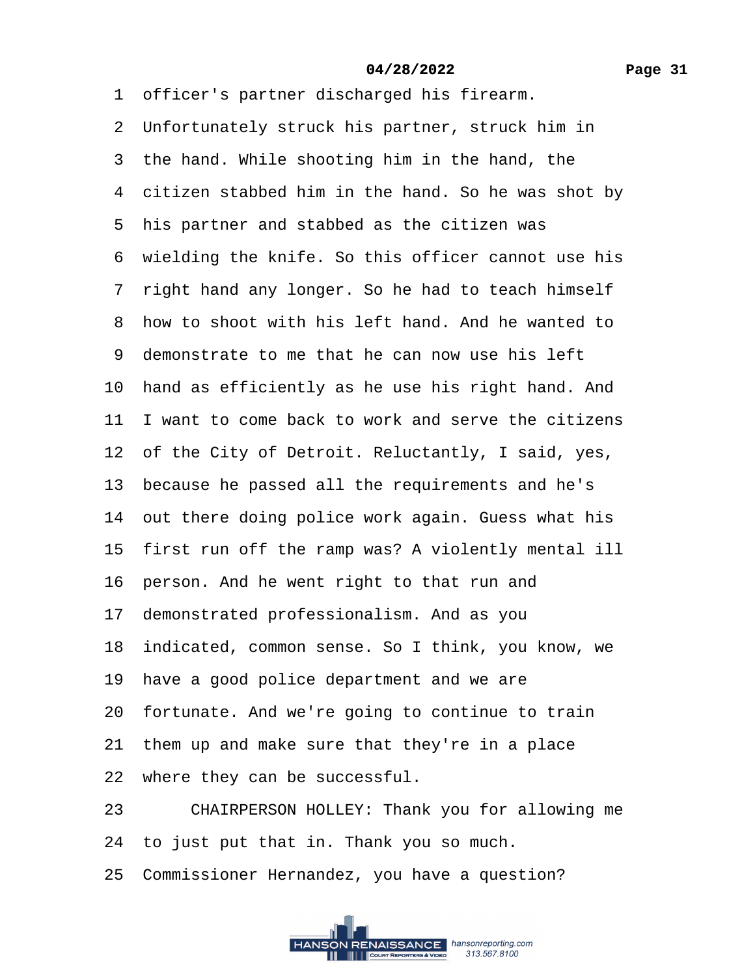1 officer's partner discharged his firearm. 2 Unfortunately struck his partner, struck him in 3 the hand. While shooting him in the hand, the 4 citizen stabbed him in the hand. So he was shot by 5 his partner and stabbed as the citizen was 6 wielding the knife. So this officer cannot use his 7 right hand any longer. So he had to teach himself ·8· how to shoot with his left hand. And he wanted to ·9· demonstrate to me that he can now use his left 10 hand as efficiently as he use his right hand. And 11 I want to come back to work and serve the citizens 12 of the City of Detroit. Reluctantly, I said, yes, 13 because he passed all the requirements and he's 14 out there doing police work again. Guess what his 15 first run off the ramp was? A violently mental ill 16 person. And he went right to that run and 17· demonstrated professionalism. And as you 18· indicated, common sense. So I think, you know, we 19 have a good police department and we are 20 fortunate. And we're going to continue to train 21 them up and make sure that they're in a place 22 where they can be successful. 23 CHAIRPERSON HOLLEY: Thank you for allowing me 24 to just put that in. Thank you so much.

25 Commissioner Hernandez, you have a question?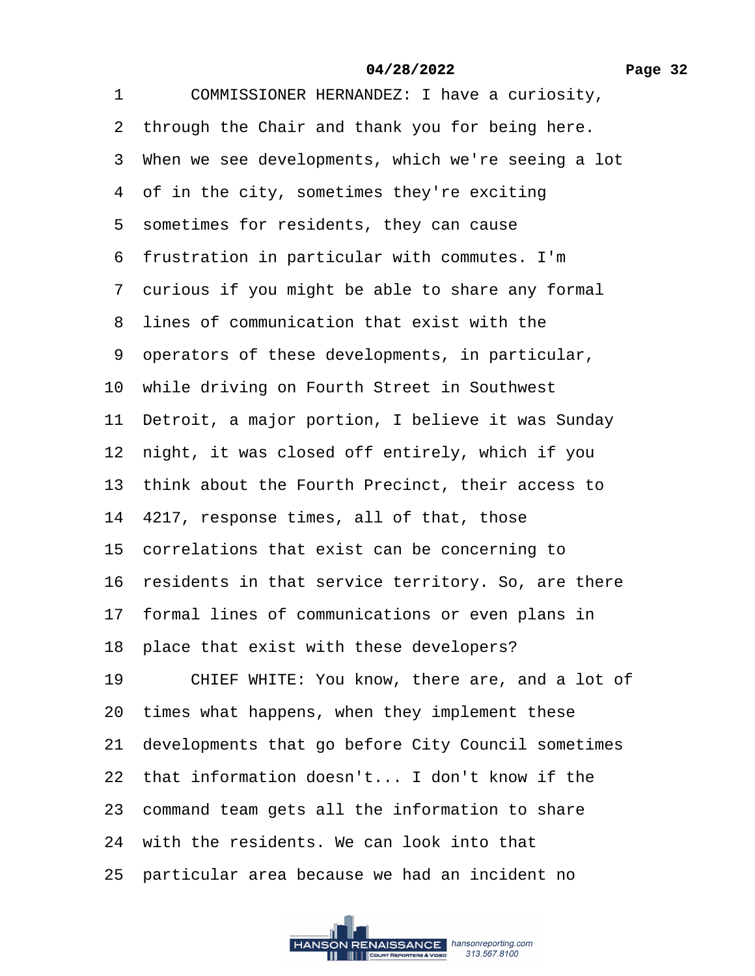| COMMISSIONER HERNANDEZ: I have a curiosity,           |
|-------------------------------------------------------|
| 2 through the Chair and thank you for being here.     |
| 3 When we see developments, which we're seeing a lot  |
| 4 of in the city, sometimes they're exciting          |
| 5 sometimes for residents, they can cause             |
| 6 frustration in particular with commutes. I'm        |
| 7 curious if you might be able to share any formal    |
| 8 lines of communication that exist with the          |
| 9 operators of these developments, in particular,     |
| 10 while driving on Fourth Street in Southwest        |
| 11 Detroit, a major portion, I believe it was Sunday  |
| 12 night, it was closed off entirely, which if you    |
| 13 think about the Fourth Precinct, their access to   |
| 14 4217, response times, all of that, those           |
| 15 correlations that exist can be concerning to       |
| 16 residents in that service territory. So, are there |
| 17 formal lines of communications or even plans in    |
| 18 place that exist with these developers?            |
| 19<br>CHIEF WHITE: You know, there are, and a lot of  |
| 20 times what happens, when they implement these      |
| 21 developments that go before City Council sometimes |
| 22 that information doesn't I don't know if the       |
| 23 command team gets all the information to share     |
| 24 with the residents. We can look into that          |
| 25 particular area because we had an incident no      |
|                                                       |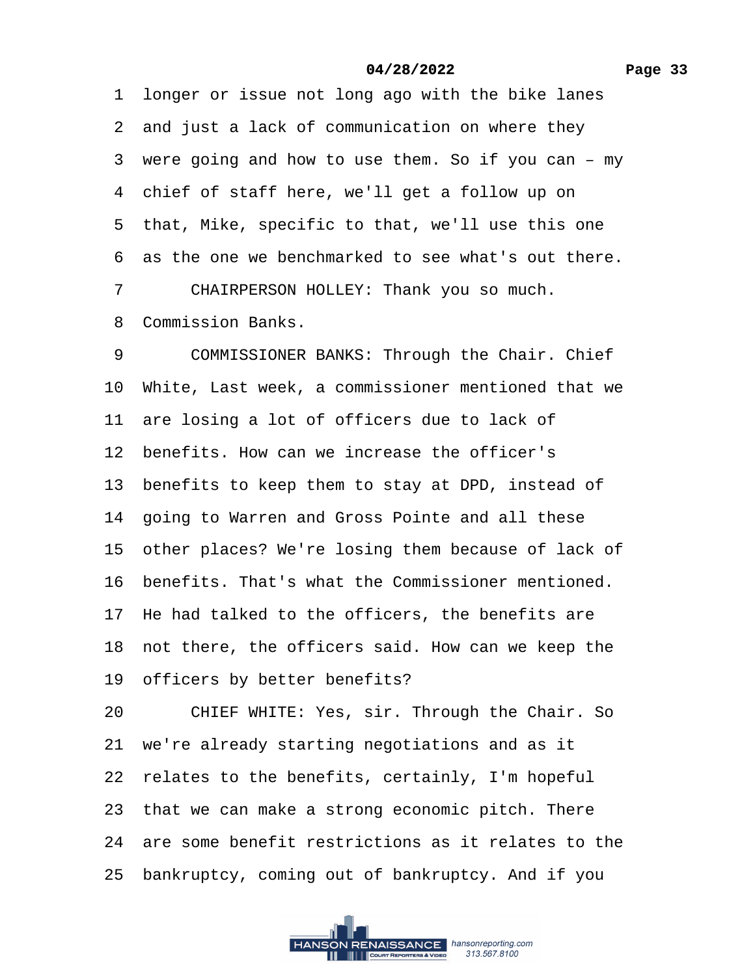1 longer or issue not long ago with the bike lanes 2 and just a lack of communication on where they 3 were going and how to use them. So if you can – my 4 chief of staff here, we'll get a follow up on 5 that, Mike, specific to that, we'll use this one 6 as the one we benchmarked to see what's out there. 7 CHAIRPERSON HOLLEY: Thank you so much. ·8· Commission Banks. 9 COMMISSIONER BANKS: Through the Chair. Chief 10· White, Last week, a commissioner mentioned that we 11 are losing a lot of officers due to lack of 12 benefits. How can we increase the officer's 13 benefits to keep them to stay at DPD, instead of 14 going to Warren and Gross Pointe and all these 15 other places? We're losing them because of lack of 16 benefits. That's what the Commissioner mentioned. 17 He had talked to the officers, the benefits are 18 not there, the officers said. How can we keep the 19 officers by better benefits? 20 CHIEF WHITE: Yes, sir. Through the Chair. So 21· we're already starting negotiations and as it 22 relates to the benefits, certainly, I'm hopeful 23 that we can make a strong economic pitch. There 24· are some benefit restrictions as it relates to the 25· bankruptcy, coming out of bankruptcy. And if you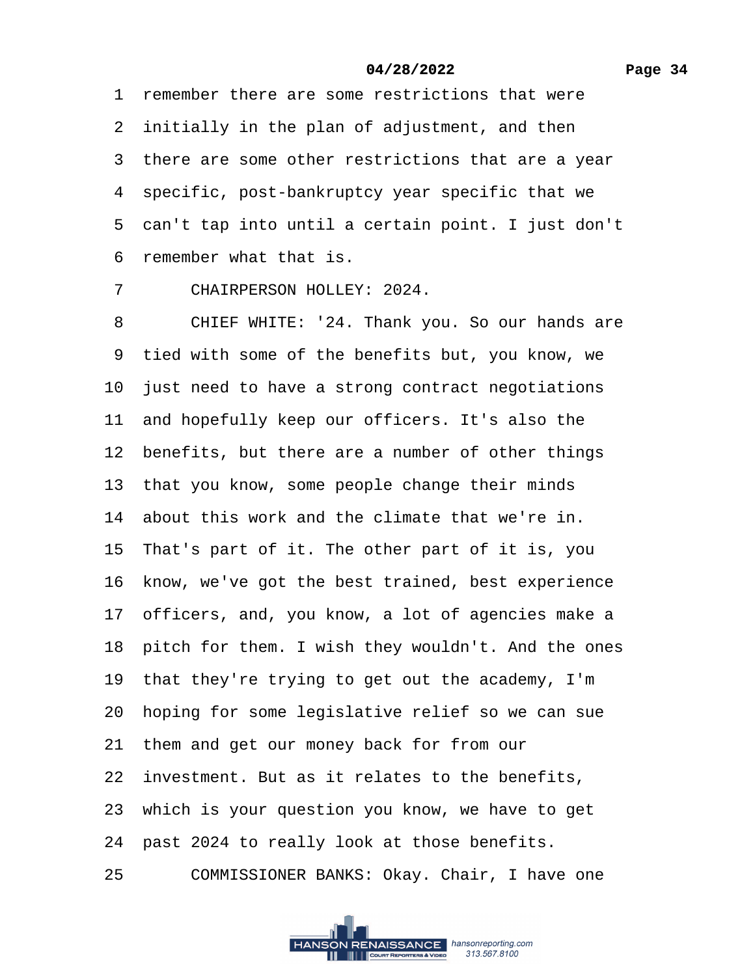1 remember there are some restrictions that were 2 initially in the plan of adjustment, and then 3 there are some other restrictions that are a year 4 specific, post-bankruptcy year specific that we 5 can't tap into until a certain point. I just don't ·6· remember what that is.

7 CHAIRPERSON HOLLEY: 2024.

8 CHIEF WHITE: '24. Thank you. So our hands are 9 tied with some of the benefits but, you know, we 10 just need to have a strong contract negotiations 11 and hopefully keep our officers. It's also the 12 benefits, but there are a number of other things 13 that you know, some people change their minds 14 about this work and the climate that we're in. 15 That's part of it. The other part of it is, you 16 know, we've got the best trained, best experience 17 officers, and, you know, a lot of agencies make a 18 pitch for them. I wish they wouldn't. And the ones 19 that they're trying to get out the academy, I'm 20 hoping for some legislative relief so we can sue 21 them and get our money back for from our 22 investment. But as it relates to the benefits, 23 which is your question you know, we have to get 24 past 2024 to really look at those benefits.

25 COMMISSIONER BANKS: Okay. Chair, I have one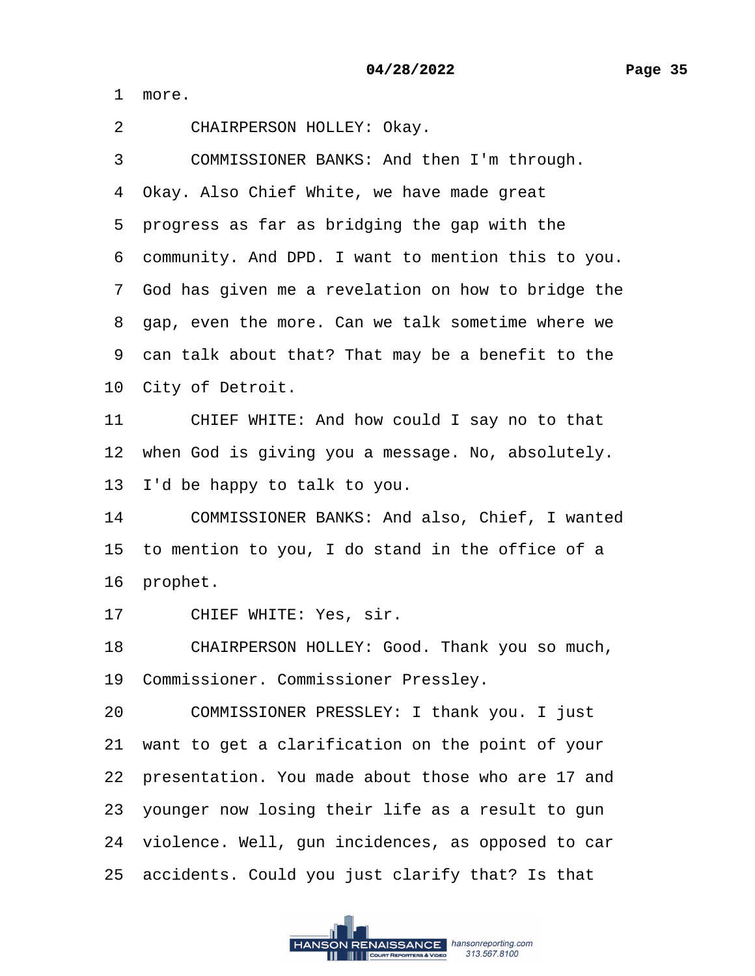1 more.

2 CHAIRPERSON HOLLEY: Okay.

3 COMMISSIONER BANKS: And then I'm through.

4 Okay. Also Chief White, we have made great

5 progress as far as bridging the gap with the

·6· community. And DPD. I want to mention this to you.

·7· God has given me a revelation on how to bridge the

8 gap, even the more. Can we talk sometime where we

9 can talk about that? That may be a benefit to the

10 City of Detroit.

11 CHIEF WHITE: And how could I say no to that

12 when God is giving you a message. No, absolutely.

13 I'd be happy to talk to you.

14 COMMISSIONER BANKS: And also, Chief, I wanted

15 to mention to you, I do stand in the office of a

16 prophet.

17 CHIEF WHITE: Yes, sir.

18 CHAIRPERSON HOLLEY: Good. Thank you so much,

19· Commissioner. Commissioner Pressley.

20 COMMISSIONER PRESSLEY: I thank you. I just

21· want to get a clarification on the point of your

22 presentation. You made about those who are 17 and

23 younger now losing their life as a result to gun

24 violence. Well, gun incidences, as opposed to car

25· accidents. Could you just clarify that? Is that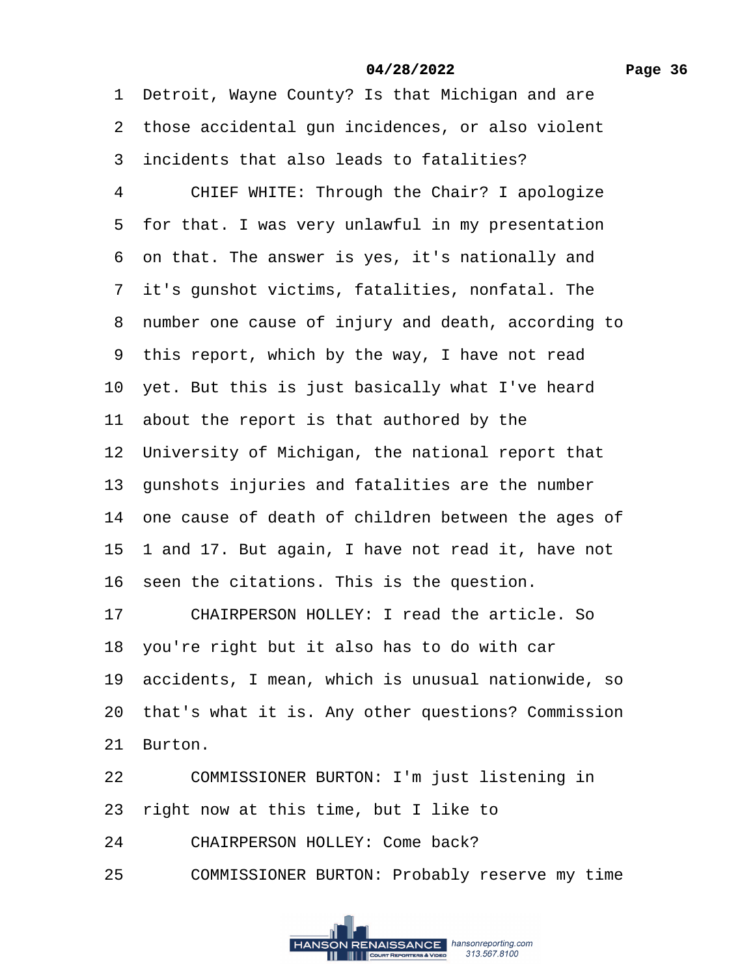1 Detroit, Wayne County? Is that Michigan and are 2 those accidental gun incidences, or also violent ·3· incidents that also leads to fatalities? 4 CHIEF WHITE: Through the Chair? I apologize 5 for that. I was very unlawful in my presentation ·6· on that. The answer is yes, it's nationally and 7 it's gunshot victims, fatalities, nonfatal. The ·8· number one cause of injury and death, according to 9 this report, which by the way, I have not read 10 yet. But this is just basically what I've heard 11 about the report is that authored by the 12 University of Michigan, the national report that 13 gunshots injuries and fatalities are the number 14 one cause of death of children between the ages of 15· 1 and 17. But again, I have not read it, have not 16 seen the citations. This is the question. 17 CHAIRPERSON HOLLEY: I read the article. So 18· you're right but it also has to do with car 19· accidents, I mean, which is unusual nationwide, so 20 that's what it is. Any other questions? Commission 21 Burton. 22 COMMISSIONER BURTON: I'm just listening in 23 right now at this time, but I like to

- 24 CHAIRPERSON HOLLEY: Come back?
- 25 COMMISSIONER BURTON: Probably reserve my time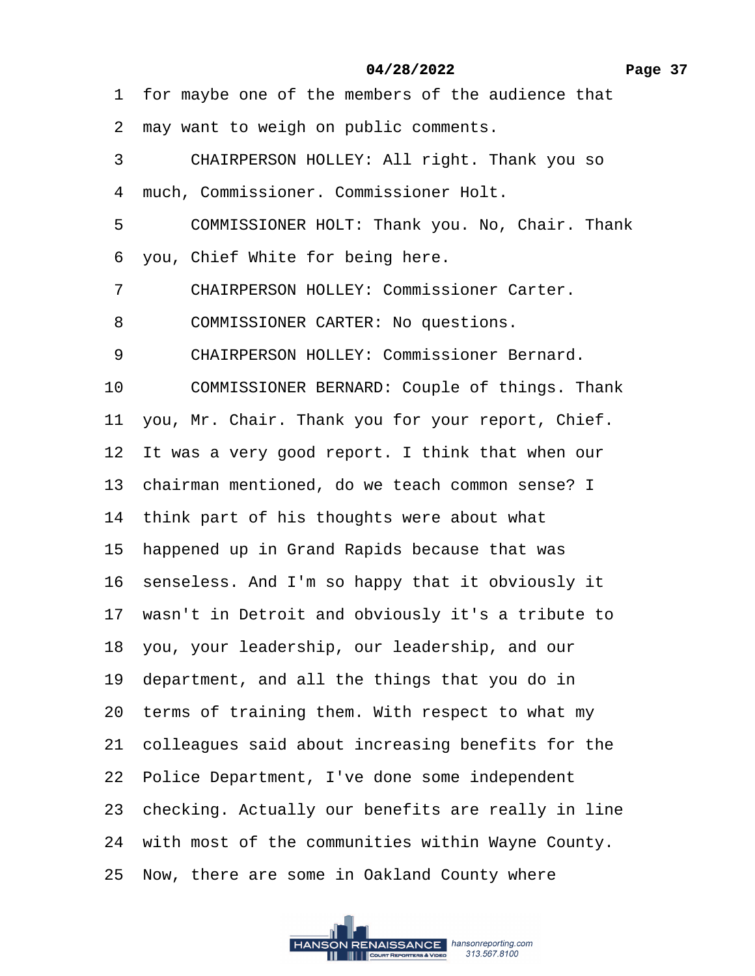1 for maybe one of the members of the audience that

- 2 may want to weigh on public comments.
- 3 CHAIRPERSON HOLLEY: All right. Thank you so
- ·4· much, Commissioner. Commissioner Holt.
- 5 COMMISSIONER HOLT: Thank you. No, Chair. Thank
- 6 you, Chief White for being here.
- 7 CHAIRPERSON HOLLEY: Commissioner Carter.
- 8 COMMISSIONER CARTER: No questions.
- 9 CHAIRPERSON HOLLEY: Commissioner Bernard.
- 10 COMMISSIONER BERNARD: Couple of things. Thank
- 11 you, Mr. Chair. Thank you for your report, Chief.
- 12 It was a very good report. I think that when our
- 13· chairman mentioned, do we teach common sense? I
- 14 think part of his thoughts were about what
- 15 happened up in Grand Rapids because that was
- 16 senseless. And I'm so happy that it obviously it
- 17 wasn't in Detroit and obviously it's a tribute to
- 18· you, your leadership, our leadership, and our
- 19 department, and all the things that you do in
- 20 terms of training them. With respect to what my
- 21 colleagues said about increasing benefits for the
- 22 Police Department, I've done some independent
- 23 checking. Actually our benefits are really in line
- 24 with most of the communities within Wayne County.
- 25· Now, there are some in Oakland County where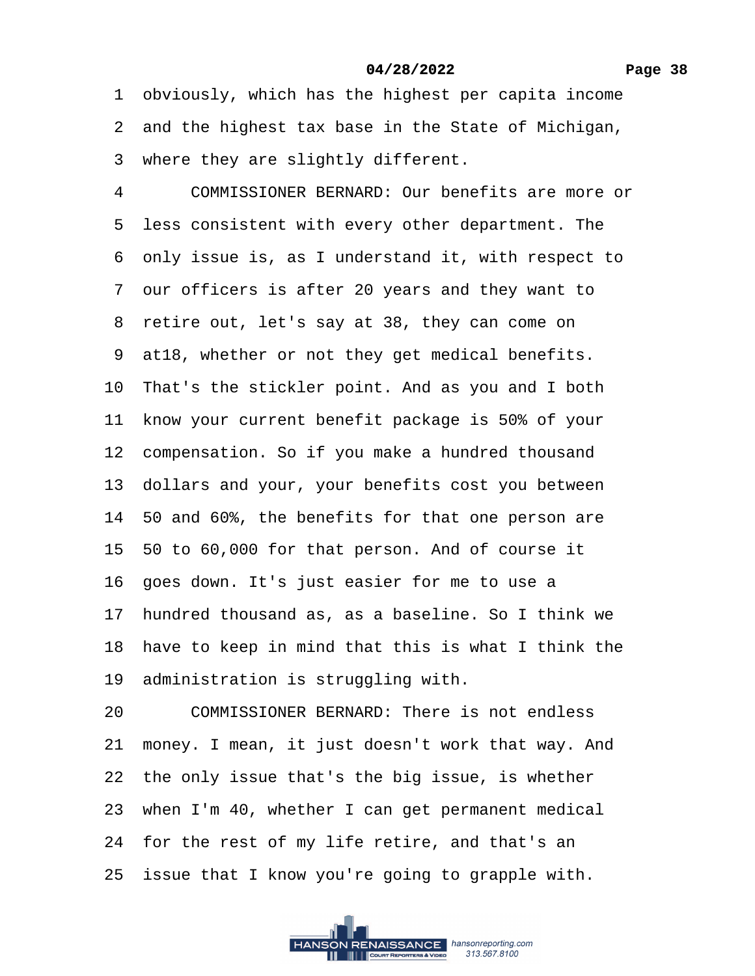1 obviously, which has the highest per capita income

- 2 and the highest tax base in the State of Michigan,
- 3 where they are slightly different.

4 COMMISSIONER BERNARD: Our benefits are more or 5 less consistent with every other department. The ·6· only issue is, as I understand it, with respect to ·7· our officers is after 20 years and they want to 8 retire out, let's say at 38, they can come on 9 at 18, whether or not they get medical benefits. 10 That's the stickler point. And as you and I both 11 know your current benefit package is 50% of your 12 compensation. So if you make a hundred thousand 13· dollars and your, your benefits cost you between 14· 50 and 60%, the benefits for that one person are 15· 50 to 60,000 for that person. And of course it 16 goes down. It's just easier for me to use a 17· hundred thousand as, as a baseline. So I think we 18 have to keep in mind that this is what I think the 19 administration is struggling with. 20 COMMISSIONER BERNARD: There is not endless 21 money. I mean, it just doesn't work that way. And 22 the only issue that's the big issue, is whether 23 when I'm 40, whether I can get permanent medical 24 for the rest of my life retire, and that's an 25 issue that I know you're going to grapple with.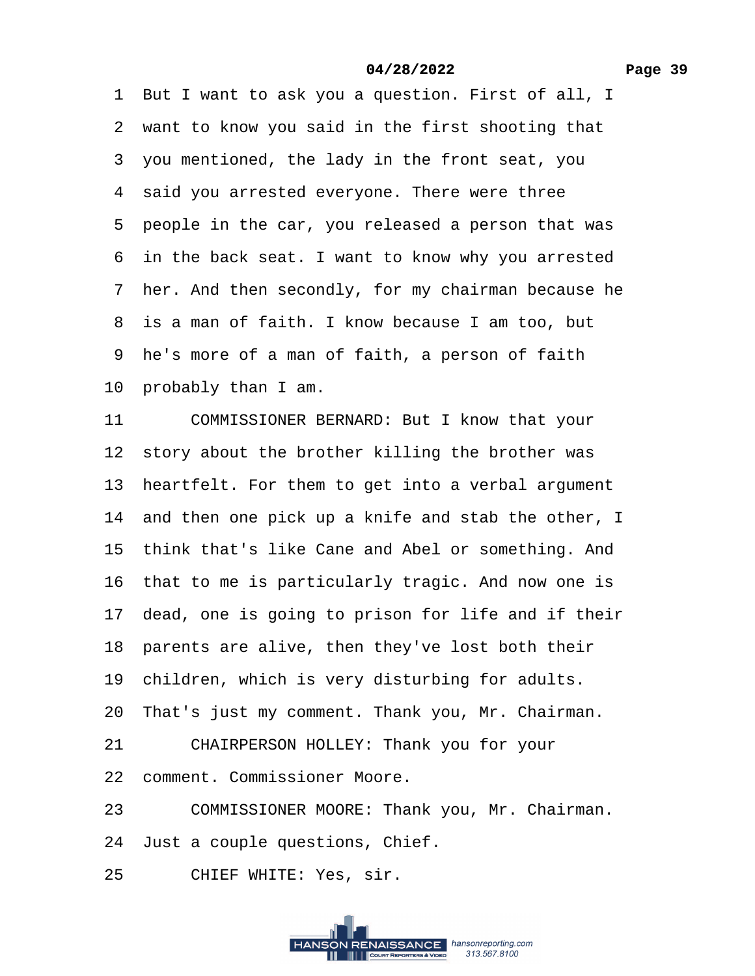1 But I want to ask you a question. First of all, I 2 want to know you said in the first shooting that 3 you mentioned, the lady in the front seat, you 4 said you arrested everyone. There were three 5 people in the car, you released a person that was 6 in the back seat. I want to know why you arrested 7 her. And then secondly, for my chairman because he 8 is a man of faith. I know because I am too, but ·9· he's more of a man of faith, a person of faith 10 probably than I am. 11 COMMISSIONER BERNARD: But I know that your 12 story about the brother killing the brother was 13 heartfelt. For them to get into a verbal argument 14 and then one pick up a knife and stab the other, I 15 think that's like Cane and Abel or something. And 16 that to me is particularly tragic. And now one is 17 dead, one is going to prison for life and if their 18 parents are alive, then they've lost both their 19 children, which is very disturbing for adults. 20 That's just my comment. Thank you, Mr. Chairman. 21 CHAIRPERSON HOLLEY: Thank you for your 22 comment. Commissioner Moore. 23 COMMISSIONER MOORE: Thank you, Mr. Chairman. 24 Just a couple questions, Chief. 25 CHIEF WHITE: Yes, sir.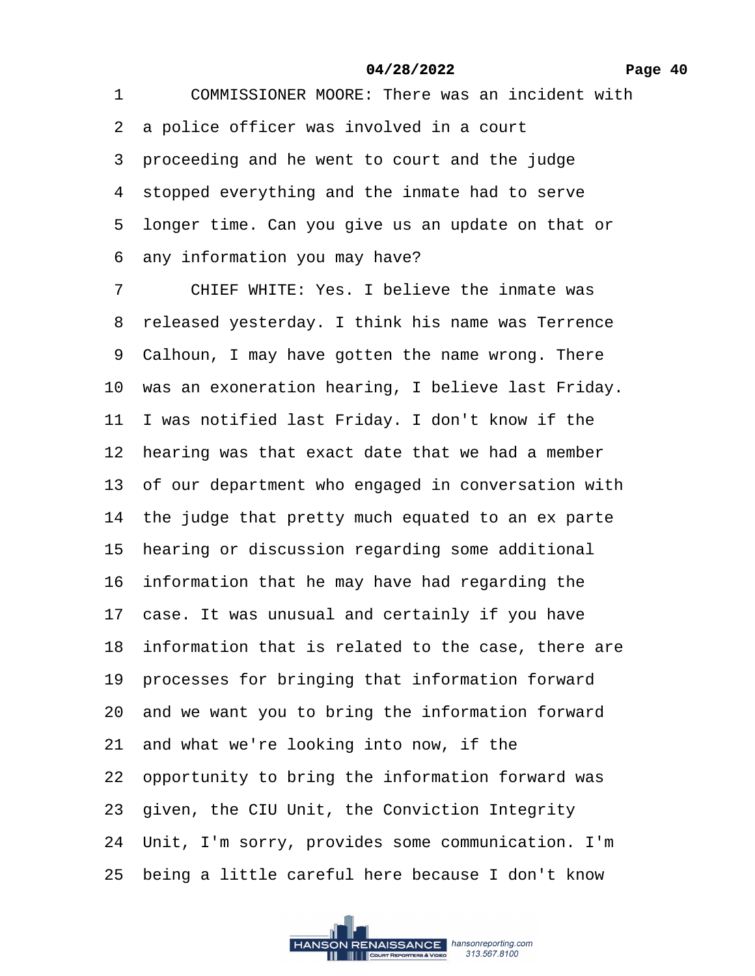·1· · · ·COMMISSIONER MOORE: There was an incident with 2 a police officer was involved in a court 3 proceeding and he went to court and the judge 4 stopped everything and the inmate had to serve ·5· longer time. Can you give us an update on that or ·6· any information you may have? 7 CHIEF WHITE: Yes. I believe the inmate was 8 released yesterday. I think his name was Terrence 9 Calhoun, I may have gotten the name wrong. There 10 was an exoneration hearing, I believe last Friday. 11 I was notified last Friday. I don't know if the 12 hearing was that exact date that we had a member 13 of our department who engaged in conversation with 14 the judge that pretty much equated to an ex parte 15 hearing or discussion regarding some additional 16 information that he may have had regarding the 17 case. It was unusual and certainly if you have **04/28/2022**

18 information that is related to the case, there are

19 processes for bringing that information forward

20· and we want you to bring the information forward

- 21 and what we're looking into now, if the
- 22· opportunity to bring the information forward was
- 23· given, the CIU Unit, the Conviction Integrity

24· Unit, I'm sorry, provides some communication. I'm

25 being a little careful here because I don't know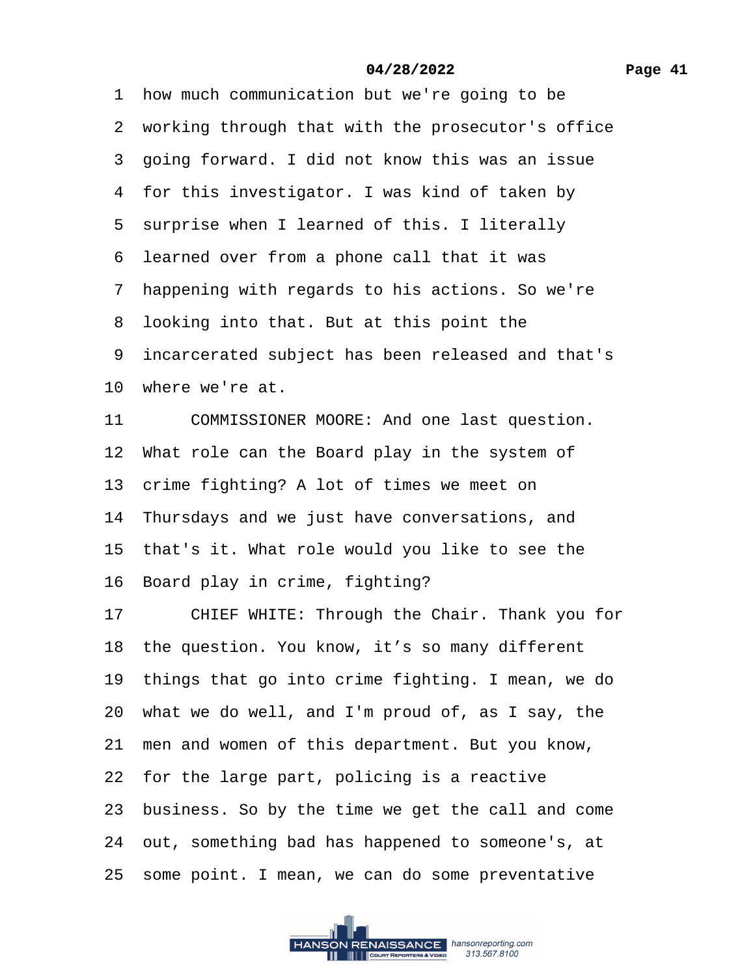- 1 how much communication but we're going to be
- 2 working through that with the prosecutor's office
- 3 going forward. I did not know this was an issue
- 4 for this investigator. I was kind of taken by
- 5 surprise when I learned of this. I literally
- ·6· learned over from a phone call that it was
- ·7· happening with regards to his actions. So we're
- 8 looking into that. But at this point the
- 9 incarcerated subject has been released and that's
- 10 where we're at.
- 11 COMMISSIONER MOORE: And one last question.
- 12 What role can the Board play in the system of
- 13 crime fighting? A lot of times we meet on
- 14 Thursdays and we just have conversations, and
- 15 that's it. What role would you like to see the
- 16 Board play in crime, fighting?
- 17 CHIEF WHITE: Through the Chair. Thank you for
- 18 the question. You know, it's so many different
- 19 things that go into crime fighting. I mean, we do
- 20· what we do well, and I'm proud of, as I say, the
- 21 men and women of this department. But you know,
- 22 for the large part, policing is a reactive
- 23· business. So by the time we get the call and come
- 24· out, something bad has happened to someone's, at
- 25 some point. I mean, we can do some preventative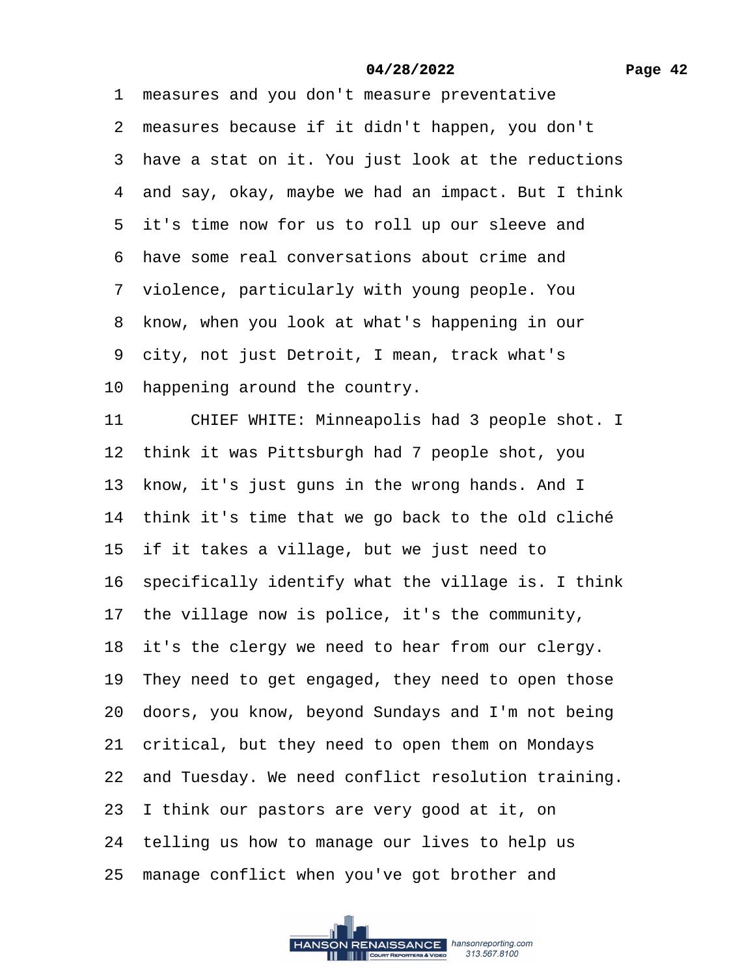#### **Page 42**

#### **04/28/2022**

1 measures and you don't measure preventative 2 measures because if it didn't happen, you don't 3 have a stat on it. You just look at the reductions 4 and say, okay, maybe we had an impact. But I think 5 it's time now for us to roll up our sleeve and ·6· have some real conversations about crime and 7 violence, particularly with young people. You 8 know, when you look at what's happening in our 9 city, not just Detroit, I mean, track what's 10 happening around the country. 11 CHIEF WHITE: Minneapolis had 3 people shot. I 12 think it was Pittsburgh had 7 people shot, you 13 know, it's just guns in the wrong hands. And I 14 think it's time that we go back to the old cliché 15 if it takes a village, but we just need to 16 specifically identify what the village is. I think 17 the village now is police, it's the community, 18 it's the clergy we need to hear from our clergy. 19 They need to get engaged, they need to open those 20· doors, you know, beyond Sundays and I'm not being 21 critical, but they need to open them on Mondays 22 and Tuesday. We need conflict resolution training. 23 I think our pastors are very good at it, on 24 telling us how to manage our lives to help us 25 manage conflict when you've got brother and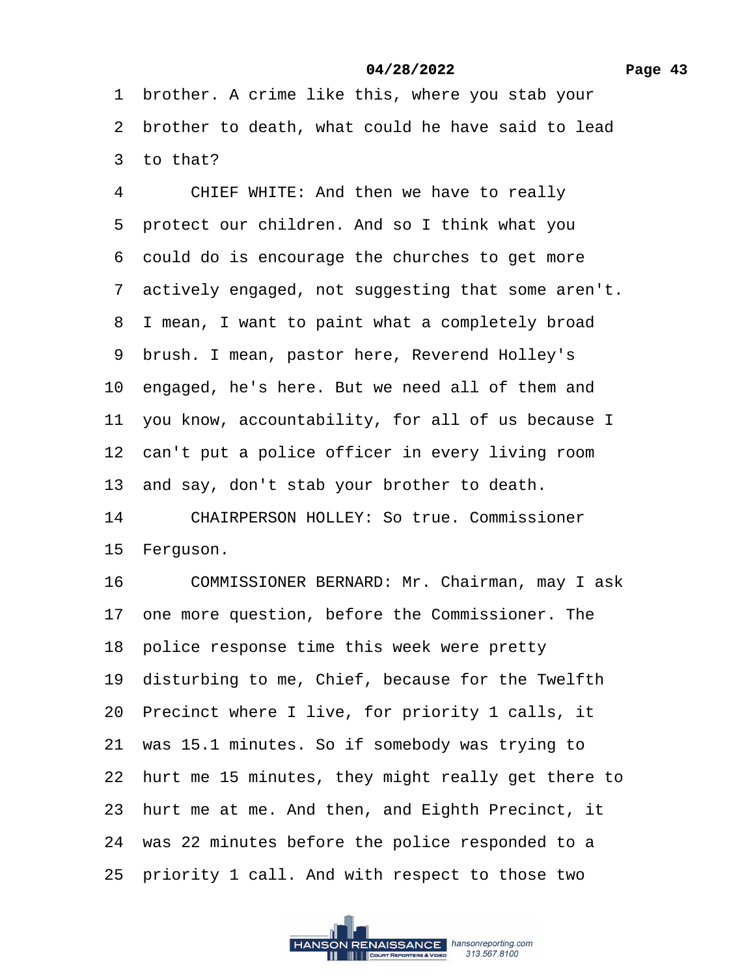1 brother. A crime like this, where you stab your ·2· brother to death, what could he have said to lead 3 to that?

4 CHIEF WHITE: And then we have to really 5 protect our children. And so I think what you ·6· could do is encourage the churches to get more 7 actively engaged, not suggesting that some aren't. 8 I mean, I want to paint what a completely broad ·9· brush. I mean, pastor here, Reverend Holley's 10 engaged, he's here. But we need all of them and 11 you know, accountability, for all of us because I 12 can't put a police officer in every living room 13· and say, don't stab your brother to death. 14 CHAIRPERSON HOLLEY: So true. Commissioner 15 Ferguson. 16 COMMISSIONER BERNARD: Mr. Chairman, may I ask 17 one more question, before the Commissioner. The 18 police response time this week were pretty 19 disturbing to me, Chief, because for the Twelfth 20 Precinct where I live, for priority 1 calls, it 21 was 15.1 minutes. So if somebody was trying to 22 hurt me 15 minutes, they might really get there to 23 hurt me at me. And then, and Eighth Precinct, it 24 was 22 minutes before the police responded to a 25 priority 1 call. And with respect to those two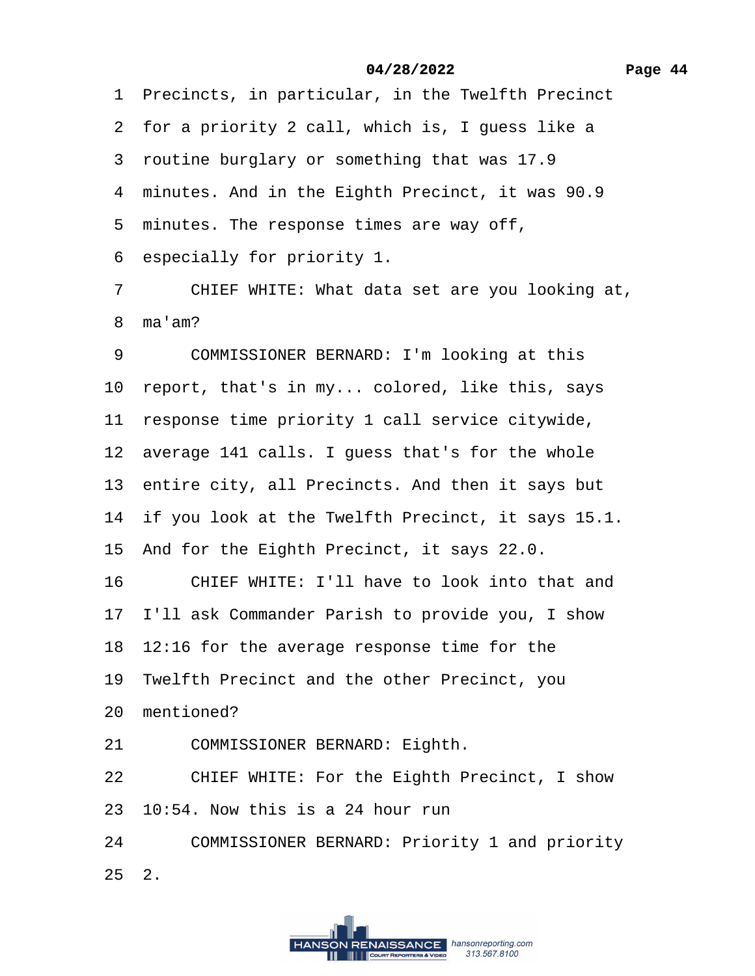1 Precincts, in particular, in the Twelfth Precinct 2 for a priority 2 call, which is, I guess like a ·3· routine burglary or something that was 17.9 4 minutes. And in the Eighth Precinct, it was 90.9 5 minutes. The response times are way off, ·6· especially for priority 1. 7 CHIEF WHITE: What data set are you looking at, 8 ma'am? 9 COMMISSIONER BERNARD: I'm looking at this 10 report, that's in my... colored, like this, says 11 response time priority 1 call service citywide, 12 average 141 calls. I guess that's for the whole 13 entire city, all Precincts. And then it says but 14 if you look at the Twelfth Precinct, it says 15.1. 15 And for the Eighth Precinct, it says 22.0. 16 CHIEF WHITE: I'll have to look into that and 17 I'll ask Commander Parish to provide you, I show 18· 12:16 for the average response time for the 19 Twelfth Precinct and the other Precinct, you 20 mentioned? **04/28/2022**

- 21 COMMISSIONER BERNARD: Eighth.
- 22 CHIEF WHITE: For the Eighth Precinct, I show
- 23· 10:54. Now this is a 24 hour run
- 24 COMMISSIONER BERNARD: Priority 1 and priority
- 25· 2.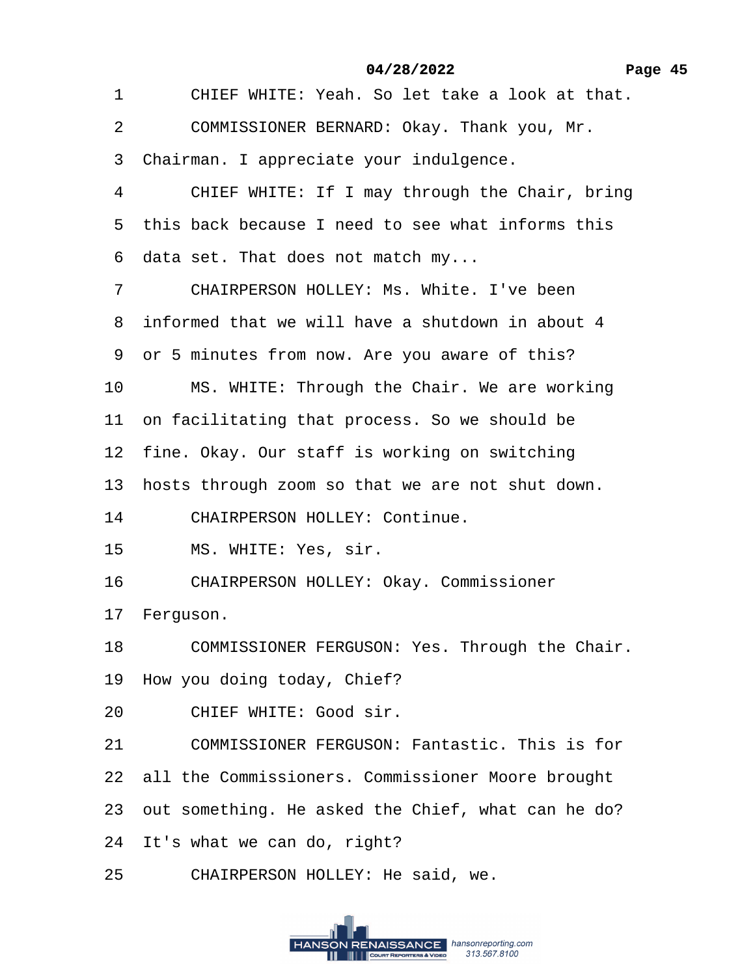1 CHIEF WHITE: Yeah. So let take a look at that.

2 COMMISSIONER BERNARD: Okay. Thank you, Mr.

3 Chairman. I appreciate your indulgence.

4 CHIEF WHITE: If I may through the Chair, bring

5 this back because I need to see what informs this

·6· data set. That does not match my...

7 CHAIRPERSON HOLLEY: Ms. White. I've been

·8· informed that we will have a shutdown in about 4

9 or 5 minutes from now. Are you aware of this?

10 MS. WHITE: Through the Chair. We are working

11 on facilitating that process. So we should be

12 fine. Okay. Our staff is working on switching

13 hosts through zoom so that we are not shut down.

- 14 CHAIRPERSON HOLLEY: Continue.
- 15 MS. WHITE: Yes, sir.
- 16 CHAIRPERSON HOLLEY: Okay. Commissioner

17 Ferguson.

18 COMMISSIONER FERGUSON: Yes. Through the Chair.

- 19 How you doing today, Chief?
- 20 CHIEF WHITE: Good sir.
- 21 COMMISSIONER FERGUSON: Fantastic. This is for
- 22 all the Commissioners. Commissioner Moore brought
- 23 out something. He asked the Chief, what can he do?
- 24 It's what we can do, right?
- 25 CHAIRPERSON HOLLEY: He said, we.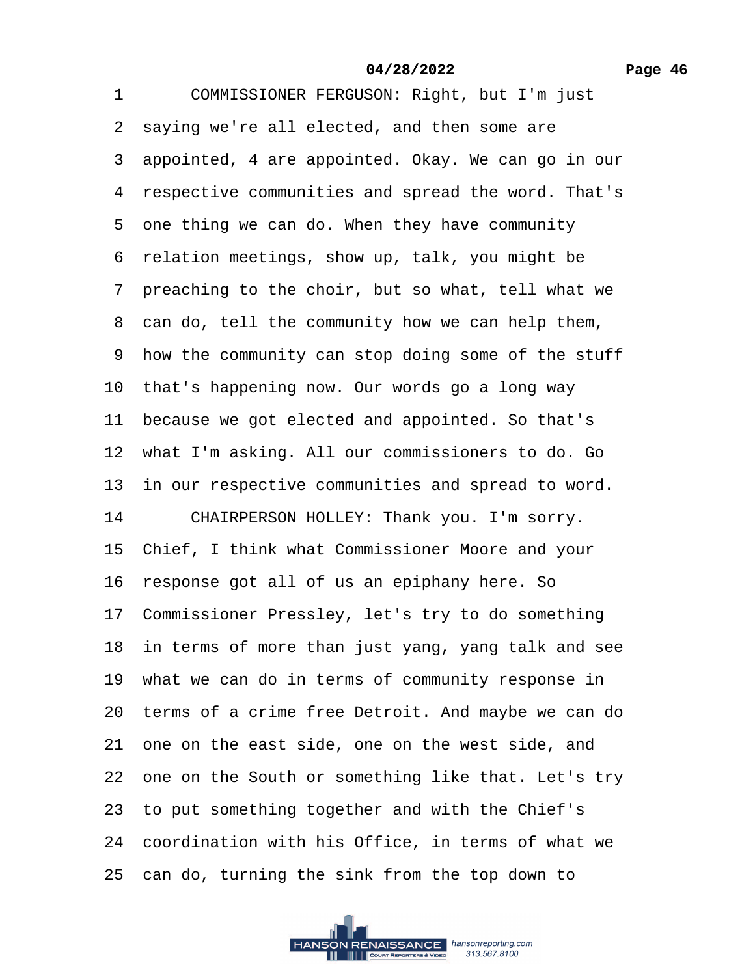1 COMMISSIONER FERGUSON: Right, but I'm just 2 saying we're all elected, and then some are 3 appointed, 4 are appointed. Okay. We can go in our 4 respective communities and spread the word. That's 5 one thing we can do. When they have community 6 relation meetings, show up, talk, you might be 7 preaching to the choir, but so what, tell what we 8 can do, tell the community how we can help them, 9 how the community can stop doing some of the stuff 10 that's happening now. Our words go a long way 11 because we got elected and appointed. So that's 12 what I'm asking. All our commissioners to do. Go 13 in our respective communities and spread to word. 14 CHAIRPERSON HOLLEY: Thank you. I'm sorry. 15· Chief, I think what Commissioner Moore and your 16 response got all of us an epiphany here. So 17 Commissioner Pressley, let's try to do something 18 in terms of more than just yang, yang talk and see 19 what we can do in terms of community response in 20· terms of a crime free Detroit. And maybe we can do 21 one on the east side, one on the west side, and 22 one on the South or something like that. Let's try 23 to put something together and with the Chief's 24· coordination with his Office, in terms of what we 25· can do, turning the sink from the top down to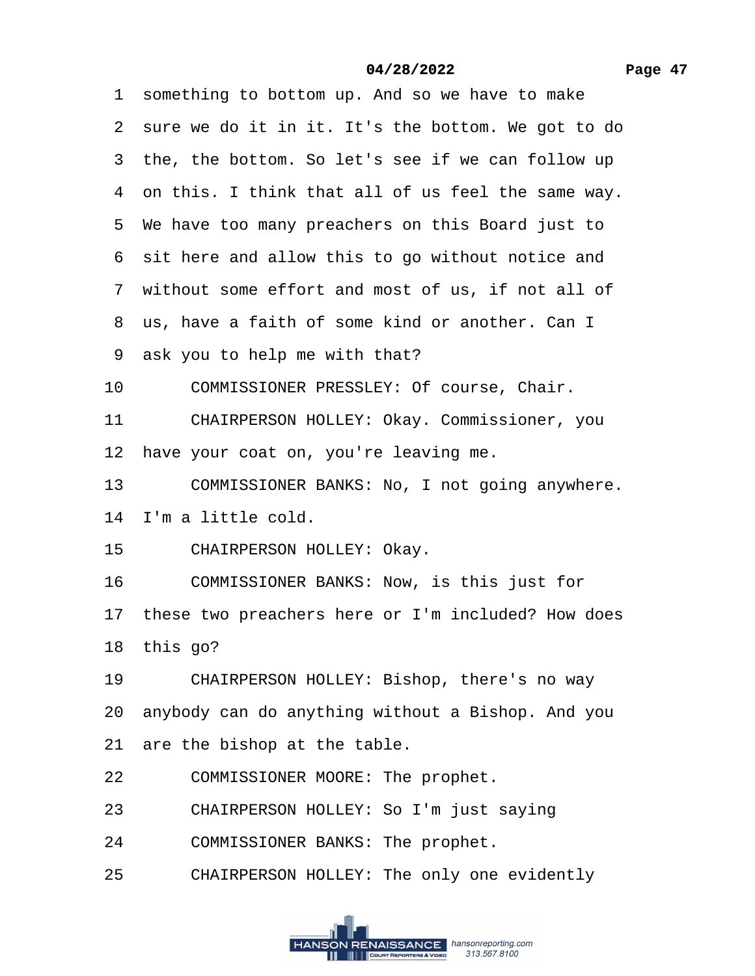#### **Page 47**

#### **04/28/2022**

1 something to bottom up. And so we have to make

2 sure we do it in it. It's the bottom. We got to do

3 the, the bottom. So let's see if we can follow up

·4· on this. I think that all of us feel the same way.

5 We have too many preachers on this Board just to

6 sit here and allow this to go without notice and

7 without some effort and most of us, if not all of

8 us, have a faith of some kind or another. Can I

9 ask you to help me with that?

10 COMMISSIONER PRESSLEY: Of course, Chair.

11 CHAIRPERSON HOLLEY: Okay. Commissioner, you

12 have your coat on, you're leaving me.

13 COMMISSIONER BANKS: No, I not going anywhere.

14· I'm a little cold.

15 CHAIRPERSON HOLLEY: Okay.

16 COMMISSIONER BANKS: Now, is this just for

17 these two preachers here or I'm included? How does

18 this go?

19 CHAIRPERSON HOLLEY: Bishop, there's no way

20· anybody can do anything without a Bishop. And you

21 are the bishop at the table.

22 COMMISSIONER MOORE: The prophet.

23 CHAIRPERSON HOLLEY: So I'm just saying

24 COMMISSIONER BANKS: The prophet.

25 CHAIRPERSON HOLLEY: The only one evidently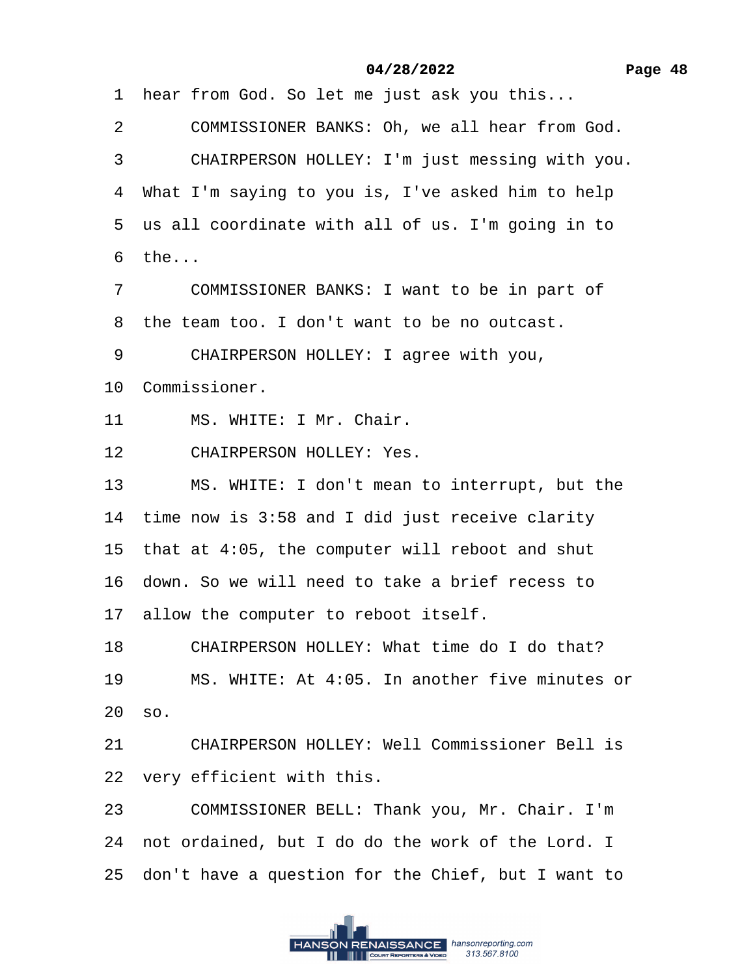1 hear from God. So let me just ask you this...

2 COMMISSIONER BANKS: Oh, we all hear from God.

3 CHAIRPERSON HOLLEY: I'm just messing with you.

4 What I'm saying to you is, I've asked him to help

5 us all coordinate with all of us. I'm going in to

 $6$  the...

7 COMMISSIONER BANKS: I want to be in part of

8 the team too. I don't want to be no outcast.

9 CHAIRPERSON HOLLEY: I agree with you,

10 Commissioner.

11 MS. WHITE: I Mr. Chair.

12 CHAIRPERSON HOLLEY: Yes.

13 MS. WHITE: I don't mean to interrupt, but the

14 time now is 3:58 and I did just receive clarity

15 that at 4:05, the computer will reboot and shut

16· down. So we will need to take a brief recess to

17 allow the computer to reboot itself.

18 CHAIRPERSON HOLLEY: What time do I do that?

19 MS. WHITE: At 4:05. In another five minutes or

20· so.

21 CHAIRPERSON HOLLEY: Well Commissioner Bell is 22 very efficient with this.

23 COMMISSIONER BELL: Thank you, Mr. Chair. I'm

24 not ordained, but I do do the work of the Lord. I

25· don't have a question for the Chief, but I want to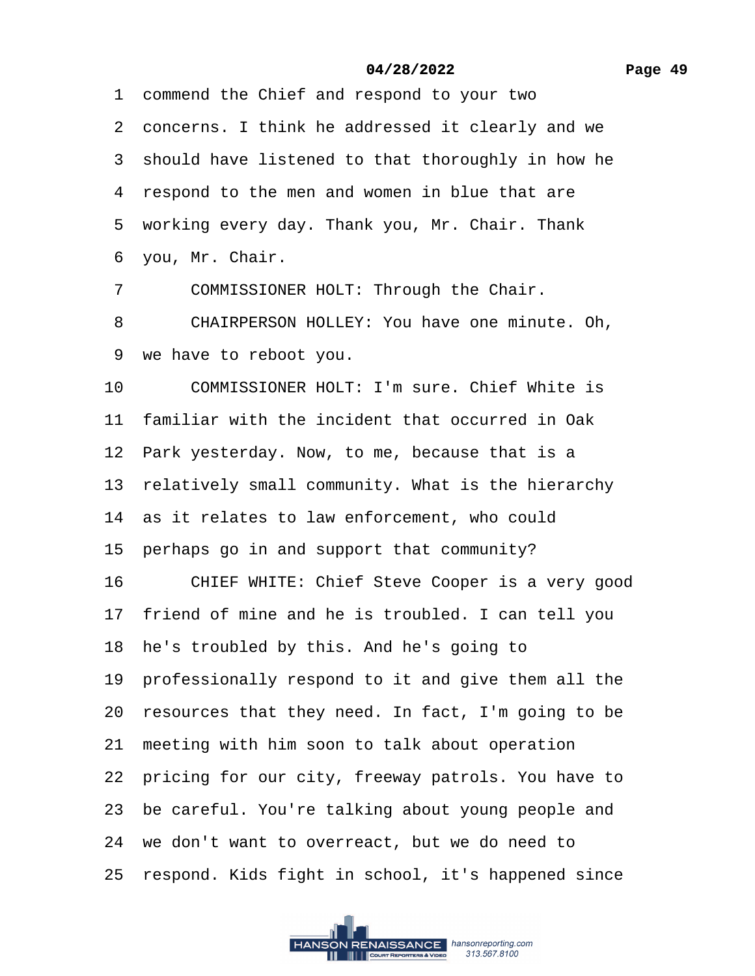#### **Page 49**

#### **04/28/2022**

·1· commend the Chief and respond to your two 2 concerns. I think he addressed it clearly and we 3 should have listened to that thoroughly in how he 4 respond to the men and women in blue that are 5 working every day. Thank you, Mr. Chair. Thank ·6· you, Mr. Chair.

7 COMMISSIONER HOLT: Through the Chair.

8 CHAIRPERSON HOLLEY: You have one minute. Oh, ·9· we have to reboot you.

10 COMMISSIONER HOLT: I'm sure. Chief White is 11 familiar with the incident that occurred in Oak 12 Park yesterday. Now, to me, because that is a 13 relatively small community. What is the hierarchy 14 as it relates to law enforcement, who could 15 perhaps go in and support that community? 16 CHIEF WHITE: Chief Steve Cooper is a very good 17 friend of mine and he is troubled. I can tell you 18 he's troubled by this. And he's going to 19 professionally respond to it and give them all the 20 resources that they need. In fact, I'm going to be 21 meeting with him soon to talk about operation 22 pricing for our city, freeway patrols. You have to 23 be careful. You're talking about young people and 24 we don't want to overreact, but we do need to 25 respond. Kids fight in school, it's happened since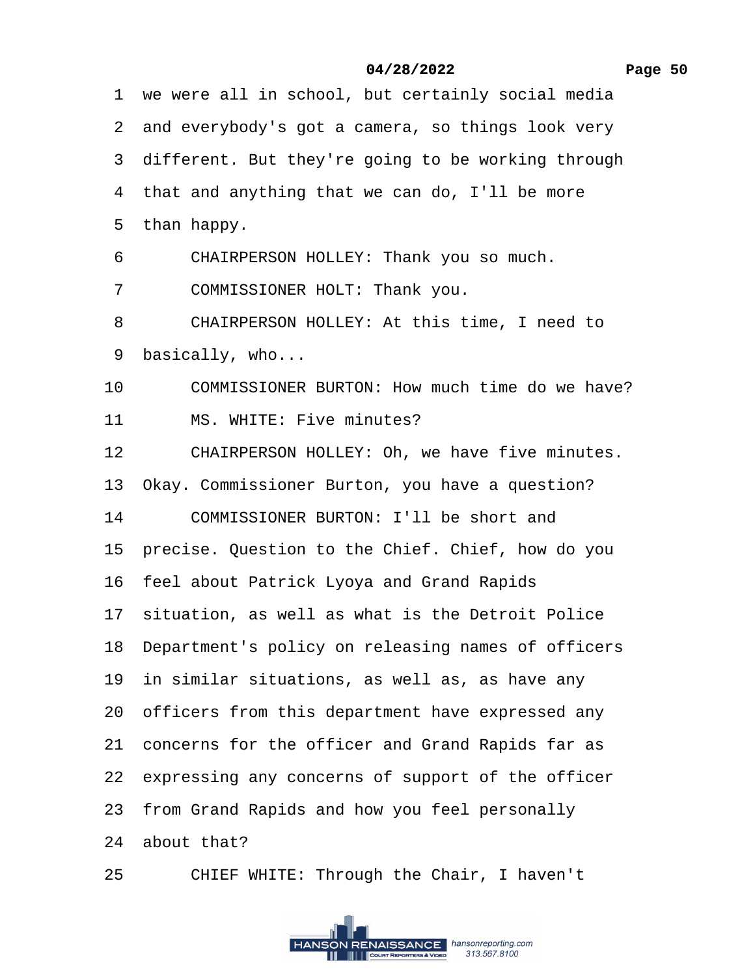## **Page 50**

## **04/28/2022**

1 we were all in school, but certainly social media

2 and everybody's got a camera, so things look very

3 different. But they're going to be working through

4 that and anything that we can do, I'll be more

5 than happy.

6 CHAIRPERSON HOLLEY: Thank you so much.

7 COMMISSIONER HOLT: Thank you.

8 CHAIRPERSON HOLLEY: At this time, I need to

9 basically, who...

10 COMMISSIONER BURTON: How much time do we have?

11 MS. WHITE: Five minutes?

12 CHAIRPERSON HOLLEY: Oh, we have five minutes.

13 Okay. Commissioner Burton, you have a question?

14 COMMISSIONER BURTON: I'll be short and

15 precise. Question to the Chief. Chief, how do you

16· feel about Patrick Lyoya and Grand Rapids

17 situation, as well as what is the Detroit Police

18· Department's policy on releasing names of officers

19 in similar situations, as well as, as have any

20 officers from this department have expressed any

21 concerns for the officer and Grand Rapids far as

22 expressing any concerns of support of the officer

23 from Grand Rapids and how you feel personally

24 about that?

25 CHIEF WHITE: Through the Chair, I haven't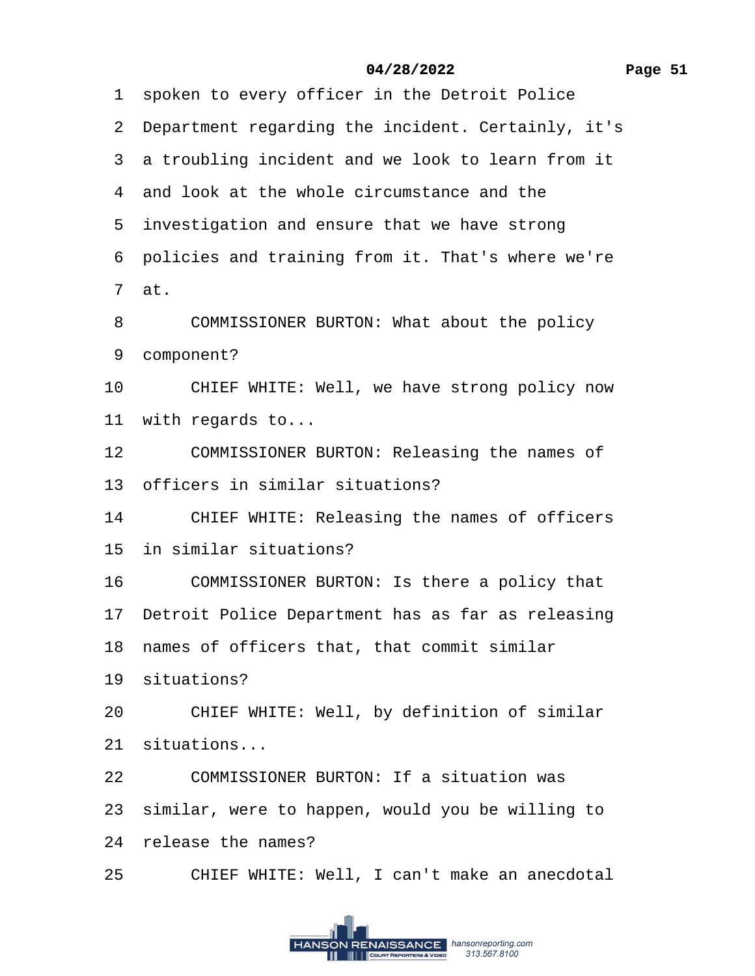1 spoken to every officer in the Detroit Police

2 Department regarding the incident. Certainly, it's

3 a troubling incident and we look to learn from it

4 and look at the whole circumstance and the

5 investigation and ensure that we have strong

·6· policies and training from it. That's where we're

 $7$  at.

8 COMMISSIONER BURTON: What about the policy

9 component?

10 CHIEF WHITE: Well, we have strong policy now

11 with regards to...

12 COMMISSIONER BURTON: Releasing the names of

13 officers in similar situations?

14 CHIEF WHITE: Releasing the names of officers

15 in similar situations?

16 COMMISSIONER BURTON: Is there a policy that

17 Detroit Police Department has as far as releasing

18 names of officers that, that commit similar

19 situations?

20 CHIEF WHITE: Well, by definition of similar

21· situations...

22 COMMISSIONER BURTON: If a situation was

23 similar, were to happen, would you be willing to

24 release the names?

25 CHIEF WHITE: Well, I can't make an anecdotal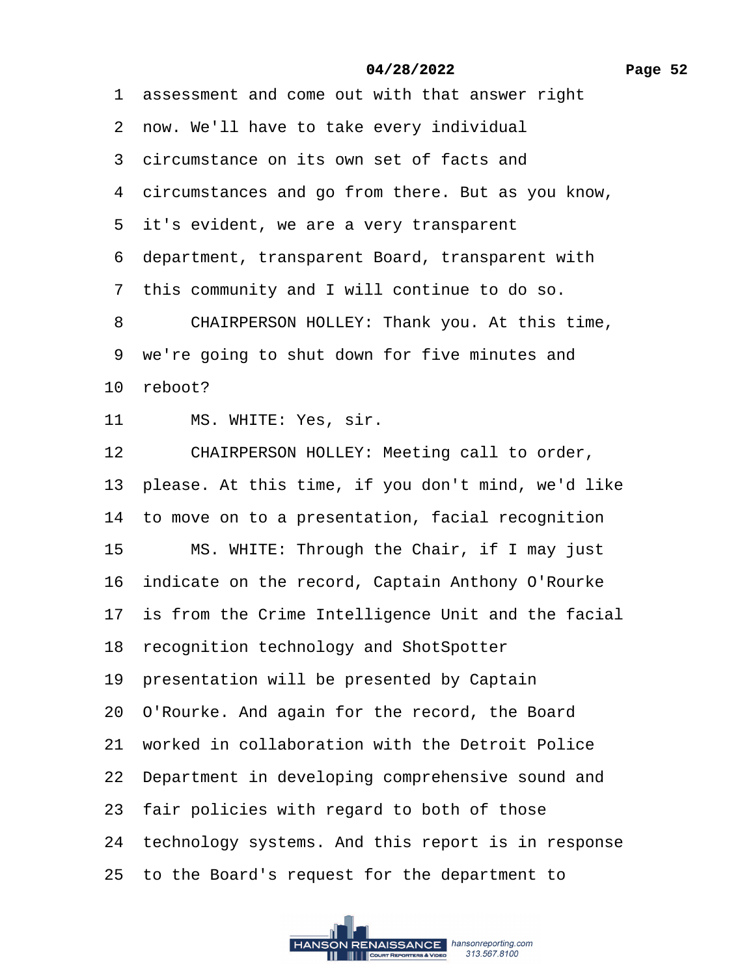1 assessment and come out with that answer right

- 2 now. We'll have to take every individual
- 3 circumstance on its own set of facts and
- 4 circumstances and go from there. But as you know,
- 5 it's evident, we are a very transparent
- ·6· department, transparent Board, transparent with
- 7 this community and I will continue to do so.
- 8 CHAIRPERSON HOLLEY: Thank you. At this time,
- 9 we're going to shut down for five minutes and
- 10 reboot?
- 11 MS. WHITE: Yes, sir.
- 12 CHAIRPERSON HOLLEY: Meeting call to order,
- 13 please. At this time, if you don't mind, we'd like
- 14 to move on to a presentation, facial recognition
- 15 MS. WHITE: Through the Chair, if I may just
- 16 indicate on the record, Captain Anthony O'Rourke
- 17 is from the Crime Intelligence Unit and the facial
- 18 recognition technology and ShotSpotter
- 19 presentation will be presented by Captain
- 20· O'Rourke. And again for the record, the Board
- 21 worked in collaboration with the Detroit Police
- 22 Department in developing comprehensive sound and
- 23 fair policies with regard to both of those
- 24 technology systems. And this report is in response
- 25· to the Board's request for the department to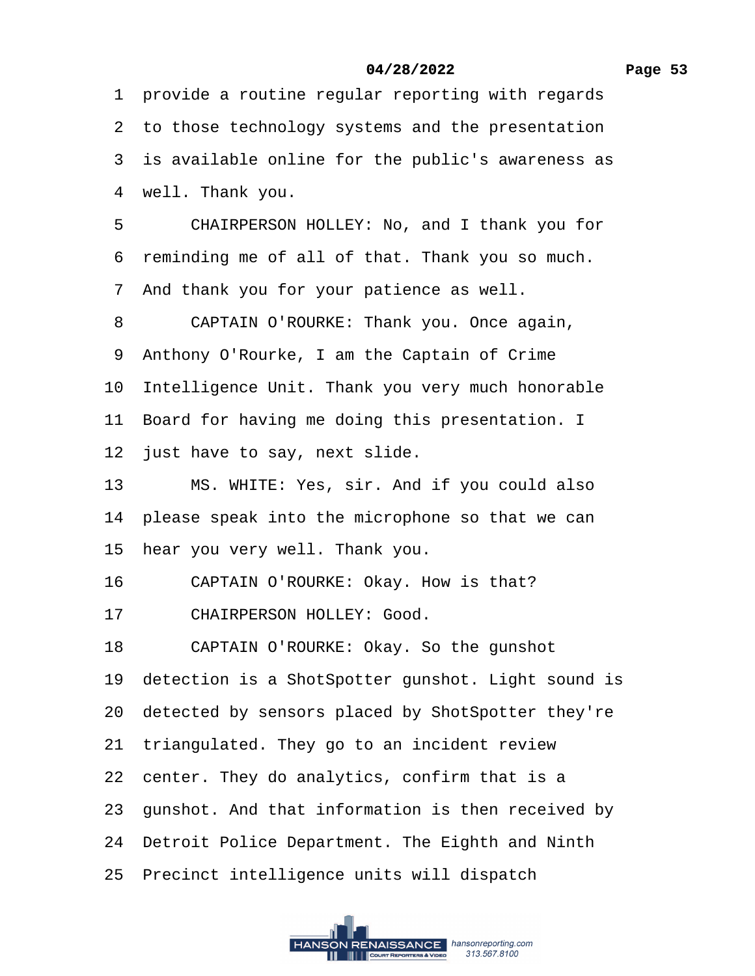1 provide a routine regular reporting with regards

2 to those technology systems and the presentation

3 is available online for the public's awareness as

4 well. Thank you.

5 CHAIRPERSON HOLLEY: No, and I thank you for

6 reminding me of all of that. Thank you so much.

·7· And thank you for your patience as well.

8 CAPTAIN O'ROURKE: Thank you. Once again,

9 Anthony O'Rourke, I am the Captain of Crime

10 Intelligence Unit. Thank you very much honorable

11 Board for having me doing this presentation. I

12 just have to say, next slide.

13 MS. WHITE: Yes, sir. And if you could also

14 please speak into the microphone so that we can

- 15 hear you very well. Thank you.
- 16 CAPTAIN O'ROURKE: Okay. How is that?
- 17 CHAIRPERSON HOLLEY: Good.

18 CAPTAIN O'ROURKE: Okay. So the gunshot

19 detection is a ShotSpotter gunshot. Light sound is

20 detected by sensors placed by ShotSpotter they're

21 triangulated. They go to an incident review

22 center. They do analytics, confirm that is a

23· gunshot. And that information is then received by

24 Detroit Police Department. The Eighth and Ninth

25 Precinct intelligence units will dispatch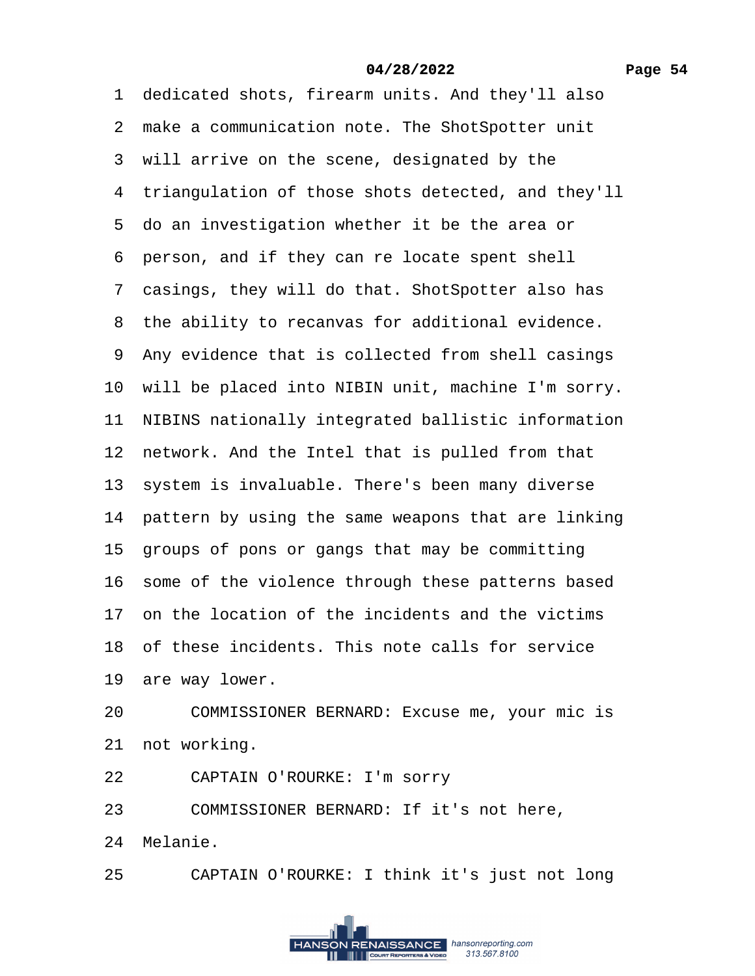1 dedicated shots, firearm units. And they'll also 2 make a communication note. The ShotSpotter unit 3 will arrive on the scene, designated by the 4 triangulation of those shots detected, and they'll 5 do an investigation whether it be the area or 6 person, and if they can re locate spent shell 7 casings, they will do that. ShotSpotter also has 8 the ability to recanvas for additional evidence. 9 Any evidence that is collected from shell casings 10 will be placed into NIBIN unit, machine I'm sorry. 11 NIBINS nationally integrated ballistic information 12 network. And the Intel that is pulled from that 13 system is invaluable. There's been many diverse 14 pattern by using the same weapons that are linking 15 groups of pons or gangs that may be committing 16 some of the violence through these patterns based 17· on the location of the incidents and the victims 18· of these incidents. This note calls for service 19 are way lower. 20 COMMISSIONER BERNARD: Excuse me, your mic is 21 not working. 22 CAPTAIN O'ROURKE: I'm sorry 23 COMMISSIONER BERNARD: If it's not here.

24 Melanie.

25 CAPTAIN O'ROURKE: I think it's just not long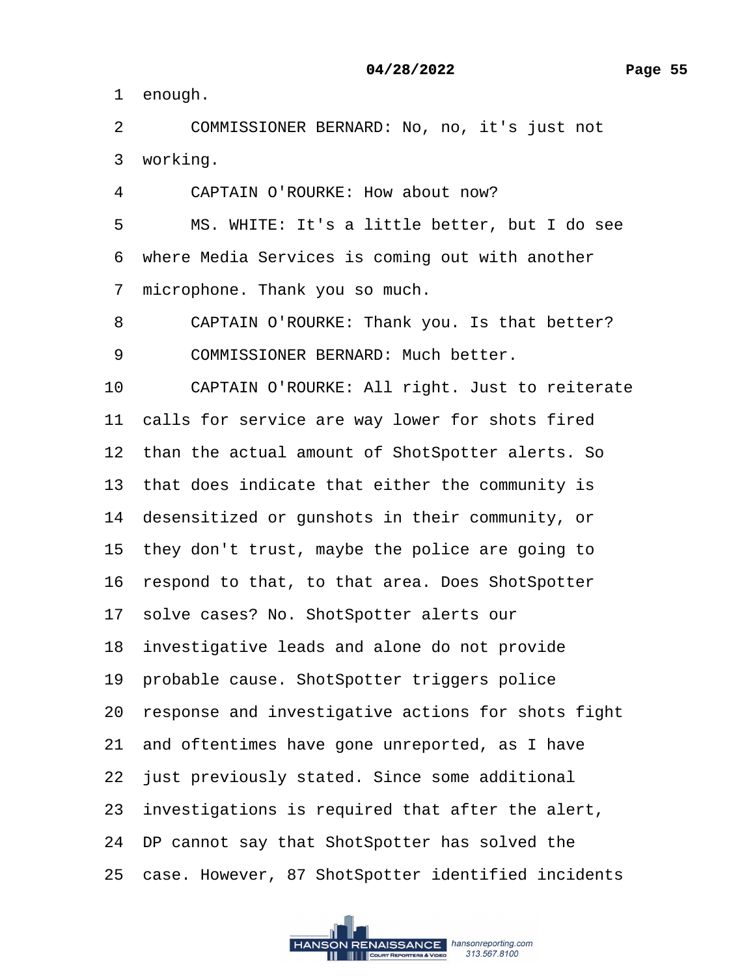1 enough.

2 COMMISSIONER BERNARD: No, no, it's just not 3 working.

4 CAPTAIN O'ROURKE: How about now?

5 MS. WHITE: It's a little better, but I do see 6 where Media Services is coming out with another 7 microphone. Thank you so much.

8 CAPTAIN O'ROURKE: Thank you. Is that better?

9 COMMISSIONER BERNARD: Much better.

10 CAPTAIN O'ROURKE: All right. Just to reiterate

11 calls for service are way lower for shots fired

12 than the actual amount of ShotSpotter alerts. So

13 that does indicate that either the community is

14 desensitized or gunshots in their community, or

15 they don't trust, maybe the police are going to

16 respond to that, to that area. Does ShotSpotter

17· solve cases? No. ShotSpotter alerts our

18 investigative leads and alone do not provide

19· probable cause. ShotSpotter triggers police

20· response and investigative actions for shots fight

21 and oftentimes have gone unreported, as I have

22 just previously stated. Since some additional

23 investigations is required that after the alert,

24 DP cannot say that ShotSpotter has solved the

25 case. However, 87 ShotSpotter identified incidents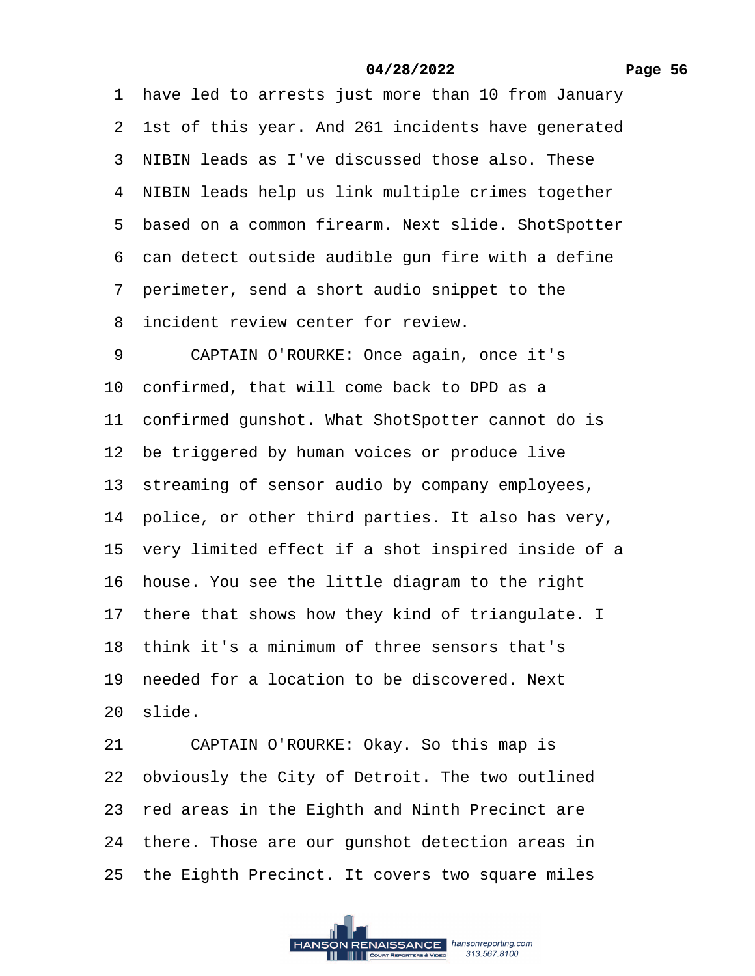1 have led to arrests just more than 10 from January 2 1st of this year. And 261 incidents have generated 3 NIBIN leads as I've discussed those also. These 4 NIBIN leads help us link multiple crimes together 5 based on a common firearm. Next slide. ShotSpotter 6 can detect outside audible gun fire with a define ·7· perimeter, send a short audio snippet to the 8 incident review center for review. 9 CAPTAIN O'ROURKE: Once again, once it's 10 confirmed, that will come back to DPD as a 11 confirmed gunshot. What ShotSpotter cannot do is 12 be triggered by human voices or produce live 13 streaming of sensor audio by company employees, 14 police, or other third parties. It also has very, 15 very limited effect if a shot inspired inside of a 16 house. You see the little diagram to the right 17 there that shows how they kind of triangulate. I 18· think it's a minimum of three sensors that's 19 needed for a location to be discovered. Next 20 slide. 21 CAPTAIN O'ROURKE: Okay. So this map is 22 obviously the City of Detroit. The two outlined 23 red areas in the Eighth and Ninth Precinct are 24 there. Those are our gunshot detection areas in 25 the Eighth Precinct. It covers two square miles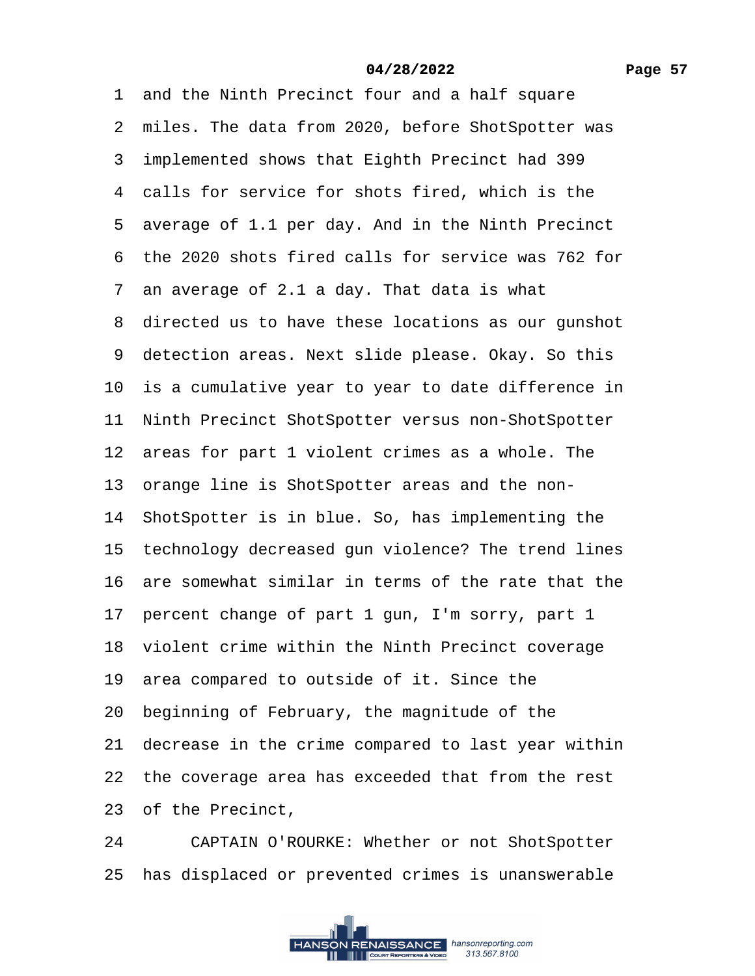1 and the Ninth Precinct four and a half square 2 miles. The data from 2020, before ShotSpotter was 3 implemented shows that Eighth Precinct had 399 4 calls for service for shots fired, which is the 5 average of 1.1 per day. And in the Ninth Precinct ·6· the 2020 shots fired calls for service was 762 for ·7· an average of 2.1 a day. That data is what 8 directed us to have these locations as our gunshot 9 detection areas. Next slide please. Okay. So this 10 is a cumulative year to year to date difference in 11 Ninth Precinct ShotSpotter versus non-ShotSpotter 12 areas for part 1 violent crimes as a whole. The 13 orange line is ShotSpotter areas and the non-14 ShotSpotter is in blue. So, has implementing the 15 technology decreased gun violence? The trend lines 16· are somewhat similar in terms of the rate that the 17 percent change of part 1 gun, I'm sorry, part 1 18· violent crime within the Ninth Precinct coverage 19 area compared to outside of it. Since the 20· beginning of February, the magnitude of the 21 decrease in the crime compared to last year within 22 the coverage area has exceeded that from the rest 23 of the Precinct. 24 CAPTAIN O'ROURKE: Whether or not ShotSpotter

25 has displaced or prevented crimes is unanswerable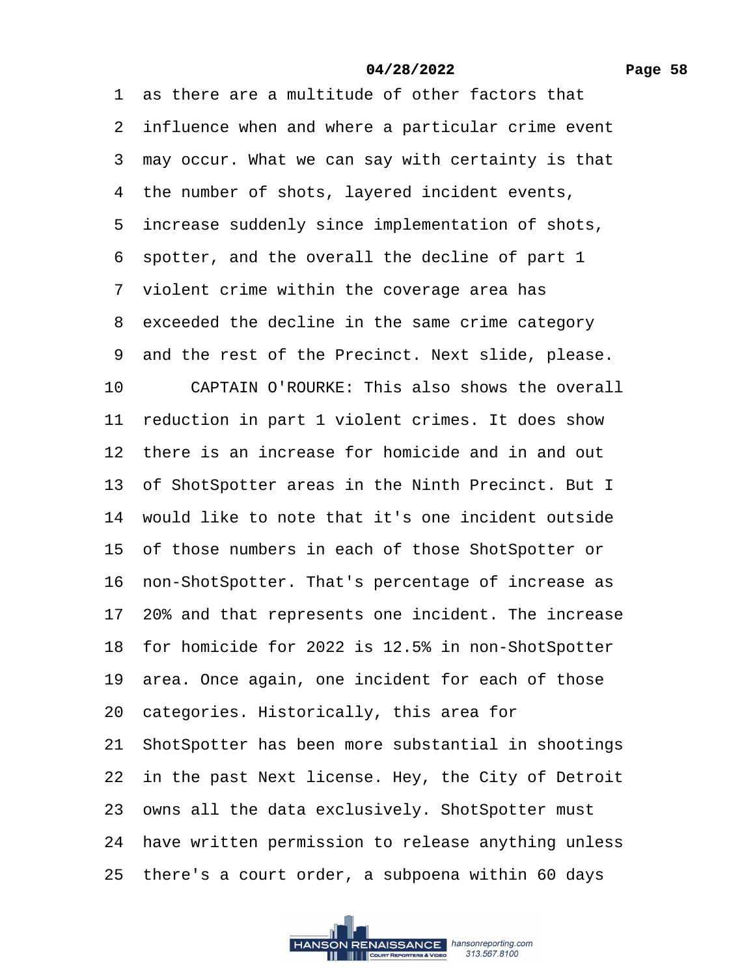1 as there are a multitude of other factors that 2 influence when and where a particular crime event 3 may occur. What we can say with certainty is that 4 the number of shots, layered incident events, 5 increase suddenly since implementation of shots, ·6· spotter, and the overall the decline of part 1 7 violent crime within the coverage area has 8 exceeded the decline in the same crime category 9 and the rest of the Precinct. Next slide, please. 10 CAPTAIN O'ROURKE: This also shows the overall 11 reduction in part 1 violent crimes. It does show 12 there is an increase for homicide and in and out 13 of ShotSpotter areas in the Ninth Precinct. But I 14 would like to note that it's one incident outside 15 of those numbers in each of those ShotSpotter or 16 non-ShotSpotter. That's percentage of increase as 17 20% and that represents one incident. The increase 18· for homicide for 2022 is 12.5% in non-ShotSpotter 19 area. Once again, one incident for each of those 20 categories. Historically, this area for 21 ShotSpotter has been more substantial in shootings 22 in the past Next license. Hey, the City of Detroit 23 owns all the data exclusively. ShotSpotter must 24 have written permission to release anything unless 25· there's a court order, a subpoena within 60 days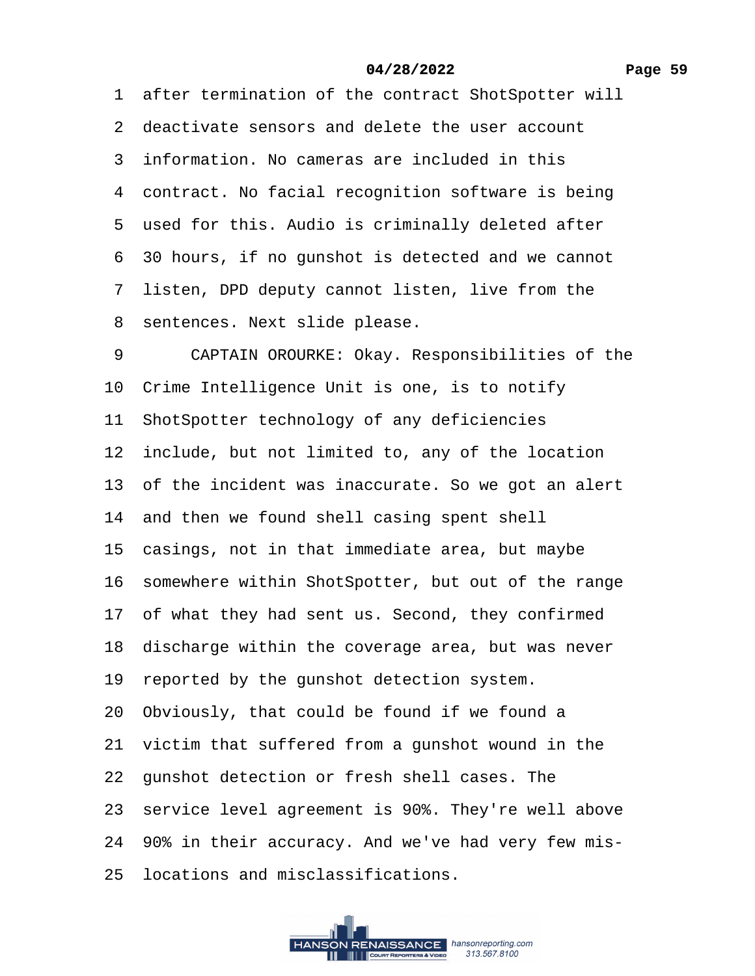# **Page 59**

# **04/28/2022**

|   | 1 after termination of the contract ShotSpotter will  |
|---|-------------------------------------------------------|
|   | 2 deactivate sensors and delete the user account      |
|   | 3 information. No cameras are included in this        |
|   | 4 contract. No facial recognition software is being   |
|   | 5 used for this. Audio is criminally deleted after    |
|   | 6 30 hours, if no gunshot is detected and we cannot   |
|   | 7 listen, DPD deputy cannot listen, live from the     |
|   | 8 sentences. Next slide please.                       |
| 9 | CAPTAIN OROURKE: Okay. Responsibilities of the        |
|   | 10 Crime Intelligence Unit is one, is to notify       |
|   | 11 ShotSpotter technology of any deficiencies         |
|   | 12 include, but not limited to, any of the location   |
|   | 13 of the incident was inaccurate. So we got an alert |
|   | 14 and then we found shell casing spent shell         |
|   | 15 casings, not in that immediate area, but maybe     |
|   | 16 somewhere within ShotSpotter, but out of the range |
|   | 17 of what they had sent us. Second, they confirmed   |
|   | 18 discharge within the coverage area, but was never  |
|   | 19 reported by the gunshot detection system.          |
|   | 20 Obviously, that could be found if we found a       |
|   | 21 victim that suffered from a gunshot wound in the   |
|   | 22 gunshot detection or fresh shell cases. The        |
|   | 23 service level agreement is 90%. They're well above |
|   | 24 90% in their accuracy. And we've had very few mis- |
|   | 25 locations and misclassifications.                  |
|   |                                                       |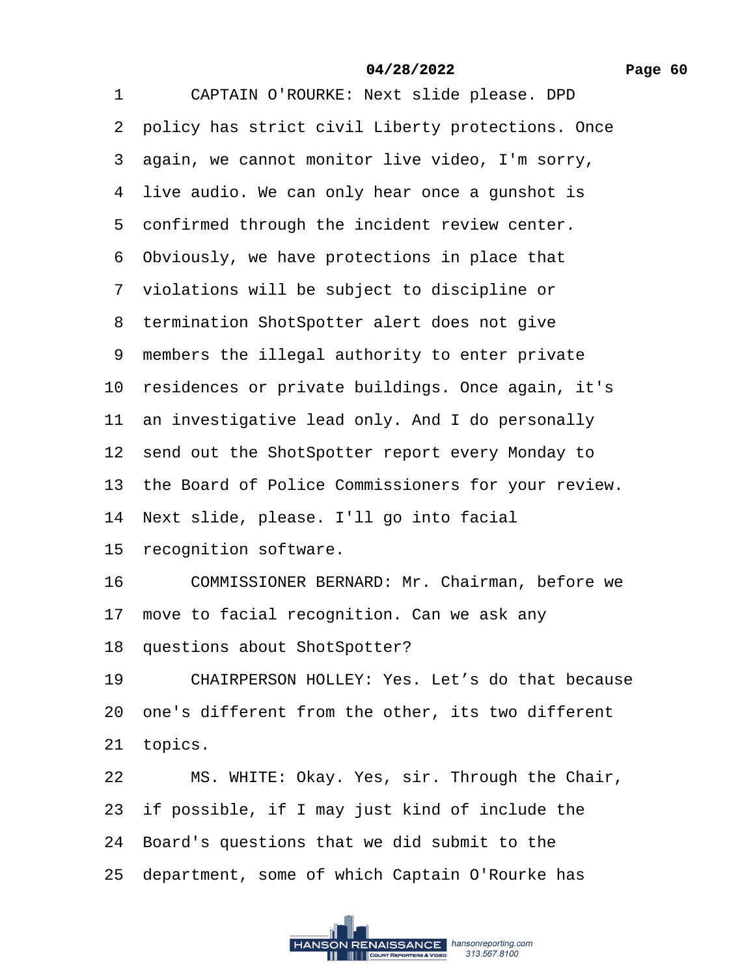| 1  | CAPTAIN O'ROURKE: Next slide please. DPD              |
|----|-------------------------------------------------------|
|    | 2 policy has strict civil Liberty protections. Once   |
|    | 3 again, we cannot monitor live video, I'm sorry,     |
|    | 4 live audio. We can only hear once a gunshot is      |
|    | 5 confirmed through the incident review center.       |
|    | 6 Obviously, we have protections in place that        |
|    | 7 violations will be subject to discipline or         |
|    | 8 termination ShotSpotter alert does not give         |
|    | 9 members the illegal authority to enter private      |
|    | 10 residences or private buildings. Once again, it's  |
|    | 11 an investigative lead only. And I do personally    |
|    | 12 send out the ShotSpotter report every Monday to    |
|    | 13 the Board of Police Commissioners for your review. |
|    | 14 Next slide, please. I'll go into facial            |
|    | 15 recognition software.                              |
| 16 | COMMISSIONER BERNARD: Mr. Chairman, before we         |
|    | 17 move to facial recognition. Can we ask any         |
|    | 18 questions about ShotSpotter?                       |
| 19 | CHAIRPERSON HOLLEY: Yes. Let's do that because        |
|    | 20 one's different from the other, its two different  |
|    | 21 topics.                                            |
| 22 | MS. WHITE: Okay. Yes, sir. Through the Chair,         |
|    | 23 if possible, if I may just kind of include the     |
|    | 24 Board's questions that we did submit to the        |

25 department, some of which Captain O'Rourke has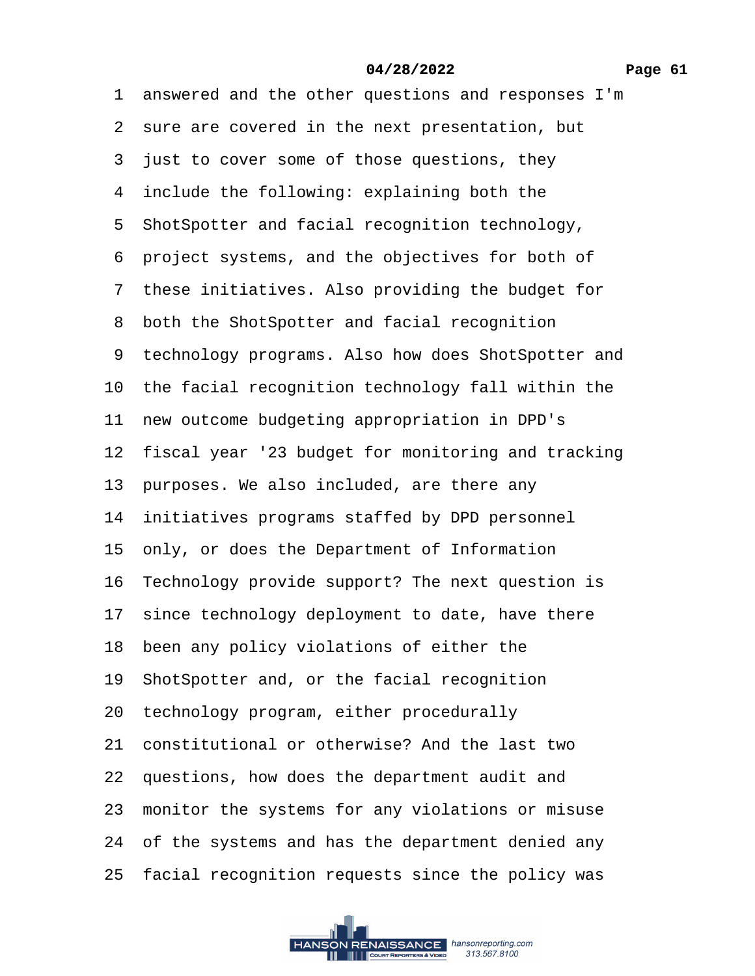| 1 answered and the other questions and responses I'm  |
|-------------------------------------------------------|
| 2 sure are covered in the next presentation, but      |
| 3 just to cover some of those questions, they         |
| 4 include the following: explaining both the          |
| 5 ShotSpotter and facial recognition technology,      |
| 6 project systems, and the objectives for both of     |
| 7 these initiatives. Also providing the budget for    |
| 8 both the ShotSpotter and facial recognition         |
| 9 technology programs. Also how does ShotSpotter and  |
| 10 the facial recognition technology fall within the  |
| 11 new outcome budgeting appropriation in DPD's       |
| 12 fiscal year '23 budget for monitoring and tracking |
| 13 purposes. We also included, are there any          |
| 14 initiatives programs staffed by DPD personnel      |
| 15 only, or does the Department of Information        |
| 16 Technology provide support? The next question is   |
| 17 since technology deployment to date, have there    |
| 18 been any policy violations of either the           |
| 19 ShotSpotter and, or the facial recognition         |
| 20 technology program, either procedurally            |
| 21 constitutional or otherwise? And the last two      |
| 22 questions, how does the department audit and       |
| 23 monitor the systems for any violations or misuse   |
| 24 of the systems and has the department denied any   |
| 25 facial recognition requests since the policy was   |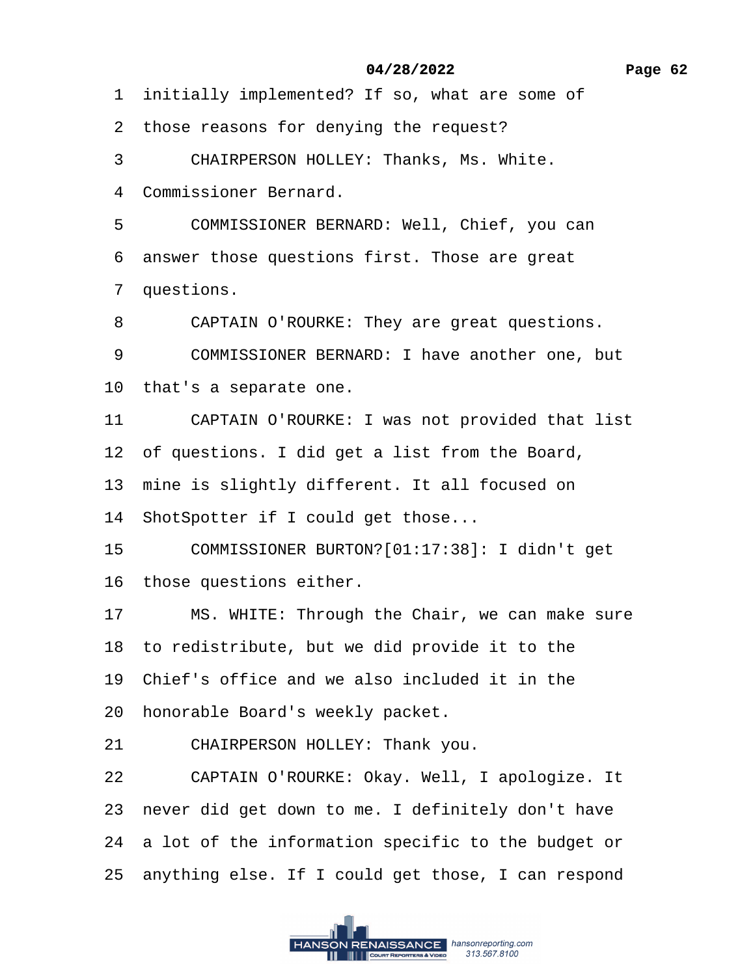1 initially implemented? If so, what are some of

2 those reasons for denying the request?

3 CHAIRPERSON HOLLEY: Thanks, Ms. White.

4 Commissioner Bernard.

5 COMMISSIONER BERNARD: Well, Chief, you can

6 answer those questions first. Those are great

7 questions.

8 CAPTAIN O'ROURKE: They are great questions.

9 COMMISSIONER BERNARD: I have another one, but

10· that's a separate one.

11 CAPTAIN O'ROURKE: I was not provided that list

12 of questions. I did get a list from the Board,

13 mine is slightly different. It all focused on

14 ShotSpotter if I could get those...

15· · · ·COMMISSIONER BURTON?[01:17:38]: I didn't get

16 those questions either.

17 MS. WHITE: Through the Chair, we can make sure

18 to redistribute, but we did provide it to the

19· Chief's office and we also included it in the

20 honorable Board's weekly packet.

21 CHAIRPERSON HOLLEY: Thank you.

22 CAPTAIN O'ROURKE: Okay. Well, I apologize. It

23 never did get down to me. I definitely don't have

24 a lot of the information specific to the budget or

25 anything else. If I could get those, I can respond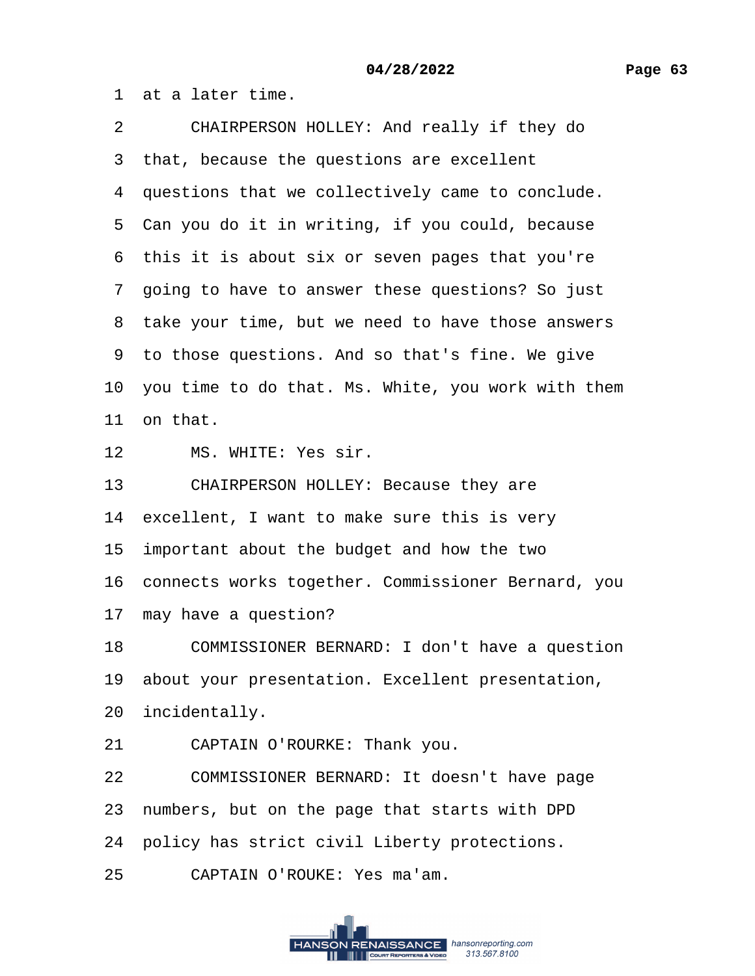·1· at a later time.

2 CHAIRPERSON HOLLEY: And really if they do 3 that, because the questions are excellent 4 questions that we collectively came to conclude. 5 Can you do it in writing, if you could, because 6 this it is about six or seven pages that you're ·7· going to have to answer these questions? So just 8 take your time, but we need to have those answers 9 to those questions. And so that's fine. We give 10· you time to do that. Ms. White, you work with them 11 on that. 12 MS. WHITE: Yes sir. 13 CHAIRPERSON HOLLEY: Because they are 14 excellent, I want to make sure this is very 15 important about the budget and how the two 16 connects works together. Commissioner Bernard, you 17 may have a question? 18 COMMISSIONER BERNARD: I don't have a question 19 about your presentation. Excellent presentation, 20 incidentally. 21 CAPTAIN O'ROURKE: Thank you. 22 COMMISSIONER BERNARD: It doesn't have page 23 numbers, but on the page that starts with DPD 24 policy has strict civil Liberty protections.

25 CAPTAIN O'ROUKE: Yes ma'am.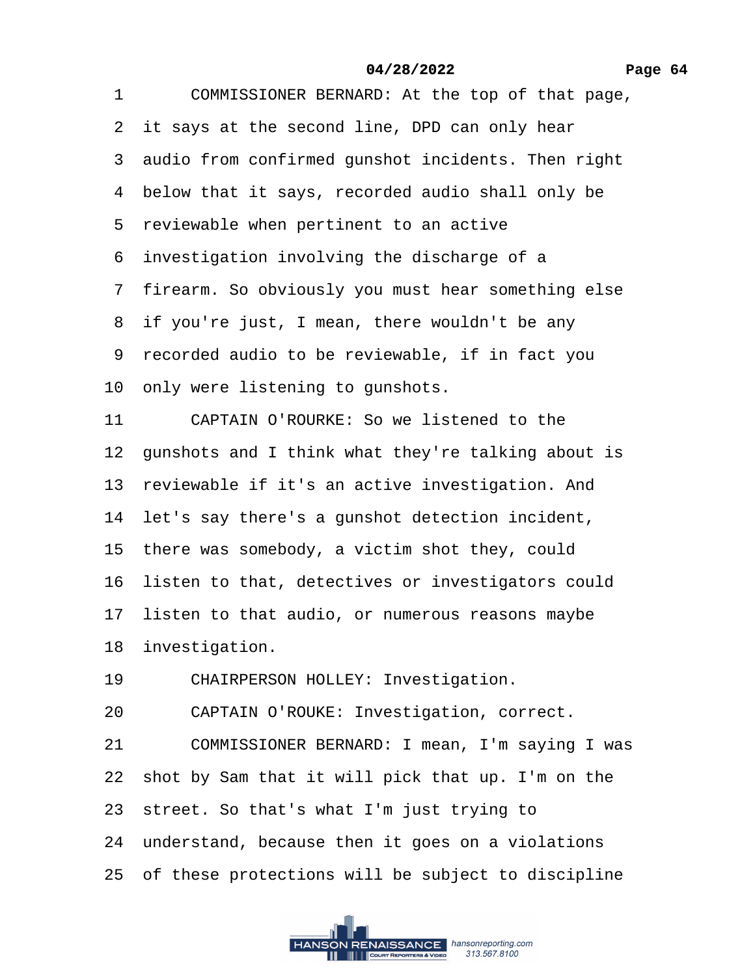1 COMMISSIONER BERNARD: At the top of that page,

2 it says at the second line, DPD can only hear

3 audio from confirmed gunshot incidents. Then right

- 4 below that it says, recorded audio shall only be
- 5 reviewable when pertinent to an active
- ·6· investigation involving the discharge of a
- 7 firearm. So obviously you must hear something else
- 8 if you're just, I mean, there wouldn't be any
- ·9· recorded audio to be reviewable, if in fact you
- 10 only were listening to gunshots.
- 11 CAPTAIN O'ROURKE: So we listened to the
- 12 gunshots and I think what they're talking about is
- 13 reviewable if it's an active investigation. And
- 14 let's say there's a gunshot detection incident,
- 15 there was somebody, a victim shot they, could
- 16 listen to that, detectives or investigators could
- 17 listen to that audio, or numerous reasons maybe
- 18 investigation.
- 19 CHAIRPERSON HOLLEY: Investigation.
- 20 CAPTAIN O'ROUKE: Investigation, correct.
- 21 COMMISSIONER BERNARD: I mean, I'm saying I was
- 22· shot by Sam that it will pick that up. I'm on the
- 23· street. So that's what I'm just trying to
- 24 understand, because then it goes on a violations
- 25 of these protections will be subject to discipline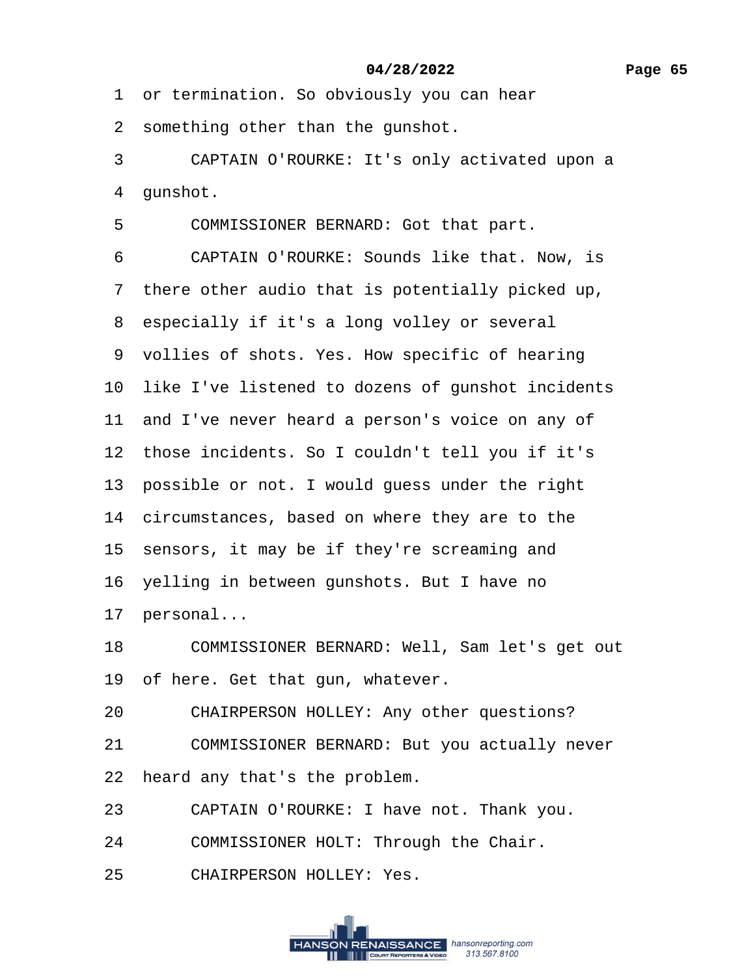1 or termination. So obviously you can hear

2 something other than the gunshot.

3 CAPTAIN O'ROURKE: It's only activated upon a

4 qunshot.

5 COMMISSIONER BERNARD: Got that part.

6 CAPTAIN O'ROURKE: Sounds like that. Now, is

·7· there other audio that is potentially picked up,

8 especially if it's a long volley or several

9 vollies of shots. Yes. How specific of hearing

10 like I've listened to dozens of gunshot incidents

11 and I've never heard a person's voice on any of

12 those incidents. So I couldn't tell you if it's

13 possible or not. I would guess under the right

14 circumstances, based on where they are to the

15 sensors, it may be if they're screaming and

16 yelling in between gunshots. But I have no

17 personal...

18 COMMISSIONER BERNARD: Well, Sam let's get out

19 of here. Get that gun, whatever.

20 CHAIRPERSON HOLLEY: Any other questions?

21 COMMISSIONER BERNARD: But you actually never

22 heard any that's the problem.

23 CAPTAIN O'ROURKE: I have not. Thank you.

24 COMMISSIONER HOLT: Through the Chair.

25 CHAIRPERSON HOLLEY: Yes.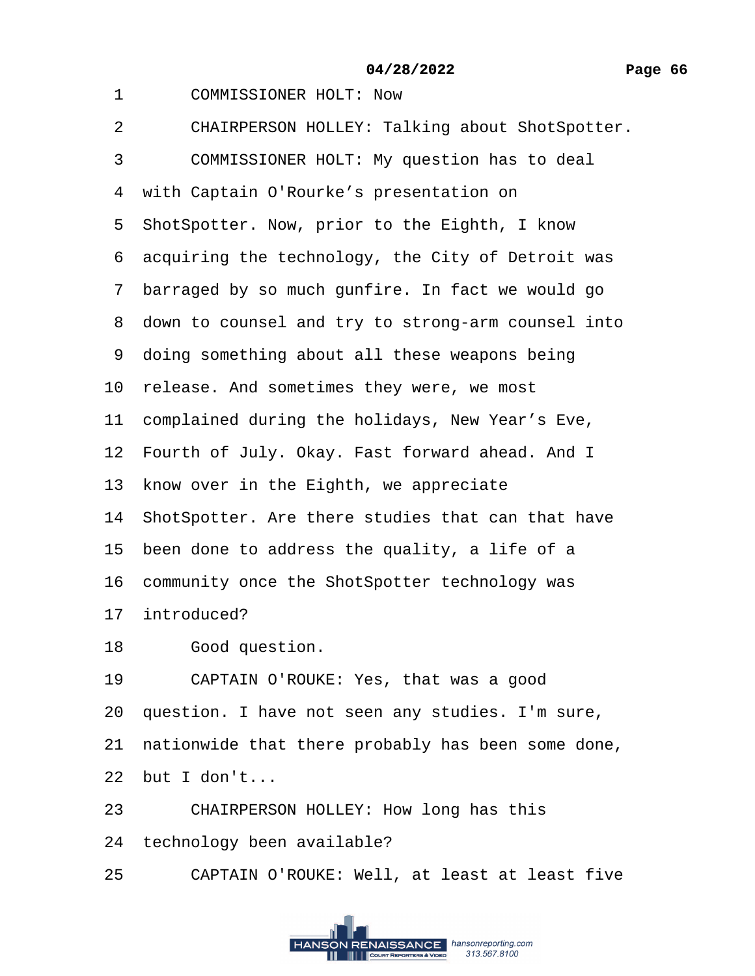- 1 COMMISSIONER HOLT: Now
- 2 CHAIRPERSON HOLLEY: Talking about ShotSpotter.
- 3 COMMISSIONER HOLT: My question has to deal
- 4 with Captain O'Rourke's presentation on
- 5 ShotSpotter. Now, prior to the Eighth, I know
- 6 acquiring the technology, the City of Detroit was
- 7 barraged by so much gunfire. In fact we would go
- 8 down to counsel and try to strong-arm counsel into
- 9 doing something about all these weapons being
- 10 release. And sometimes they were, we most
- 11 complained during the holidays, New Year's Eve,
- 12 Fourth of July. Okay. Fast forward ahead. And I
- 13 know over in the Eighth, we appreciate
- 14 ShotSpotter. Are there studies that can that have
- 15 been done to address the quality, a life of a
- 16 community once the ShotSpotter technology was
- 17 introduced?
- 18 Good question.
- 19 CAPTAIN O'ROUKE: Yes, that was a good
- 20· question. I have not seen any studies. I'm sure,
- 21 nationwide that there probably has been some done,
- $22$  but I don't...
- 23 CHAIRPERSON HOLLEY: How long has this
- 24 technology been available?
- 25 CAPTAIN O'ROUKE: Well, at least at least five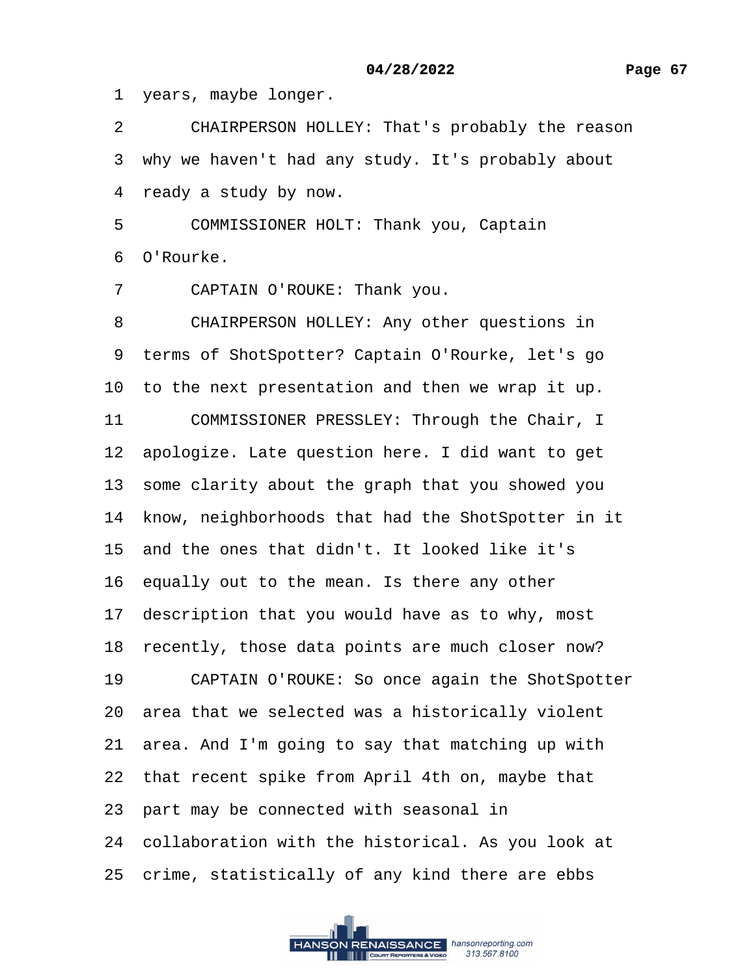1 years, maybe longer.

2 CHAIRPERSON HOLLEY: That's probably the reason

3 why we haven't had any study. It's probably about

4 ready a study by now.

5 COMMISSIONER HOLT: Thank you, Captain

·6· O'Rourke.

7 CAPTAIN O'ROUKE: Thank you.

8 CHAIRPERSON HOLLEY: Any other questions in

9 terms of ShotSpotter? Captain O'Rourke, let's go

10 to the next presentation and then we wrap it up.

11 COMMISSIONER PRESSLEY: Through the Chair, I

12 apologize. Late question here. I did want to get

13 some clarity about the graph that you showed you

14 know, neighborhoods that had the ShotSpotter in it

15· and the ones that didn't. It looked like it's

16 equally out to the mean. Is there any other

17 description that you would have as to why, most

18 recently, those data points are much closer now?

19 CAPTAIN O'ROUKE: So once again the ShotSpotter

20· area that we selected was a historically violent

21· area. And I'm going to say that matching up with

22 that recent spike from April 4th on, maybe that

23 part may be connected with seasonal in

24 collaboration with the historical. As you look at

25 crime, statistically of any kind there are ebbs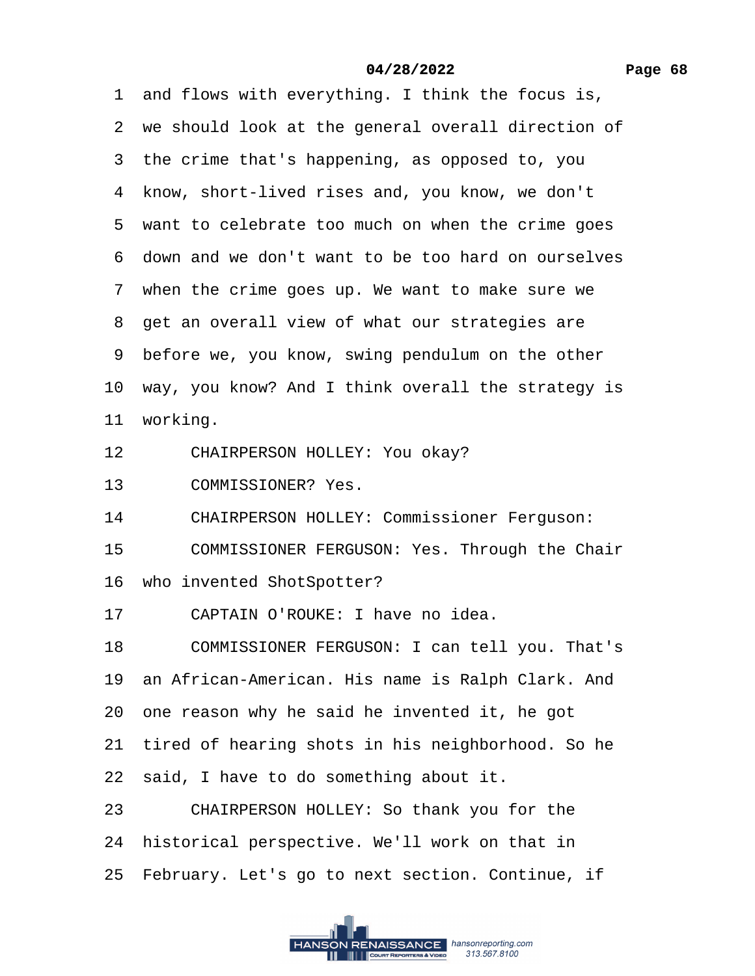1 and flows with everything. I think the focus is, 2 we should look at the general overall direction of 3 the crime that's happening, as opposed to, you 4 know, short-lived rises and, you know, we don't 5 want to celebrate too much on when the crime goes ·6· down and we don't want to be too hard on ourselves 7 when the crime goes up. We want to make sure we 8 get an overall view of what our strategies are ·9· before we, you know, swing pendulum on the other

10 way, you know? And I think overall the strategy is

11 working.

- 12 CHAIRPERSON HOLLEY: You okay?
- 13 COMMISSIONER? Yes.
- 14 CHAIRPERSON HOLLEY: Commissioner Ferguson:
- 15 COMMISSIONER FERGUSON: Yes. Through the Chair
- 16 who invented ShotSpotter?
- 17 CAPTAIN O'ROUKE: I have no idea.

18 COMMISSIONER FERGUSON: I can tell you. That's

- 19 an African-American. His name is Ralph Clark. And
- 20· one reason why he said he invented it, he got
- 21 tired of hearing shots in his neighborhood. So he
- 22 said, I have to do something about it.
- 23 CHAIRPERSON HOLLEY: So thank you for the
- 24 historical perspective. We'll work on that in
- 25 February. Let's go to next section. Continue, if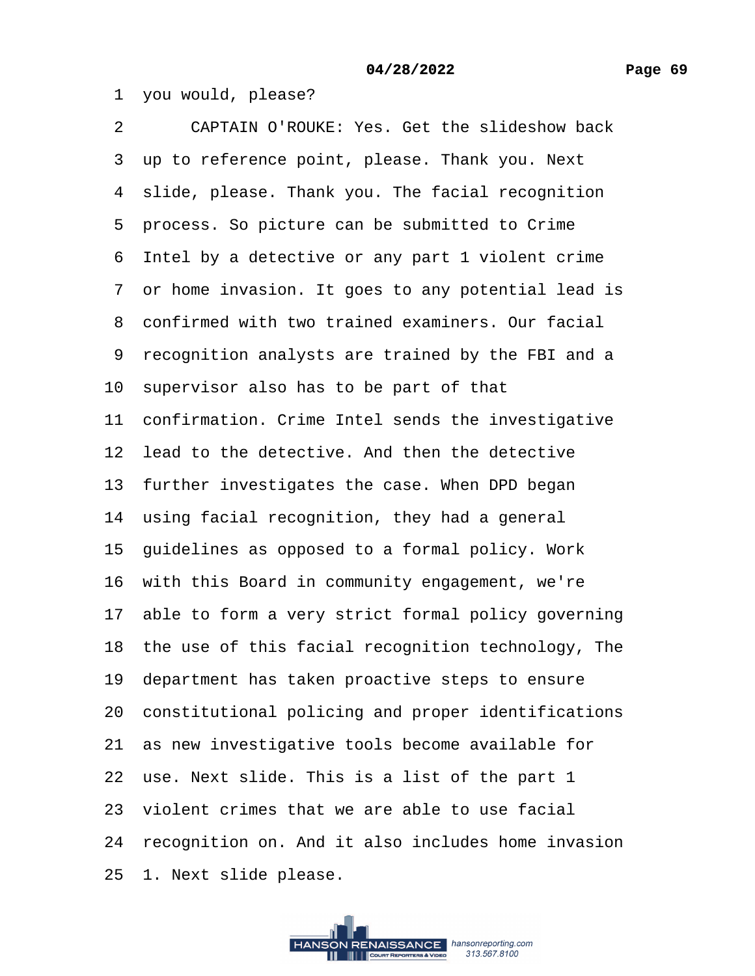1 you would, please?

2 CAPTAIN O'ROUKE: Yes. Get the slideshow back 3 up to reference point, please. Thank you. Next 4 slide, please. Thank you. The facial recognition ·5· process. So picture can be submitted to Crime 6 Intel by a detective or any part 1 violent crime ·7· or home invasion. It goes to any potential lead is 8 confirmed with two trained examiners. Our facial 9 recognition analysts are trained by the FBI and a 10 supervisor also has to be part of that 11 confirmation. Crime Intel sends the investigative 12 lead to the detective. And then the detective 13 further investigates the case. When DPD began 14 using facial recognition, they had a general 15 guidelines as opposed to a formal policy. Work 16 with this Board in community engagement, we're 17 able to form a very strict formal policy governing 18 the use of this facial recognition technology, The 19 department has taken proactive steps to ensure 20· constitutional policing and proper identifications 21 as new investigative tools become available for 22 use. Next slide. This is a list of the part 1 23 violent crimes that we are able to use facial 24· recognition on. And it also includes home invasion 25 1. Next slide please.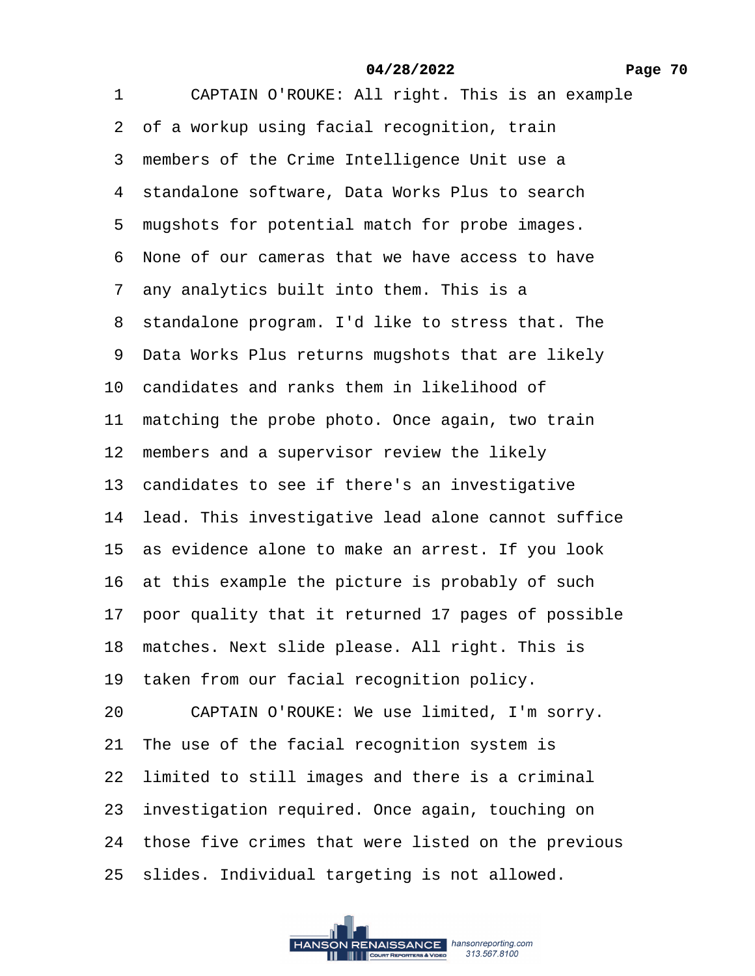1 CAPTAIN O'ROUKE: All right. This is an example 2 of a workup using facial recognition, train 3 members of the Crime Intelligence Unit use a 4 standalone software, Data Works Plus to search 5 mugshots for potential match for probe images. ·6· None of our cameras that we have access to have ·7· any analytics built into them. This is a 8 standalone program. I'd like to stress that. The 9 Data Works Plus returns mugshots that are likely 10 candidates and ranks them in likelihood of 11 matching the probe photo. Once again, two train 12 members and a supervisor review the likely 13 candidates to see if there's an investigative 14 lead. This investigative lead alone cannot suffice 15 as evidence alone to make an arrest. If you look 16 at this example the picture is probably of such 17 poor quality that it returned 17 pages of possible 18 matches. Next slide please. All right. This is 19 taken from our facial recognition policy. 20 CAPTAIN O'ROUKE: We use limited, I'm sorry. 21 The use of the facial recognition system is 22 limited to still images and there is a criminal 23 investigation required. Once again, touching on 24 those five crimes that were listed on the previous 25 slides. Individual targeting is not allowed.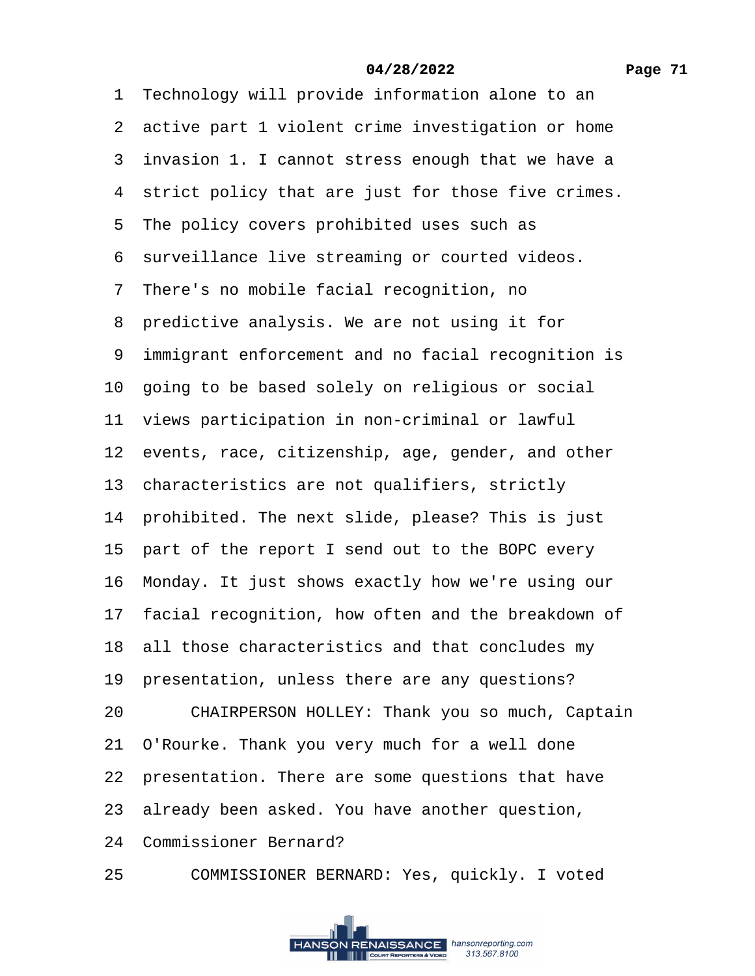## **Page 71**

#### **04/28/2022**

1 Technology will provide information alone to an

- 2 active part 1 violent crime investigation or home
- 3 invasion 1. I cannot stress enough that we have a
- 4 strict policy that are just for those five crimes.
- 5 The policy covers prohibited uses such as
- 6 surveillance live streaming or courted videos.
- ·7· There's no mobile facial recognition, no
- 8 predictive analysis. We are not using it for
- ·9· immigrant enforcement and no facial recognition is
- 10 going to be based solely on religious or social
- 11 views participation in non-criminal or lawful
- 12 events, race, citizenship, age, gender, and other
- 13 characteristics are not qualifiers, strictly
- 14 prohibited. The next slide, please? This is just
- 15 part of the report I send out to the BOPC every
- 16· Monday. It just shows exactly how we're using our
- 17 facial recognition, how often and the breakdown of
- 18 all those characteristics and that concludes my
- 19 presentation, unless there are any questions?
- 20 CHAIRPERSON HOLLEY: Thank you so much, Captain
- 21 O'Rourke. Thank you very much for a well done
- 22 presentation. There are some questions that have
- 23· already been asked. You have another question,
- 24 Commissioner Bernard?
- 25 COMMISSIONER BERNARD: Yes, quickly. I voted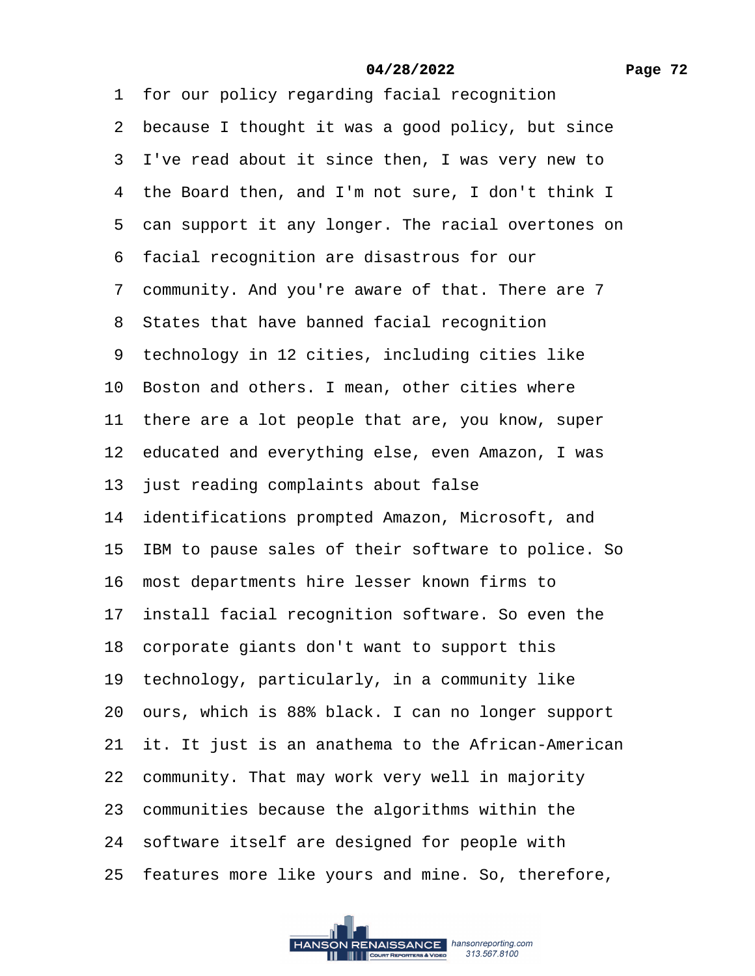| 1 for our policy regarding facial recognition         |
|-------------------------------------------------------|
| 2 because I thought it was a good policy, but since   |
| 3 I've read about it since then, I was very new to    |
| 4 the Board then, and I'm not sure, I don't think I   |
| 5 can support it any longer. The racial overtones on  |
| 6 facial recognition are disastrous for our           |
| 7 community. And you're aware of that. There are 7    |
| 8 States that have banned facial recognition          |
| 9 technology in 12 cities, including cities like      |
| 10 Boston and others. I mean, other cities where      |
| 11 there are a lot people that are, you know, super   |
| 12 educated and everything else, even Amazon, I was   |
| 13 just reading complaints about false                |
| 14 identifications prompted Amazon, Microsoft, and    |
| 15 IBM to pause sales of their software to police. So |
| 16 most departments hire lesser known firms to        |
| 17 install facial recognition software. So even the   |
| 18 corporate giants don't want to support this        |
| 19 technology, particularly, in a community like      |
| 20 ours, which is 88% black. I can no longer support  |
| 21 it. It just is an anathema to the African-American |
| 22 community. That may work very well in majority     |
| 23 communities because the algorithms within the      |
| 24 software itself are designed for people with       |
| 25 features more like yours and mine. So, therefore,  |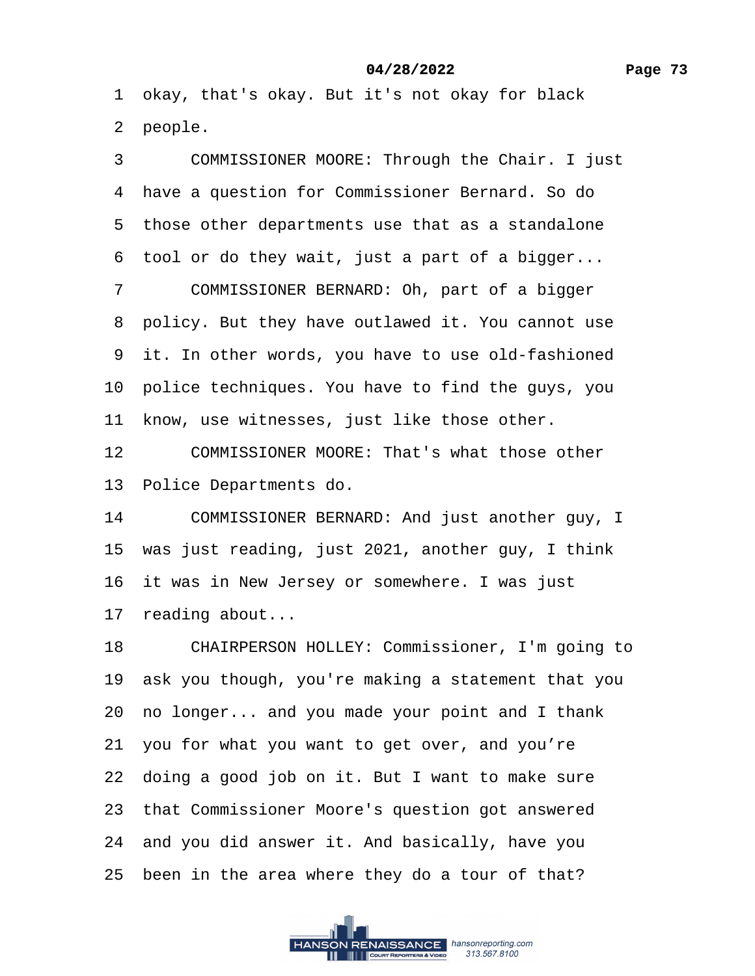<span id="page-72-0"></span>·1· okay, that's okay. But it's not okay for black

2 people.

3 COMMISSIONER MOORE: Through the Chair. I just ·4· have a question for Commissioner Bernard. So do 5 those other departments use that as a standalone 6 tool or do they wait, just a part of a bigger...

7 COMMISSIONER BERNARD: Oh, part of a bigger

8 policy. But they have outlawed it. You cannot use

9 it. In other words, you have to use old-fashioned

10 police techniques. You have to find the guys, you

11 know, use witnesses, just like those other.

12 COMMISSIONER MOORE: That's what those other

13 Police Departments do.

14 COMMISSIONER BERNARD: And just another guy, I

15 was just reading, just 2021, another guy, I think

16 it was in New Jersey or somewhere. I was just

17 reading about...

18 CHAIRPERSON HOLLEY: Commissioner, I'm going to

19· ask you though, you're making a statement that you

20· no longer... and you made your point and I thank

21· you for what you want to get over, and you're

22 doing a good job on it. But I want to make sure

23 that Commissioner Moore's question got answered

24· and you did answer it. And basically, have you

25 been in the area where they do a tour of that?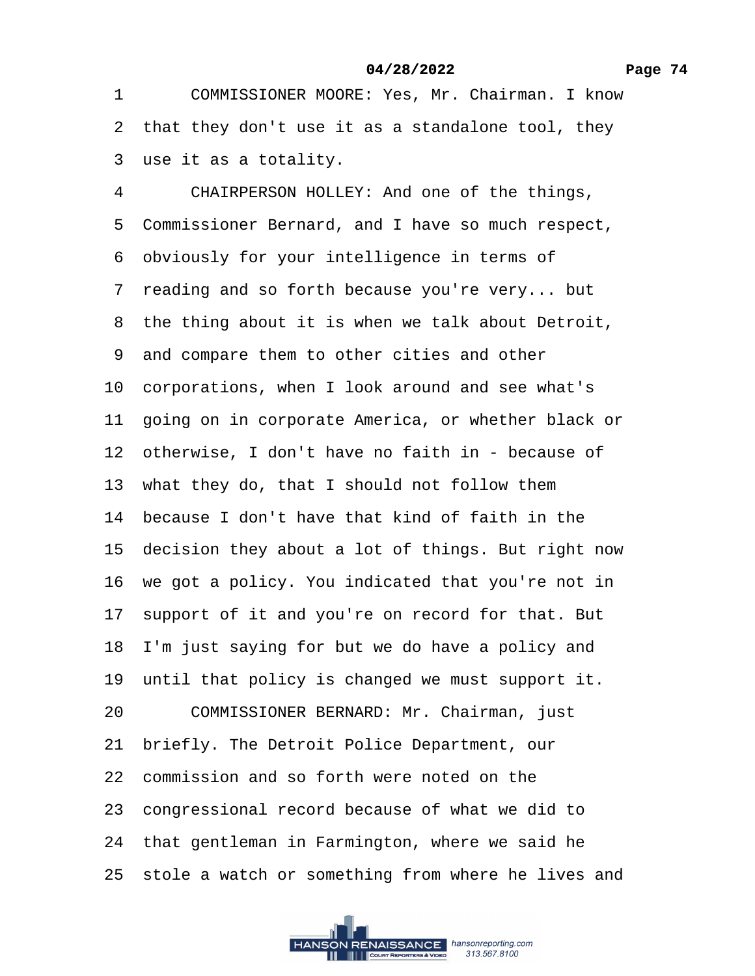<span id="page-73-0"></span>1 COMMISSIONER MOORE: Yes, Mr. Chairman. I know 2 that they don't use it as a standalone tool, they 3 use it as a totality. 4 CHAIRPERSON HOLLEY: And one of the things, 5 Commissioner Bernard, and I have so much respect, ·6· obviously for your intelligence in terms of 7 reading and so forth because you're very... but 8 the thing about it is when we talk about Detroit, ·9· and compare them to other cities and other 10 corporations, when I look around and see what's 11 going on in corporate America, or whether black or 12 otherwise, I don't have no faith in - because of 13 what they do, that I should not follow them 14 because I don't have that kind of faith in the 15 decision they about a lot of things. But right now 16 we got a policy. You indicated that you're not in 17 support of it and you're on record for that. But 18 I'm just saying for but we do have a policy and 19 until that policy is changed we must support it. 20 COMMISSIONER BERNARD: Mr. Chairman, just 21 briefly. The Detroit Police Department, our 22· commission and so forth were noted on the 23 congressional record because of what we did to 24 that gentleman in Farmington, where we said he 25 stole a watch or something from where he lives and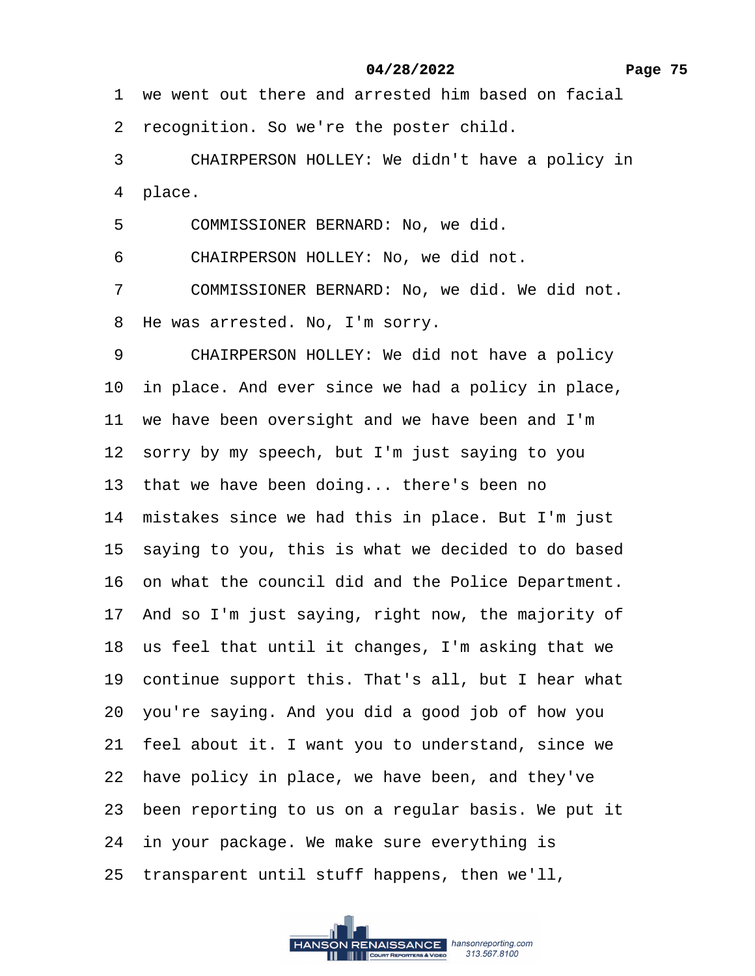<span id="page-74-0"></span>1 we went out there and arrested him based on facial

2 recognition. So we're the poster child.

3 CHAIRPERSON HOLLEY: We didn't have a policy in

4 place.

5 COMMISSIONER BERNARD: No, we did.

6 CHAIRPERSON HOLLEY: No, we did not.

7 COMMISSIONER BERNARD: No, we did. We did not.

8 He was arrested. No, I'm sorry.

9 CHAIRPERSON HOLLEY: We did not have a policy

10 in place. And ever since we had a policy in place,

11 we have been oversight and we have been and I'm

12 sorry by my speech, but I'm just saying to you

13 that we have been doing... there's been no

14 mistakes since we had this in place. But I'm just

15 saying to you, this is what we decided to do based

16 on what the council did and the Police Department.

17 And so I'm just saying, right now, the majority of

18 us feel that until it changes, I'm asking that we

19 continue support this. That's all, but I hear what

20· you're saying. And you did a good job of how you

21 feel about it. I want you to understand, since we

22 have policy in place, we have been, and they've

23· been reporting to us on a regular basis. We put it

24 in your package. We make sure everything is

25 transparent until stuff happens, then we'll,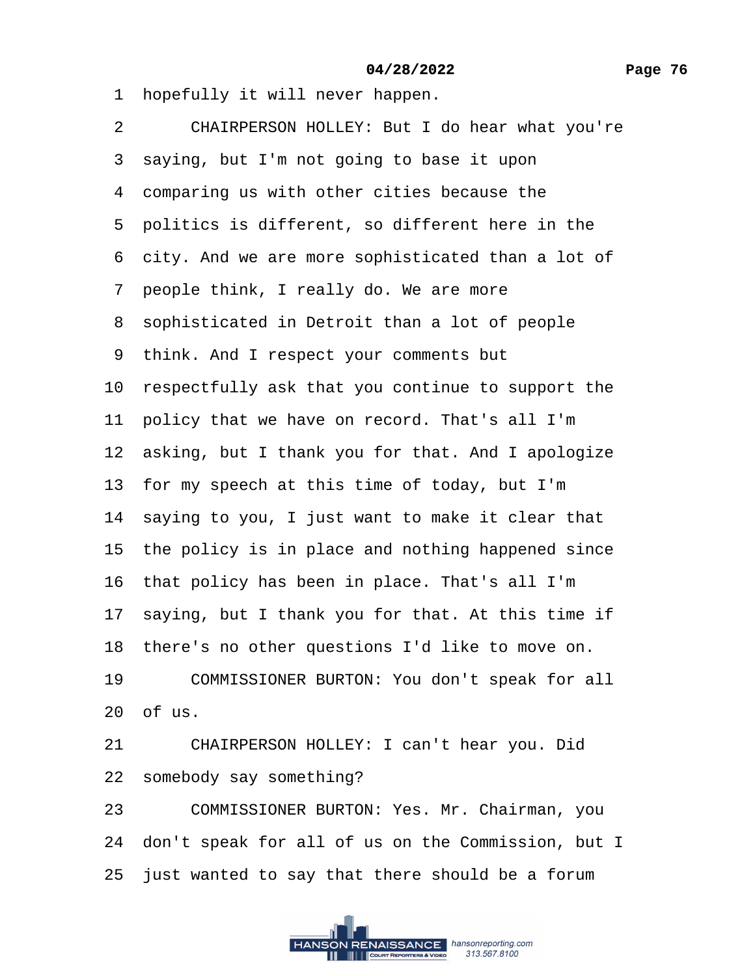<span id="page-75-0"></span>1 hopefully it will never happen.

2 CHAIRPERSON HOLLEY: But I do hear what you're

3 saying, but I'm not going to base it upon

4 comparing us with other cities because the

5 politics is different, so different here in the

6 city. And we are more sophisticated than a lot of

7 people think, I really do. We are more

8 sophisticated in Detroit than a lot of people

9 think. And I respect your comments but

10 respectfully ask that you continue to support the

11 policy that we have on record. That's all I'm

12 asking, but I thank you for that. And I apologize

13 for my speech at this time of today, but I'm

14 saying to you, I just want to make it clear that

15 the policy is in place and nothing happened since

16 that policy has been in place. That's all I'm

17 saying, but I thank you for that. At this time if

18 there's no other questions I'd like to move on.

19 COMMISSIONER BURTON: You don't speak for all 20· of us.

21 CHAIRPERSON HOLLEY: I can't hear you. Did

22 somebody say something?

23 COMMISSIONER BURTON: Yes. Mr. Chairman, you

24 don't speak for all of us on the Commission, but I

25 just wanted to say that there should be a forum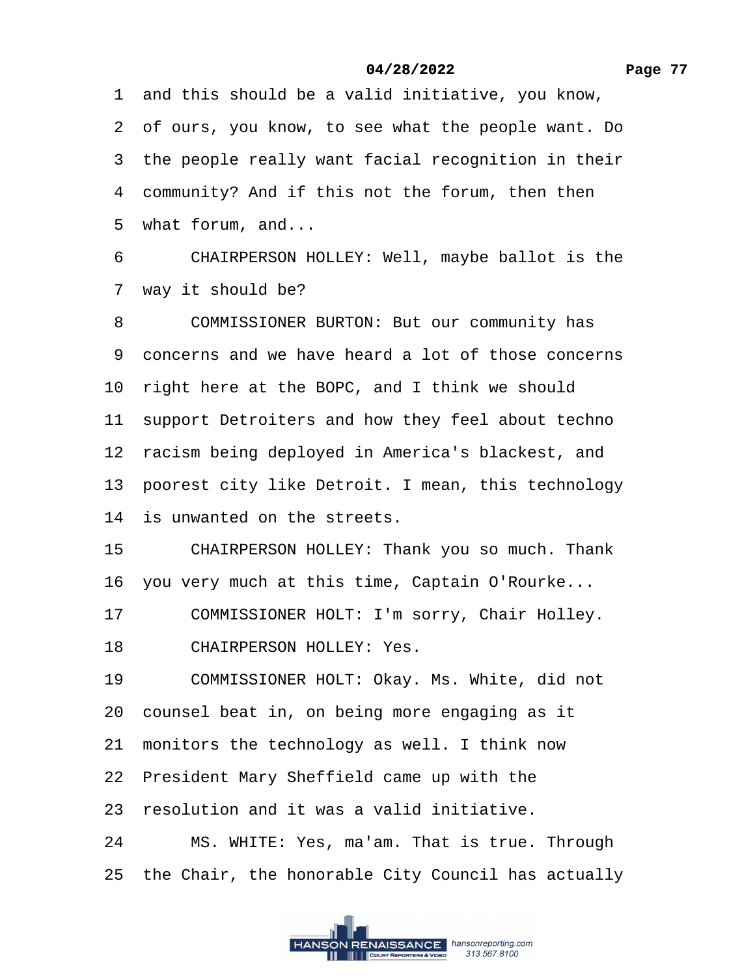<span id="page-76-0"></span>·1· and this should be a valid initiative, you know, ·2· of ours, you know, to see what the people want. Do 3 the people really want facial recognition in their 4 community? And if this not the forum, then then 5 what forum, and...

6 CHAIRPERSON HOLLEY: Well, maybe ballot is the 7 way it should be?

8 COMMISSIONER BURTON: But our community has

·9· concerns and we have heard a lot of those concerns

10 right here at the BOPC, and I think we should

11 support Detroiters and how they feel about techno

12 racism being deployed in America's blackest, and

13 poorest city like Detroit. I mean, this technology

14 is unwanted on the streets.

15 CHAIRPERSON HOLLEY: Thank you so much. Thank

16 you very much at this time, Captain O'Rourke...

17 COMMISSIONER HOLT: I'm sorry, Chair Holley.

18 CHAIRPERSON HOLLEY: Yes.

19 COMMISSIONER HOLT: Okay. Ms. White, did not

20 counsel beat in, on being more engaging as it

21 monitors the technology as well. I think now

22 President Mary Sheffield came up with the

23 resolution and it was a valid initiative.

24 MS. WHITE: Yes, ma'am. That is true. Through

25 the Chair, the honorable City Council has actually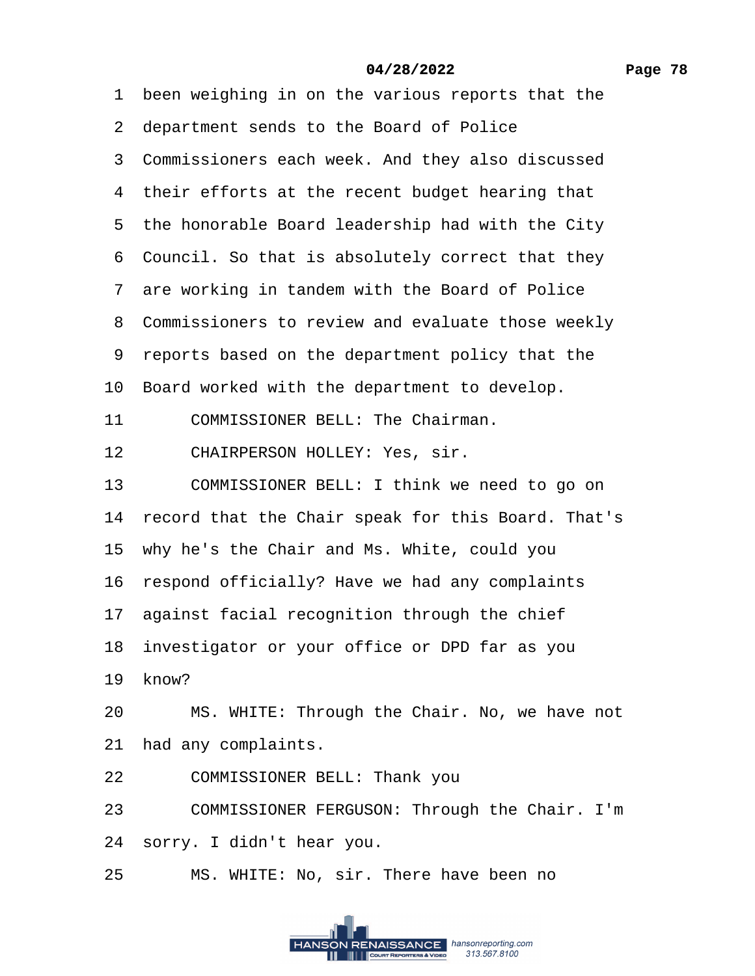- <span id="page-77-0"></span>1 been weighing in on the various reports that the
- 2 department sends to the Board of Police
- 3 Commissioners each week. And they also discussed
- 4 their efforts at the recent budget hearing that
- 5 the honorable Board leadership had with the City
- 6 Council. So that is absolutely correct that they
- 7 are working in tandem with the Board of Police
- 8 Commissioners to review and evaluate those weekly
- ·9· reports based on the department policy that the
- 10 Board worked with the department to develop.
- 11 COMMISSIONER BELL: The Chairman.
- 12 CHAIRPERSON HOLLEY: Yes, sir.
- 13 COMMISSIONER BELL: I think we need to go on
- 14 record that the Chair speak for this Board. That's
- 15· why he's the Chair and Ms. White, could you
- 16 respond officially? Have we had any complaints
- 17 against facial recognition through the chief
- 18 investigator or your office or DPD far as you
- 19 know?
- 20 MS. WHITE: Through the Chair. No, we have not
- 21 had any complaints.
- 22 COMMISSIONER BELL: Thank you
- 23 COMMISSIONER FERGUSON: Through the Chair. I'm
- 24· sorry. I didn't hear you.
- 25 MS. WHITE: No, sir. There have been no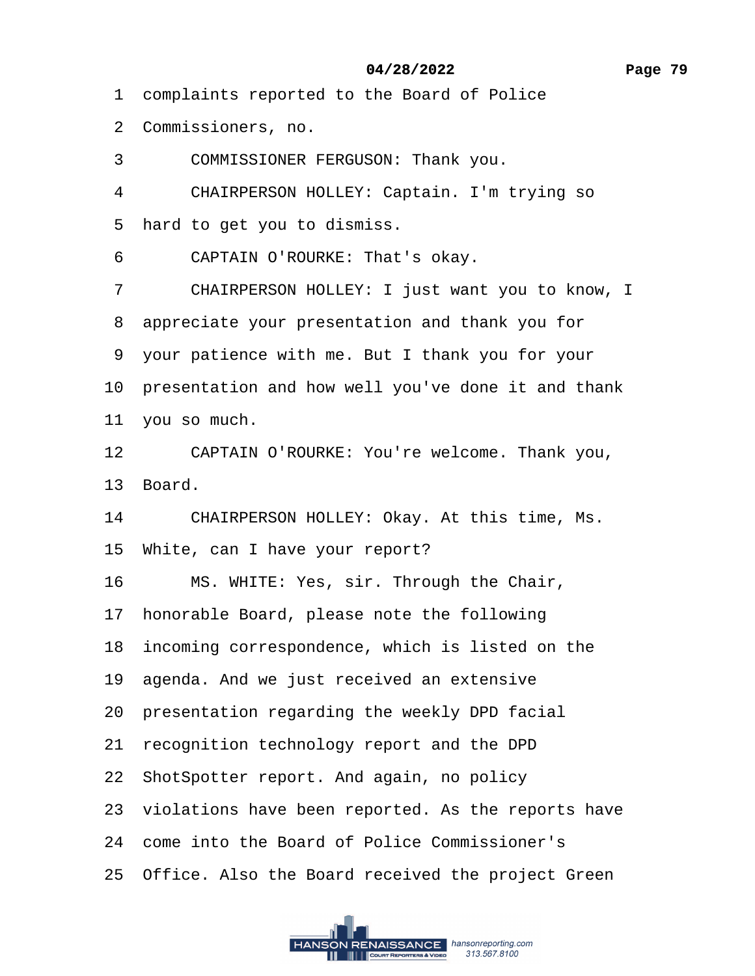- <span id="page-78-0"></span>·1· complaints reported to the Board of Police
- ·2· Commissioners, no.
- 3 COMMISSIONER FERGUSON: Thank you.
- 4 CHAIRPERSON HOLLEY: Captain. I'm trying so
- 5 hard to get you to dismiss.
- 6 CAPTAIN O'ROURKE: That's okay.
- 7 CHAIRPERSON HOLLEY: I just want you to know, I
- 8 appreciate your presentation and thank you for
- ·9· your patience with me. But I thank you for your
- 10 presentation and how well you've done it and thank
- 11 you so much.
- 12 CAPTAIN O'ROURKE: You're welcome. Thank you,
- 13 Board.
- 14 CHAIRPERSON HOLLEY: Okay. At this time, Ms.
- 15 White, can I have your report?
- 16 MS. WHITE: Yes, sir. Through the Chair,
- 17 honorable Board, please note the following
- 18 incoming correspondence, which is listed on the
- 19 agenda. And we just received an extensive
- 20 presentation regarding the weekly DPD facial
- 21 recognition technology report and the DPD
- 22 ShotSpotter report. And again, no policy
- 23 violations have been reported. As the reports have
- 24· come into the Board of Police Commissioner's
- 25 Office. Also the Board received the project Green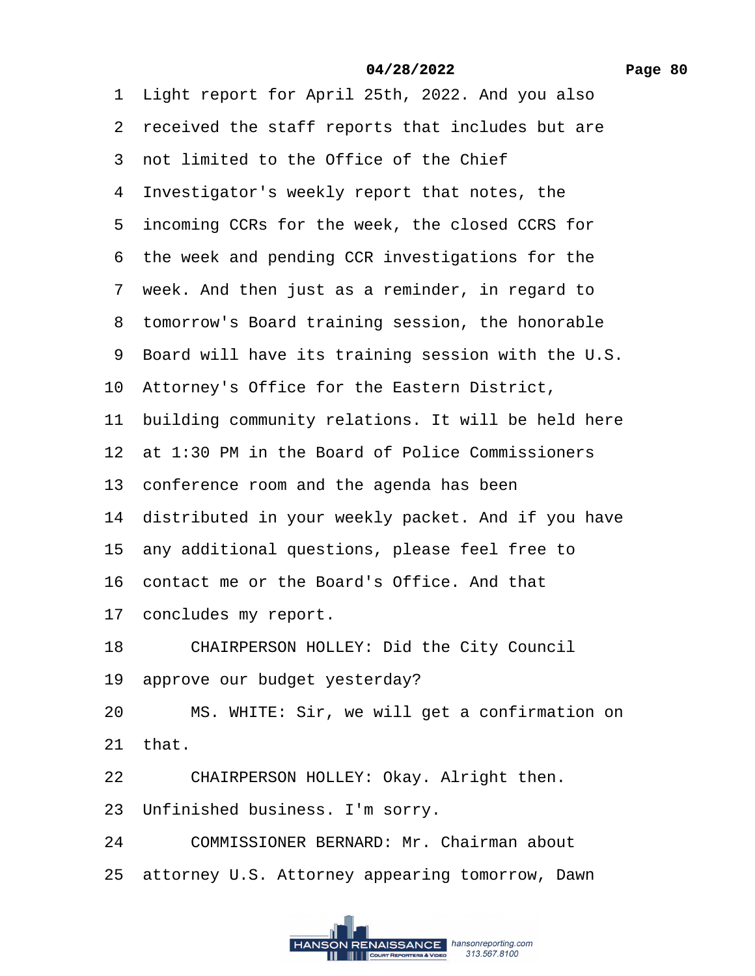<span id="page-79-0"></span>1 Light report for April 25th, 2022. And you also

- 2 received the staff reports that includes but are
- ·3· not limited to the Office of the Chief
- 4 Investigator's weekly report that notes, the
- 5 incoming CCRs for the week, the closed CCRS for
- 6 the week and pending CCR investigations for the
- 7 week. And then just as a reminder, in regard to
- 8 tomorrow's Board training session, the honorable
- ·9· Board will have its training session with the U.S.
- 10· Attorney's Office for the Eastern District,
- 11 building community relations. It will be held here
- 12 at 1:30 PM in the Board of Police Commissioners
- 13 conference room and the agenda has been
- 14 distributed in your weekly packet. And if you have
- 15 any additional questions, please feel free to
- 16· contact me or the Board's Office. And that
- 17 concludes my report.
- 18 CHAIRPERSON HOLLEY: Did the City Council
- 19 approve our budget yesterday?
- 20 MS. WHITE: Sir, we will get a confirmation on
- 21· that.
- 22 CHAIRPERSON HOLLEY: Okay. Alright then.
- 23 Unfinished business. I'm sorry.
- 24 COMMISSIONER BERNARD: Mr. Chairman about
- 25 attorney U.S. Attorney appearing tomorrow, Dawn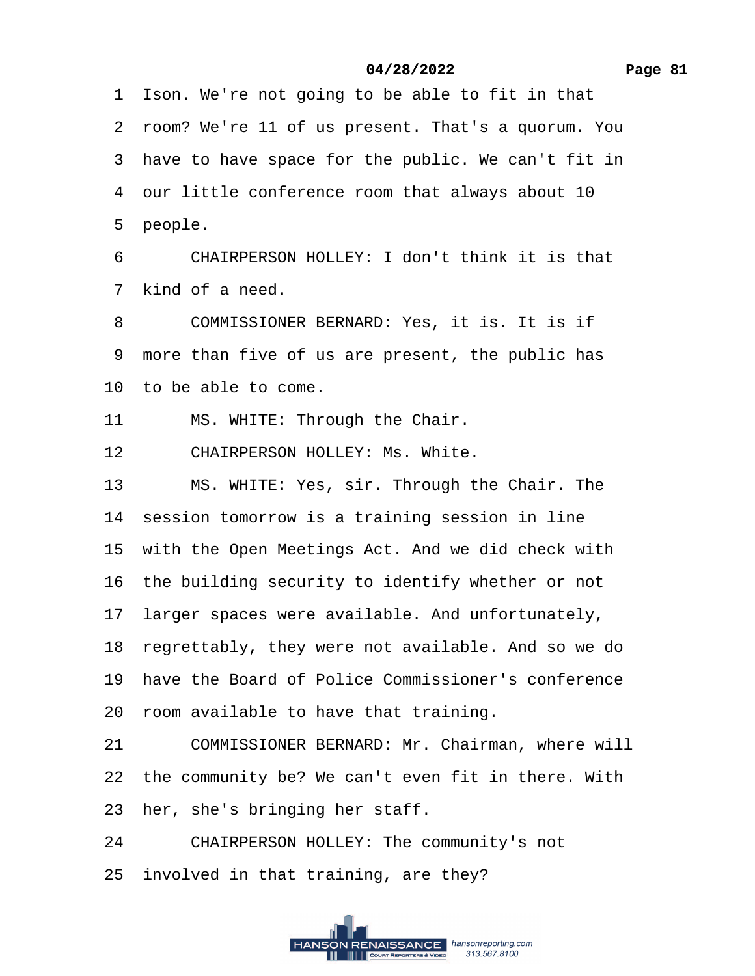<span id="page-80-0"></span>1 Ison. We're not going to be able to fit in that

·2· room? We're 11 of us present. That's a quorum. You

3 have to have space for the public. We can't fit in

4 our little conference room that always about 10

5 people.

6 CHAIRPERSON HOLLEY: I don't think it is that 7 kind of a need.

8 COMMISSIONER BERNARD: Yes, it is. It is if 9 more than five of us are present, the public has

10 to be able to come.

11 MS. WHITE: Through the Chair.

12 CHAIRPERSON HOLLEY: Ms. White.

13 MS. WHITE: Yes, sir. Through the Chair. The

14 session tomorrow is a training session in line

15 with the Open Meetings Act. And we did check with

16 the building security to identify whether or not

17 larger spaces were available. And unfortunately,

18 regrettably, they were not available. And so we do

19 have the Board of Police Commissioner's conference

20· room available to have that training.

21 COMMISSIONER BERNARD: Mr. Chairman, where will

22 the community be? We can't even fit in there. With

23 her, she's bringing her staff.

24 CHAIRPERSON HOLLEY: The community's not

25 involved in that training, are they?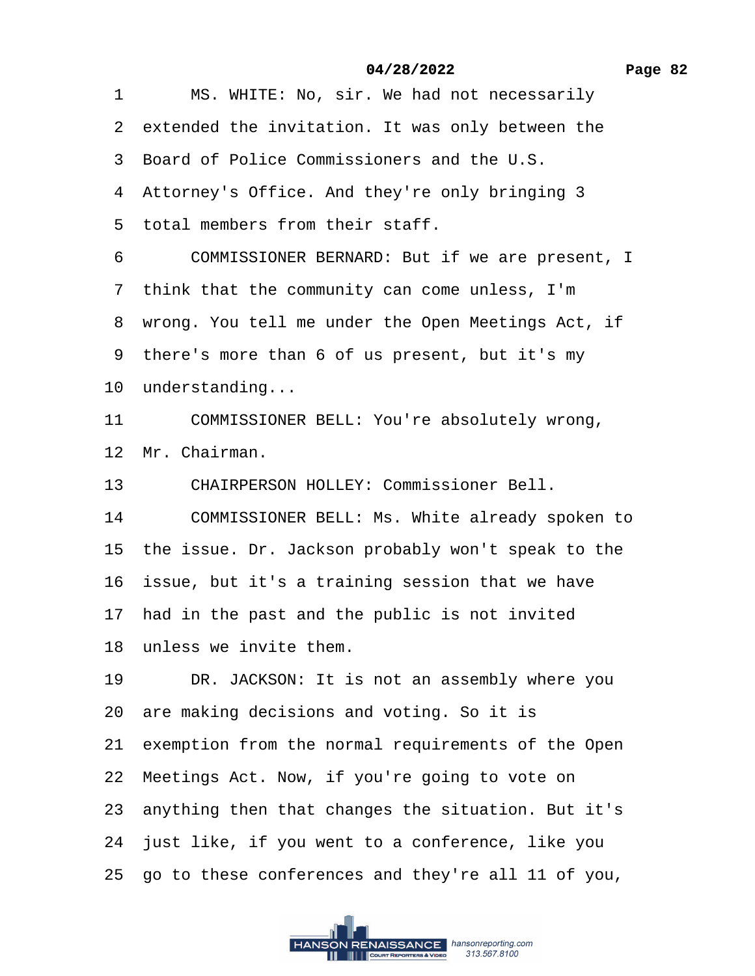<span id="page-81-0"></span>1 MS. WHITE: No, sir. We had not necessarily 2 extended the invitation. It was only between the ·3· Board of Police Commissioners and the U.S. 4 Attorney's Office. And they're only bringing 3 5 total members from their staff. 6 COMMISSIONER BERNARD: But if we are present, I 7 think that the community can come unless, I'm 8 wrong. You tell me under the Open Meetings Act, if 9 there's more than 6 of us present, but it's my 10 understanding... 11 COMMISSIONER BELL: You're absolutely wrong, 12 Mr. Chairman. 13 CHAIRPERSON HOLLEY: Commissioner Bell. 14 COMMISSIONER BELL: Ms. White already spoken to 15 the issue. Dr. Jackson probably won't speak to the 16 issue, but it's a training session that we have 17 had in the past and the public is not invited 18 unless we invite them. 19 DR. JACKSON: It is not an assembly where you 20 are making decisions and voting. So it is 21 exemption from the normal requirements of the Open 22 Meetings Act. Now, if you're going to vote on 23· anything then that changes the situation. But it's 24 just like, if you went to a conference, like you 25· go to these conferences and they're all 11 of you, **04/28/2022**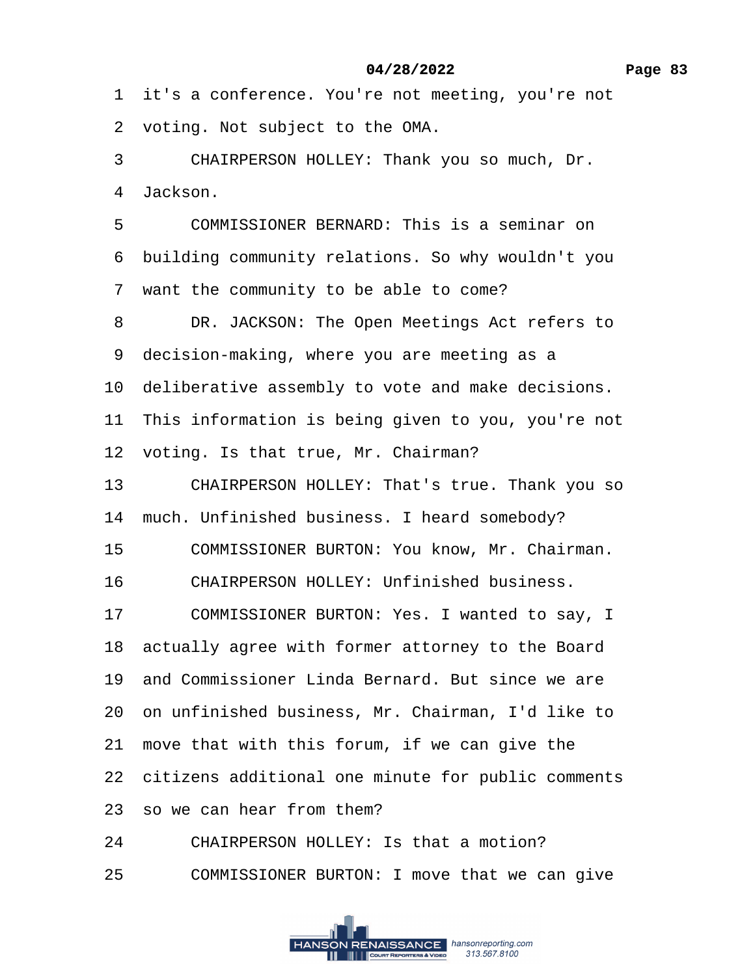<span id="page-82-0"></span>1 it's a conference. You're not meeting, you're not

2 voting. Not subject to the OMA.

3 CHAIRPERSON HOLLEY: Thank you so much, Dr.

4 Jackson.

5 COMMISSIONER BERNARD: This is a seminar on

·6· building community relations. So why wouldn't you

7 want the community to be able to come?

8 DR. JACKSON: The Open Meetings Act refers to

9 decision-making, where you are meeting as a

10 deliberative assembly to vote and make decisions.

11 This information is being given to you, you're not

12 voting. Is that true, Mr. Chairman?

13 CHAIRPERSON HOLLEY: That's true. Thank you so

14 much. Unfinished business. I heard somebody?

15 COMMISSIONER BURTON: You know, Mr. Chairman.

- 16 CHAIRPERSON HOLLEY: Unfinished business.
- 17 COMMISSIONER BURTON: Yes. I wanted to say, I

18 actually agree with former attorney to the Board

19· and Commissioner Linda Bernard. But since we are

20· on unfinished business, Mr. Chairman, I'd like to

21 move that with this forum, if we can give the

22 citizens additional one minute for public comments

23 so we can hear from them?

24 CHAIRPERSON HOLLEY: Is that a motion?

25 COMMISSIONER BURTON: I move that we can give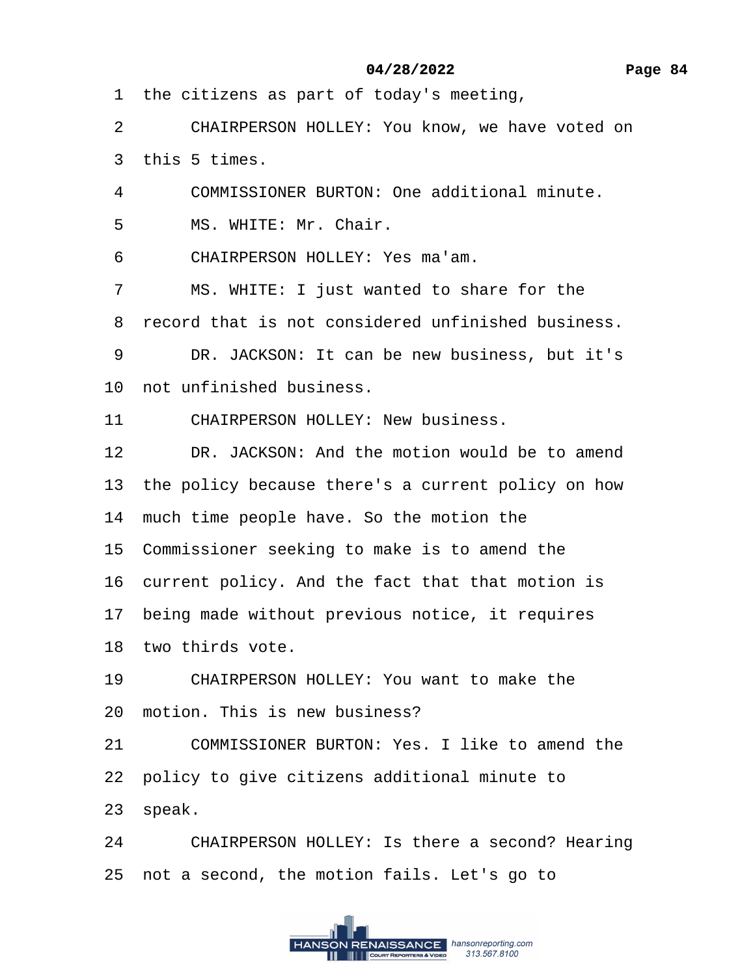<span id="page-83-0"></span>1 the citizens as part of today's meeting,

2 CHAIRPERSON HOLLEY: You know, we have voted on

3 this 5 times.

4 COMMISSIONER BURTON: One additional minute.

5 MS. WHITE: Mr. Chair.

6 CHAIRPERSON HOLLEY: Yes ma'am.

7 MS. WHITE: I just wanted to share for the

8 record that is not considered unfinished business.

9 DR. JACKSON: It can be new business, but it's

10 not unfinished business.

11 CHAIRPERSON HOLLEY: New business.

12 DR. JACKSON: And the motion would be to amend

13 the policy because there's a current policy on how

14 much time people have. So the motion the

15 Commissioner seeking to make is to amend the

16 current policy. And the fact that that motion is

17 being made without previous notice, it requires

18 two thirds vote.

19 CHAIRPERSON HOLLEY: You want to make the

20 motion. This is new business?

21 COMMISSIONER BURTON: Yes. I like to amend the

22· policy to give citizens additional minute to

23 speak.

24 CHAIRPERSON HOLLEY: Is there a second? Hearing 25 not a second, the motion fails. Let's go to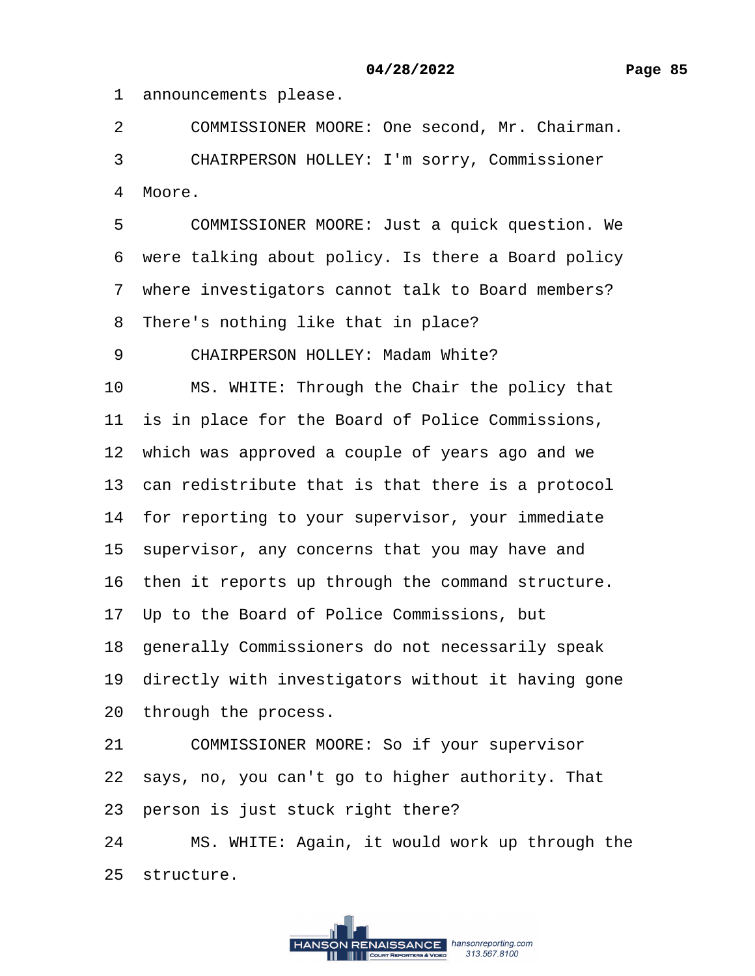<span id="page-84-0"></span>1 announcements please.

2 COMMISSIONER MOORE: One second, Mr. Chairman.

3 CHAIRPERSON HOLLEY: I'm sorry, Commissioner

4 Moore.

5 COMMISSIONER MOORE: Just a quick question. We 6 were talking about policy. Is there a Board policy

7 where investigators cannot talk to Board members?

8 There's nothing like that in place?

9 CHAIRPERSON HOLLEY: Madam White?

10 MS. WHITE: Through the Chair the policy that

11 is in place for the Board of Police Commissions,

12 which was approved a couple of years ago and we

13 can redistribute that is that there is a protocol

14 for reporting to your supervisor, your immediate

15 supervisor, any concerns that you may have and

16 then it reports up through the command structure.

17 Up to the Board of Police Commissions, but

18 generally Commissioners do not necessarily speak

19 directly with investigators without it having gone

20 through the process.

21 COMMISSIONER MOORE: So if your supervisor

22· says, no, you can't go to higher authority. That

23 person is just stuck right there?

24 MS. WHITE: Again, it would work up through the 25 structure.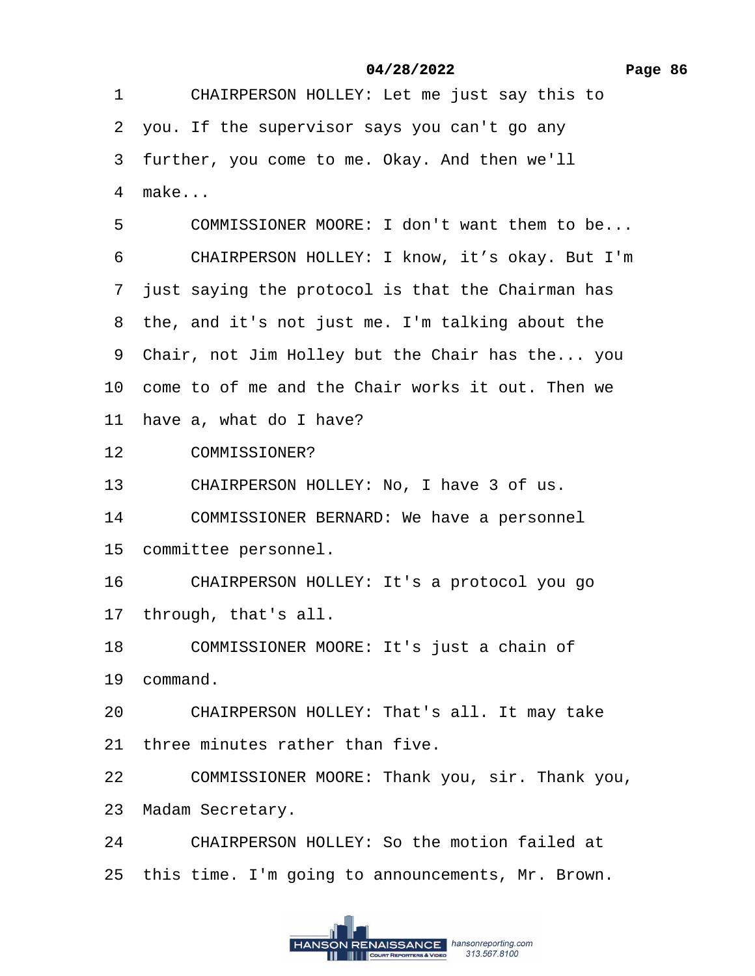<span id="page-85-0"></span>1 CHAIRPERSON HOLLEY: Let me just say this to

- ·2· you. If the supervisor says you can't go any
- 3 further, you come to me. Okay. And then we'll
- 4 make...
- 5 COMMISSIONER MOORE: I don't want them to be...
- 6 CHAIRPERSON HOLLEY: I know, it's okay. But I'm
- 7 just saying the protocol is that the Chairman has
- 8 the, and it's not just me. I'm talking about the
- 9 Chair, not Jim Holley but the Chair has the... you
- 10 come to of me and the Chair works it out. Then we
- 11 have a, what do I have?
- 12 COMMISSIONER?
- 13 CHAIRPERSON HOLLEY: No, I have 3 of us.
- 14 COMMISSIONER BERNARD: We have a personnel
- 15 committee personnel.
- 16 CHAIRPERSON HOLLEY: It's a protocol you go
- 17 through, that's all.
- 18 COMMISSIONER MOORE: It's just a chain of
- 19 command.
- 20 CHAIRPERSON HOLLEY: That's all. It may take
- 21 three minutes rather than five.
- 22 COMMISSIONER MOORE: Thank you, sir. Thank you,
- 23 Madam Secretary.
- 24 CHAIRPERSON HOLLEY: So the motion failed at
- 25 this time. I'm going to announcements, Mr. Brown.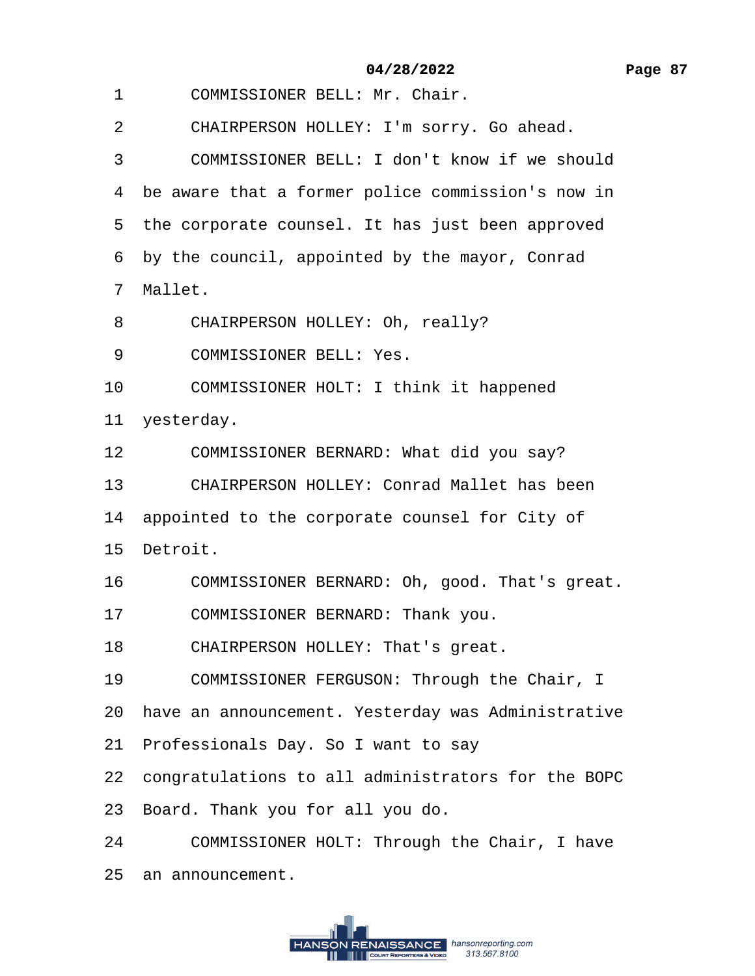- <span id="page-86-0"></span>1 COMMISSIONER BELL: Mr. Chair.
- 2 CHAIRPERSON HOLLEY: I'm sorry. Go ahead.
- ·3· · · ·COMMISSIONER BELL: I don't know if we should
- 4 be aware that a former police commission's now in
- 5 the corporate counsel. It has just been approved
- 6 by the council, appointed by the mayor, Conrad

·7· Mallet.

- 8 CHAIRPERSON HOLLEY: Oh, really?
- 9 COMMISSIONER BELL: Yes.
- 10 COMMISSIONER HOLT: I think it happened

11 yesterday.

- 12 COMMISSIONER BERNARD: What did you say?
- 13 CHAIRPERSON HOLLEY: Conrad Mallet has been
- 14 appointed to the corporate counsel for City of
- 15 Detroit.
- 16 COMMISSIONER BERNARD: Oh, good. That's great.
- 17 COMMISSIONER BERNARD: Thank you.
- 18 CHAIRPERSON HOLLEY: That's great.
- 19 COMMISSIONER FERGUSON: Through the Chair, I
- 20 have an announcement. Yesterday was Administrative
- 21 Professionals Day. So I want to say
- 22 congratulations to all administrators for the BOPC
- 23 Board. Thank you for all you do.
- 24 COMMISSIONER HOLT: Through the Chair, I have
- 25 an announcement.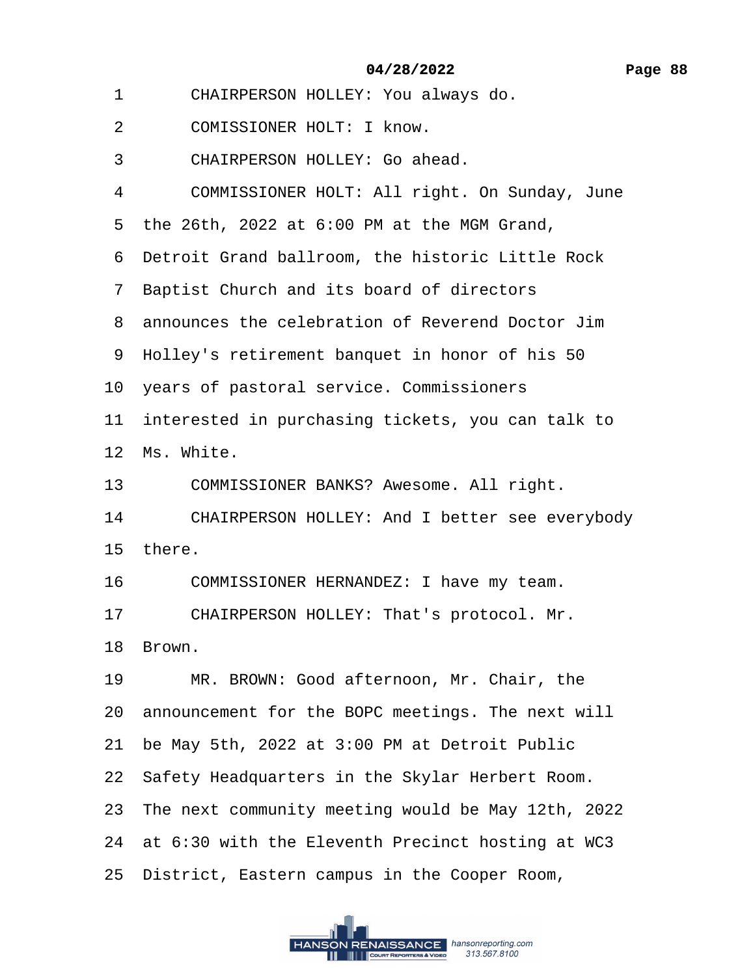- <span id="page-87-0"></span>1 CHAIRPERSON HOLLEY: You always do.
- 2 COMISSIONER HOLT: I know.
- 3 CHAIRPERSON HOLLEY: Go ahead.
- 4 COMMISSIONER HOLT: All right. On Sunday, June
- ·5· the 26th, 2022 at 6:00 PM at the MGM Grand,
- ·6· Detroit Grand ballroom, the historic Little Rock
- ·7· Baptist Church and its board of directors
- ·8· announces the celebration of Reverend Doctor Jim
- 9 Holley's retirement banquet in honor of his 50
- 10 years of pastoral service. Commissioners
- 11 interested in purchasing tickets, you can talk to

12 Ms. White.

- 13 COMMISSIONER BANKS? Awesome. All right.
- 14 CHAIRPERSON HOLLEY: And I better see everybody
- 15 there.
- 16 COMMISSIONER HERNANDEZ: I have my team.
- 17 CHAIRPERSON HOLLEY: That's protocol. Mr.
- 18 Brown.
- 19 MR. BROWN: Good afternoon, Mr. Chair, the
- 20 announcement for the BOPC meetings. The next will
- 21· be May 5th, 2022 at 3:00 PM at Detroit Public
- 22 Safety Headquarters in the Skylar Herbert Room.
- 23· The next community meeting would be May 12th, 2022
- 24 at 6:30 with the Eleventh Precinct hosting at WC3
- 25· District, Eastern campus in the Cooper Room,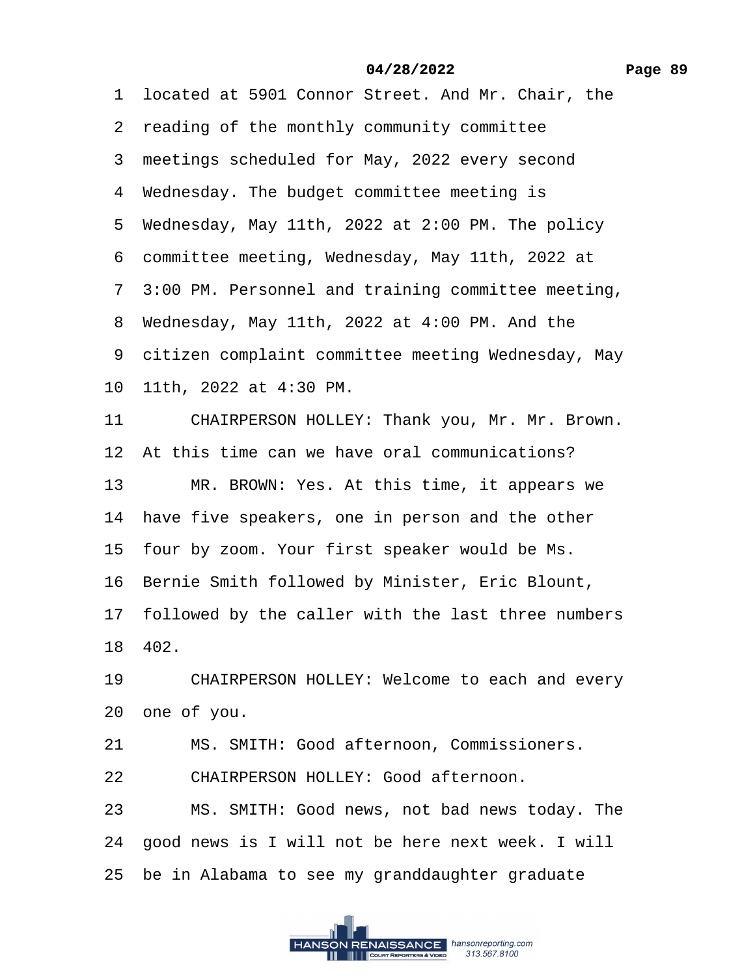<span id="page-88-0"></span>1 located at 5901 Connor Street. And Mr. Chair, the 2 reading of the monthly community committee 3 meetings scheduled for May, 2022 every second 4 Wednesday. The budget committee meeting is 5 Wednesday, May 11th, 2022 at 2:00 PM. The policy ·6· committee meeting, Wednesday, May 11th, 2022 at ·7· 3:00 PM. Personnel and training committee meeting, 8 Wednesday, May 11th, 2022 at 4:00 PM. And the 9 citizen complaint committee meeting Wednesday, May 10· 11th, 2022 at 4:30 PM. 11 CHAIRPERSON HOLLEY: Thank you, Mr. Mr. Brown. 12 At this time can we have oral communications? 13 MR. BROWN: Yes. At this time, it appears we 14 have five speakers, one in person and the other 15 four by zoom. Your first speaker would be Ms. 16 Bernie Smith followed by Minister, Eric Blount, 17 followed by the caller with the last three numbers 18· 402. 19 CHAIRPERSON HOLLEY: Welcome to each and every 20· one of you. 21 MS. SMITH: Good afternoon, Commissioners. 22 CHAIRPERSON HOLLEY: Good afternoon. 23 MS. SMITH: Good news, not bad news today. The 24· good news is I will not be here next week. I will

25 be in Alabama to see my granddaughter graduate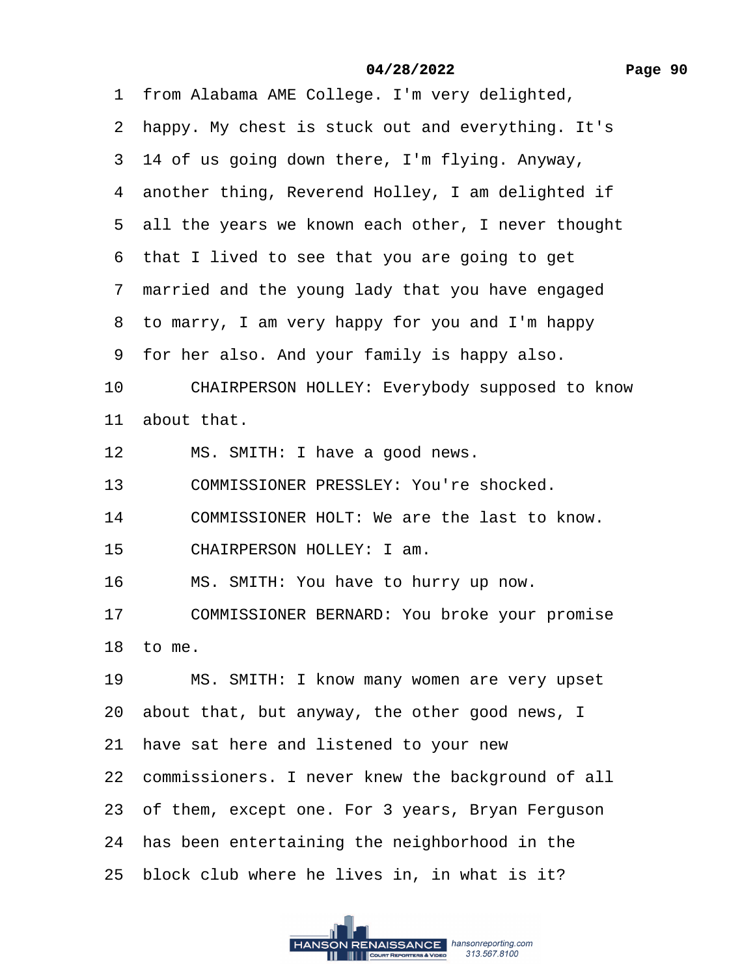<span id="page-89-0"></span>1 from Alabama AME College. I'm very delighted,

·2· happy. My chest is stuck out and everything. It's

3 14 of us going down there, I'm flying. Anyway,

4 another thing, Reverend Holley, I am delighted if

5 all the years we known each other, I never thought

6 that I lived to see that you are going to get

7 married and the young lady that you have engaged

8 to marry, I am very happy for you and I'm happy

·9· for her also. And your family is happy also.

10 CHAIRPERSON HOLLEY: Everybody supposed to know

11 about that.

12 MS. SMITH: I have a good news.

13 COMMISSIONER PRESSLEY: You're shocked.

- 14 COMMISSIONER HOLT: We are the last to know.
- 15 CHAIRPERSON HOLLEY: I am.
- 16 MS. SMITH: You have to hurry up now.

17 COMMISSIONER BERNARD: You broke your promise

18 $t$  to me.

19 MS. SMITH: I know many women are very upset

20 about that, but anyway, the other good news, I

21 have sat here and listened to your new

22 commissioners. I never knew the background of all

23 of them, except one. For 3 years, Bryan Ferguson

24 has been entertaining the neighborhood in the

25 block club where he lives in, in what is it?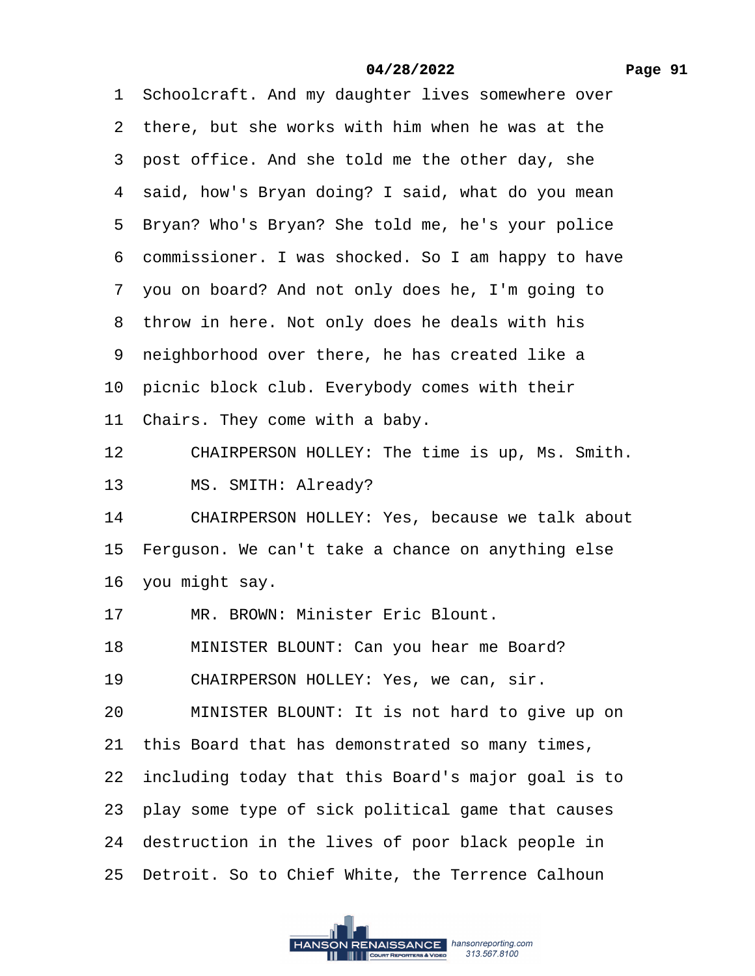<span id="page-90-0"></span>1 Schoolcraft. And my daughter lives somewhere over

- 2 there, but she works with him when he was at the
- 3 post office. And she told me the other day, she
- 4 said, how's Bryan doing? I said, what do you mean
- 5 Bryan? Who's Bryan? She told me, he's your police
- ·6· commissioner. I was shocked. So I am happy to have
- ·7· you on board? And not only does he, I'm going to
- 8 throw in here. Not only does he deals with his
- 9 neighborhood over there, he has created like a
- 10 picnic block club. Everybody comes with their
- 11 Chairs. They come with a baby.
- 12 CHAIRPERSON HOLLEY: The time is up, Ms. Smith.
- 13 MS. SMITH: Already?
- 14 CHAIRPERSON HOLLEY: Yes, because we talk about
- 15 Ferguson. We can't take a chance on anything else
- 16 you might say.
- 17 MR. BROWN: Minister Eric Blount.
- 18 MINISTER BLOUNT: Can you hear me Board?
- 19 CHAIRPERSON HOLLEY: Yes, we can, sir.
- 20 MINISTER BLOUNT: It is not hard to give up on
- 21 this Board that has demonstrated so many times,
- 22· including today that this Board's major goal is to
- 23· play some type of sick political game that causes
- 24 destruction in the lives of poor black people in
- 25 Detroit. So to Chief White, the Terrence Calhoun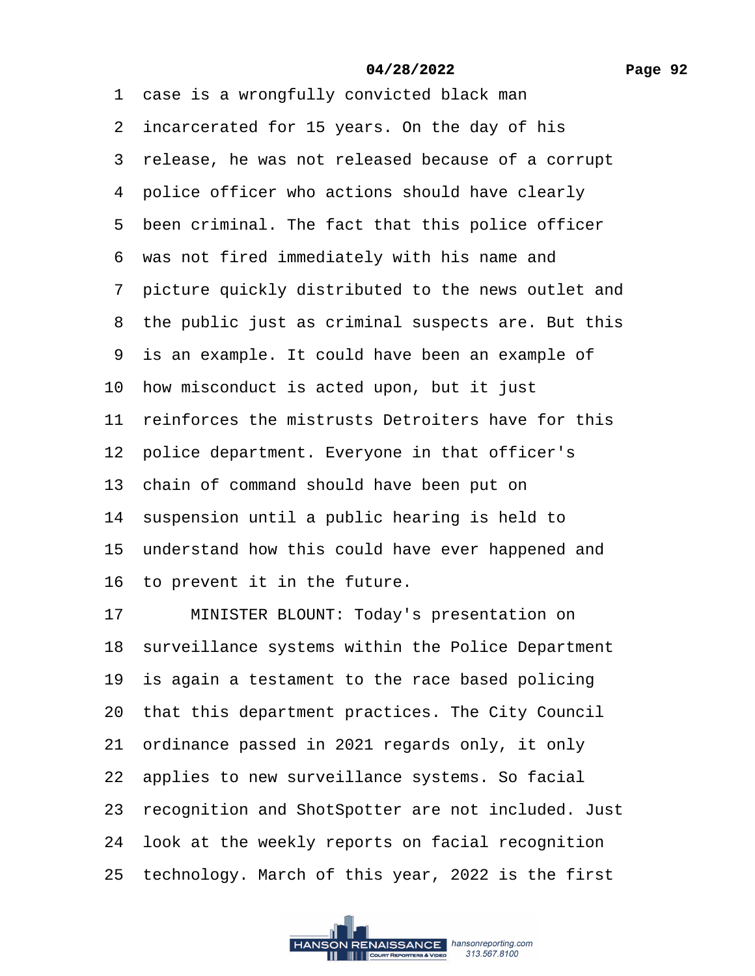<span id="page-91-0"></span>1 case is a wrongfully convicted black man 2 incarcerated for 15 years. On the day of his 3 release, he was not released because of a corrupt 4 police officer who actions should have clearly 5 been criminal. The fact that this police officer ·6· was not fired immediately with his name and ·7· picture quickly distributed to the news outlet and 8 the public just as criminal suspects are. But this 9 is an example. It could have been an example of 10 how misconduct is acted upon, but it just 11 reinforces the mistrusts Detroiters have for this 12 police department. Everyone in that officer's 13 chain of command should have been put on 14 suspension until a public hearing is held to 15 understand how this could have ever happened and 16 to prevent it in the future. 17 MINISTER BLOUNT: Today's presentation on 18 surveillance systems within the Police Department 19 is again a testament to the race based policing 20 that this department practices. The City Council

21 ordinance passed in 2021 regards only, it only

22 applies to new surveillance systems. So facial

23 recognition and ShotSpotter are not included. Just

24 look at the weekly reports on facial recognition

25· technology. March of this year, 2022 is the first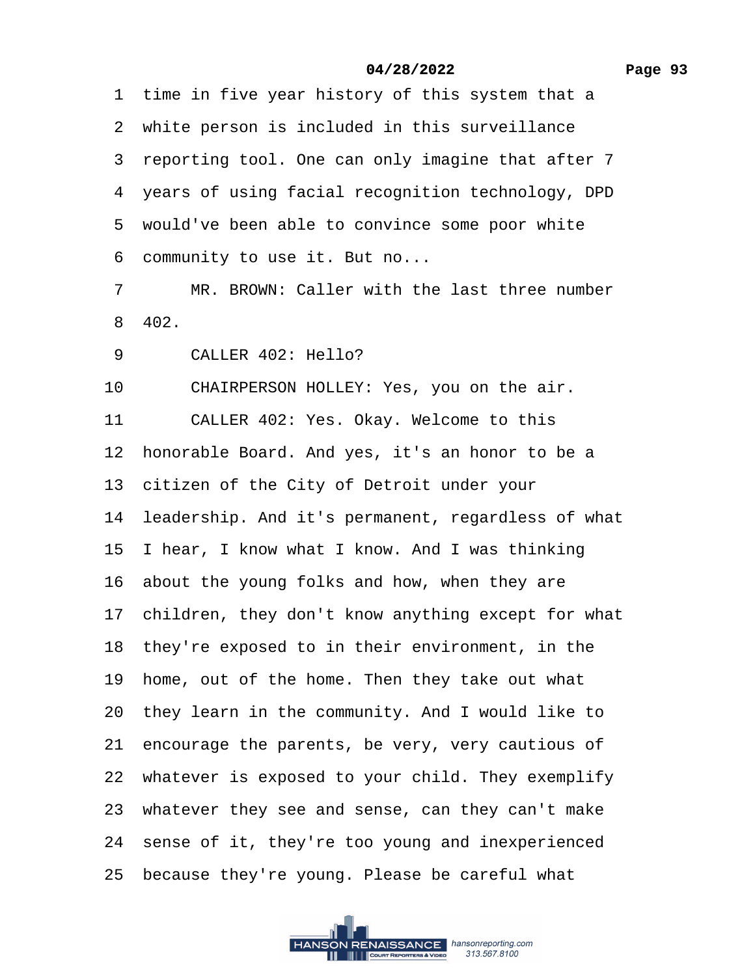<span id="page-92-0"></span>1 time in five year history of this system that a 2 white person is included in this surveillance 3 reporting tool. One can only imagine that after 7 4 years of using facial recognition technology, DPD 5 would've been able to convince some poor white 6 community to use it. But no...

7 MR. BROWN: Caller with the last three number ·8· 402.

9 CALLER 402: Hello?

10 CHAIRPERSON HOLLEY: Yes, you on the air. 11 CALLER 402: Yes. Okay. Welcome to this 12 honorable Board. And yes, it's an honor to be a 13 citizen of the City of Detroit under your 14 leadership. And it's permanent, regardless of what 15 I hear, I know what I know. And I was thinking 16 about the young folks and how, when they are 17 children, they don't know anything except for what 18 they're exposed to in their environment, in the 19 home, out of the home. Then they take out what 20 they learn in the community. And I would like to 21 encourage the parents, be very, very cautious of 22 whatever is exposed to your child. They exemplify 23 whatever they see and sense, can they can't make 24 sense of it, they're too young and inexperienced 25 because they're young. Please be careful what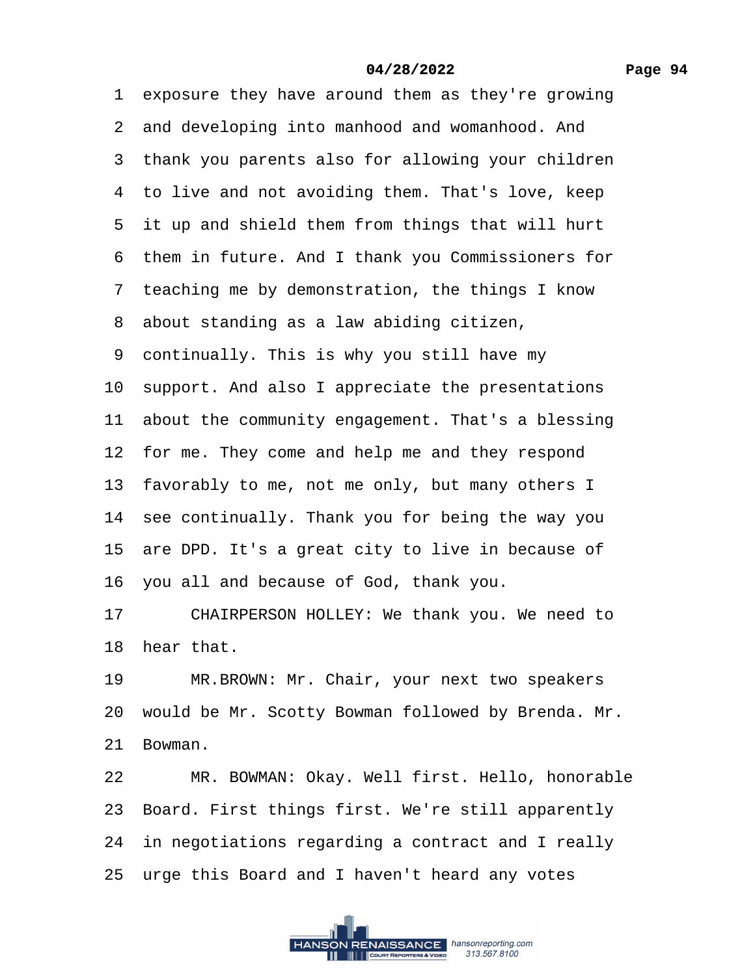#### **Page 94**

## **04/28/2022**

<span id="page-93-0"></span>1 exposure they have around them as they're growing 2 and developing into manhood and womanhood. And 3 thank you parents also for allowing your children 4 to live and not avoiding them. That's love, keep 5 it up and shield them from things that will hurt ·6· them in future. And I thank you Commissioners for 7 teaching me by demonstration, the things I know 8 about standing as a law abiding citizen, ·9· continually. This is why you still have my 10 support. And also I appreciate the presentations 11 about the community engagement. That's a blessing 12 for me. They come and help me and they respond 13 favorably to me, not me only, but many others I 14 see continually. Thank you for being the way you 15 are DPD. It's a great city to live in because of 16· you all and because of God, thank you. 17 CHAIRPERSON HOLLEY: We thank you. We need to 18 hear that. 19 MR.BROWN: Mr. Chair, your next two speakers 20 would be Mr. Scotty Bowman followed by Brenda. Mr. 21 Bowman. 22 MR. BOWMAN: Okay. Well first. Hello, honorable 23· Board. First things first. We're still apparently 24 in negotiations regarding a contract and I really 25 urge this Board and I haven't heard any votes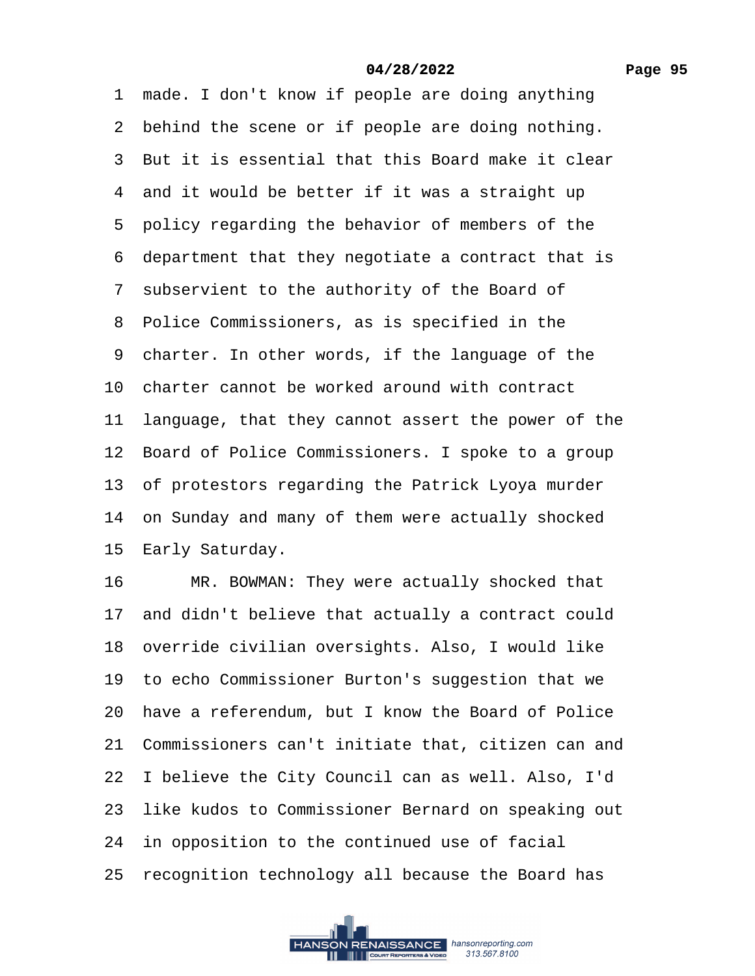<span id="page-94-0"></span>1 made. I don't know if people are doing anything 2 behind the scene or if people are doing nothing. ·3· But it is essential that this Board make it clear 4 and it would be better if it was a straight up 5 policy regarding the behavior of members of the ·6· department that they negotiate a contract that is 7 subservient to the authority of the Board of 8 Police Commissioners, as is specified in the 9 charter. In other words, if the language of the 10 charter cannot be worked around with contract 11 language, that they cannot assert the power of the 12 Board of Police Commissioners. I spoke to a group 13 of protestors regarding the Patrick Lyoya murder 14 on Sunday and many of them were actually shocked 15 Early Saturday. 16 MR. BOWMAN: They were actually shocked that 17 and didn't believe that actually a contract could 18 override civilian oversights. Also, I would like 19 to echo Commissioner Burton's suggestion that we 20 have a referendum, but I know the Board of Police 21· Commissioners can't initiate that, citizen can and 22 I believe the City Council can as well. Also, I'd 23 like kudos to Commissioner Bernard on speaking out 24 in opposition to the continued use of facial 25 recognition technology all because the Board has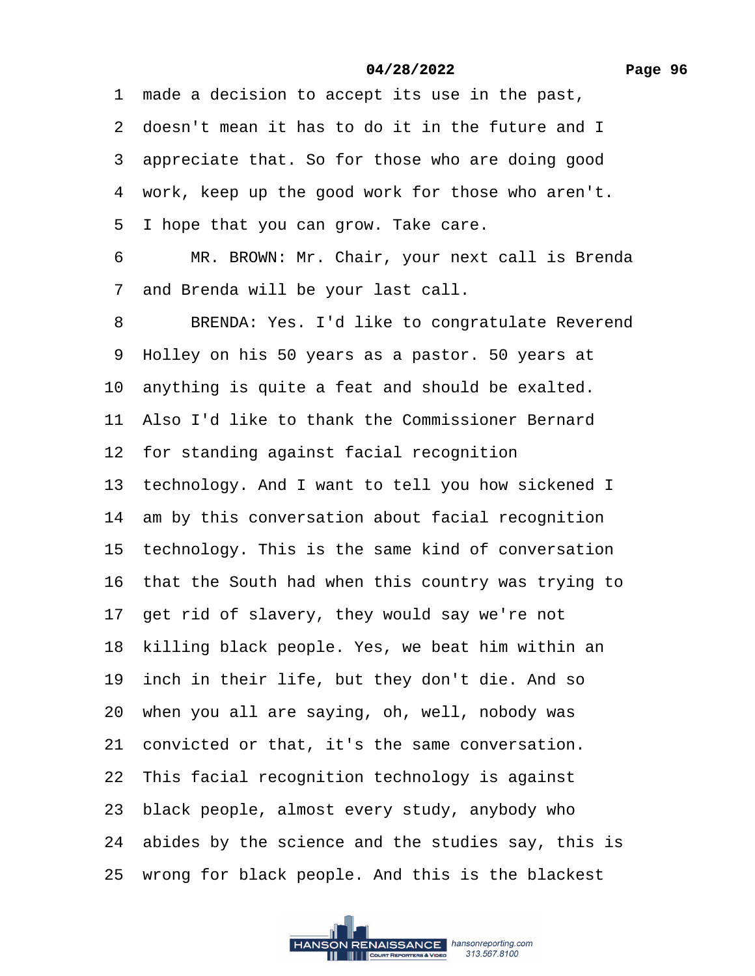<span id="page-95-0"></span>1 made a decision to accept its use in the past, 2 doesn't mean it has to do it in the future and I 3 appreciate that. So for those who are doing good 4 work, keep up the good work for those who aren't. 5 I hope that you can grow. Take care. 6 MR. BROWN: Mr. Chair, your next call is Brenda 7 and Brenda will be your last call. 8 BRENDA: Yes. I'd like to congratulate Reverend ·9· Holley on his 50 years as a pastor. 50 years at 10 anything is quite a feat and should be exalted. 11· Also I'd like to thank the Commissioner Bernard 12 for standing against facial recognition 13 technology. And I want to tell you how sickened I 14 am by this conversation about facial recognition 15 technology. This is the same kind of conversation 16 that the South had when this country was trying to 17 get rid of slavery, they would say we're not 18 killing black people. Yes, we beat him within an 19 inch in their life, but they don't die. And so 20 when you all are saying, oh, well, nobody was 21 convicted or that, it's the same conversation. 22 This facial recognition technology is against 23· black people, almost every study, anybody who 24 abides by the science and the studies say, this is 25 wrong for black people. And this is the blackest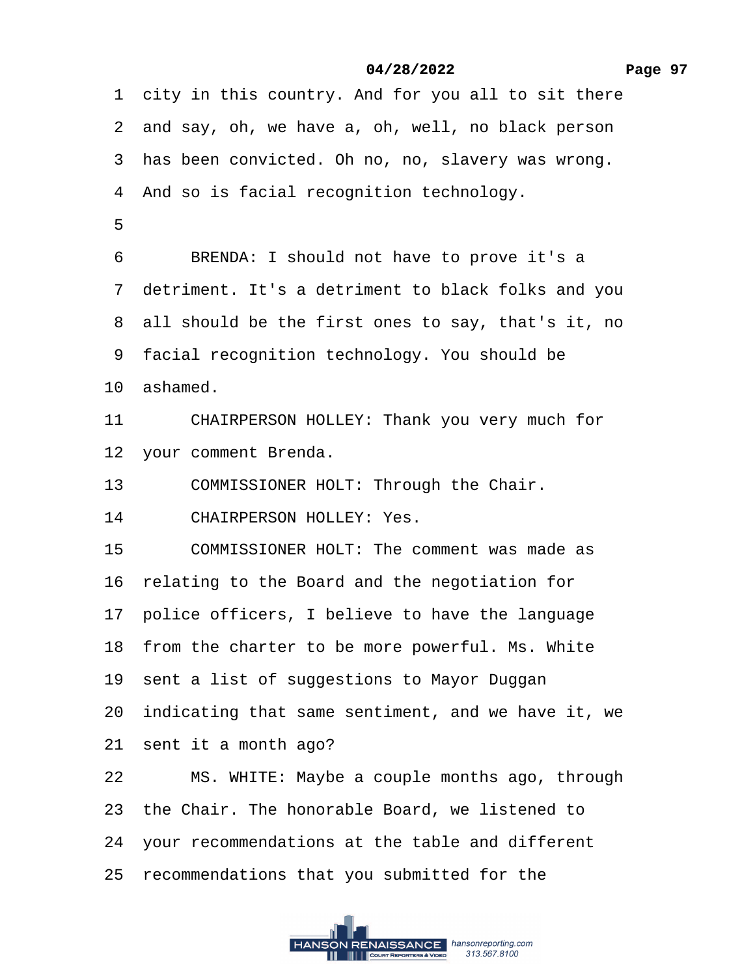<span id="page-96-0"></span>1 city in this country. And for you all to sit there

2 and say, oh, we have a, oh, well, no black person

3 has been convicted. Oh no, no, slavery was wrong.

4 And so is facial recognition technology.

## ·5

6 BRENDA: I should not have to prove it's a

·7· detriment. It's a detriment to black folks and you

8 all should be the first ones to say, that's it, no

9 facial recognition technology. You should be

10 ashamed.

11 CHAIRPERSON HOLLEY: Thank you very much for

- 12 your comment Brenda.
- 13 COMMISSIONER HOLT: Through the Chair.
- 14 CHAIRPERSON HOLLEY: Yes.
- 15 COMMISSIONER HOLT: The comment was made as
- 16 relating to the Board and the negotiation for
- 17 police officers, I believe to have the language
- 18 from the charter to be more powerful. Ms. White
- 19 sent a list of suggestions to Mayor Duggan
- 20 indicating that same sentiment, and we have it, we
- 21 sent it a month ago?
- 22 MS. WHITE: Maybe a couple months ago, through
- 23 the Chair. The honorable Board, we listened to
- 24· your recommendations at the table and different
- 25· recommendations that you submitted for the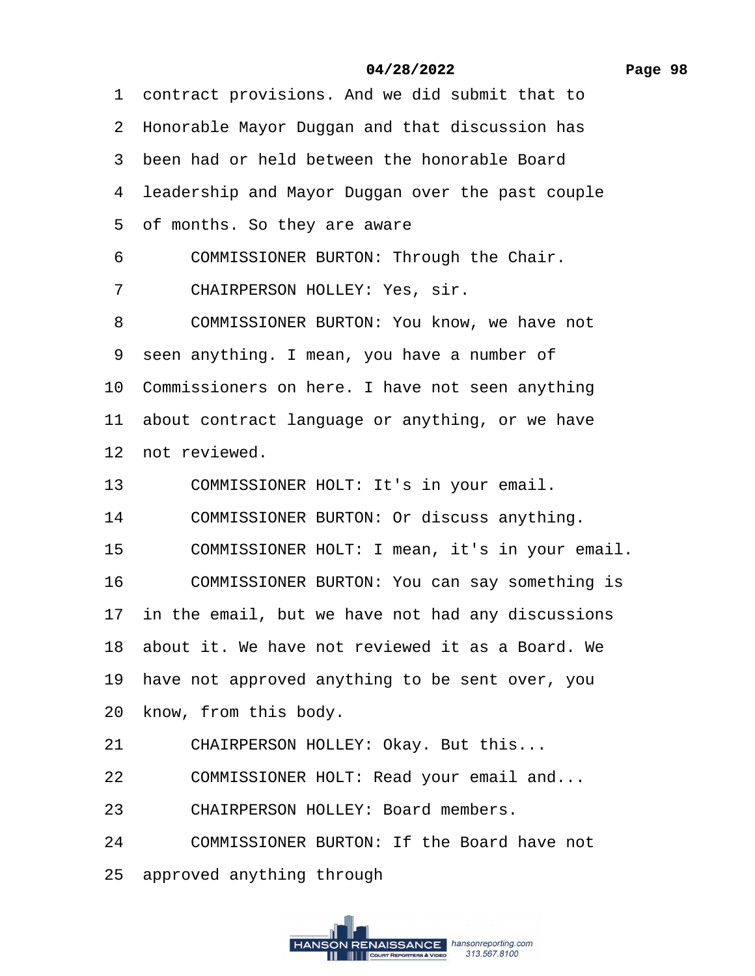## **Page 98**

## **04/28/2022**

<span id="page-97-0"></span>1 contract provisions. And we did submit that to

- 2 Honorable Mayor Duggan and that discussion has
- ·3· been had or held between the honorable Board
- 4 leadership and Mayor Duggan over the past couple
- 5 of months. So they are aware
- 6 COMMISSIONER BURTON: Through the Chair.
- 7 CHAIRPERSON HOLLEY: Yes, sir.
- 8 COMMISSIONER BURTON: You know, we have not
- 9 seen anything. I mean, you have a number of
- 10 Commissioners on here. I have not seen anything
- 11 about contract language or anything, or we have
- 12 not reviewed.
- 13 COMMISSIONER HOLT: It's in your email.
- 14 COMMISSIONER BURTON: Or discuss anything.
- 15 COMMISSIONER HOLT: I mean, it's in your email.
- 16 COMMISSIONER BURTON: You can say something is
- 17 in the email, but we have not had any discussions
- 18· about it. We have not reviewed it as a Board. We
- 19 have not approved anything to be sent over, you
- 20 know, from this body.
- 21 CHAIRPERSON HOLLEY: Okay. But this...
- 22 COMMISSIONER HOLT: Read your email and...
- 23 CHAIRPERSON HOLLEY: Board members.
- 24 COMMISSIONER BURTON: If the Board have not
- 25· approved anything through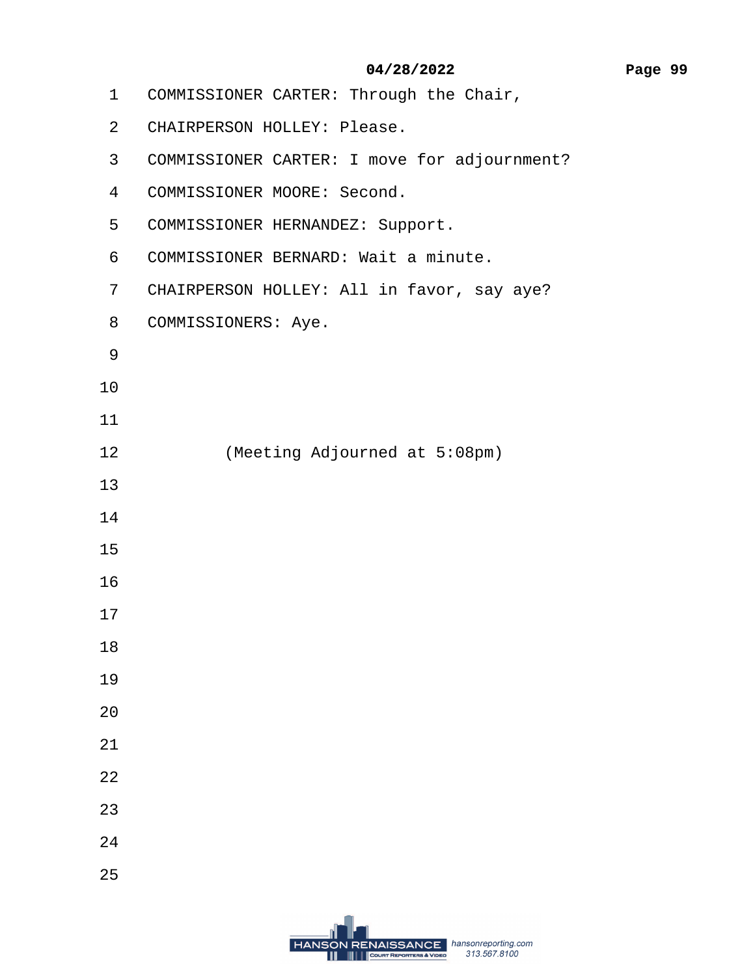- <span id="page-98-0"></span>1 COMMISSIONER CARTER: Through the Chair,
- 2 CHAIRPERSON HOLLEY: Please.
- 3 COMMISSIONER CARTER: I move for adjournment?
- 4 COMMISSIONER MOORE: Second.
- 5 COMMISSIONER HERNANDEZ: Support.
- 6 COMMISSIONER BERNARD: Wait a minute.
- 7 CHAIRPERSON HOLLEY: All in favor, say aye?
- 8 COMMISSIONERS: Aye.
- ·9
- 10
- 11
- 12 (Meeting Adjourned at 5:08pm)
- 13
- 14
- 15
- 16
- 17
- 18
- 19
- 20
- 21
- 22
- 23
- 24
- 25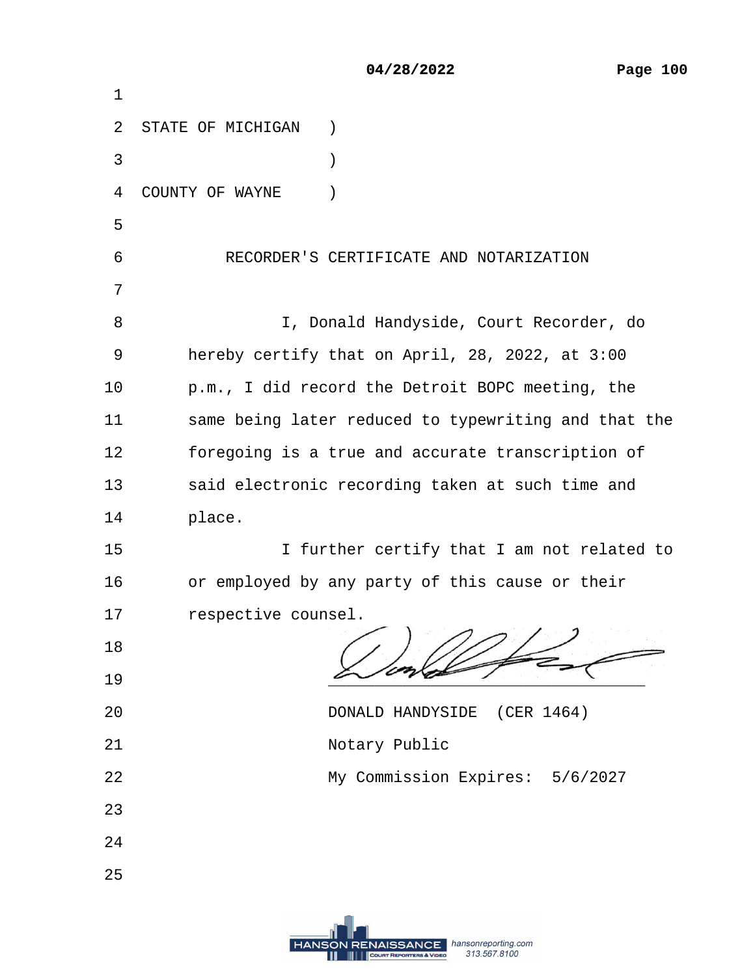|                | 04/28/2022                                           |
|----------------|------------------------------------------------------|
| 1              |                                                      |
|                | 2 STATE OF MICHIGAN                                  |
| 3              | ⟩                                                    |
| 4              | <b>COUNTY OF WAYNE</b><br>$\mathcal{E}$              |
| 5              |                                                      |
| 6              | RECORDER'S CERTIFICATE AND NOTARIZATION              |
| $\overline{7}$ |                                                      |
| 8              | I, Donald Handyside, Court Recorder, do              |
| 9              | hereby certify that on April, 28, 2022, at 3:00      |
| 10             | p.m., I did record the Detroit BOPC meeting, the     |
| 11             | same being later reduced to typewriting and that the |
| 12             | foregoing is a true and accurate transcription of    |
| 13             | said electronic recording taken at such time and     |
| 14             | place.                                               |
| 15             | I further certify that I am not related to           |
| 16             | or employed by any party of this cause or their      |
| 17             | respective counsel.                                  |
| 18             |                                                      |
| 19             |                                                      |
| 20             | DONALD HANDYSIDE (CER 1464)                          |
| 21             | <b>Notary Public</b>                                 |
| 22             | My Commission Expires: 5/6/2027                      |
| 23             |                                                      |
| 24             |                                                      |
| 25             |                                                      |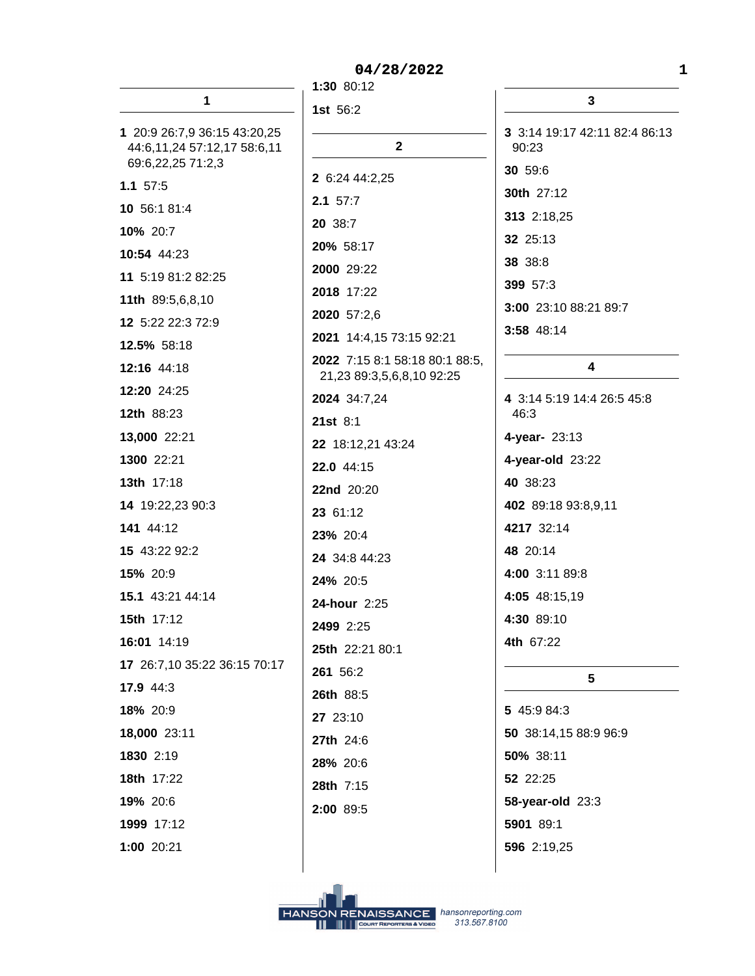|                                                                                  | 1:30 80:12                  |
|----------------------------------------------------------------------------------|-----------------------------|
| 1                                                                                | 1st 56:2                    |
| 1 20:9 26:7,9 36:15 43:20,25<br>44:6,11,24 57:12,17 58:6,11<br>69:6,22,25 71:2,3 |                             |
| $1.1 \t57:5$                                                                     | 2 6:24 44:2,                |
| 10 56:1 81:4                                                                     | $2.1$ 57:7                  |
| 10% 20:7                                                                         | 20 38:7                     |
| 10:54 44:23                                                                      | 20% 58:17                   |
| 11 5:19 81:2 82:25                                                               | 2000 29:22                  |
| 11th 89:5,6,8,10                                                                 | 2018 17:22                  |
| 12 5:22 22:3 72:9                                                                | 2020 57:2,6                 |
| 12.5% 58:18                                                                      | 2021 14:4,1                 |
| 12:16 44:18                                                                      | 2022 7:15 8:<br>21,23 89:3, |
| 12:20 24:25                                                                      | 2024 34:7,24                |
| 12th 88:23                                                                       | $21st$ 8:1                  |
| 13,000 22:21                                                                     | 22 18:12,21                 |
| 1300 22:21                                                                       | 22.0 44:15                  |
| 13th 17:18                                                                       | 22nd 20:20                  |
| 14 19:22,23 90:3                                                                 | 23 61:12                    |
| 141 44:12                                                                        | 23% 20:4                    |
| 15 43:22 92:2                                                                    | 24 34:8 44:2                |
| 15% 20:9                                                                         | 24% 20:5                    |
| 15.1 43:21 44:14                                                                 | 24-hour 2:2                 |
| <b>15th 17:12</b>                                                                | 2499 2:25                   |
| 16:01 14:19                                                                      | 25th 22:21 8                |
| 17 26:7,10 35:22 36:15 70:17                                                     | 261 56:2                    |
| 17.9 44:3                                                                        | 26th 88:5                   |
| 18% 20:9                                                                         | 27 23:10                    |
| 18,000 23:11                                                                     | 27th 24:6                   |
| 1830 2:19                                                                        | 28% 20:6                    |
| 18th 17:22                                                                       | 28th 7:15                   |
| 19% 20:6                                                                         | 2:00 89:5                   |
| 1999 17:12                                                                       |                             |
| 1:00 20:21                                                                       |                             |

 $2<sup>1</sup>$  $2,25$  $\overline{z}$  $\overline{2}$  $\overline{2}$  $6.$ ,15 73:15 92:21 8:1 58:18 80:1 88:5, 3,5,6,8,10 92:25  $, 24$ 21 43:24  $\overline{\phantom{a}}$  $\overline{\mathbf{0}}$  $4:23$  $:25$  $180:1$ 

 $\mathbf{3}$ 3 3:14 19:17 42:11 82:4 86:13 90:23 30 59:6 30th 27:12 313 2:18,25 32 25:13 38 38:8 399 57:3 3:00 23:10 88:21 89:7 3:58 48:14

## $\overline{\mathbf{4}}$

4 3:14 5:19 14:4 26:5 45:8 46:3 4-year- 23:13 4-year-old 23:22 40 38:23 402 89:18 93:8,9,11 4217 32:14 48 20:14 4:00 3:11 89:8 4:05 48:15,19 4:30 89:10 4th 67:22

# $5<sup>5</sup>$

5 45:9 84:3 50 38:14,15 88:9 96:9 50% 38:11 52 22:25 **58-year-old** 23:3 5901 89:1 596 2:19,25

 $\mathbf{1}$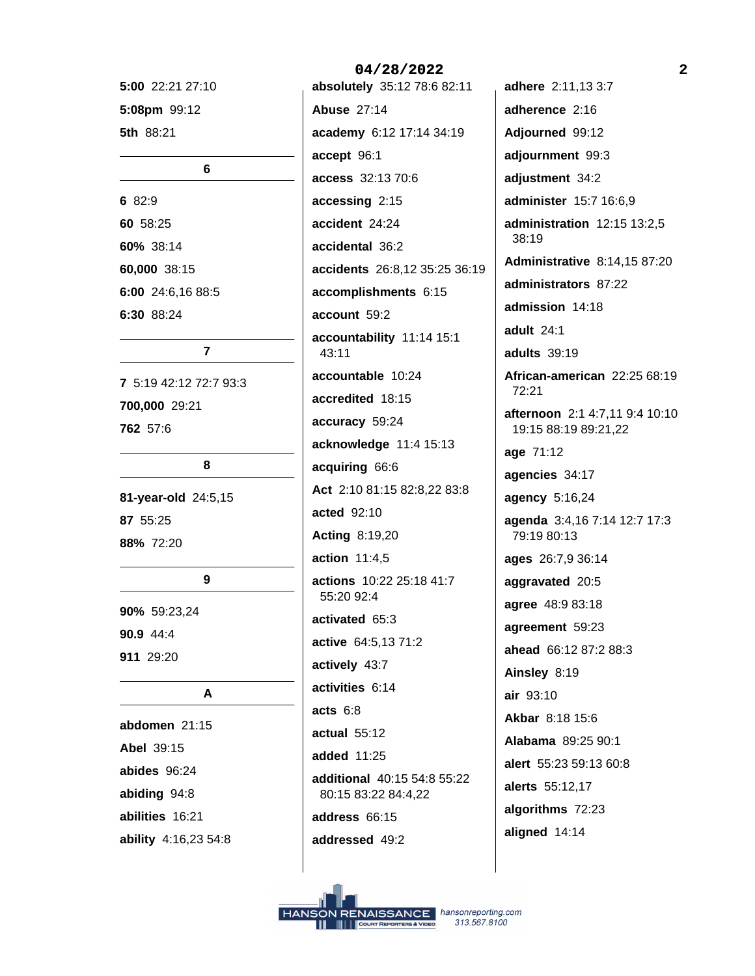5:00 22:21 27:10 5:08pm 99:12 5th 88:21

#### 6

6 82:9 60 58:25 60% 38:14 60,000 38:15 6:00 24:6,16 88:5 6:30 88:24

## $\overline{7}$

7 5:19 42:12 72:7 93:3 700,000 29:21 762 57:6

8

81-year-old 24:5,15 87 55:25 88% 72:20

#### 9

90% 59:23,24 90.9 44:4 911 29:20

## A

abdomen 21:15 Abel 39:15 abides 96:24 abiding 94:8 abilities 16:21 ability 4:16,23 54:8 absolutely 35:12 78:6 82:11 **Abuse 27:14** academy 6:12 17:14 34:19 accept 96:1 access 32:13 70:6 accessing 2:15 accident 24:24 accidental 36:2 accidents 26:8,12 35:25 36:19 accomplishments 6:15 account 59:2 accountability 11:14 15:1 43:11 accountable 10:24 accredited 18:15 accuracy 59:24 acknowledge 11:4 15:13 acquiring 66:6 Act 2:10 81:15 82:8,22 83:8 acted 92:10 **Acting 8:19,20** action 11:4,5 actions 10:22 25:18 41:7 55:20 92:4 activated 65:3 active 64:5,13 71:2 actively 43:7 activities 6:14 acts  $6:8$ actual 55:12 added 11:25 additional 40:15 54:8 55:22 80:15 83:22 84:4,22 address 66:15 addressed 49:2

04/28/2022

adhere 2:11,13 3:7 adherence 2:16 Adjourned 99:12 adjournment 99:3 adjustment 34:2 administer 15:7 16:6,9 administration 12:15 13:2,5 38:19 **Administrative 8:14,15 87:20** administrators 87:22 admission 14:18 adult 24:1 adults 39:19 African-american 22:25 68:19 72:21 afternoon 2:1 4:7,11 9:4 10:10 19:15 88:19 89:21.22 age 71:12 agencies 34:17 agency 5:16,24 agenda 3:4,16 7:14 12:7 17:3 79:19 80:13 ages 26:7,9 36:14 aggravated 20:5 agree 48:9 83:18 agreement 59:23 ahead 66:12 87:2 88:3 Ainsley 8:19 air 93:10 Akbar 8:18 15:6 Alabama 89:25 90:1 alert 55:23 59:13 60:8 alerts 55:12,17 algorithms 72:23 aligned 14:14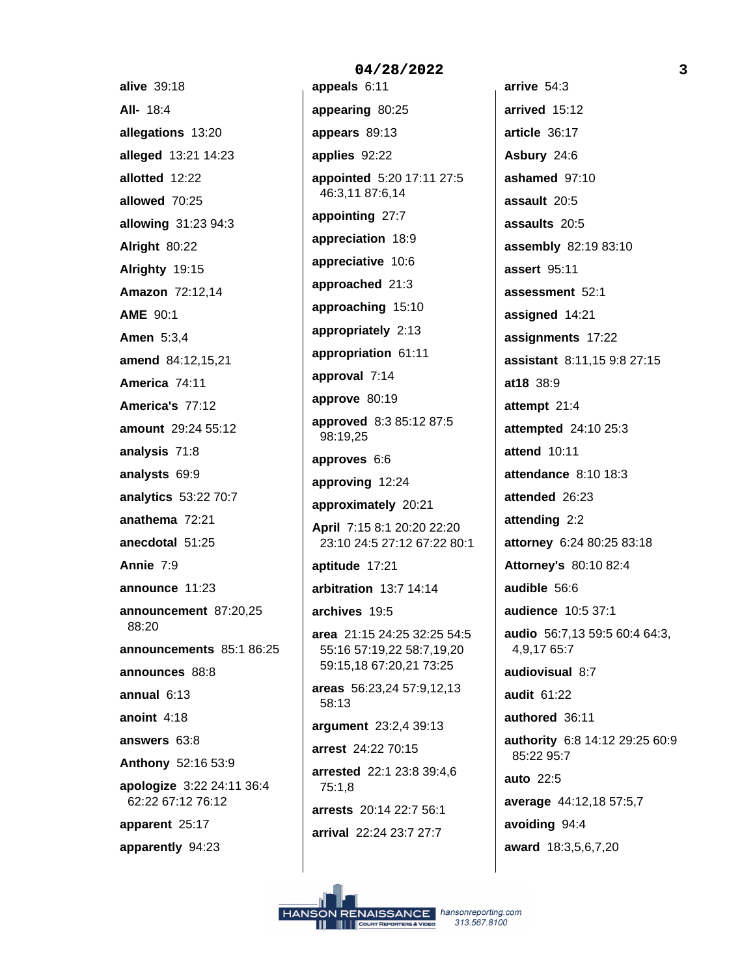alive 39:18 All- 18:4 allegations 13:20 alleged 13:21 14:23 allotted 12:22 allowed 70:25 allowing 31:23 94:3 Alright 80:22 Alrighty 19:15 Amazon 72:12,14 **AME 90:1 Amen** 5:3,4 amend 84:12,15,21 America 74:11 America's 77:12 amount 29:24 55:12 analysis 71:8 analysts 69:9 analytics 53:22 70:7 anathema 72:21 anecdotal 51:25 Annie 7:9 announce 11:23 announcement 87:20,25 88:20 announcements 85:1 86:25 announces 88:8 annual  $6:13$ anoint  $4:18$ answers 63:8 Anthony 52:16 53:9 apologize 3:22 24:11 36:4 62:22 67:12 76:12 apparent 25:17 apparently 94:23

04/28/2022 appeals 6:11 appearing 80:25 appears 89:13 applies 92:22 appointed 5:20 17:11 27:5 46:3,11 87:6,14 appointing 27:7 appreciation 18:9 appreciative 10:6 approached 21:3 approaching 15:10 appropriately 2:13 appropriation 61:11 approval 7:14 approve 80:19 approved 8:3 85:12 87:5 98:19.25 approves 6:6 approving 12:24 approximately 20:21 April 7:15 8:1 20:20 22:20 23:10 24:5 27:12 67:22 80:1 aptitude 17:21 arbitration 13:7 14:14 archives 19:5 area 21:15 24:25 32:25 54:5 55:16 57:19,22 58:7,19,20 59:15,18 67:20,21 73:25 areas 56:23,24 57:9,12,13  $58:13$ argument 23:2,4 39:13 arrest 24:22 70:15 arrested 22:1 23:8 39:4,6 75:1,8 arrests 20:14 22:7 56:1 arrival 22:24 23:7 27:7

arrive 54:3 arrived 15:12 article 36:17 Asbury 24:6 ashamed 97:10 assault 20:5 assaults 20:5 assembly 82:19 83:10 assert 95:11 assessment 52:1 assigned 14:21 assignments 17:22 assistant 8:11,15 9:8 27:15 at18 38:9 attempt 21:4 attempted 24:10 25:3 attend 10:11 attendance 8:10 18:3 attended 26:23 attending 2:2 attorney 6:24 80:25 83:18 **Attorney's 80:10 82:4** audible 56:6 audience 10:5 37:1 audio 56:7,13 59:5 60:4 64:3, 4,9,1765:7 audiovisual 8:7 audit 61:22 authored 36:11 authority 6:8 14:12 29:25 60:9 85:22 95:7 auto 22:5 average 44:12,18 57:5,7 avoiding 94:4 award 18:3,5,6,7,20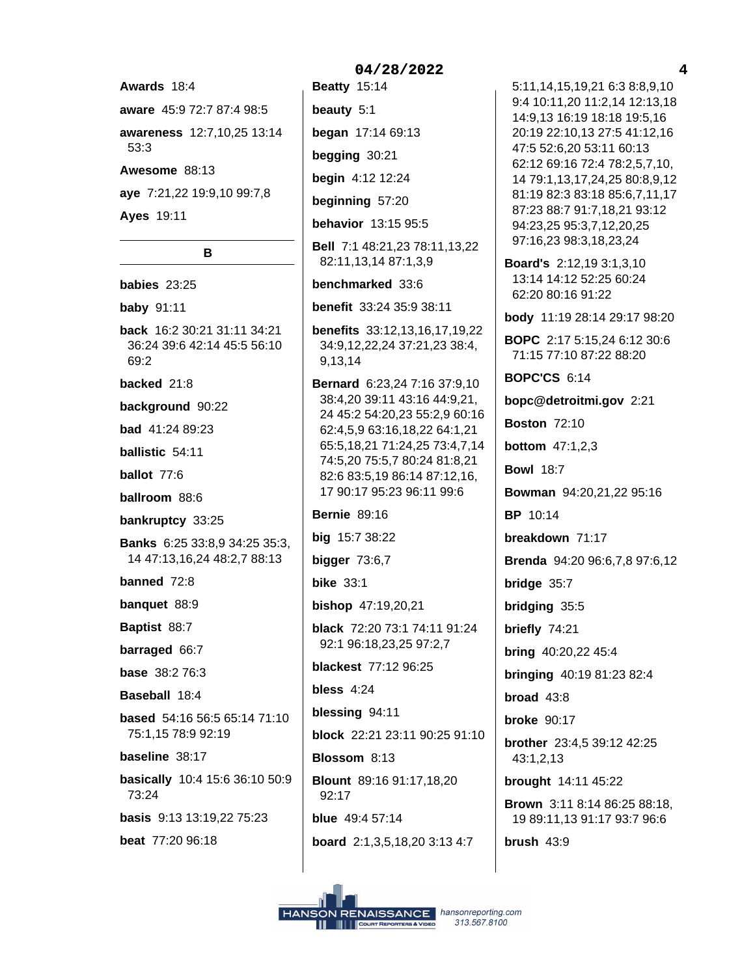Awards 18:4 aware 45:9 72:7 87:4 98:5 awareness 12:7,10,25 13:14 53:3 Awesome 88:13 aye 7:21,22 19:9,10 99:7,8 **Ayes 19:11** 

B babies 23:25 **baby** 91:11 back 16:2 30:21 31:11 34:21 36:24 39:6 42:14 45:5 56:10 69:2 backed 21:8 background 90:22 **bad** 41:24 89:23 ballistic 54:11 ballot 77:6 ballroom 88.6 bankruptcy 33:25 **Banks** 6:25 33:8,9 34:25 35:3, 14 47:13,16,24 48:2,7 88:13 banned 72:8 banquet 88:9 Baptist 88:7 barraged 66:7 **base** 38:2 76:3 Baseball 18:4 based 54:16 56:5 65:14 71:10 75:1,15 78:9 92:19 baseline 38:17 basically 10:4 15:6 36:10 50:9 73:24 **basis** 9:13 13:19,22 75:23 beat 77:20 96:18

# 04/28/2022 **Beatty 15:14** beauty  $5:1$ began 17:14 69:13 begging 30:21 begin 4:12 12:24 beginning 57:20 behavior 13:15 95:5 Bell 7:1 48:21,23 78:11,13,22 82:11,13,14 87:1,3,9 benchmarked 33:6 benefit 33:24 35:9 38:11 **benefits** 33:12,13,16,17,19,22 34:9,12,22,24 37:21,23 38:4, 9,13,14 **Bernard** 6:23.24 7:16 37:9.10 38:4,20 39:11 43:16 44:9,21, 24 45:2 54:20,23 55:2,9 60:16 62:4,5,9 63:16,18,22 64:1,21 65:5, 18, 21 71: 24, 25 73: 4, 7, 14 74:5,20 75:5,7 80:24 81:8,21 82:6 83:5,19 86:14 87:12,16, 17 90:17 95:23 96:11 99:6 **Bernie 89:16** big 15:7 38:22 bigger  $73:6,7$ **bike** 33:1 bishop 47:19,20,21 black 72:20 73:1 74:11 91:24 92:1 96:18,23,25 97:2,7 **blackest** 77:12 96:25 bless 4:24 blessing 94:11 block 22:21 23:11 90:25 91:10 Blossom 8:13 Blount 89:16 91:17,18,20 92:17 blue 49:4 57:14 board 2:1,3,5,18,20 3:13 4:7

9:4 10:11,20 11:2,14 12:13,18 14:9,13 16:19 18:18 19:5,16 20:19 22:10.13 27:5 41:12.16 47:5 52:6,20 53:11 60:13 62:12 69:16 72:4 78:2,5,7,10, 14 79:1,13,17,24,25 80:8,9,12 81:19 82:3 83:18 85:6,7,11,17 87:23 88:7 91:7,18,21 93:12 94:23,25 95:3,7,12,20,25 97:16,23 98:3,18,23,24 Board's 2:12,19 3:1,3,10 13:14 14:12 52:25 60:24 62:20 80:16 91:22 body 11:19 28:14 29:17 98:20 **BOPC** 2:17 5:15,24 6:12 30:6 71:15 77:10 87:22 88:20 **BOPC'CS 6:14** bopc@detroitmi.gov 2:21 **Boston 72:10 bottom** 47:1,2,3 **Bowl 18:7** Bowman 94:20,21,22 95:16 **BP** 10:14 breakdown 71:17 Brenda 94:20 96:6,7,8 97:6,12 bridge 35:7 bridging 35:5 briefly 74:21 bring 40:20,22 45:4 bringing 40:19 81:23 82:4 broad  $43:8$ **broke** 90:17 **brother** 23:4,5 39:12 42:25  $43:1,2,13$ brought 14:11 45:22 **Brown** 3:11 8:14 86:25 88:18, 19 89:11,13 91:17 93:7 96:6 brush  $43:9$ 

5:11,14,15,19,21 6:3 8:8,9,10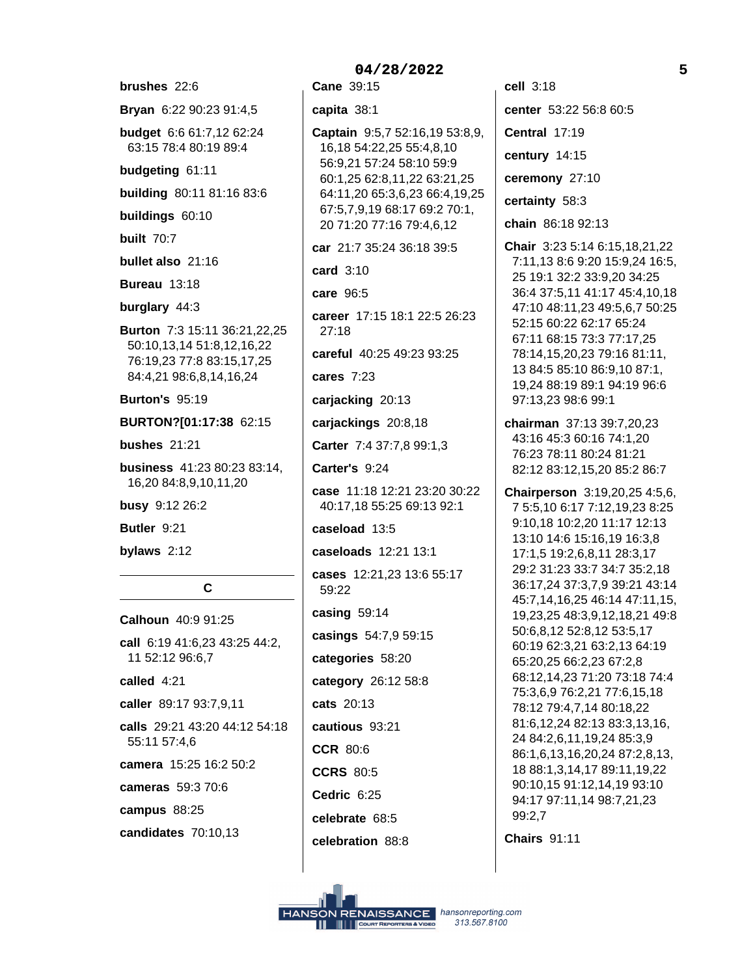brushes 22:6 Bryan 6:22 90:23 91:4,5 budget 6:6 61:7,12 62:24 63:15 78:4 80:19 89:4 budgeting 61:11 building 80:11 81:16 83:6 buildings 60:10 **built** 70:7 bullet also 21:16 **Bureau 13:18** burglary 44:3 Burton 7:3 15:11 36:21,22,25 50:10,13,14 51:8,12,16,22 76:19,23 77:8 83:15,17,25 84:4,21 98:6,8,14,16,24 **Burton's 95:19** BURTON?[01:17:38 62:15 bushes  $21:21$ business 41:23 80:23 83:14, 16,20 84:8,9,10,11,20 busy 9:12 26:2 Butler 9:21 bylaws  $2:12$  $\mathbf c$ Calhoun  $40.991.25$ call 6:19 41:6,23 43:25 44:2, 11 52:12 96:6,7 called  $4.21$ caller 89:17 93:7,9,11 calls 29:21 43:20 44:12 54:18 55:11 57:4.6 camera 15:25 16:2 50:2 cameras 59:3 70:6

campus 88:25

candidates 70:10,13

Cane 39:15 capita 38:1 Captain 9:5,7 52:16,19 53:8,9, 16,18 54:22,25 55:4,8,10 56:9,21 57:24 58:10 59:9 60:1,25 62:8,11,22 63:21,25 64:11,20 65:3,6,23 66:4,19,25 67:5,7,9,19 68:17 69:2 70:1, 20 71:20 77:16 79:4,6,12 car 21:7 35:24 36:18 39:5 card 3:10 care 96:5 career 17:15 18:1 22:5 26:23  $27:18$ careful 40:25 49:23 93:25 cares  $7:23$ carjacking 20:13 carjackings 20:8,18 Carter 7:4 37:7,8 99:1,3 Carter's 9:24 case 11:18 12:21 23:20 30:22 40:17,18 55:25 69:13 92:1 caseload 13:5 caseloads 12:21 13:1 cases 12:21,23 13:6 55:17 59:22 casing 59:14 casings 54:7,9 59:15 categories 58:20 category 26:12 58:8 cats 20:13 cautious 93:21 **CCR 80:6 CCRS 80:5** Cedric 6:25 celebrate 68:5 celebration 88:8

cell  $3:18$ center 53:22 56:8 60:5 Central 17:19 century 14:15 ceremony 27:10 certainty 58:3 chain 86:18 92:13 Chair 3:23 5:14 6:15.18.21.22 7:11,13 8:6 9:20 15:9,24 16:5, 25 19:1 32:2 33:9,20 34:25 36:4 37:5,11 41:17 45:4,10,18 47:10 48:11,23 49:5,6,7 50:25 52:15 60:22 62:17 65:24 67:11 68:15 73:3 77:17,25 78:14,15,20,23 79:16 81:11, 13 84:5 85:10 86:9,10 87:1, 19,24 88:19 89:1 94:19 96:6 97:13,23 98:6 99:1 chairman 37:13 39:7,20,23 43:16 45:3 60:16 74:1,20 76:23 78:11 80:24 81:21 82:12 83:12,15,20 85:2 86:7 Chairperson 3:19,20,25 4:5,6, 7 5:5,10 6:17 7:12,19,23 8:25 9:10,18 10:2,20 11:17 12:13 13:10 14:6 15:16,19 16:3,8 17:1,5 19:2,6,8,11 28:3,17 29:2 31:23 33:7 34:7 35:2,18 36:17,24 37:3,7,9 39:21 43:14 45:7,14,16,25 46:14 47:11,15, 19,23,25 48:3,9,12,18,21 49:8 50:6,8,12 52:8,12 53:5,17 60:19 62:3,21 63:2,13 64:19 65:20,25 66:2,23 67:2,8 68:12,14,23 71:20 73:18 74:4 75:3,6,9 76:2,21 77:6,15,18 78:12 79:4,7,14 80:18,22 81:6,12,24 82:13 83:3,13,16, 24 84:2,6,11,19,24 85:3,9 86:1.6.13.16.20.24 87:2.8.13. 18 88:1,3,14,17 89:11,19,22 90:10,15 91:12,14,19 93:10 94:17 97:11,14 98:7,21,23 99:2.7

**Chairs 91:11**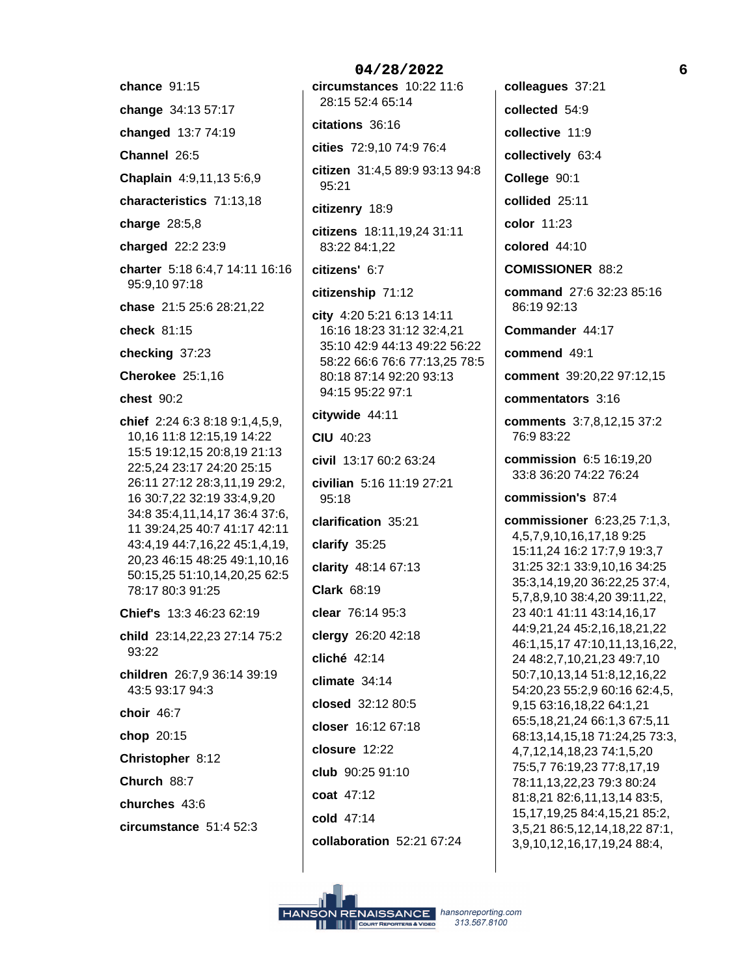- chance 91:15
- change 34:13 57:17
- changed 13:7 74:19
- Channel 26:5
- Chaplain 4:9,11,13 5:6,9
- characteristics 71:13,18
- charge  $28:5,8$
- charged 22:2 23:9
- charter 5:18 6:4,7 14:11 16:16 95:9,10 97:18
- chase 21:5 25:6 28:21,22
- check 81:15
- checking 37:23
- Cherokee 25:1.16
- chest 90:2
- chief 2:24 6:3 8:18 9:1,4,5,9, 10,16 11:8 12:15,19 14:22 15:5 19:12,15 20:8,19 21:13 22:5,24 23:17 24:20 25:15 26:11 27:12 28:3,11,19 29:2, 16 30:7,22 32:19 33:4,9,20 34:8 35:4,11,14,17 36:4 37:6, 11 39:24,25 40:7 41:17 42:11 43:4,19 44:7,16,22 45:1,4,19, 20,23 46:15 48:25 49:1,10,16 50:15,25 51:10,14,20,25 62:5 78:17 80:3 91:25

Chief's 13:3 46:23 62:19

- child 23:14,22,23 27:14 75:2 93:22
- children 26:7,9 36:14 39:19 43:5 93:17 94:3
- choir 46:7
- chop 20:15
- Christopher 8:12
- Church 88:7
- churches 43:6
- circumstance 51:4 52:3

#### 04/28/2022

circumstances 10:22 11:6 28:15 52:4 65:14

citations 36:16

- cities 72:9,10 74:9 76:4
- citizen 31:4,5 89:9 93:13 94:8  $95:21$
- citizenry 18:9
- citizens 18:11,19,24 31:11 83:22 84:1.22
- citizens' 6:7
- citizenship 71:12
- city 4:20 5:21 6:13 14:11 16:16 18:23 31:12 32:4,21 35:10 42:9 44:13 49:22 56:22 58:22 66:6 76:6 77:13,25 78:5 80:18 87:14 92:20 93:13 94:15 95:22 97:1
- citywide 44:11
- **CIU 40:23**

95:18

- civil 13:17 60:2 63:24
- civilian 5:16 11:19 27:21
- clarification 35:21
- clarify 35:25
- clarity 48:14 67:13
- Clark 68:19
- clear 76:14 95:3
- clergy 26:20 42:18
- cliché 42:14
- climate  $34:14$
- closed 32:12 80:5
- closer 16:12 67:18
- closure 12:22
- club 90:25 91:10
- coat 47:12
- 
- cold 47:14
- collaboration 52:21 67:24

colleagues 37:21 collected 54:9 collective 11:9 collectively 63:4 College 90:1 collided 25:11 color 11:23 colored 44:10 **COMISSIONER 88:2** command 27:6 32:23 85:16 86:19 92:13 Commander 44:17 commend 49:1 comment 39:20,22 97:12,15 commentators 3:16 comments 3:7,8,12,15 37:2 76:983:22 commission 6:5 16:19,20 33:8 36:20 74:22 76:24 commission's 87:4 commissioner 6:23,25 7:1,3, 4, 5, 7, 9, 10, 16, 17, 18 9: 25 15:11,24 16:2 17:7,9 19:3,7 31:25 32:1 33:9,10,16 34:25 35:3,14,19,20 36:22,25 37:4, 5,7,8,9,10 38:4,20 39:11,22, 23 40:1 41:11 43:14,16,17 44:9,21,24 45:2,16,18,21,22 46:1,15,17 47:10,11,13,16,22, 24 48:2,7,10,21,23 49:7,10 50:7,10,13,14 51:8,12,16,22 54:20,23 55:2,9 60:16 62:4,5, 9,15 63:16,18,22 64:1,21 65:5,18,21,24 66:1,3 67:5,11 68:13,14,15,18 71:24,25 73:3,

4,7,12,14,18,23 74:1,5,20

75:5,7 76:19,23 77:8,17,19

78:11,13,22,23 79:3 80:24

81:8,21 82:6,11,13,14 83:5,

15, 17, 19, 25 84: 4, 15, 21 85: 2,

3,5,21 86:5,12,14,18,22 87:1,

3,9,10,12,16,17,19,24 88:4,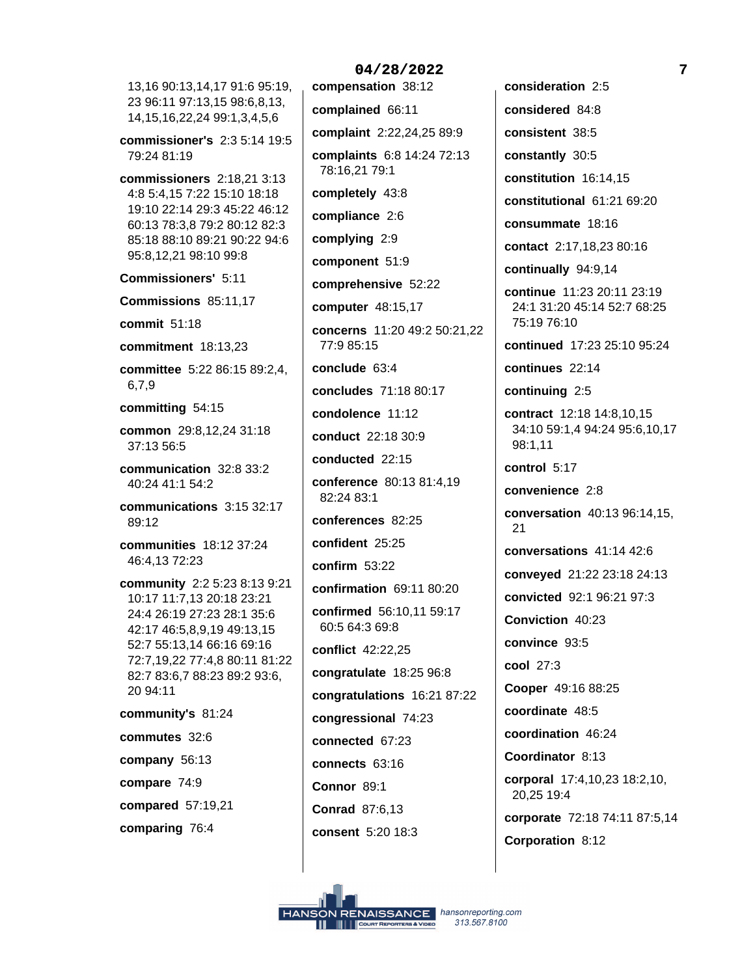13,16 90:13,14,17 91:6 95:19, 23 96:11 97:13,15 98:6,8,13, 14, 15, 16, 22, 24 99: 1, 3, 4, 5, 6

commissioner's 2:3 5:14 19:5 79:24 81:19

commissioners  $2:18.213:13$ 4:8 5:4,15 7:22 15:10 18:18 19:10 22:14 29:3 45:22 46:12 60:13 78:3,8 79:2 80:12 82:3 85:18 88:10 89:21 90:22 94:6 95:8,12,21 98:10 99:8

**Commissioners' 5:11** 

Commissions 85:11,17

commit 51:18

commitment 18:13,23

committee 5:22 86:15 89:2,4,  $6,7,9$ 

committing 54:15

common 29:8,12,24 31:18 37:13 56:5

communication 32:8 33:2 40:24 41:1 54:2

communications 3:15 32:17 89:12

communities 18:12 37:24 46:4,1372:23

community 2:2 5:23 8:13 9:21 10:17 11:7.13 20:18 23:21 24:4 26:19 27:23 28:1 35:6 42:17 46:5,8,9,19 49:13,15 52:7 55:13,14 66:16 69:16 72:7,19,22 77:4,8 80:11 81:22 82:7 83:6,7 88:23 89:2 93:6, 20 94:11

community's 81:24

commutes 32:6

company 56:13

compare 74:9

compared 57:19,21

comparing 76:4

compensation 38:12 complained 66:11 complaint 2:22,24,25 89:9 complaints 6:8 14:24 72:13 78:16,21 79:1 completely 43:8 compliance 2:6 complying 2:9 component 51:9 comprehensive 52:22 computer 48:15,17 concerns 11:20 49:2 50:21,22 77:9 85:15 conclude 63:4 concludes 71:18 80:17 condolence 11:12 conduct 22:18 30:9 conducted 22:15 conference 80:13 81:4,19 82:24 83:1 conferences 82:25 confident 25:25 confirm  $53:22$ confirmation 69:11 80:20 confirmed 56:10,11 59:17 60:5 64:3 69:8 conflict 42:22,25 congratulate 18:25 96:8 congratulations 16:21 87:22 congressional 74:23 connected 67:23 connects 63:16 Connor 89:1 **Conrad 87:6.13** consent 5:20 18:3

04/28/2022

consideration 2:5 considered 84:8 consistent 38:5 constantly 30:5 constitution 16:14,15 constitutional 61:21 69:20 consummate 18:16 contact 2:17,18,23 80:16 continually 94:9,14 continue 11:23 20:11 23:19 24:1 31:20 45:14 52:7 68:25 75:19 76:10 continued 17:23 25:10 95:24 continues 22:14 continuing 2:5 contract 12:18 14:8,10,15 34:10 59:1,4 94:24 95:6,10,17 98:1.11 control 5:17 convenience 2:8 conversation 40:13 96:14,15, 21 conversations 41:14 42:6 conveyed 21:22 23:18 24:13 convicted 92:1 96:21 97:3 Conviction 40:23 convince 93:5 cool 27:3 Cooper 49:16 88:25 coordinate 48:5 coordination 46:24 Coordinator 8:13 corporal 17:4,10,23 18:2,10, 20,25 19:4 corporate 72:18 74:11 87:5,14 Corporation 8:12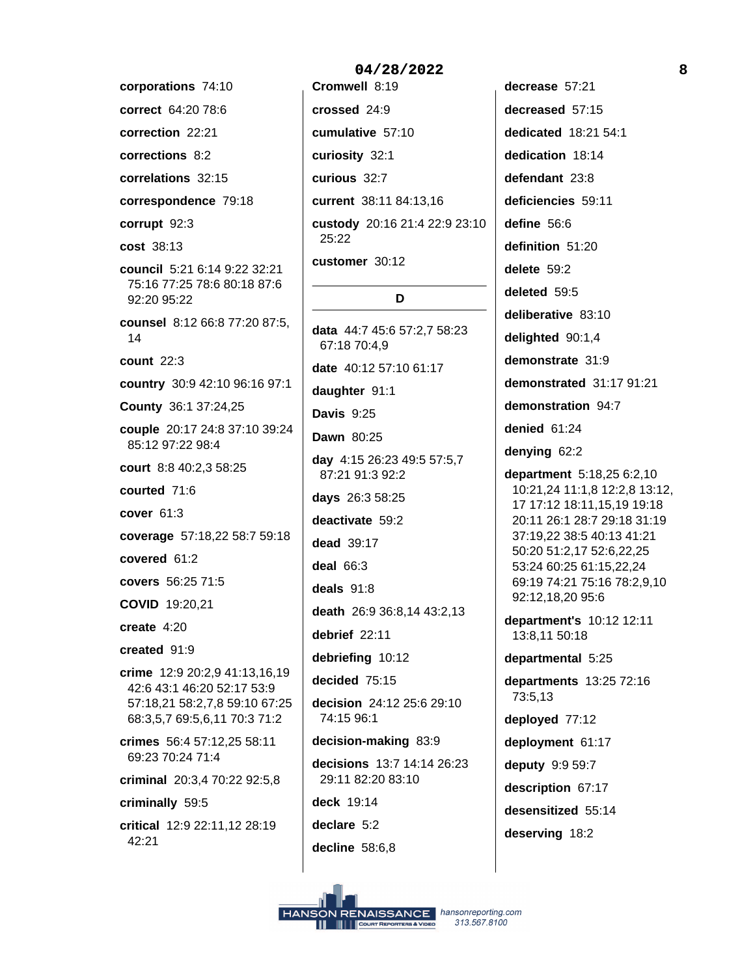corporations 74:10 correct 64:20 78:6 correction 22:21 corrections 8:2 correlations 32:15 correspondence 79:18 corrupt 92:3 cost 38:13 council 5:21 6:14 9:22 32:21 75:16 77:25 78:6 80:18 87:6 92:20 95:22 counsel 8:12 66:8 77:20 87:5, 14 count 22:3 country 30:9 42:10 96:16 97:1 County 36:1 37:24,25 couple 20:17 24:8 37:10 39:24 85:12 97:22 98:4 court 8:8 40:2,3 58:25 courted 71:6 cover  $61:3$ coverage 57:18,22 58:7 59:18 covered 61:2 covers 56:25 71:5 **COVID 19:20,21** create  $4:20$ created 91:9 crime 12:9 20:2.9 41:13.16.19 42:6 43:1 46:20 52:17 53:9 57:18,21 58:2,7,8 59:10 67:25 68:3,5,7 69:5,6,11 70:3 71:2 crimes 56:4 57:12.25 58:11 69:23 70:24 71:4 criminal 20:3,4 70:22 92:5,8 criminally 59:5 critical 12:9 22:11,12 28:19 42:21

crossed 24:9 cumulative 57:10 curiosity 32:1 curious 32:7 current 38:11 84:13,16 custody 20:16 21:4 22:9 23:10 25:22 customer 30:12 D data 44:7 45:6 57:2,7 58:23 67:18 70:4,9 date 40:12 57:10 61:17 daughter 91:1 **Davis 9:25** Dawn 80:25 day 4:15 26:23 49:5 57:5,7 87:21 91:3 92:2 days 26:3 58:25 deactivate 59:2 dead 39:17 deal  $66:3$ deals  $91:8$ death 26:9 36:8,14 43:2,13 debrief 22:11 debriefing 10:12 decided 75:15 decision 24:12 25:6 29:10 74:15 96:1 decision-making 83:9 decisions 13:7 14:14 26:23 29:11 82:20 83:10 deck 19:14 declare 5:2 decline 58:6,8

decrease 57:21 decreased 57:15 dedicated 18:21 54:1 dedication 18:14 defendant 23:8 deficiencies 59:11 define 56:6 definition 51:20 delete 59:2 deleted 59:5 deliberative 83:10 delighted 90:1,4 demonstrate 31:9 demonstrated 31:17 91:21 demonstration 94:7 denied 61:24 denying 62:2 department 5:18,25 6:2,10 10:21,24 11:1,8 12:2,8 13:12, 17 17:12 18:11,15,19 19:18 20:11 26:1 28:7 29:18 31:19 37:19,22 38:5 40:13 41:21 50:20 51:2,17 52:6,22,25 53:24 60:25 61:15,22,24 69:19 74:21 75:16 78:2,9,10 92:12,18,20 95:6 department's 10:12 12:11 13:8,11 50:18 departmental 5:25 departments 13:25 72:16 73:5,13 deployed 77:12 deployment 61:17 deputy 9:9 59:7 description 67:17 desensitized 55:14 deserving 18:2

#### 04/28/2022

Cromwell 8:19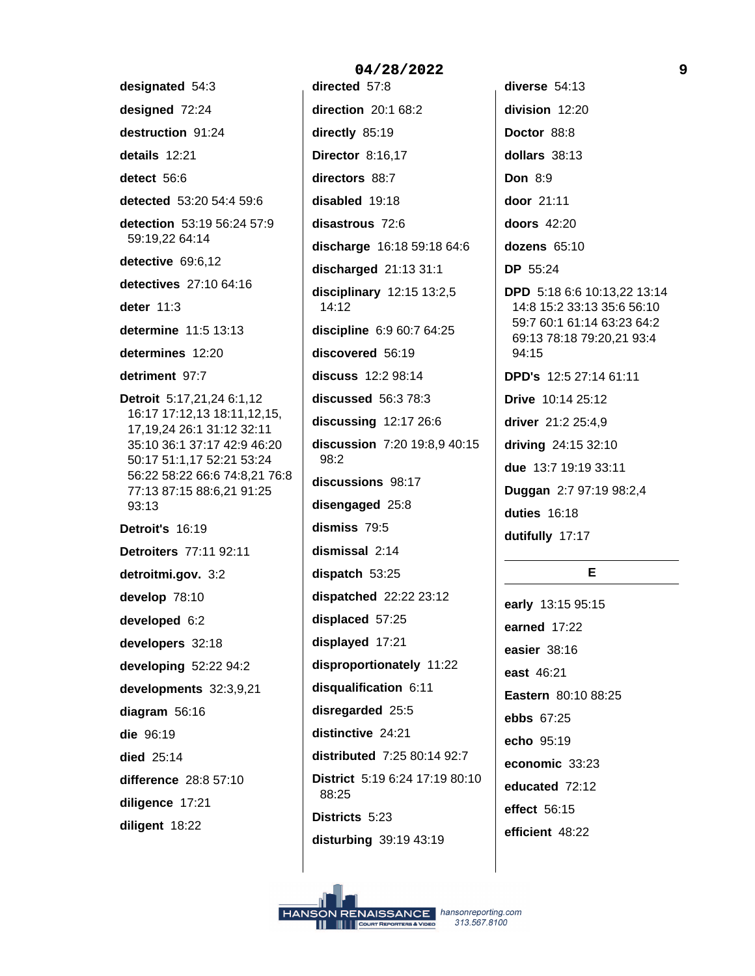designated 54:3 designed 72:24 destruction 91:24 details 12:21 detect 56:6 detected 53:20 54:4 59:6 detection 53:19 56:24 57:9 59:19,22 64:14 detective 69:6,12 detectives 27:10 64:16 deter  $11:3$ determine 11:5 13:13 determines 12:20 detriment 97:7 Detroit 5:17,21,24 6:1,12 16:17 17:12,13 18:11,12,15, 17, 19, 24 26: 1 31: 12 32: 11 35:10 36:1 37:17 42:9 46:20 50:17 51:1,17 52:21 53:24 56:22 58:22 66:6 74:8,21 76:8 77:13 87:15 88:6,21 91:25 93:13 Detroit's 16:19 **Detroiters 77:11 92:11** detroitmi.gov. 3:2 develop 78:10 developed 6:2 developers 32:18 developing 52:22 94:2 developments 32:3,9,21 diagram 56:16 die 96:19 died 25:14 difference 28:8 57:10 diligence 17:21 diligent 18:22

directed 57:8 direction 20:1 68:2 directly 85:19 **Director 8:16,17** directors 88:7 disabled 19:18 disastrous 72:6 discharge 16:18 59:18 64:6 discharged  $21:1331:1$ disciplinary  $12:15$   $13:2,5$  $14:12$ discipline 6:9 60:7 64:25 discovered 56:19 discuss 12:2 98:14 discussed 56:3 78:3 discussing  $12:1726:6$ discussion 7:20 19:8,9 40:15  $98:2$ discussions 98:17 disengaged 25:8 dismiss 79:5 dismissal 2:14 dispatch 53:25 dispatched 22:22 23:12 displaced 57:25 displayed 17:21 disproportionately 11:22 disqualification 6:11 disregarded 25:5 distinctive 24:21 distributed 7:25 80:14 92:7 District 5:19 6:24 17:19 80:10 88:25 Districts 5:23 disturbing 39:19 43:19

04/28/2022

diverse 54:13 division 12:20 Doctor 88:8 dollars 38:13 **Don 8:9** door 21:11 doors 42:20 dozens  $65:10$ **DP** 55:24 **DPD** 5:18 6:6 10:13,22 13:14 14:8 15:2 33:13 35:6 56:10 59:7 60:1 61:14 63:23 64:2 69:13 78:18 79:20,21 93:4 94:15 **DPD's 12:5 27:14 61:11** Drive 10:14 25:12 driver 21:2 25:4,9 driving 24:15 32:10 due 13:7 19:19 33:11 Duggan 2:7 97:19 98:2,4 duties 16:18 dutifully 17:17

# E.

early 13:15 95:15 earned 17:22 easier 38:16 east 46:21 Eastern 80:10 88:25 ebbs 67:25 echo 95:19 economic 33:23 educated 72:12 effect 56:15 efficient 48:22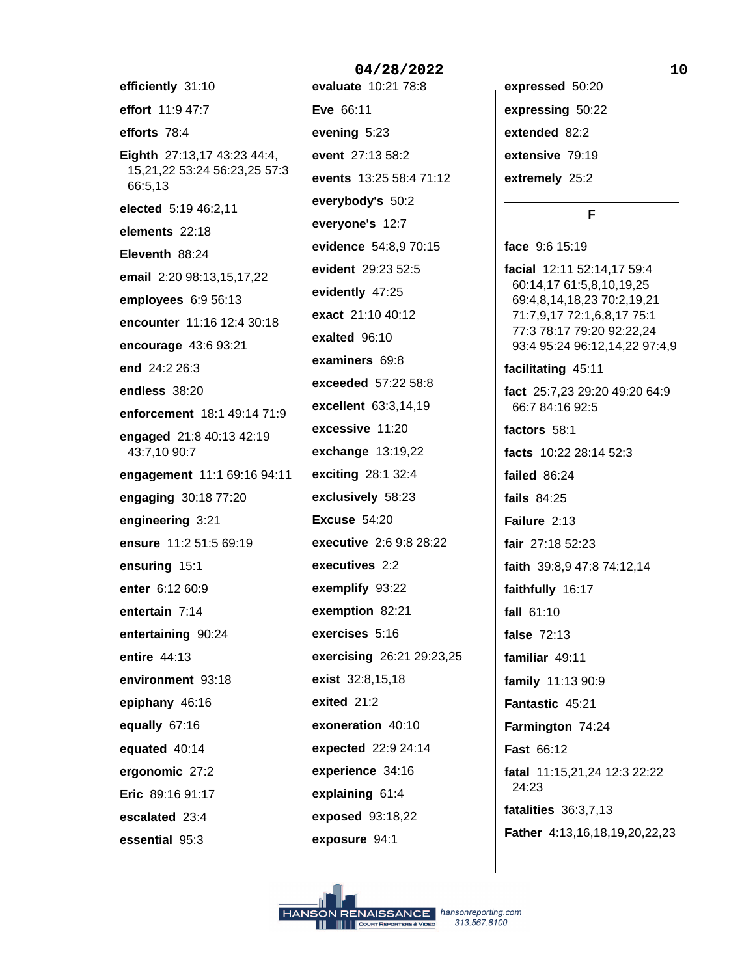efficiently 31:10 effort 11:9 47:7 efforts 78:4 Eighth 27:13,17 43:23 44:4, 15,21,22 53:24 56:23,25 57:3 66:5,13 elected 5:19 46:2,11 elements 22:18 Eleventh 88:24 email 2:20 98:13,15,17,22 employees 6:9 56:13 encounter 11:16 12:4 30:18 encourage 43:6 93:21 end 24:2 26:3 endless 38:20 enforcement 18:1 49:14 71:9 engaged 21:8 40:13 42:19 43:7,10 90:7 engagement 11:1 69:16 94:11 engaging 30:18 77:20 engineering 3:21 ensure 11:2 51:5 69:19 ensuring 15:1 enter 6:12 60:9 entertain 7:14 entertaining 90:24 entire 44:13 environment 93:18 epiphany 46:16 equally 67:16 equated 40:14 ergonomic 27:2 Eric 89:16 91:17 escalated 23:4 essential 95:3

04/28/2022 evaluate 10:21 78:8 Eve 66:11 evening 5:23 event 27:13 58:2 events 13:25 58:4 71:12 everybody's 50:2 everyone's 12:7 evidence 54:8.9 70:15 evident 29:23 52:5 evidently 47:25 exact 21:10 40:12 exalted 96:10 examiners 69:8 exceeded 57:22 58:8 excellent 63:3,14,19 excessive 11:20 exchange  $13:19,22$ exciting 28:1 32:4 exclusively 58:23 **Excuse 54:20** executive 2:6 9:8 28:22 executives 2:2 exemplify 93:22 exemption 82:21 exercises 5:16 exercising 26:21 29:23,25 exist 32:8,15,18 exited 21:2 exoneration 40:10 expected 22:9 24:14 experience 34:16 explaining 61:4 exposed 93:18,22 exposure 94:1

expressed 50:20 expressing 50:22 extended 82:2 extensive 79:19 extremely 25:2

# F.

face 9:6 15:19 facial 12:11 52:14,17 59:4 60:14,17 61:5,8,10,19,25 69:4,8,14,18,23 70:2,19,21 71:7,9,17 72:1,6,8,17 75:1 77:3 78:17 79:20 92:22,24 93:4 95:24 96:12,14,22 97:4,9 facilitating 45:11 fact 25:7,23 29:20 49:20 64:9 66:7 84:16 92:5 factors 58:1 facts 10:22 28:14 52:3 failed 86:24 fails  $84:25$ Failure 2:13 fair 27:18 52:23 faith 39:8,9 47:8 74:12,14 faithfully 16:17 fall  $61:10$ false 72:13 familiar 49:11 family 11:13 90:9 Fantastic 45:21 Farmington 74:24 **Fast 66:12** fatal 11:15,21,24 12:3 22:22

fatalities 36:3,7,13 Father 4:13,16,18,19,20,22,23

24:23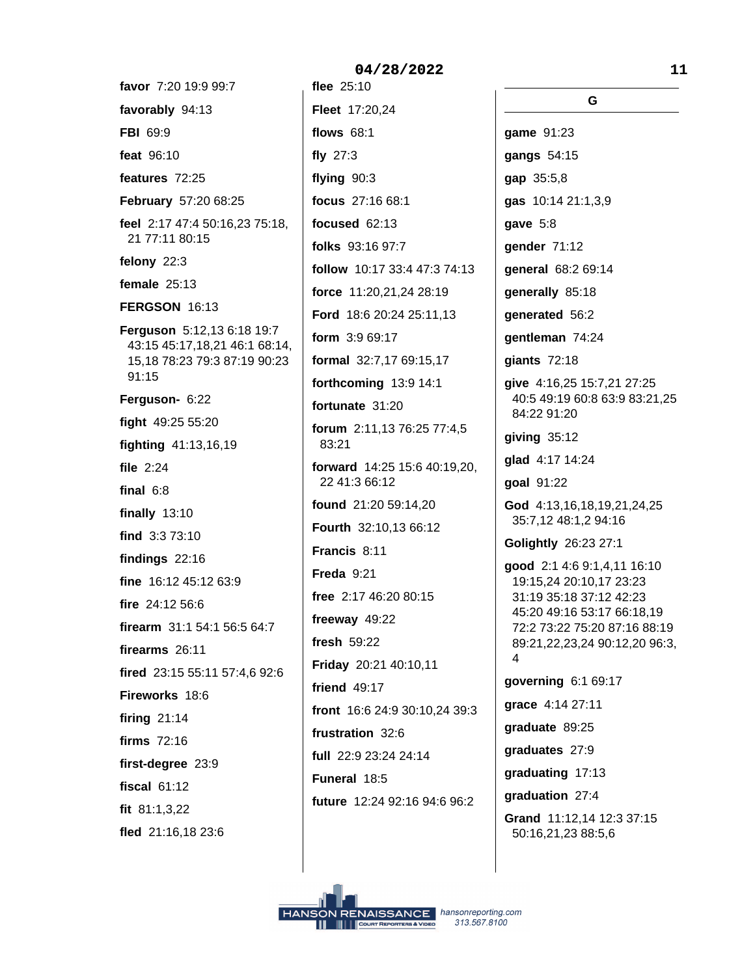favor 7:20 19:9 99:7 favorably 94:13 FBI 69:9 feat 96:10 features 72:25 February 57:20 68:25 feel 2:17 47:4 50:16,23 75:18, 21 77:11 80:15 felony 22:3 female  $25:13$ **FERGSON 16:13** Ferguson 5:12,13 6:18 19:7 43:15 45:17,18,21 46:1 68:14, 15,18 78:23 79:3 87:19 90:23 91:15 Ferguson- 6:22 fight 49:25 55:20 fighting 41:13,16,19 file 2:24 final  $6:8$ finally  $13:10$ find 3:3 73:10 findings  $22:16$ fine 16:12 45:12 63:9 fire 24:12 56:6 firearm 31:1 54:1 56:5 64:7 firearms 26:11 fired 23:15 55:11 57:4,6 92:6 Fireworks 18:6 firing  $21:14$ firms 72:16 first-degree 23:9 fiscal 61:12 fit  $81:1,3,22$ fled 21:16,18 23:6

flee 25:10 Fleet 17:20,24 **flows** 68:1 fly  $27:3$ flying  $90:3$ focus 27:16 68:1 focused 62:13 folks 93:16 97:7 follow 10:17 33:4 47:3 74:13 force 11:20,21,24 28:19 Ford 18:6 20:24 25:11,13 form 3:9 69:17 formal 32:7,17 69:15,17 forthcoming 13:9 14:1 fortunate 31:20 forum 2:11,13 76:25 77:4,5 83:21 forward 14:25 15:6 40:19,20, 22 41:3 66:12 found 21:20 59:14.20 Fourth 32:10,13 66:12 Francis 8:11 Freda  $9:21$ free 2:17 46:20 80:15 freeway 49:22 fresh  $59:22$ Friday 20:21 40:10,11 friend 49:17 front 16:6 24:9 30:10,24 39:3 frustration 32:6 full 22:9 23:24 24:14 Funeral 18:5 future 12:24 92:16 94:6 96:2

G game 91:23 gangs 54:15 qap 35:5,8 gas 10:14 21:1,3,9 gave  $5:8$ gender 71:12 general 68:2 69:14 generally 85:18 generated 56:2 gentleman 74:24 giants 72:18 qive 4:16,25 15:7,21 27:25 40:5 49:19 60:8 63:9 83:21,25 84:22 91:20  $qiv$ ing  $35:12$ glad 4:17 14:24 goal 91:22 God 4:13,16,18,19,21,24,25 35:7,12 48:1,2 94:16 Golightly 26:23 27:1 good 2:1 4:6 9:1,4,11 16:10 19:15,24 20:10,17 23:23 31:19 35:18 37:12 42:23 45:20 49:16 53:17 66:18.19 72:2 73:22 75:20 87:16 88:19 89:21,22,23,24 90:12,20 96:3, 4 governing 6:1 69:17 grace 4:14 27:11 graduate 89:25 graduates 27:9 graduating 17:13 graduation 27:4 Grand 11:12,14 12:3 37:15 50:16,21,23 88:5,6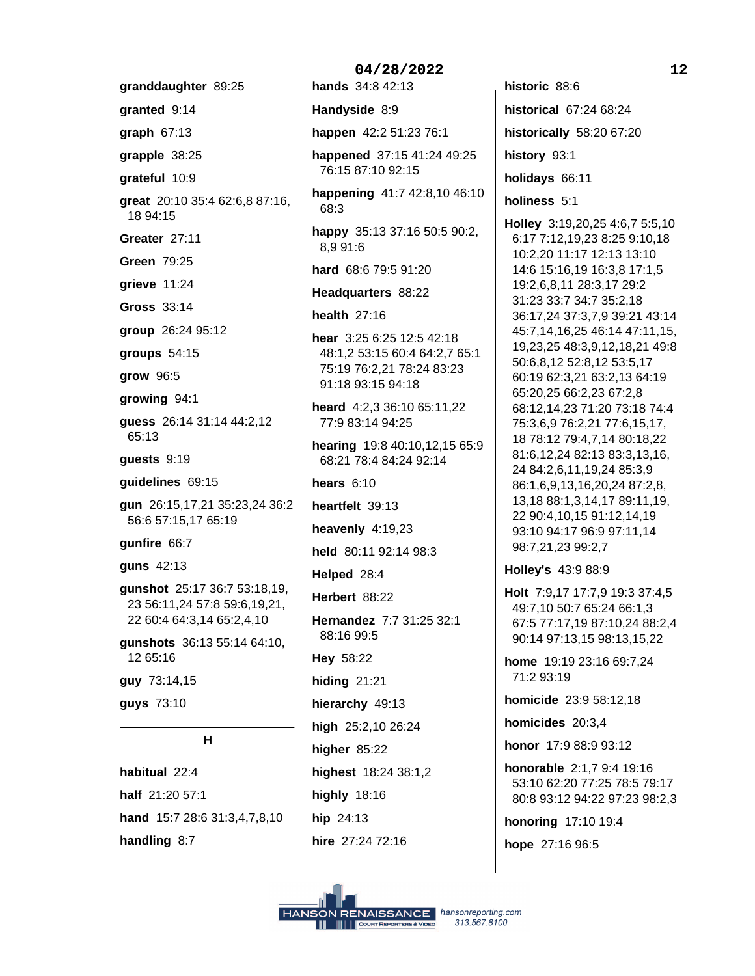granddaughter 89:25 granted 9:14 graph  $67:13$ grapple 38:25 grateful 10:9 great 20:10 35:4 62:6,8 87:16, 18 94:15 Greater 27:11 **Green 79:25** grieve 11:24 Gross 33:14 group 26:24 95:12 groups  $54:15$ grow 96:5 growing 94:1 guess 26:14 31:14 44:2,12  $65:13$ guests 9:19 guidelines 69:15 gun 26:15,17,21 35:23,24 36:2 56:6 57:15,17 65:19 gunfire 66:7 guns 42:13 gunshot 25:17 36:7 53:18,19, 23 56:11,24 57:8 59:6,19,21, 22 60:4 64:3,14 65:2,4,10 gunshots 36:13 55:14 64:10, 12 65:16 guy 73:14,15 guys 73:10  $H$ habitual 22:4 half 21:20 57:1

hand 15:7 28:6 31:3,4,7,8,10 handling 8:7

04/28/2022 hands 34:8 42:13 Handyside 8:9 happen 42:2 51:23 76:1 happened 37:15 41:24 49:25 76:15 87:10 92:15 happening 41:7 42:8,10 46:10 68:3 happy 35:13 37:16 50:5 90:2, 8.9 91:6 hard 68:6 79:5 91:20 Headquarters 88:22 health  $27:16$ hear 3:25 6:25 12:5 42:18 48:1,2 53:15 60:4 64:2,7 65:1 75:19 76:2,21 78:24 83:23 91:18 93:15 94:18 heard 4:2,3 36:10 65:11,22 77:9 83:14 94:25 hearing 19:8 40:10,12,15 65:9 68:21 78:4 84:24 92:14 hears  $6:10$ heartfelt 39:13 heavenly  $4:19,23$ held 80:11 92:14 98:3 Helped 28:4 Herbert 88:22 Hernandez 7:7 31:25 32:1 88:16 99:5 Hey 58:22 hiding  $21:21$ hierarchy 49:13 high 25:2,10 26:24 higher  $85:22$ highest 18:24 38:1,2 highly  $18:16$ hip 24:13

hire 27:24 72:16

historic 88:6 historical 67:24 68:24 historically 58:20 67:20 history 93:1 holidays 66:11 holiness 5:1 Holley 3:19,20,25 4:6,7 5:5,10

6:17 7:12,19,23 8:25 9:10,18 10:2,20 11:17 12:13 13:10 14:6 15:16,19 16:3,8 17:1,5 19:2,6,8,11 28:3,17 29:2 31:23 33:7 34:7 35:2,18 36:17,24 37:3,7,9 39:21 43:14 45:7,14,16,25 46:14 47:11,15, 19,23,25 48:3,9,12,18,21 49:8 50:6,8,12 52:8,12 53:5,17 60:19 62:3,21 63:2,13 64:19 65:20,25 66:2,23 67:2,8 68:12,14,23 71:20 73:18 74:4 75:3,6,9 76:2,21 77:6,15,17, 18 78:12 79:4,7,14 80:18,22 81:6,12,24 82:13 83:3,13,16, 24 84:2,6,11,19,24 85:3,9 86:1,6,9,13,16,20,24 87:2,8, 13,18 88:1,3,14,17 89:11,19, 22 90:4,10,15 91:12,14,19 93:10 94:17 96:9 97:11,14 98:7,21,23 99:2,7

Holley's 43:9 88:9

Holt 7:9,17 17:7,9 19:3 37:4,5 49:7,10 50:7 65:24 66:1,3 67:5 77:17,19 87:10,24 88:2,4 90:14 97:13,15 98:13,15,22

home 19:19 23:16 69:7,24 71:2 93:19

homicide 23:9 58:12,18

homicides 20:3,4

honor 17:9 88:9 93:12

honorable 2:1.7 9:4 19:16 53:10 62:20 77:25 78:5 79:17 80:8 93:12 94:22 97:23 98:2,3

honoring 17:10 19:4

hope 27:16 96:5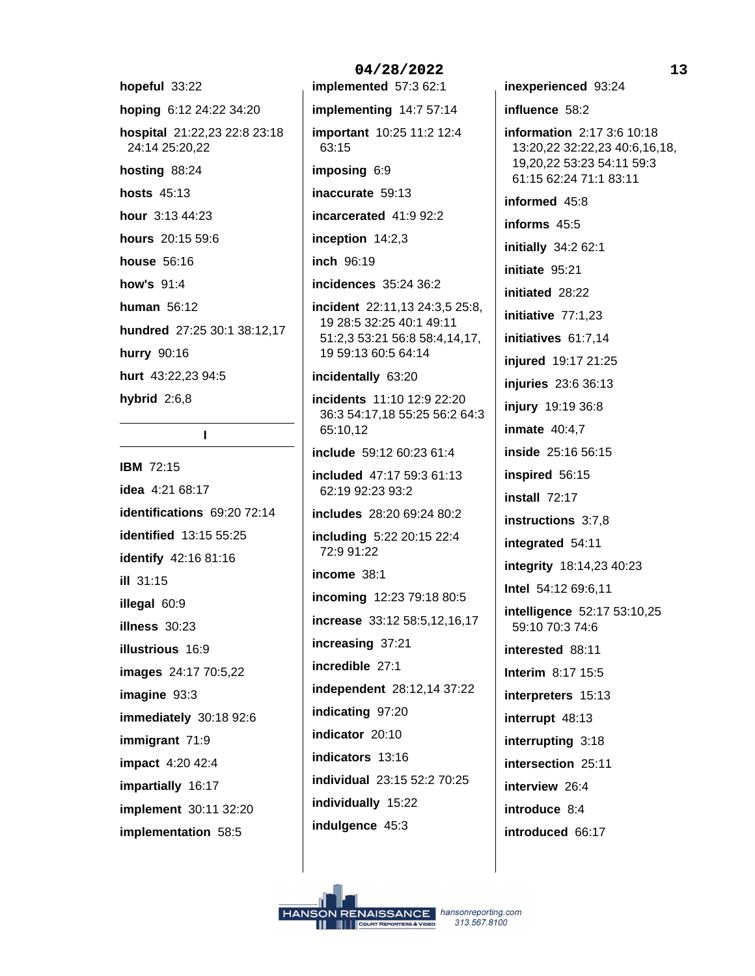hopeful 33:22 hoping 6:12 24:22 34:20 hospital 21:22,23 22:8 23:18 24:14 25:20,22 hosting 88:24 **hosts** 45:13 hour 3:13 44:23 hours 20:15 59:6 house 56:16 how's 91:4 human  $56:12$ hundred 27:25 30:1 38:12,17 hurry 90:16 hurt 43:22,23 94:5 hybrid  $2:6,8$ 

# $\mathbf{I}$

**IBM 72:15** idea 4:21 68:17 identifications 69:20 72:14 identified 13:15 55:25 identify 42:16 81:16 ill 31:15 illegal 60:9 illness 30:23 **illustrious** 16:9 images 24:17 70:5,22  $image 93:3$ immediately 30:18 92:6 immigrant 71:9 **impact** 4:20 42:4 impartially 16:17 **implement** 30:11 32:20 implementation 58:5

04/28/2022 implemented 57:3 62:1 implementing 14:7 57:14 important 10:25 11:2 12:4 63:15 imposing 6:9 inaccurate 59:13 incarcerated 41:9 92:2 inception  $14:2,3$ inch 96:19 incidences 35:24 36:2 incident 22:11,13 24:3,5 25:8, 19 28:5 32:25 40:1 49:11 51:2,3 53:21 56:8 58:4,14,17, 19 59:13 60:5 64:14 incidentally 63:20 incidents 11:10 12:9 22:20 36:3 54:17,18 55:25 56:2 64:3 65:10.12 include 59:12 60:23 61:4 included 47:17 59:3 61:13 62:19 92:23 93:2 includes 28:20 69:24 80:2 including 5:22 20:15 22:4 72:9 91:22 income 38:1 incoming 12:23 79:18 80:5 increase 33:12 58:5,12,16,17 increasing 37:21 incredible 27:1 independent 28:12,14 37:22 indicating 97:20 indicator 20:10 indicators 13:16 individual 23:15 52:2 70:25 individually 15:22 indulgence 45:3

 $13$ inexperienced 93:24 influence 58:2 information 2:17 3:6 10:18 13:20,22 32:22,23 40:6,16,18, 19,20,22 53:23 54:11 59:3 61:15 62:24 71:1 83:11 informed 45:8 informs 45:5 initially  $34:262:1$ initiate 95:21 initiated 28:22 initiative  $77:1,23$ initiatives 61:7,14 injured 19:17 21:25 injuries 23:6 36:13 injury 19:19 36:8 inmate  $40:4.7$ inside 25:16 56:15 inspired 56:15 install 72:17 instructions 3:7.8 integrated 54:11 integrity 18:14,23 40:23 Intel 54:12 69:6,11 intelligence 52:17 53:10,25 59:10 70:3 74:6 interested 88:11 **Interim 8:17 15:5** interpreters 15:13 interrupt 48:13 interrupting 3:18 intersection 25:11 interview 26:4 introduce 8:4 introduced 66:17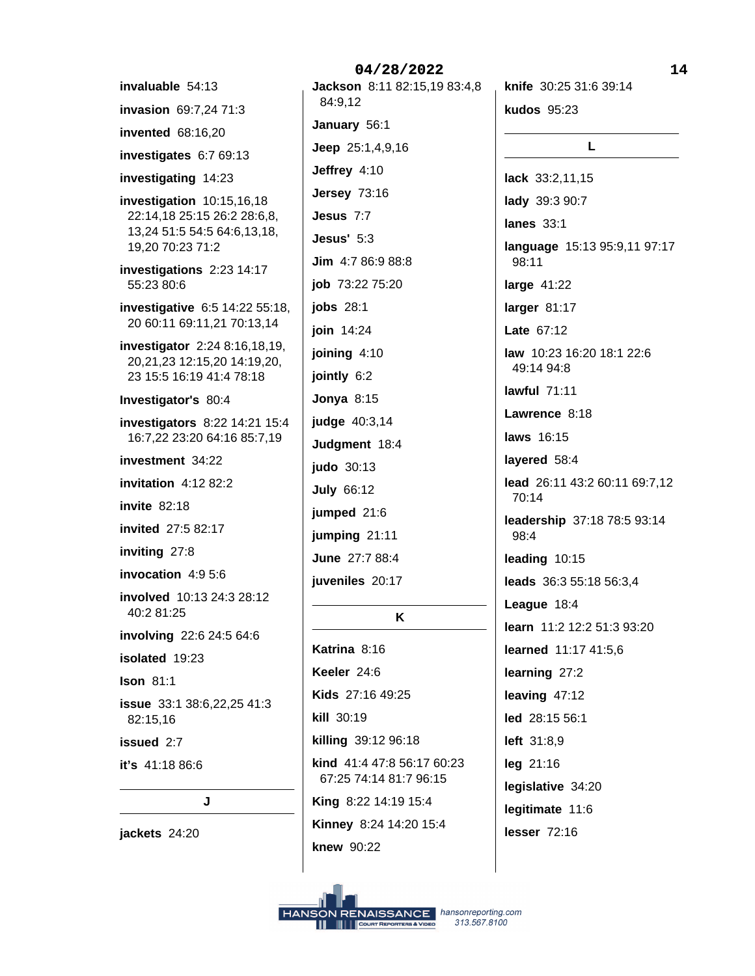invaluable 54:13 invasion 69:7,24 71:3 **invented** 68:16,20 investigates 6:7 69:13 investigating 14:23 investigation  $10:15,16,18$ 22:14,18 25:15 26:2 28:6,8, 13,24 51:5 54:5 64:6,13,18, 19.20 70:23 71:2 investigations 2:23 14:17 55:23 80:6 investigative 6:5 14:22 55:18, 20 60:11 69:11,21 70:13,14 investigator 2:24 8:16,18,19, 20,21,23 12:15,20 14:19,20, 23 15:5 16:19 41:4 78:18 Investigator's 80:4 investigators 8:22 14:21 15:4 16:7,22 23:20 64:16 85:7,19 investment 34:22 invitation  $4:1282:2$ **invite 82:18** invited 27:5 82:17 inviting 27:8 invocation 4:9 5:6 involved 10:13 24:3 28:12 40:2 81:25 involving 22:6 24:5 64:6 isolated 19:23 **Ison 81:1** issue 33:1 38:6,22,25 41:3 82:15,16 issued 2:7 it's 41:18 86:6

J

jackets 24:20

04/28/2022 Jackson 8:11 82:15,19 83:4,8 84:9,12 January 56:1 Jeep 25:1,4,9,16 Jeffrey 4:10 **Jersey 73:16** Jesus 7:7 Jesus' 5:3 Jim 4:7 86:9 88:8 job 73:22 75:20 jobs 28:1 join 14:24 joining 4:10 jointly 6:2 **Jonya 8:15** judge 40:3,14 Judgment 18:4 judo 30:13 **July 66:12** 

jumped 21:6 jumping 21:11 June 27:7 88:4

juveniles 20:17

K

Katrina 8:16 Keeler 24:6 Kids 27:16 49:25 kill 30:19 killing 39:12 96:18 kind 41:4 47:8 56:17 60:23 67:25 74:14 81:7 96:15 King 8:22 14:19 15:4 Kinney 8:24 14:20 15:4 knew 90:22

knife 30:25 31:6 39:14

kudos 95:23 L. lack 33:2,11,15 lady 39:3 90:7 **lanes** 33:1 language 15:13 95:9,11 97:17 98:11 large 41:22 larger 81:17 **Late 67:12** law 10:23 16:20 18:1 22:6 49:14 94:8 lawful  $71:11$ Lawrence 8:18 laws  $16.15$ layered 58:4 lead 26:11 43:2 60:11 69:7,12 70:14 leadership 37:18 78:5 93:14 98:4 leading 10:15 leads 36:3 55:18 56:3,4 League 18:4 learn 11:2 12:2 51:3 93:20 learned 11:17 41:5,6 learning 27:2 leaving  $47:12$ led 28:15 56:1 left 31:8,9 leg 21:16 legislative 34:20 legitimate 11:6 lesser  $72:16$ 

14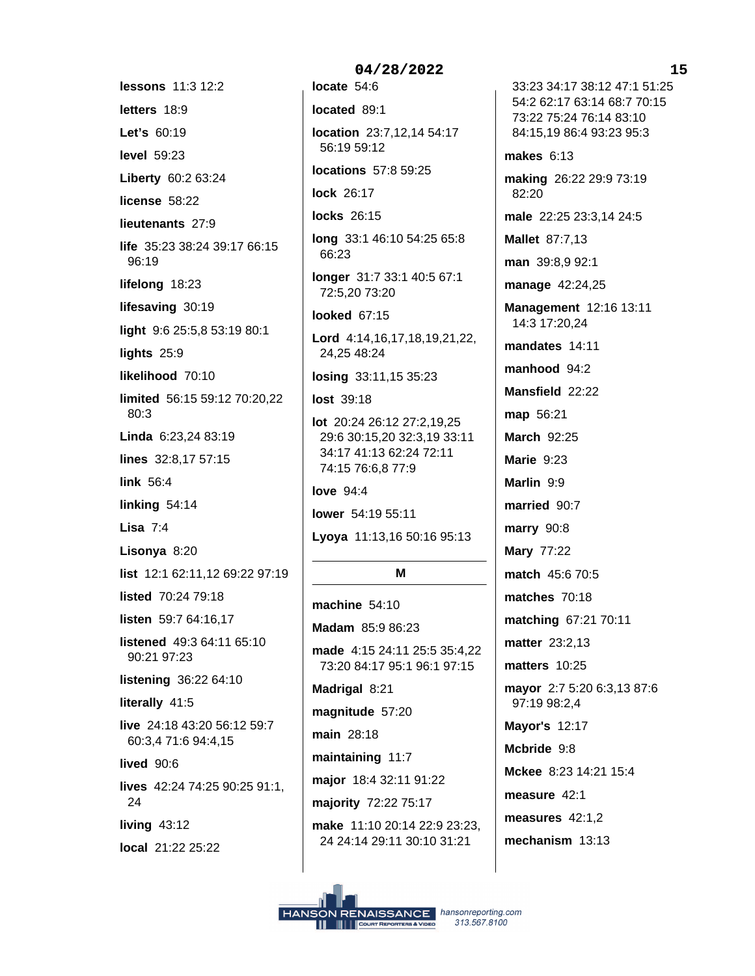lessons 11:3 12:2 letters 18:9 Let's 60:19 **level** 59:23 Liberty 60:2 63:24 license 58:22 lieutenants 27:9 life 35:23 38:24 39:17 66:15 96:19 lifelong 18:23 lifesaving 30:19 light 9:6 25:5,8 53:19 80:1 lights 25:9 likelihood 70:10 limited 56:15 59:12 70:20,22 80:3 Linda 6:23.24 83:19 lines 32:8,17 57:15 link 56:4 linking  $54:14$ Lisa  $7:4$ Lisonya 8:20 list 12:1 62:11,12 69:22 97:19 listed 70:24 79:18 listen 59:7 64:16,17 listened 49:3 64:11 65:10 90:21 97:23 listening 36:22 64:10 literally 41:5 live 24:18 43:20 56:12 59:7 60:3.4 71:6 94:4.15 lived 90:6 lives 42:24 74:25 90:25 91:1, 24 living  $43:12$ local 21:22 25:22

location 23:7,12,14 54:17 56:19 59:12 locations 57:8 59:25 lock 26:17 locks 26:15 long 33:1 46:10 54:25 65:8 66:23 longer 31:7 33:1 40:5 67:1 72:5,20 73:20 looked 67:15 Lord 4:14,16,17,18,19,21,22, 24,25 48:24 losing 33:11,15 35:23 lost 39:18 lot 20:24 26:12 27:2,19,25 29:6 30:15,20 32:3,19 33:11 34:17 41:13 62:24 72:11 74:15 76:6,8 77:9 love  $94:4$ lower 54:19 55:11 Lyoya 11:13,16 50:16 95:13 М machine  $54:10$ Madam 85:9 86:23 made 4:15 24:11 25:5 35:4,22 73:20 84:17 95:1 96:1 97:15 Madrigal 8:21 magnitude 57:20 main 28:18 maintaining 11:7 major 18:4 32:11 91:22 majority 72:22 75:17 make 11:10 20:14 22:9 23:23,

04/28/2022

locate 54:6

located 89:1

24 24:14 29:11 30:10 31:21

33:23 34:17 38:12 47:1 51:25 54:2 62:17 63:14 68:7 70:15 73:22 75:24 76:14 83:10 84:15.19 86:4 93:23 95:3 makes  $6:13$ making 26:22 29:9 73:19 82:20 male 22:25 23:3,14 24:5 **Mallet 87:7,13** man 39:8,9 92:1 manage 42:24,25 Management 12:16 13:11 14:3 17:20,24 mandates 14:11 manhood  $94:2$ Mansfield 22:22 map 56:21 **March 92:25** Marie 9:23 Marlin 9:9 married 90:7 **marry** 90:8 Mary 77:22 match 45:6 70:5 matches 70:18 matching 67:21 70:11 matter 23:2,13 matters 10:25 mayor 2:7 5:20 6:3,13 87:6 97:19 98:2,4 Mayor's 12:17 Mcbride 9:8 Mckee 8:23 14:21 15:4 measure 42:1 measures 42:1.2

mechanism 13:13

 $15$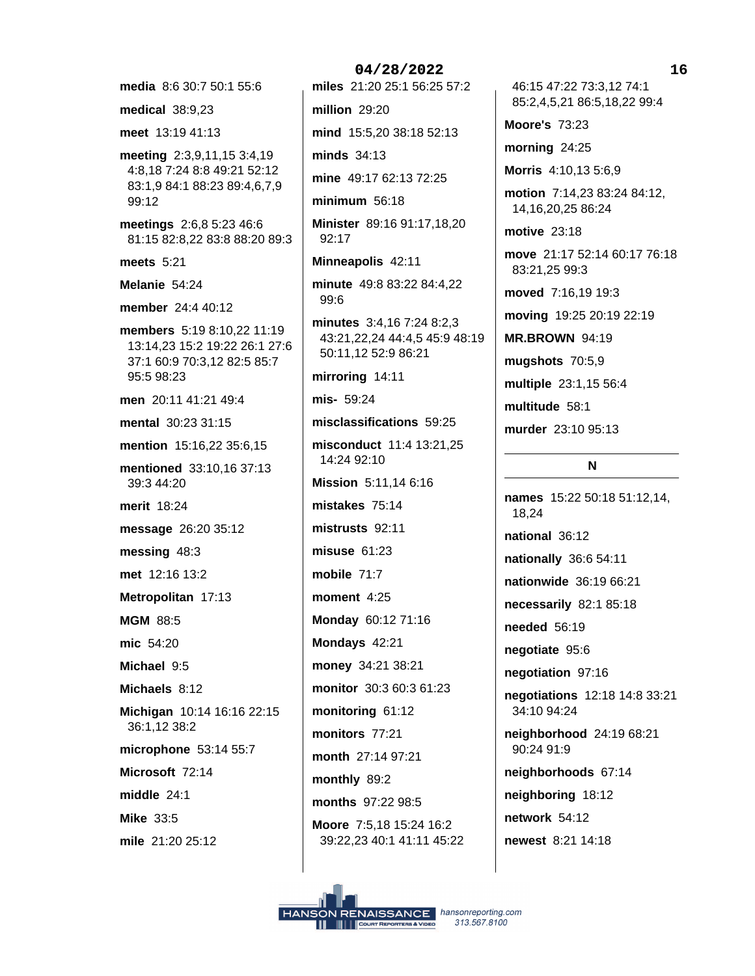media 8:6 30:7 50:1 55:6

**medical 38:9,23** 

meet 13:19 41:13

meeting 2:3,9,11,15 3:4,19 4:8,18 7:24 8:8 49:21 52:12 83:1,9 84:1 88:23 89:4,6,7,9 99:12

meetings 2:6,8 5:23 46:6 81:15 82:8,22 83:8 88:20 89:3

meets  $5:21$ 

Melanie 54:24

member 24:4 40:12

members 5:19 8:10,22 11:19 13:14,23 15:2 19:22 26:1 27:6 37:1 60:9 70:3.12 82:5 85:7 95:5 98:23

men 20:11 41:21 49:4

mental 30:23 31:15

mention 15:16,22 35:6,15

mentioned 33:10,16 37:13 39:3 44:20

merit 18:24

message 26:20 35:12

messing 48:3

met 12:16 13:2

Metropolitan 17:13

**MGM 88:5** 

mic 54:20

Michael 9:5

Michaels 8:12

Michigan 10:14 16:16 22:15 36:1,12 38:2

microphone 53:14 55:7

Microsoft 72:14

middle  $24:1$ 

**Mike 33:5** 

mile 21:20 25:12

04/28/2022 miles 21:20 25:1 56:25 57:2 million 29:20 mind 15:5,20 38:18 52:13 minds 34:13

mine 49:17 62:13 72:25

minimum  $56:18$ 

Minister 89:16 91:17,18,20 92:17

Minneapolis 42:11

minute 49:8 83:22 84:4,22 99:6

minutes 3:4,16 7:24 8:2,3 43:21,22,24 44:4,5 45:9 48:19 50:11,12 52:9 86:21

mirroring 14:11

mis- 59:24

misclassifications 59:25

misconduct 11:4 13:21,25 14:24 92:10 Mission 5:11.14 6:16 mistakes 75:14

mistrusts 92:11 misuse  $61:23$ 

mobile 71:7

moment 4:25

Monday 60:12 71:16

Mondays 42:21 money 34:21 38:21

monitor 30:3 60:3 61:23

monitors 77:21

monitoring 61:12

month 27:14 97:21 monthly 89:2

months 97:22 98:5

Moore 7:5,18 15:24 16:2 39:22,23 40:1 41:11 45:22

46:15 47:22 73:3,12 74:1 85:2,4,5,21 86:5,18,22 99:4

**Moore's 73:23** 

morning 24:25

Morris 4:10,13 5:6,9

motion 7:14,23 83:24 84:12, 14, 16, 20, 25 86: 24

motive 23:18

move 21:17 52:14 60:17 76:18 83:21,25 99:3

moved 7:16,19 19:3

moving 19:25 20:19 22:19

**MR.BROWN 94:19** 

mugshots 70:5,9

multiple 23:1,15 56:4

multitude 58:1

murder 23:10 95:13

### N

names 15:22 50:18 51:12.14. 18.24 national 36:12 nationally 36:6 54:11 nationwide 36:19 66:21 necessarily 82:1 85:18 **needed** 56:19 negotiate 95:6 negotiation 97:16 negotiations 12:18 14:8 33:21 34:10 94:24 neighborhood 24:19 68:21  $90.24.91.9$ neighborhoods 67:14 neighboring 18:12 network 54:12 newest 8:21 14:18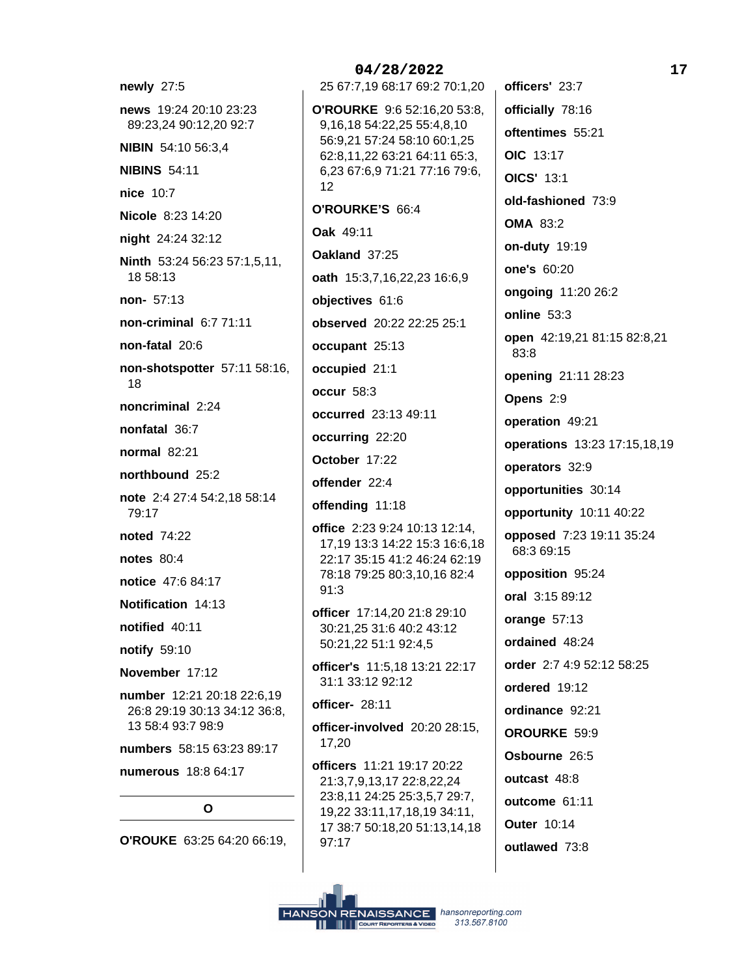newly 27:5 news 19:24 20:10 23:23 89:23,24 90:12,20 92:7 NIBIN 54:10 56:3,4 **NIBINS 54:11** nice 10:7 Nicole 8:23 14:20 night 24:24 32:12 Ninth 53:24 56:23 57:1,5,11, 18 58:13 non- 57:13 non-criminal 6:7 71:11 non-fatal 20:6 non-shotspotter 57:11 58:16, 18 noncriminal 2:24 nonfatal 36:7 normal  $82:21$ northbound 25:2 note 2:4 27:4 54:2,18 58:14 79:17 noted 74:22 notes  $80:4$ notice 47:6 84:17 Notification 14:13 notified 40:11 notify 59:10 November 17:12 number 12:21 20:18 22:6,19 26:8 29:19 30:13 34:12 36:8, 13 58:4 93:7 98:9 numbers 58:15 63:23 89:17 numerous 18:8 64:17  $\Omega$ O'ROUKE 63:25 64:20 66:19.

# 25 67:7,19 68:17 69:2 70:1,20 O'ROURKE 9:6 52:16,20 53:8, 9,16,18 54:22,25 55:4,8,10 56:9,21 57:24 58:10 60:1,25 62:8,11,22 63:21 64:11 65:3, 6,23 67:6,9 71:21 77:16 79:6,  $12$ O'ROURKE'S 66:4 Oak 49:11 Oakland 37:25 oath 15:3,7,16,22,23 16:6,9 objectives 61:6 observed 20:22 22:25 25:1 occupant 25:13 occupied 21:1 occur 58:3 occurred 23:13 49:11 occurring 22:20 October 17:22 offender 22:4 offending 11:18 office 2:23 9:24 10:13 12:14, 17,19 13:3 14:22 15:3 16:6,18 22:17 35:15 41:2 46:24 62:19 78:18 79:25 80:3,10,16 82:4  $91:3$ officer 17:14,20 21:8 29:10 30:21,25 31:6 40:2 43:12 50:21,22 51:1 92:4,5 officer's 11:5.18 13:21 22:17 31:1 33:12 92:12 officer- 28:11 officer-involved 20:20 28:15, 17,20 officers 11:21 19:17 20:22 21:3,7,9,13,17 22:8,22,24 23:8,11 24:25 25:3,5,7 29:7, 19,22 33:11,17,18,19 34:11, 17 38:7 50:18,20 51:13,14,18  $97:17$

04/28/2022

officers' 23:7 officially 78:16 oftentimes 55:21 OIC 13:17 **OICS' 13:1** old-fashioned 73:9 **OMA 83:2** on-duty 19:19 one's 60:20 ongoing 11:20 26:2 online 53:3 open 42:19,21 81:15 82:8,21 83:8 opening 21:11 28:23 Opens 2:9 operation 49:21 operations 13:23 17:15,18,19 operators 32:9 opportunities 30:14 opportunity 10:11 40:22 opposed 7:23 19:11 35:24 68:3 69:15 opposition 95:24 oral 3:15 89:12 orange  $57:13$ ordained 48:24 order 2:7 4:9 52:12 58:25 ordered 19:12 ordinance 92:21 OROURKE 59:9 Osbourne 26:5 outcast 48:8 outcome 61:11 **Outer 10:14** outlawed 73:8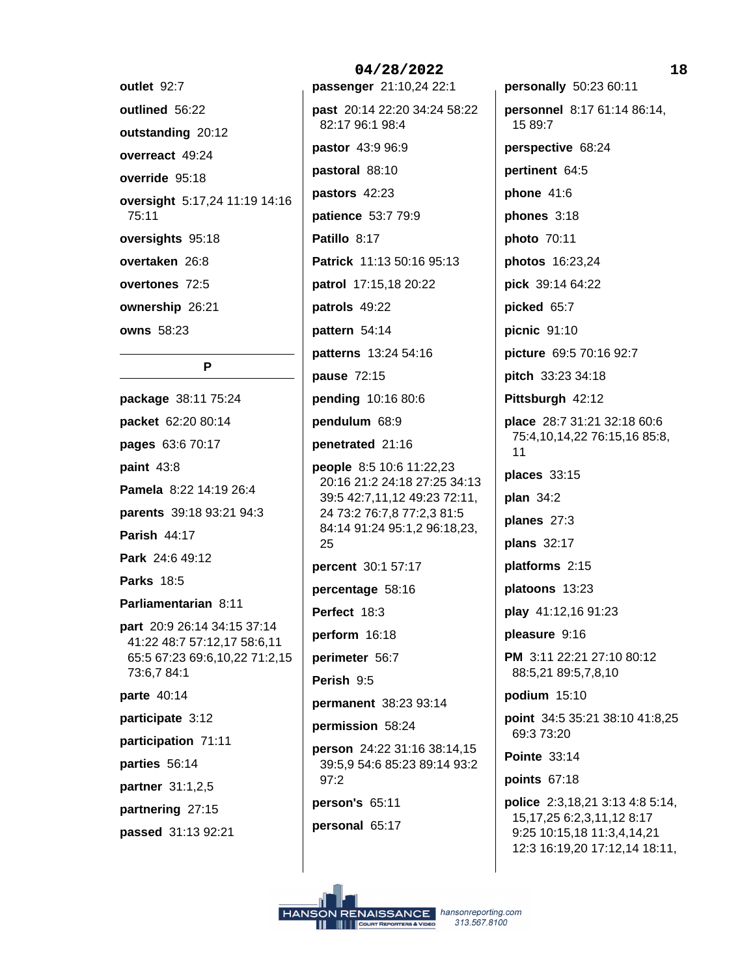| outlet 92:7                            |
|----------------------------------------|
| outlined 56:22                         |
| outstanding 20:12                      |
| overreact 49:24                        |
| override 95:18                         |
| oversight 5:17,24 11:19 14:16<br>75:11 |
| oversights 95:18                       |
| overtaken 26:8                         |
| overtones 72:5                         |
| ownership 26:21                        |
| <b>owns</b> 58:23                      |

# P

package 38:11 75:24 packet 62:20 80:14 pages 63:6 70:17 paint 43:8 Pamela 8:22 14:19 26:4 parents 39:18 93:21 94:3 **Parish 44:17** Park 24:6 49:12 **Parks 18:5** Parliamentarian 8:11 **part** 20:9 26:14 34:15 37:14 41:22 48:7 57:12,17 58:6,11 65:5 67:23 69:6,10,22 71:2,15 73:6,7 84:1 parte 40:14 participate 3:12 participation 71:11 parties 56:14 partner 31:1,2,5 partnering 27:15 passed 31:13 92:21

04/28/2022 passenger 21:10,24 22:1 past 20:14 22:20 34:24 58:22 82:17 96:1 98:4 pastor 43:9 96:9 pastoral 88:10 pastors 42:23 patience 53:7 79:9 Patillo 8:17 Patrick 11:13 50:16 95:13 patrol 17:15,18 20:22 patrols 49:22 pattern 54:14 patterns 13:24 54:16 pause 72:15 pending 10:16 80:6 pendulum 68:9 penetrated 21:16 people 8:5 10:6 11:22,23 20:16 21:2 24:18 27:25 34:13 39:5 42:7,11,12 49:23 72:11, 24 73:2 76:7,8 77:2,3 81:5 84:14 91:24 95:1,2 96:18,23, 25 percent 30:1 57:17 percentage 58:16 Perfect 18:3 perform 16:18 perimeter 56:7 Perish 9:5 permanent 38:23 93:14 permission 58:24 person 24:22 31:16 38:14,15 39:5,9 54:6 85:23 89:14 93:2  $97:2$ person's 65:11

personal 65:17

personally 50:23 60:11 personnel 8:17 61:14 86:14, 15 89:7 perspective 68:24 pertinent 64:5 phone 41:6 phones 3:18 photo 70:11 photos 16:23,24 pick 39:14 64:22 picked 65:7 picnic 91:10 picture 69:5 70:16 92:7 pitch 33:23 34:18 Pittsburgh 42:12 place 28:7 31:21 32:18 60:6 75:4,10,14,22 76:15,16 85:8,  $11$ places 33:15  $plan$  34:2 planes 27:3 plans 32:17 platforms 2:15 platoons 13:23 play 41:12,16 91:23 pleasure 9:16 PM 3:11 22:21 27:10 80:12 88:5,21 89:5,7,8,10 podium  $15:10$ point 34:5 35:21 38:10 41:8,25 69:3 73:20 **Pointe 33:14** points 67:18 police 2:3,18,21 3:13 4:8 5:14, 15, 17, 25 6: 2, 3, 11, 12 8: 17 9:25 10:15,18 11:3,4,14,21 12:3 16:19,20 17:12,14 18:11,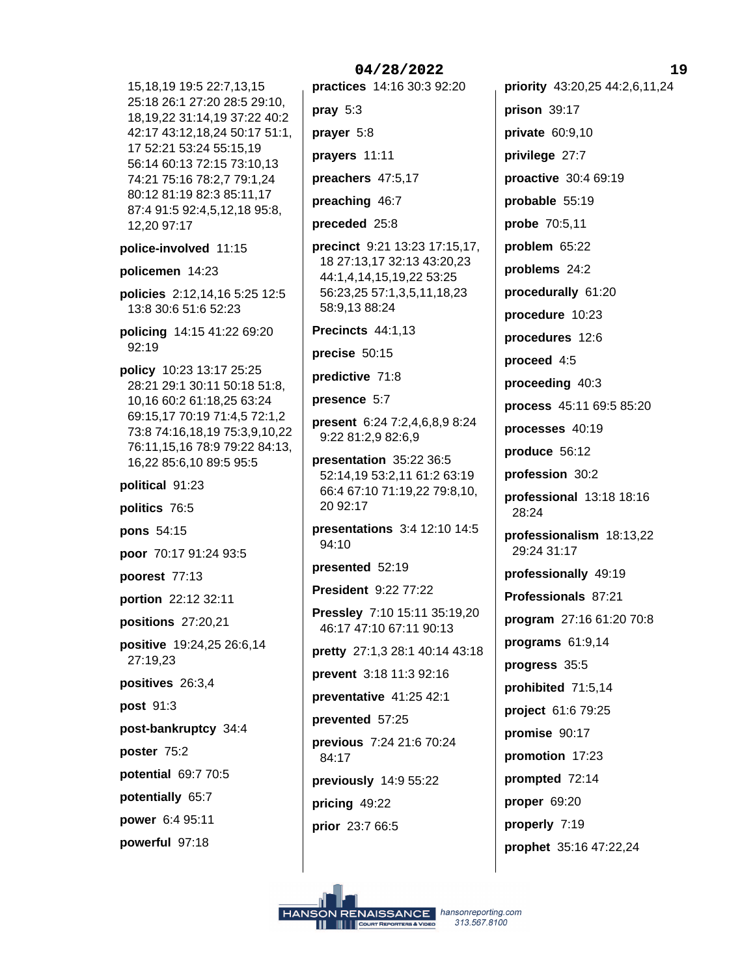15, 18, 19 19: 5 22: 7, 13, 15 25:18 26:1 27:20 28:5 29:10, 18, 19, 22 31: 14, 19 37: 22 40: 2 42:17 43:12,18,24 50:17 51:1, 17 52:21 53:24 55:15,19 56:14 60:13 72:15 73:10,13 74:21 75:16 78:2,7 79:1,24 80:12 81:19 82:3 85:11,17 87:4 91:5 92:4,5,12,18 95:8, 12,20 97:17

police-involved 11:15

policemen 14:23

policies 2:12,14,16 5:25 12:5 13:8 30:6 51:6 52:23

policing 14:15 41:22 69:20 92:19

**policy** 10:23 13:17 25:25 28:21 29:1 30:11 50:18 51:8, 10,16 60:2 61:18,25 63:24 69:15,17 70:19 71:4,5 72:1,2 73:8 74:16,18,19 75:3,9,10,22 76:11, 15, 16 78:9 79:22 84:13, 16,22 85:6,10 89:5 95:5

political 91:23

politics 76:5

pons 54:15

poor 70:17 91:24 93:5

poorest 77:13

portion 22:12 32:11

positions 27:20,21

positive 19:24,25 26:6,14 27:19.23

positives 26:3,4

post 91:3

post-bankruptcy 34:4

poster 75:2

potential 69:7 70:5

potentially 65:7

power 6:4 95:11

powerful 97:18

04/28/2022 practices 14:16 30:3 92:20 pray  $5:3$ prayer 5:8 prayers 11:11 preachers 47:5,17 preaching 46:7 preceded 25:8 precinct 9:21 13:23 17:15,17, 18 27:13,17 32:13 43:20,23 44:1,4,14,15,19,22 53:25 56:23,25 57:1,3,5,11,18,23 58:9,13 88:24 Precincts 44:1,13 precise 50:15 predictive 71:8 presence 5:7 present 6:24 7:2,4,6,8,9 8:24 9:22 81:2,9 82:6,9 presentation 35:22 36:5 52:14,19 53:2,11 61:2 63:19

66:4 67:10 71:19,22 79:8,10, 20 92:17

presentations 3:4 12:10 14:5 94:10

presented 52:19

President 9:22 77:22

Pressley 7:10 15:11 35:19,20 46:17 47:10 67:11 90:13

pretty 27:1,3 28:1 40:14 43:18

prevent 3:18 11:3 92:16 preventative 41:25 42:1 prevented 57:25 previous 7:24 21:6 70:24 84:17

previously 14:9 55:22

pricing 49:22

prior 23:7 66:5

priority 43:20,25 44:2,6,11,24 prison 39:17 private 60:9,10 privilege 27:7 proactive 30:4 69:19 probable 55:19 probe 70:5,11 problem 65:22 problems 24:2 procedurally 61:20 procedure 10:23 procedures 12:6 proceed 4:5 proceeding 40:3 process 45:11 69:5 85:20 processes 40:19 produce 56:12 profession 30:2 professional  $13:18$  18:16 28:24 professionalism 18:13,22 29:24 31:17 professionally 49:19 Professionals 87:21 program 27:16 61:20 70:8 programs 61:9,14 progress 35:5 prohibited 71:5,14 project 61:6 79:25 promise 90:17 promotion 17:23 prompted 72:14 proper 69:20 properly 7:19 prophet 35:16 47:22,24

19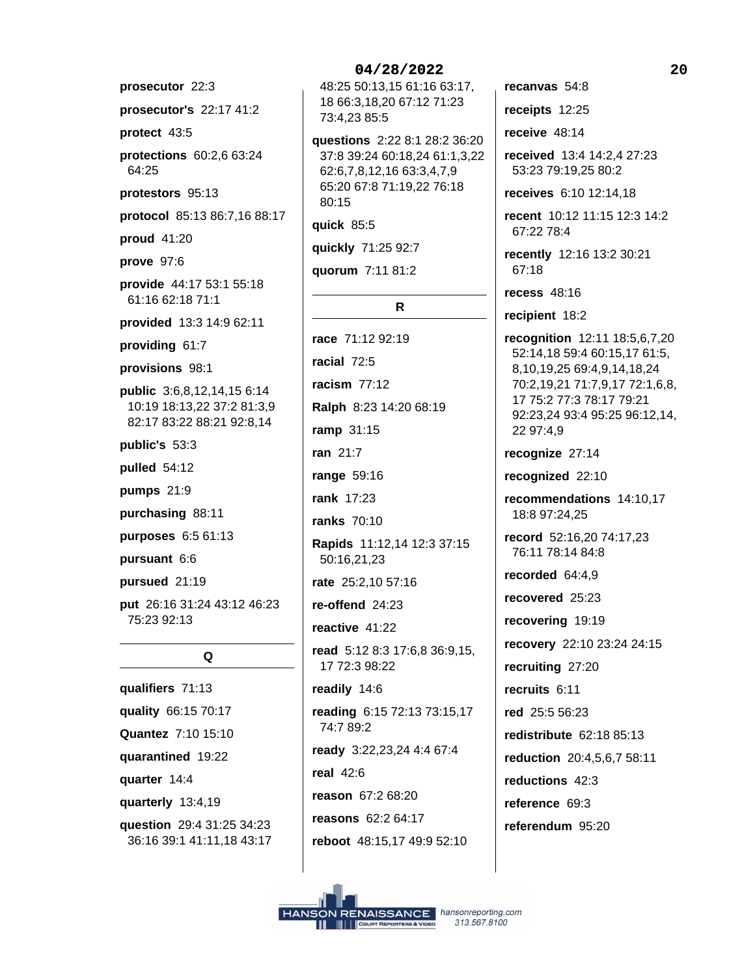prosecutor 22:3

prosecutor's 22:17 41:2

protect 43:5

protections 60:2,6 63:24 64:25

protestors 95:13

protocol 85:13 86:7,16 88:17

proud 41:20

prove 97:6

provide 44:17 53:1 55:18 61:16 62:18 71:1

provided 13:3 14:9 62:11

providing 61:7

provisions 98:1

public 3:6,8,12,14,15 6:14 10:19 18:13,22 37:2 81:3,9 82:17 83:22 88:21 92:8,14

public's 53:3

pulled 54:12

pumps 21:9

purchasing 88:11

purposes 6:5 61:13

pursuant 6:6

pursued 21:19

put 26:16 31:24 43:12 46:23 75:23 92:13

# Q

qualifiers 71:13 quality 66:15 70:17 Quantez 7:10 15:10 quarantined 19:22 quarter 14:4 quarterly 13:4,19 question 29:4 31:25 34:23 36:16 39:1 41:11,18 43:17

## 04/28/2022

48:25 50:13,15 61:16 63:17, 18 66:3,18,20 67:12 71:23 73:4.23 85:5

questions 2:22 8:1 28:2 36:20 37:8 39:24 60:18,24 61:1,3,22 62:6,7,8,12,16 63:3,4,7,9 65:20 67:8 71:19,22 76:18 80:15

quick 85:5

quickly 71:25 92:7

quorum 7:11 81:2

### $\mathsf{R}$

race 71:12 92:19 racial 72:5 racism  $77:12$ Ralph 8:23 14:20 68:19 ramp 31:15 ran 21:7 range 59:16 rank 17:23 ranks 70:10 Rapids 11:12,14 12:3 37:15 50:16,21,23 rate 25:2,10 57:16 re-offend 24:23 reactive 41:22 read 5:12 8:3 17:6,8 36:9,15, 17 72:3 98:22 readily 14:6 reading 6:15 72:13 73:15,17 74:7 89:2 ready 3:22,23,24 4:4 67:4 real  $42:6$ reason 67:2 68:20 reasons 62:2 64:17 reboot 48:15,17 49:9 52:10

recanvas 54:8

receipts 12:25

receive  $48:14$ 

received 13:4 14:2,4 27:23 53:23 79:19,25 80:2

receives 6:10 12:14,18

recent 10:12 11:15 12:3 14:2 67:22 78:4

recently 12:16 13:2 30:21 67:18

recess  $48:16$ 

recipient 18:2

recognition 12:11 18:5,6,7,20 52:14,18 59:4 60:15,17 61:5, 8,10,19,25 69:4,9,14,18,24 70:2,19,21 71:7,9,17 72:1,6,8, 17 75:2 77:3 78:17 79:21 92:23,24 93:4 95:25 96:12,14, 22 97:4,9

recognize 27:14

recognized 22:10

recommendations 14:10,17 18:8 97:24,25

record 52:16,20 74:17,23 76:11 78:14 84:8

recorded 64:4,9

recovered 25:23

recovering 19:19

recovery 22:10 23:24 24:15

recruiting 27:20

recruits 6:11

red 25:5 56:23

redistribute 62:18 85:13

reduction 20:4,5,6,7 58:11

reductions 42:3

reference 69:3

referendum 95:20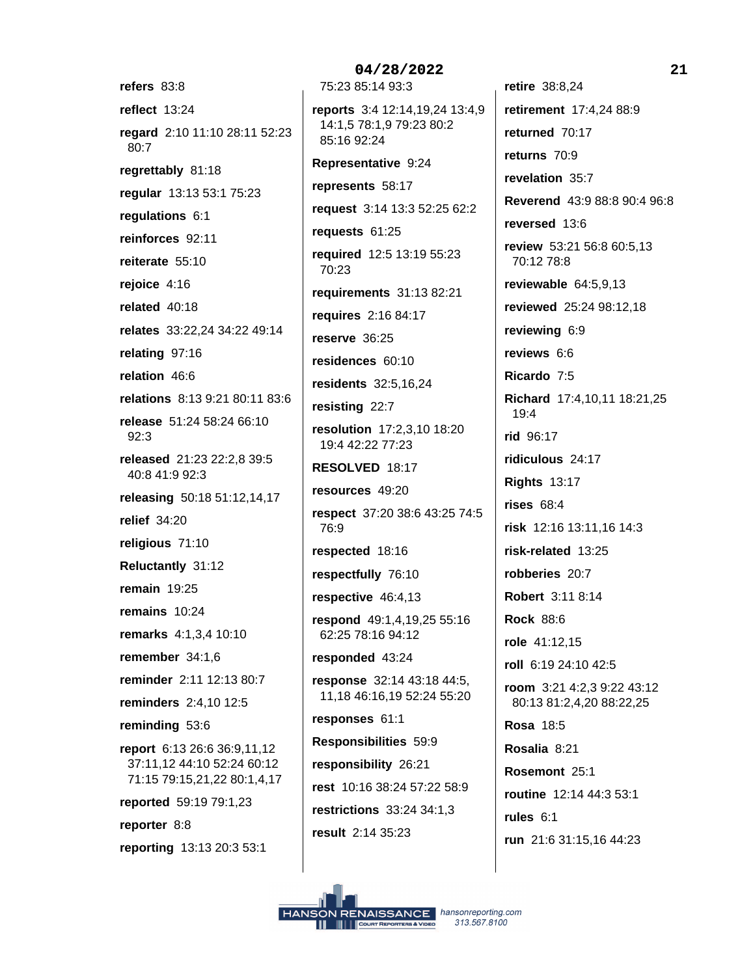refers 83:8 reflect 13:24 regard 2:10 11:10 28:11 52:23 80:7 regrettably 81:18 regular 13:13 53:1 75:23 regulations 6:1 reinforces 92:11 reiterate 55:10 rejoice 4:16 related 40:18 relates 33:22,24 34:22 49:14 relating 97:16 relation 46:6 relations 8:13 9:21 80:11 83:6 release 51:24 58:24 66:10  $92:3$ released 21:23 22:2,8 39:5 40:8 41:9 92:3 releasing 50:18 51:12,14,17 relief  $34:20$ religious 71:10 Reluctantly 31:12 remain  $19:25$ remains 10:24 remarks 4:1,3,4 10:10 remember 34:1,6 reminder 2:11 12:13 80:7 **reminders** 2:4,10 12:5 reminding 53:6 report 6:13 26:6 36:9,11,12 37:11,12 44:10 52:24 60:12 71:15 79:15,21,22 80:1,4,17 reported 59:19 79:1,23 reporter 8:8 reporting 13:13 20:3 53:1

04/28/2022 75:23 85:14 93:3 reports 3:4 12:14,19,24 13:4,9 14:1,5 78:1,9 79:23 80:2 85:16 92:24 Representative 9:24 represents 58:17 request 3:14 13:3 52:25 62:2 requests 61:25 required 12:5 13:19 55:23 70:23 requirements 31:13 82:21 requires 2:16 84:17 reserve 36:25 residences 60:10 residents 32:5,16,24 resisting 22:7 resolution 17:2.3.10 18:20 19:4 42:22 77:23 RESOLVED 18:17 resources 49:20 respect 37:20 38:6 43:25 74:5 76:9 respected 18:16 respectfully 76:10 respective  $46:4,13$ respond 49:1,4,19,25 55:16 62:25 78:16 94:12 responded 43:24 response 32:14 43:18 44:5, 11,18 46:16,19 52:24 55:20 responses 61:1 Responsibilities 59:9 responsibility 26:21 rest 10:16 38:24 57:22 58:9 **restrictions** 33:24 34:1.3 result 2:14 35:23

retire 38:8,24 retirement 17:4,24 88:9 returned 70:17 returns 70:9 revelation 35:7 Reverend 43:9 88:8 90:4 96:8 reversed 13:6 review 53:21 56:8 60:5,13 70:12 78:8 reviewable  $64:5,9,13$ reviewed 25:24 98:12,18 reviewing 6:9 reviews 6:6 Ricardo 7:5 Richard 17:4,10,11 18:21,25 19:4 rid 96:17 ridiculous 24:17 **Rights 13:17** rises  $68:4$ risk 12:16 13:11,16 14:3 risk-related 13:25 robberies 20:7 Robert 3:11 8:14 **Rock 88:6** role 41:12,15 roll 6:19 24:10 42:5 room 3:21 4:2,3 9:22 43:12 80:13 81:2,4,20 88:22,25 **Rosa 18:5** Rosalia 8:21 Rosemont 25:1 routine 12:14 44:3 53:1 rules  $6:1$ run 21:6 31:15,16 44:23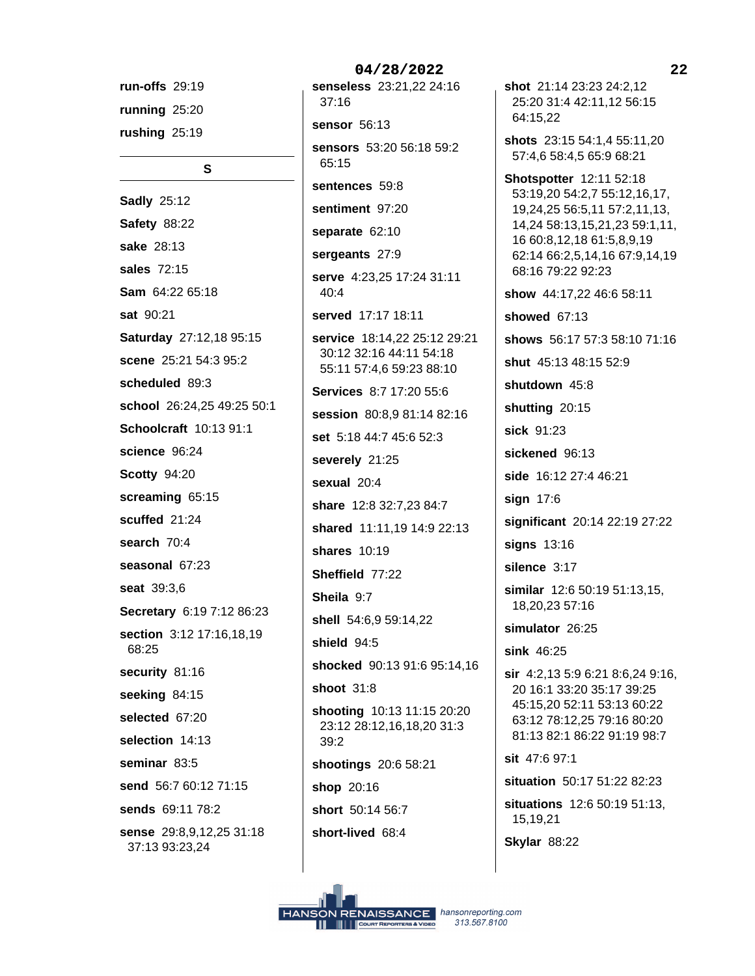run-offs 29:19 running 25:20 rushing  $25:19$ 

 $\mathbf{s}$ 

**Sadly 25:12 Safety 88:22** sake 28:13 sales 72:15 Sam 64:22 65:18 sat 90:21 Saturday 27:12,18 95:15 scene 25:21 54:3 95:2 scheduled 89:3 school 26:24,25 49:25 50:1 Schoolcraft 10:13 91:1 science 96:24 **Scotty 94:20** screaming 65:15 scuffed 21:24 search 70:4 seasonal 67:23 seat 39:3,6 Secretary 6:19 7:12 86:23 section 3:12 17:16,18,19 68:25 security 81:16 seeking 84:15 selected 67:20 selection 14:13 seminar 83:5 send 56:7 60:12 71:15 sends 69:11 78:2 sense 29:8,9,12,25 31:18 37:13 93:23,24

04/28/2022 senseless 23:21,22 24:16  $37:16$ sensor 56:13 sensors 53:20 56:18 59:2 65:15 sentences 59:8 sentiment 97:20 separate 62:10 sergeants 27:9 serve 4:23,25 17:24 31:11  $40:4$ served 17:17 18:11 service 18:14,22 25:12 29:21 30:12 32:16 44:11 54:18 55:11 57:4,6 59:23 88:10 Services 8:7 17:20 55:6 session 80:8,9 81:14 82:16 set 5:18 44:7 45:6 52:3 severely 21:25 sexual 20:4 share 12:8 32:7,23 84:7 shared 11:11,19 14:9 22:13 shares 10:19 Sheffield 77:22 Sheila 9:7 shell 54:6,9 59:14,22 shield 94:5 shocked 90:13 91:6 95:14,16 shoot 31:8 shooting 10:13 11:15 20:20 23:12 28:12,16,18,20 31:3  $39:2$ shootings 20:6 58:21 shop 20:16 short 50:14 56:7 short-lived 68:4

shot 21:14 23:23 24:2.12 25:20 31:4 42:11,12 56:15

shots 23:15 54:1,4 55:11,20 57:4,6 58:4,5 65:9 68:21

**Shotspotter 12:11 52:18** 53:19,20 54:2,7 55:12,16,17, 19,24,25 56:5,11 57:2,11,13, 14,24 58:13,15,21,23 59:1,11, 16 60:8,12,18 61:5,8,9,19 62:14 66:2,5,14,16 67:9,14,19 68:16 79:22 92:23

show 44:17,22 46:6 58:11

showed 67:13

64:15.22

shows 56:17 57:3 58:10 71:16

shut 45:13 48:15 52:9

shutdown 45:8

shutting 20:15

sick 91:23

sickened 96:13

side 16:12 27:4 46:21

sign  $17:6$ 

significant 20:14 22:19 27:22

signs 13:16

silence 3:17

similar 12:6 50:19 51:13,15, 18,20,23 57:16

simulator 26:25

sink 46:25

sir 4:2,13 5:9 6:21 8:6,24 9:16, 20 16:1 33:20 35:17 39:25 45:15,20 52:11 53:13 60:22 63:12 78:12.25 79:16 80:20 81:13 82:1 86:22 91:19 98:7

sit 47:6 97:1

situation 50:17 51:22 82:23

**situations** 12:6 50:19 51:13, 15,19,21

**Skylar 88:22**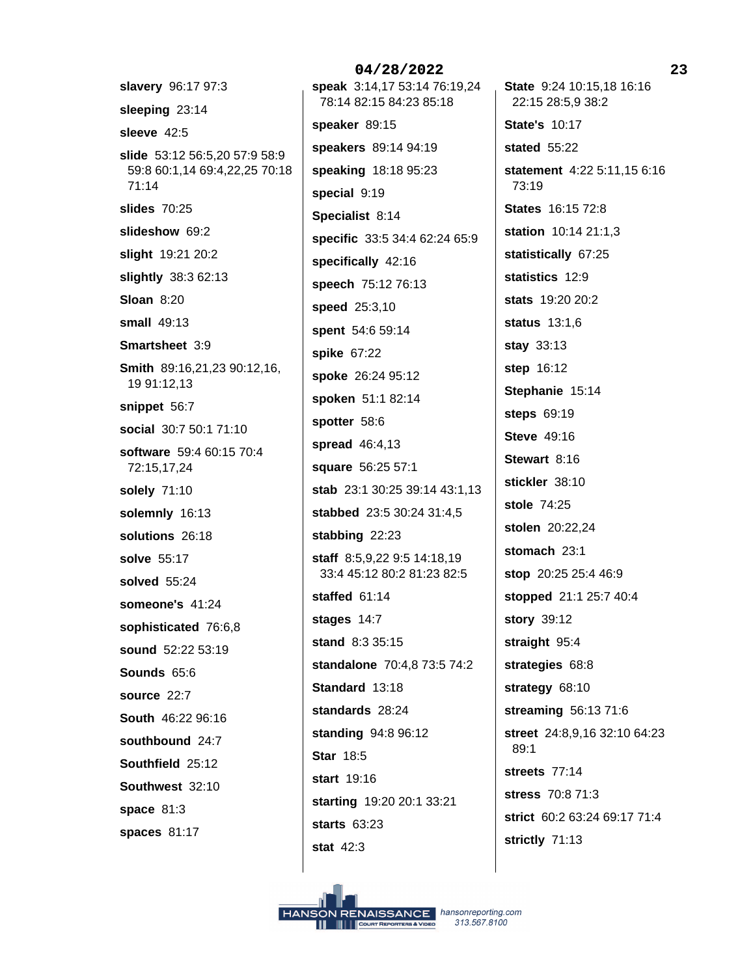slavery 96:17 97:3 sleeping 23:14 sleeve 42:5 slide 53:12 56:5,20 57:9 58:9 59:8 60:1,14 69:4,22,25 70:18  $71:14$ slides  $70:25$ slideshow 69:2 slight 19:21 20:2 slightly 38:3 62:13 **Sloan 8:20** small  $49:13$ Smartsheet 3:9 Smith 89:16,21,23 90:12,16, 19 91:12,13 snippet 56:7 social 30:7 50:1 71:10 software 59:4 60:15 70:4 72:15,17,24 solely 71:10 solemnly 16:13 solutions 26:18 solve 55:17 solved 55:24 someone's 41:24 sophisticated 76:6,8 sound 52:22 53:19 Sounds 65:6 source 22:7 South 46:22 96:16 southbound 24:7 Southfield 25:12 Southwest 32:10 space  $81:3$ spaces 81:17

04/28/2022 speak 3:14,17 53:14 76:19,24 78:14 82:15 84:23 85:18 speaker 89:15 speakers 89:14 94:19 speaking 18:18 95:23 special 9:19 Specialist 8:14 specific 33:5 34:4 62:24 65:9 specifically 42:16 speech 75:12 76:13 speed 25:3,10 spent 54:6 59:14 spike 67:22 spoke 26:24 95:12 spoken 51:1 82:14 spotter 58:6 spread 46:4,13 square 56:25 57:1 stab 23:1 30:25 39:14 43:1,13 stabbed 23:5 30:24 31:4,5 stabbing 22:23 staff 8:5,9,22 9:5 14:18,19 33:4 45:12 80:2 81:23 82:5 staffed 61:14 stages 14:7 stand 8:3 35:15 standalone 70:4,8 73:5 74:2 Standard 13:18 standards 28:24 standing 94:8 96:12 **Star 18:5** start  $19:16$ starting 19:20 20:1 33:21 starts 63:23 stat  $42:3$ 

State 9:24 10:15,18 16:16 22:15 28:5,9 38:2 **State's 10:17** stated 55:22 statement 4:22 5:11,15 6:16 73:19 **States** 16:15 72:8 station 10:14 21:1,3 statistically 67:25 statistics 12:9 stats 19:20 20:2 status 13:1,6 stay 33:13 step 16:12 Stephanie 15:14 steps 69:19 **Steve** 49:16 Stewart 8:16 stickler 38:10 stole 74:25 stolen 20:22,24 stomach 23:1 stop 20:25 25:4 46:9 stopped 21:1 25:7 40:4 story 39:12 straight 95:4 strategies 68:8 strategy 68:10 streaming  $56:1371:6$ street 24:8,9,16 32:10 64:23  $89:1$ streets 77:14 stress 70:8 71:3 strict 60:2 63:24 69:17 71:4 strictly 71:13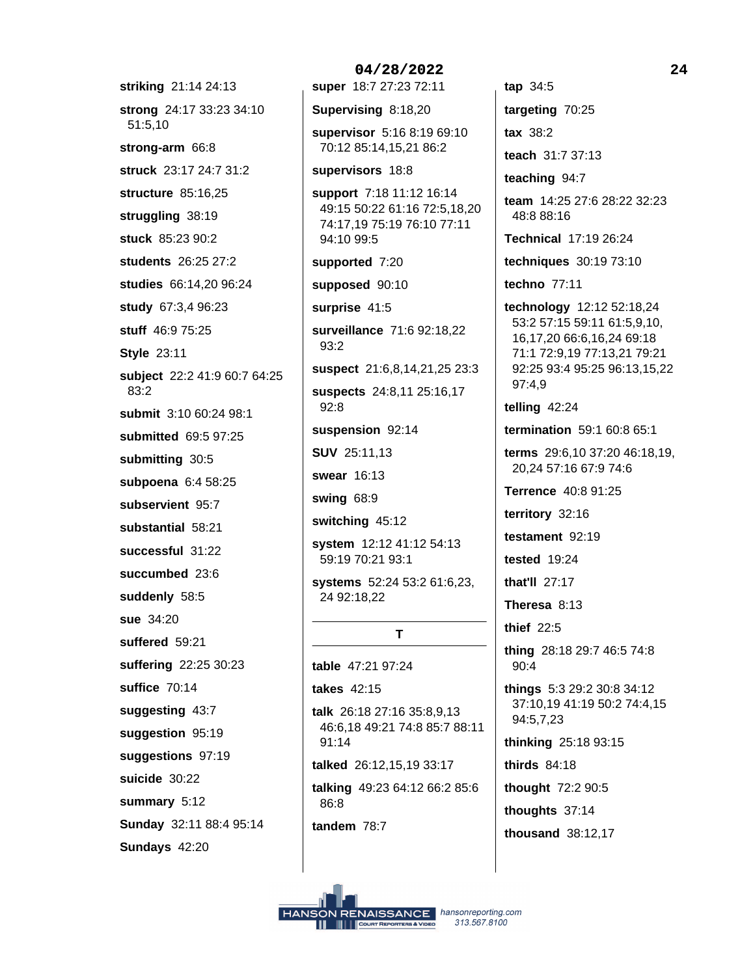striking 21:14 24:13 strong 24:17 33:23 34:10 51:5,10 strong-arm 66:8 struck 23:17 24:7 31:2 structure 85:16.25 struggling 38:19 stuck 85:23 90:2 students 26:25 27:2 studies 66:14,20 96:24 study 67:3,4 96:23 stuff 46:9 75:25 **Style 23:11** subject 22:2 41:9 60:7 64:25  $83:2$ submit 3:10 60:24 98:1 submitted 69:5 97:25 submitting 30:5 subpoena 6:4 58:25 subservient 95:7 substantial 58:21 successful 31:22 succumbed 23:6 suddenly 58:5 sue 34:20 suffered 59:21 suffering 22:25 30:23 suffice 70:14 suggesting 43:7 suggestion 95:19 suggestions 97:19 suicide 30:22 summary 5:12 Sunday 32:11 88:4 95:14 Sundays 42:20

04/28/2022 super 18:7 27:23 72:11 Supervising 8:18,20 supervisor 5:16 8:19 69:10 70:12 85:14,15,21 86:2 supervisors 18:8 support 7:18 11:12 16:14 49:15 50:22 61:16 72:5,18,20 74:17,19 75:19 76:10 77:11 94:10 99:5 supported 7:20 supposed 90:10 surprise 41:5 surveillance 71:6 92:18,22  $93:2$ suspect 21:6,8,14,21,25 23:3 suspects 24:8,11 25:16,17  $92:8$ suspension 92:14 **SUV 25:11,13** swear 16:13 swing 68:9 switching 45:12 system 12:12 41:12 54:13 59:19 70:21 93:1 systems 52:24 53:2 61:6,23, 24 92:18,22 T table 47:21 97:24 takes 42:15 talk 26:18 27:16 35:8,9,13 46:6.18 49:21 74:8 85:7 88:11  $91:14$ talked 26:12,15,19 33:17

talking 49:23 64:12 66:2 85:6 86:8

tandem 78:7

 $tan 34:5$ targeting 70:25  $\text{tax}$  38:2 teach 31:7 37:13 teaching 94:7

team 14:25 27:6 28:22 32:23 48:8 88:16

**Technical 17:19 26:24** 

techniques 30:19 73:10

techno 77:11

technology 12:12 52:18,24 53:2 57:15 59:11 61:5,9,10, 16,17,20 66:6,16,24 69:18 71:1 72:9,19 77:13,21 79:21 92:25 93:4 95:25 96:13,15,22 97:4,9

telling 42:24

termination 59:1 60:8 65:1

terms 29:6,10 37:20 46:18,19, 20,24 57:16 67:9 74:6

**Terrence** 40:8 91:25

territory 32:16

testament 92:19

tested  $19:24$ 

that'll 27:17

Theresa 8:13

thief 22:5

thing 28:18 29:7 46:5 74:8 90:4

things 5:3 29:2 30:8 34:12 37:10,19 41:19 50:2 74:4,15 94:5,7,23

thinking 25:18 93:15

thirds 84:18

thought 72:2 90:5

thoughts 37:14

thousand 38:12,17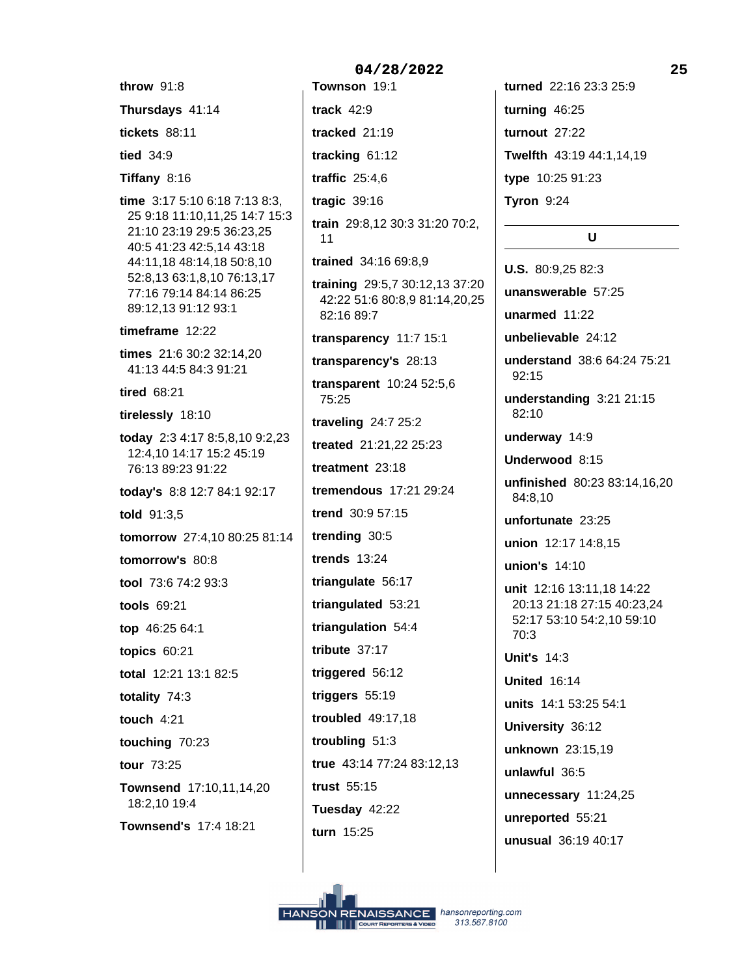throw 91:8 Thursdays 41:14 **tickets** 88:11 tied 34:9 Tiffany 8:16 time 3:17 5:10 6:18 7:13 8:3, 25 9:18 11:10,11,25 14:7 15:3 21:10 23:19 29:5 36:23,25 40:5 41:23 42:5.14 43:18 44:11,18 48:14,18 50:8,10 52:8,13 63:1,8,10 76:13,17 77:16 79:14 84:14 86:25 89:12.13 91:12 93:1 timeframe 12:22 times 21:6 30:2 32:14.20 41:13 44:5 84:3 91:21 tired 68:21 tirelessly 18:10 today 2:3 4:17 8:5,8,10 9:2,23 12:4,10 14:17 15:2 45:19 76:13 89:23 91:22 today's 8:8 12:7 84:1 92:17 told 91:3,5 tomorrow 27:4.10 80:25 81:14 tomorrow's 80:8 tool 73:6 74:2 93:3 tools 69:21 top 46:25 64:1 topics  $60:21$ total 12:21 13:1 82:5 totality 74:3 touch  $4:21$ touching 70:23 tour 73:25 Townsend 17:10,11,14,20 18:2,10 19:4 Townsend's 17:4 18:21

04/28/2022 Townson 19:1 track  $42:9$ tracked 21:19 tracking 61:12 traffic  $25:4,6$ tragic  $39:16$ train 29:8,12 30:3 31:20 70:2,  $11$ trained 34:16 69:8,9 training 29:5,7 30:12,13 37:20 42:22 51:6 80:8,9 81:14,20,25 82:16 89:7 transparency 11:7 15:1 transparency's 28:13 transparent 10:24 52:5,6 75:25 traveling 24:7 25:2 treated 21:21,22 25:23 treatment 23:18 tremendous 17:21 29:24 trend 30:9 57:15 trending 30:5 trends  $13:24$ triangulate 56:17 triangulated 53:21 triangulation 54:4 tribute  $37:17$ triggered 56:12 triggers 55:19 troubled 49:17,18 troubling 51:3 true 43:14 77:24 83:12,13 trust 55:15 Tuesday 42:22 turn 15:25

turned 22:16 23:3 25:9 turning 46:25 turnout 27:22 Twelfth 43:19 44:1,14,19 type 10:25 91:23 **Tyron 9:24** 

## $\overline{U}$

**U.S.** 80:9.25 82:3 unanswerable 57:25 unarmed 11:22 unbelievable 24:12 understand 38:6 64:24 75:21  $92.15$ understanding 3:21 21:15 82:10 underway 14:9 Underwood 8:15 unfinished 80:23 83:14,16,20 84:8.10 unfortunate 23:25 union 12:17 14:8,15 union's 14:10 unit 12:16 13:11,18 14:22 20:13 21:18 27:15 40:23,24 52:17 53:10 54:2,10 59:10  $70:3$ **Unit's 14:3** United 16:14 units 14:1 53:25 54:1 University 36:12 unknown 23:15,19 unlawful 36:5 unnecessary 11:24,25 unreported 55:21 unusual 36:19 40:17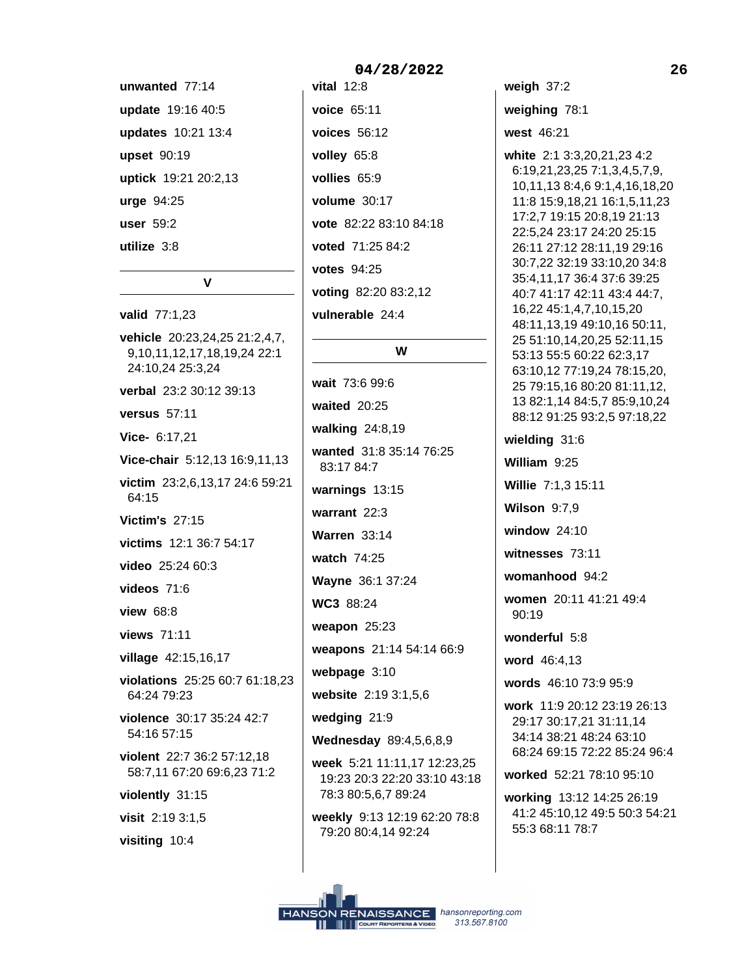unwanted 77:14 update 19:16 40:5 updates 10:21 13:4 upset 90:19 uptick 19:21 20:2,13 urge 94:25 user 59:2 utilize 3:8

 $\mathbf{V}$ 

valid 77:1,23 vehicle 20:23,24,25 21:2,4,7, 9,10,11,12,17,18,19,24 22:1 24:10.24 25:3.24 verbal 23:2 30:12 39:13 versus 57:11 Vice- 6:17.21 Vice-chair 5:12,13 16:9,11,13 victim 23:2,6,13,17 24:6 59:21 64:15 **Victim's 27:15** victims 12:1 36:7 54:17 video 25:24 60:3 videos  $71:6$ view 68:8 views 71:11 village 42:15,16,17 violations 25:25 60:7 61:18,23 64:24 79:23 violence 30:17 35:24 42:7 54:16 57:15 violent 22:7 36:2 57:12,18 58:7,11 67:20 69:6,23 71:2 violently 31:15 visit 2:19 3:1,5 visiting 10:4

vital  $12:8$ voice 65:11 voices  $56:12$ volley 65:8 vollies 65:9 volume 30:17 vote 82:22 83:10 84:18 voted 71:25 84:2 **votes** 94:25 voting 82:20 83:2,12 vulnerable 24:4

# W

wait 73:6 99:6 waited 20:25 walking 24:8,19 wanted 31:8 35:14 76:25 83:17 84:7 warnings 13:15 warrant  $22:3$ **Warren 33:14** watch 74:25 Wayne 36:1 37:24 WC3 88:24 weapon  $25:23$ weapons 21:14 54:14 66:9 webpage 3:10 website 2:19 3:1,5,6 wedging 21:9 Wednesday 89:4,5,6,8,9 week 5:21 11:11,17 12:23,25 19:23 20:3 22:20 33:10 43:18 78:3 80:5,6,7 89:24 weekly 9:13 12:19 62:20 78:8 79:20 80:4,14 92:24

weigh  $37:2$ weighing 78:1

west 46:21

white 2:1 3:3,20,21,23 4:2 6:19,21,23,25 7:1,3,4,5,7,9, 10,11,13 8:4,6 9:1,4,16,18,20 11:8 15:9,18,21 16:1,5,11,23 17:2,7 19:15 20:8,19 21:13 22:5,24 23:17 24:20 25:15 26:11 27:12 28:11.19 29:16 30:7,22 32:19 33:10,20 34:8 35:4,11,17 36:4 37:6 39:25 40:7 41:17 42:11 43:4 44:7, 16,22 45:1,4,7,10,15,20 48:11,13,19 49:10,16 50:11, 25 51:10,14,20,25 52:11,15 53:13 55:5 60:22 62:3,17 63:10,12 77:19,24 78:15,20, 25 79:15,16 80:20 81:11,12, 13 82:1,14 84:5,7 85:9,10,24 88:12 91:25 93:2,5 97:18,22

wielding 31:6 William 9:25 Willie 7:1.3 15:11 **Wilson 9:7,9** window  $24:10$ witnesses 73:11 womanhood 94:2 women 20:11 41:21 49:4  $90:19$ wonderful 5:8 word 46:4.13 words 46:10 73:9 95:9 work 11:9 20:12 23:19 26:13 29:17 30:17,21 31:11,14 34:14 38:21 48:24 63:10

worked 52:21 78:10 95:10

working 13:12 14:25 26:19 41:2 45:10,12 49:5 50:3 54:21 55:3 68:11 78:7

68:24 69:15 72:22 85:24 96:4

### 04/28/2022